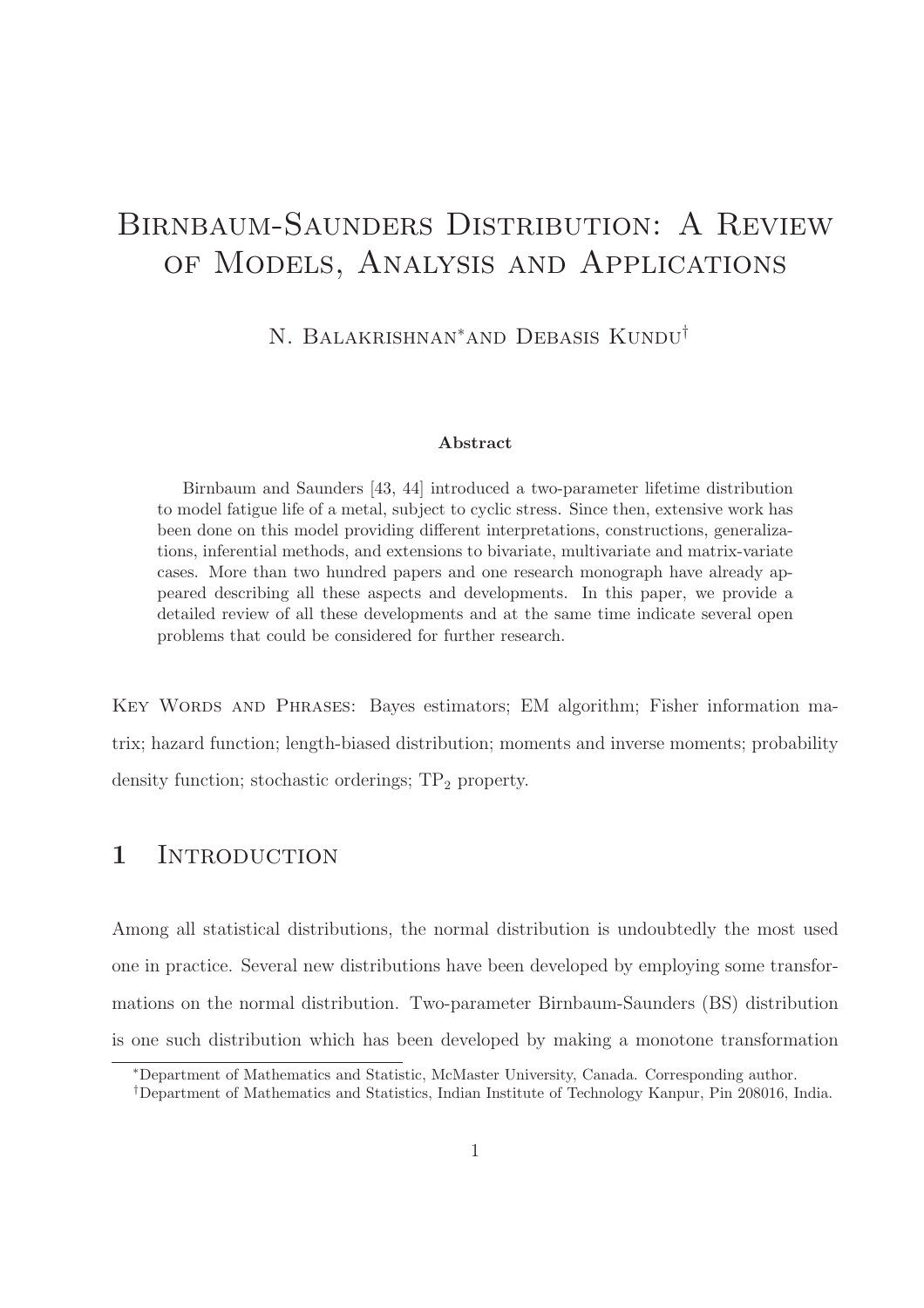# Birnbaum-Saunders Distribution: A Review of Models, Analysis and Applications

N. Balakrishnan∗and Debasis Kundu†

#### Abstract

Birnbaum and Saunders [43, 44] introduced a two-parameter lifetime distribution to model fatigue life of a metal, subject to cyclic stress. Since then, extensive work has been done on this model providing different interpretations, constructions, generalizations, inferential methods, and extensions to bivariate, multivariate and matrix-variate cases. More than two hundred papers and one research monograph have already appeared describing all these aspects and developments. In this paper, we provide a detailed review of all these developments and at the same time indicate several open problems that could be considered for further research.

Key Words and Phrases: Bayes estimators; EM algorithm; Fisher information matrix; hazard function; length-biased distribution; moments and inverse moments; probability density function; stochastic orderings;  $TP<sub>2</sub>$  property.

## 1 INTRODUCTION

Among all statistical distributions, the normal distribution is undoubtedly the most used one in practice. Several new distributions have been developed by employing some transformations on the normal distribution. Two-parameter Birnbaum-Saunders (BS) distribution is one such distribution which has been developed by making a monotone transformation

<sup>∗</sup>Department of Mathematics and Statistic, McMaster University, Canada. Corresponding author.

<sup>†</sup>Department of Mathematics and Statistics, Indian Institute of Technology Kanpur, Pin 208016, India.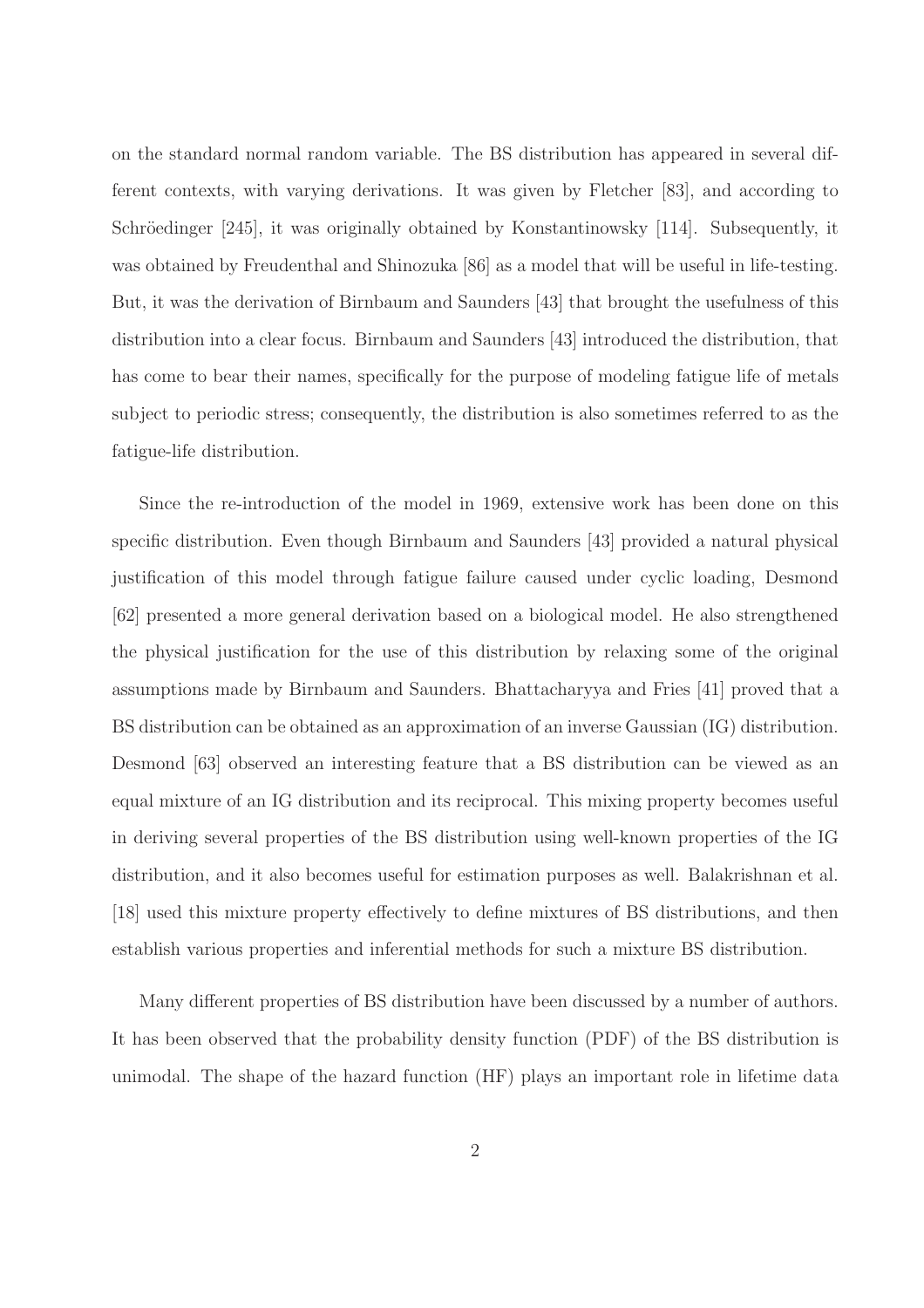on the standard normal random variable. The BS distribution has appeared in several different contexts, with varying derivations. It was given by Fletcher [83], and according to Schröedinger [245], it was originally obtained by Konstantinowsky [114]. Subsequently, it was obtained by Freudenthal and Shinozuka [86] as a model that will be useful in life-testing. But, it was the derivation of Birnbaum and Saunders [43] that brought the usefulness of this distribution into a clear focus. Birnbaum and Saunders [43] introduced the distribution, that has come to bear their names, specifically for the purpose of modeling fatigue life of metals subject to periodic stress; consequently, the distribution is also sometimes referred to as the fatigue-life distribution.

Since the re-introduction of the model in 1969, extensive work has been done on this specific distribution. Even though Birnbaum and Saunders [43] provided a natural physical justification of this model through fatigue failure caused under cyclic loading, Desmond [62] presented a more general derivation based on a biological model. He also strengthened the physical justification for the use of this distribution by relaxing some of the original assumptions made by Birnbaum and Saunders. Bhattacharyya and Fries [41] proved that a BS distribution can be obtained as an approximation of an inverse Gaussian (IG) distribution. Desmond [63] observed an interesting feature that a BS distribution can be viewed as an equal mixture of an IG distribution and its reciprocal. This mixing property becomes useful in deriving several properties of the BS distribution using well-known properties of the IG distribution, and it also becomes useful for estimation purposes as well. Balakrishnan et al. [18] used this mixture property effectively to define mixtures of BS distributions, and then establish various properties and inferential methods for such a mixture BS distribution.

Many different properties of BS distribution have been discussed by a number of authors. It has been observed that the probability density function (PDF) of the BS distribution is unimodal. The shape of the hazard function (HF) plays an important role in lifetime data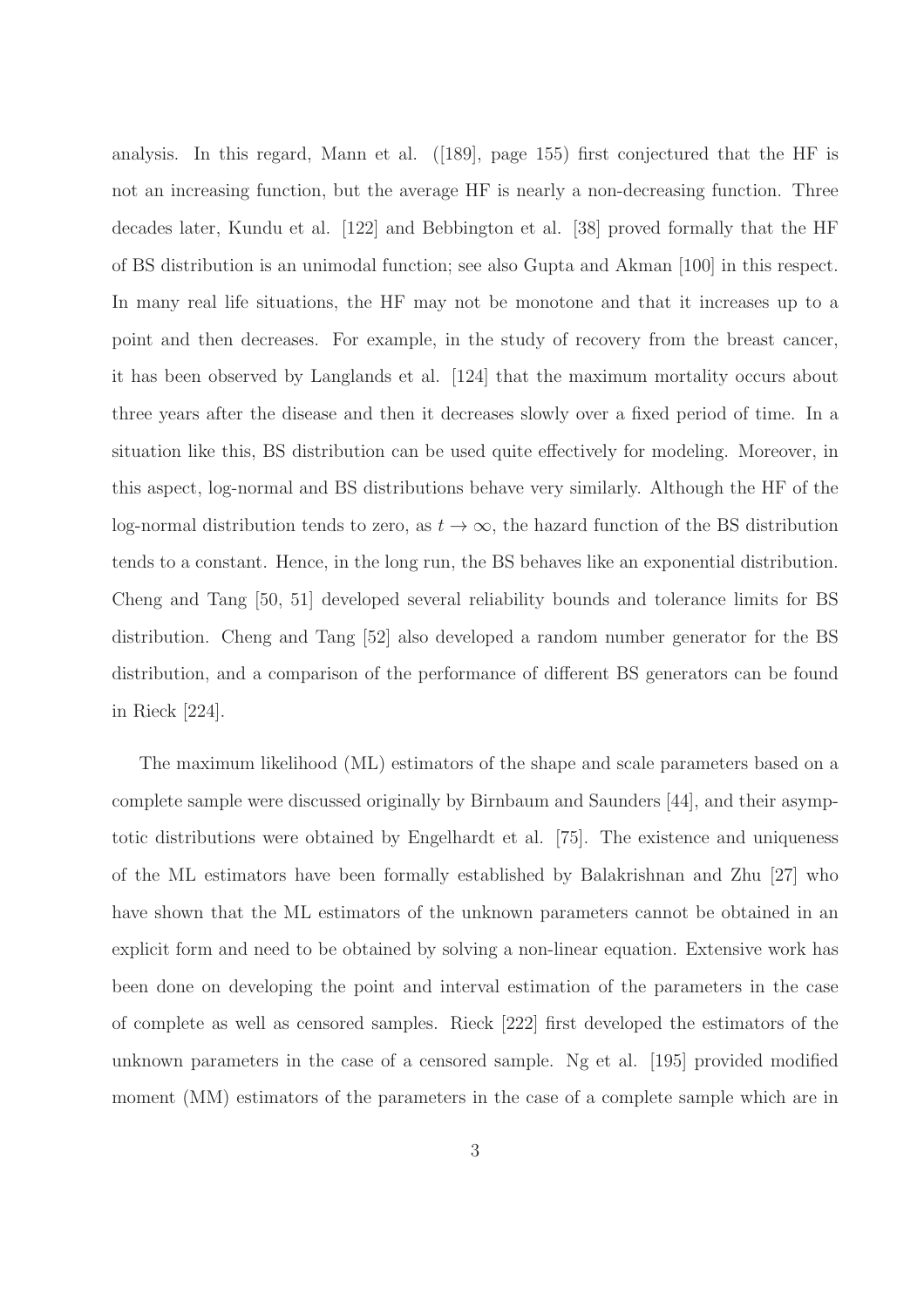analysis. In this regard, Mann et al. ([189], page 155) first conjectured that the HF is not an increasing function, but the average HF is nearly a non-decreasing function. Three decades later, Kundu et al. [122] and Bebbington et al. [38] proved formally that the HF of BS distribution is an unimodal function; see also Gupta and Akman [100] in this respect. In many real life situations, the HF may not be monotone and that it increases up to a point and then decreases. For example, in the study of recovery from the breast cancer, it has been observed by Langlands et al. [124] that the maximum mortality occurs about three years after the disease and then it decreases slowly over a fixed period of time. In a situation like this, BS distribution can be used quite effectively for modeling. Moreover, in this aspect, log-normal and BS distributions behave very similarly. Although the HF of the log-normal distribution tends to zero, as  $t \to \infty$ , the hazard function of the BS distribution tends to a constant. Hence, in the long run, the BS behaves like an exponential distribution. Cheng and Tang [50, 51] developed several reliability bounds and tolerance limits for BS distribution. Cheng and Tang [52] also developed a random number generator for the BS distribution, and a comparison of the performance of different BS generators can be found in Rieck [224].

The maximum likelihood (ML) estimators of the shape and scale parameters based on a complete sample were discussed originally by Birnbaum and Saunders [44], and their asymptotic distributions were obtained by Engelhardt et al. [75]. The existence and uniqueness of the ML estimators have been formally established by Balakrishnan and Zhu [27] who have shown that the ML estimators of the unknown parameters cannot be obtained in an explicit form and need to be obtained by solving a non-linear equation. Extensive work has been done on developing the point and interval estimation of the parameters in the case of complete as well as censored samples. Rieck [222] first developed the estimators of the unknown parameters in the case of a censored sample. Ng et al. [195] provided modified moment (MM) estimators of the parameters in the case of a complete sample which are in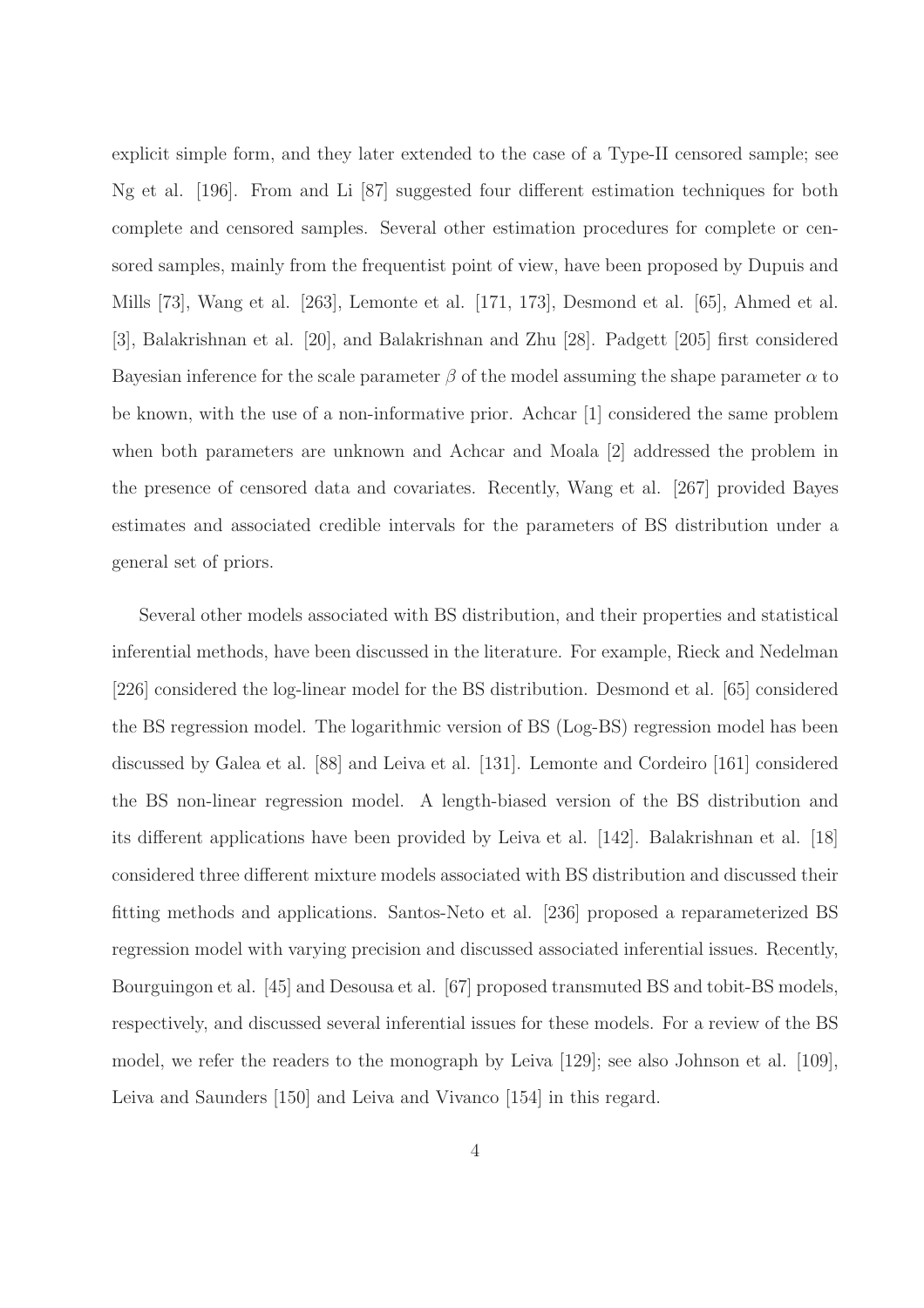explicit simple form, and they later extended to the case of a Type-II censored sample; see Ng et al. [196]. From and Li [87] suggested four different estimation techniques for both complete and censored samples. Several other estimation procedures for complete or censored samples, mainly from the frequentist point of view, have been proposed by Dupuis and Mills [73], Wang et al. [263], Lemonte et al. [171, 173], Desmond et al. [65], Ahmed et al. [3], Balakrishnan et al. [20], and Balakrishnan and Zhu [28]. Padgett [205] first considered Bayesian inference for the scale parameter  $\beta$  of the model assuming the shape parameter  $\alpha$  to be known, with the use of a non-informative prior. Achcar [1] considered the same problem when both parameters are unknown and Achcar and Moala [2] addressed the problem in the presence of censored data and covariates. Recently, Wang et al. [267] provided Bayes estimates and associated credible intervals for the parameters of BS distribution under a general set of priors.

Several other models associated with BS distribution, and their properties and statistical inferential methods, have been discussed in the literature. For example, Rieck and Nedelman [226] considered the log-linear model for the BS distribution. Desmond et al. [65] considered the BS regression model. The logarithmic version of BS (Log-BS) regression model has been discussed by Galea et al. [88] and Leiva et al. [131]. Lemonte and Cordeiro [161] considered the BS non-linear regression model. A length-biased version of the BS distribution and its different applications have been provided by Leiva et al. [142]. Balakrishnan et al. [18] considered three different mixture models associated with BS distribution and discussed their fitting methods and applications. Santos-Neto et al. [236] proposed a reparameterized BS regression model with varying precision and discussed associated inferential issues. Recently, Bourguingon et al. [45] and Desousa et al. [67] proposed transmuted BS and tobit-BS models, respectively, and discussed several inferential issues for these models. For a review of the BS model, we refer the readers to the monograph by Leiva [129]; see also Johnson et al. [109], Leiva and Saunders [150] and Leiva and Vivanco [154] in this regard.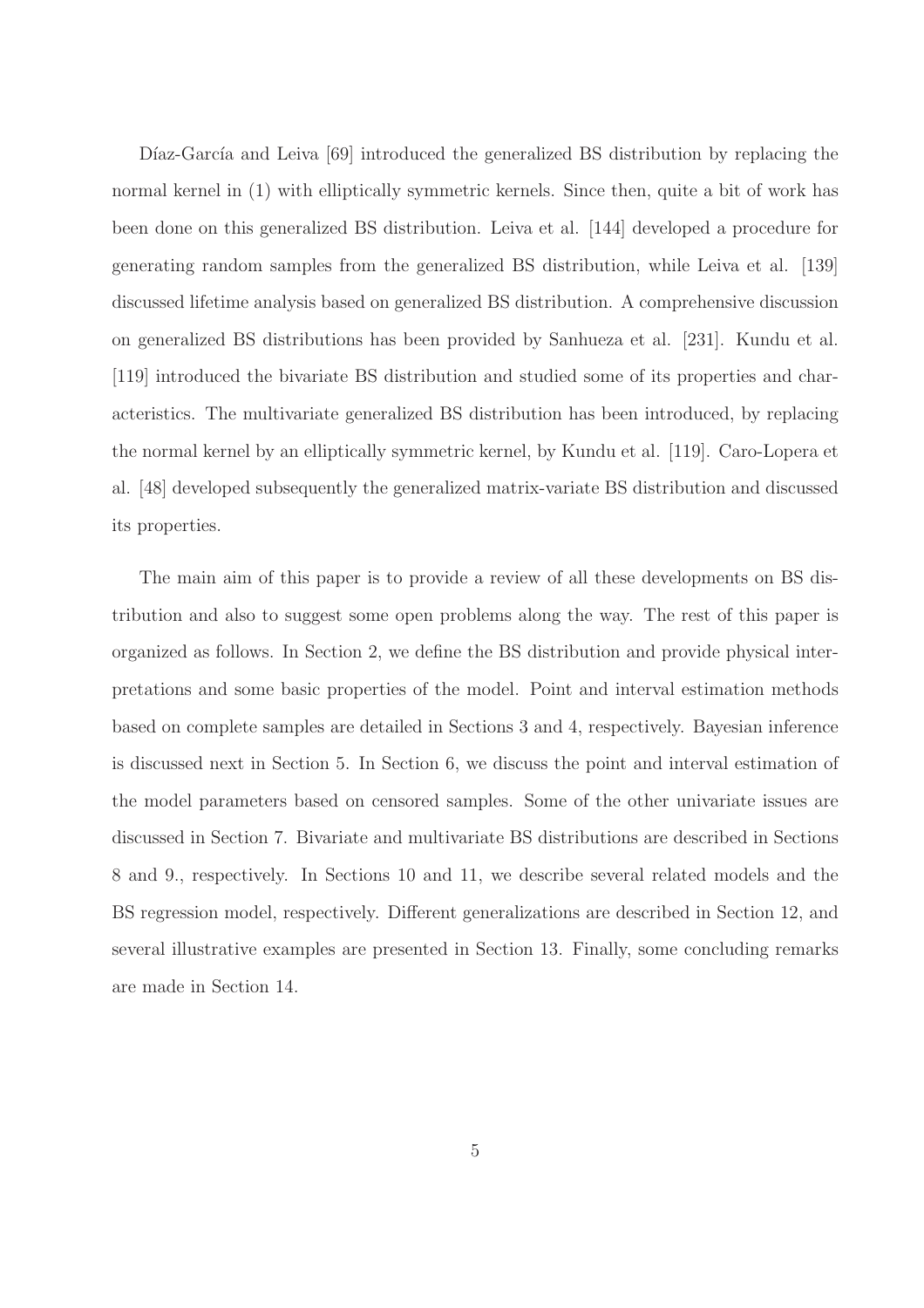Díaz-García and Leiva [69] introduced the generalized BS distribution by replacing the normal kernel in (1) with elliptically symmetric kernels. Since then, quite a bit of work has been done on this generalized BS distribution. Leiva et al. [144] developed a procedure for generating random samples from the generalized BS distribution, while Leiva et al. [139] discussed lifetime analysis based on generalized BS distribution. A comprehensive discussion on generalized BS distributions has been provided by Sanhueza et al. [231]. Kundu et al. [119] introduced the bivariate BS distribution and studied some of its properties and characteristics. The multivariate generalized BS distribution has been introduced, by replacing the normal kernel by an elliptically symmetric kernel, by Kundu et al. [119]. Caro-Lopera et al. [48] developed subsequently the generalized matrix-variate BS distribution and discussed its properties.

The main aim of this paper is to provide a review of all these developments on BS distribution and also to suggest some open problems along the way. The rest of this paper is organized as follows. In Section 2, we define the BS distribution and provide physical interpretations and some basic properties of the model. Point and interval estimation methods based on complete samples are detailed in Sections 3 and 4, respectively. Bayesian inference is discussed next in Section 5. In Section 6, we discuss the point and interval estimation of the model parameters based on censored samples. Some of the other univariate issues are discussed in Section 7. Bivariate and multivariate BS distributions are described in Sections 8 and 9., respectively. In Sections 10 and 11, we describe several related models and the BS regression model, respectively. Different generalizations are described in Section 12, and several illustrative examples are presented in Section 13. Finally, some concluding remarks are made in Section 14.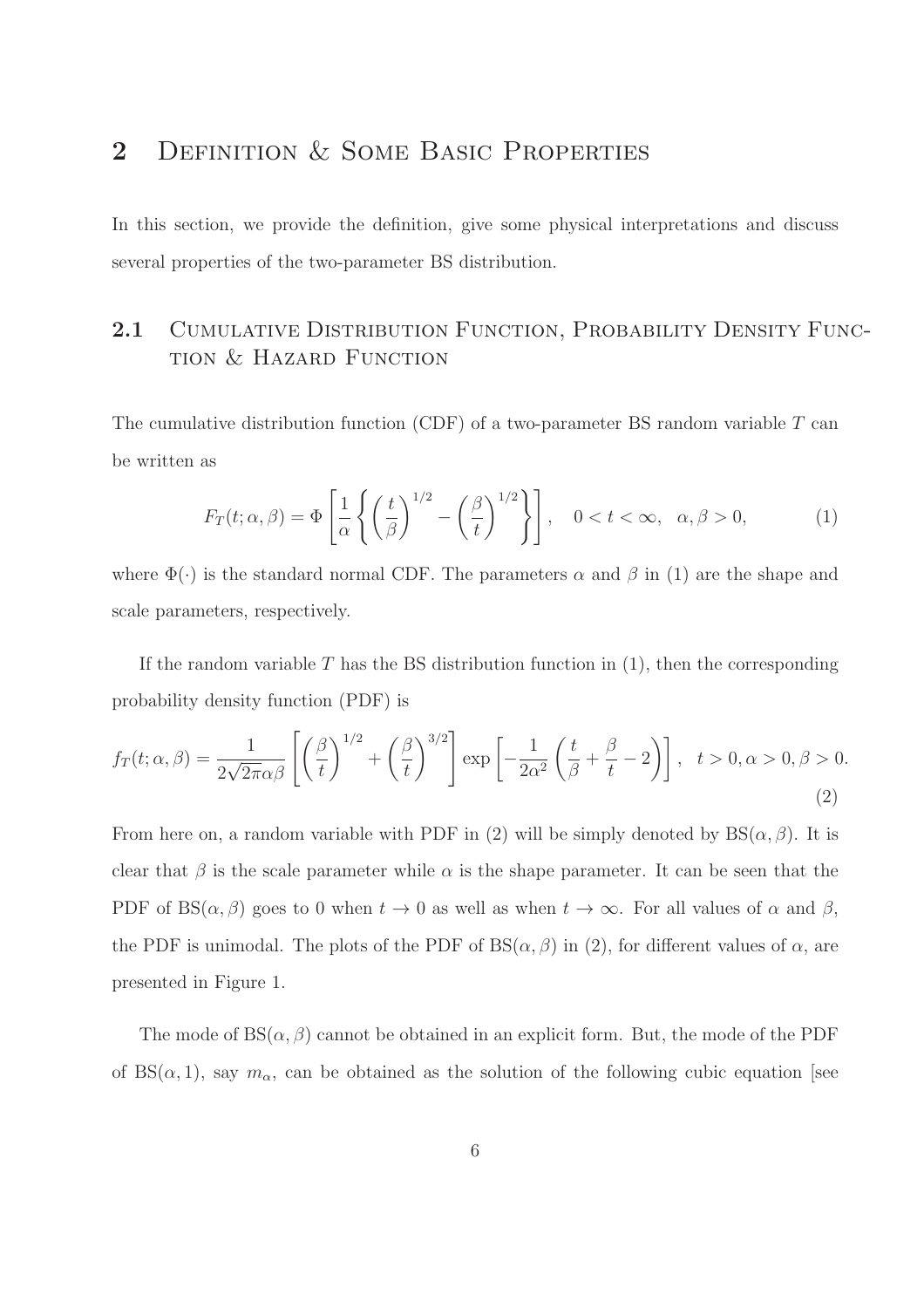## 2 DEFINITION & SOME BASIC PROPERTIES

In this section, we provide the definition, give some physical interpretations and discuss several properties of the two-parameter BS distribution.

## 2.1 CUMULATIVE DISTRIBUTION FUNCTION, PROBABILITY DENSITY FUNCtion & Hazard Function

The cumulative distribution function (CDF) of a two-parameter BS random variable  $T$  can be written as

$$
F_T(t; \alpha, \beta) = \Phi\left[\frac{1}{\alpha} \left\{ \left(\frac{t}{\beta}\right)^{1/2} - \left(\frac{\beta}{t}\right)^{1/2} \right\} \right], \quad 0 < t < \infty, \quad \alpha, \beta > 0,
$$
 (1)

where  $\Phi(\cdot)$  is the standard normal CDF. The parameters  $\alpha$  and  $\beta$  in (1) are the shape and scale parameters, respectively.

If the random variable  $T$  has the BS distribution function in  $(1)$ , then the corresponding probability density function (PDF) is

$$
f_T(t; \alpha, \beta) = \frac{1}{2\sqrt{2\pi}\alpha\beta} \left[ \left(\frac{\beta}{t}\right)^{1/2} + \left(\frac{\beta}{t}\right)^{3/2} \right] \exp\left[ -\frac{1}{2\alpha^2} \left(\frac{t}{\beta} + \frac{\beta}{t} - 2\right) \right], \quad t > 0, \alpha > 0, \beta > 0.
$$
\n(2)

From here on, a random variable with PDF in (2) will be simply denoted by  $BS(\alpha, \beta)$ . It is clear that  $\beta$  is the scale parameter while  $\alpha$  is the shape parameter. It can be seen that the PDF of BS( $\alpha$ ,  $\beta$ ) goes to 0 when  $t \to 0$  as well as when  $t \to \infty$ . For all values of  $\alpha$  and  $\beta$ , the PDF is unimodal. The plots of the PDF of  $BS(\alpha, \beta)$  in (2), for different values of  $\alpha$ , are presented in Figure 1.

The mode of  $BS(\alpha, \beta)$  cannot be obtained in an explicit form. But, the mode of the PDF of  $BS(\alpha, 1)$ , say  $m_{\alpha}$ , can be obtained as the solution of the following cubic equation [see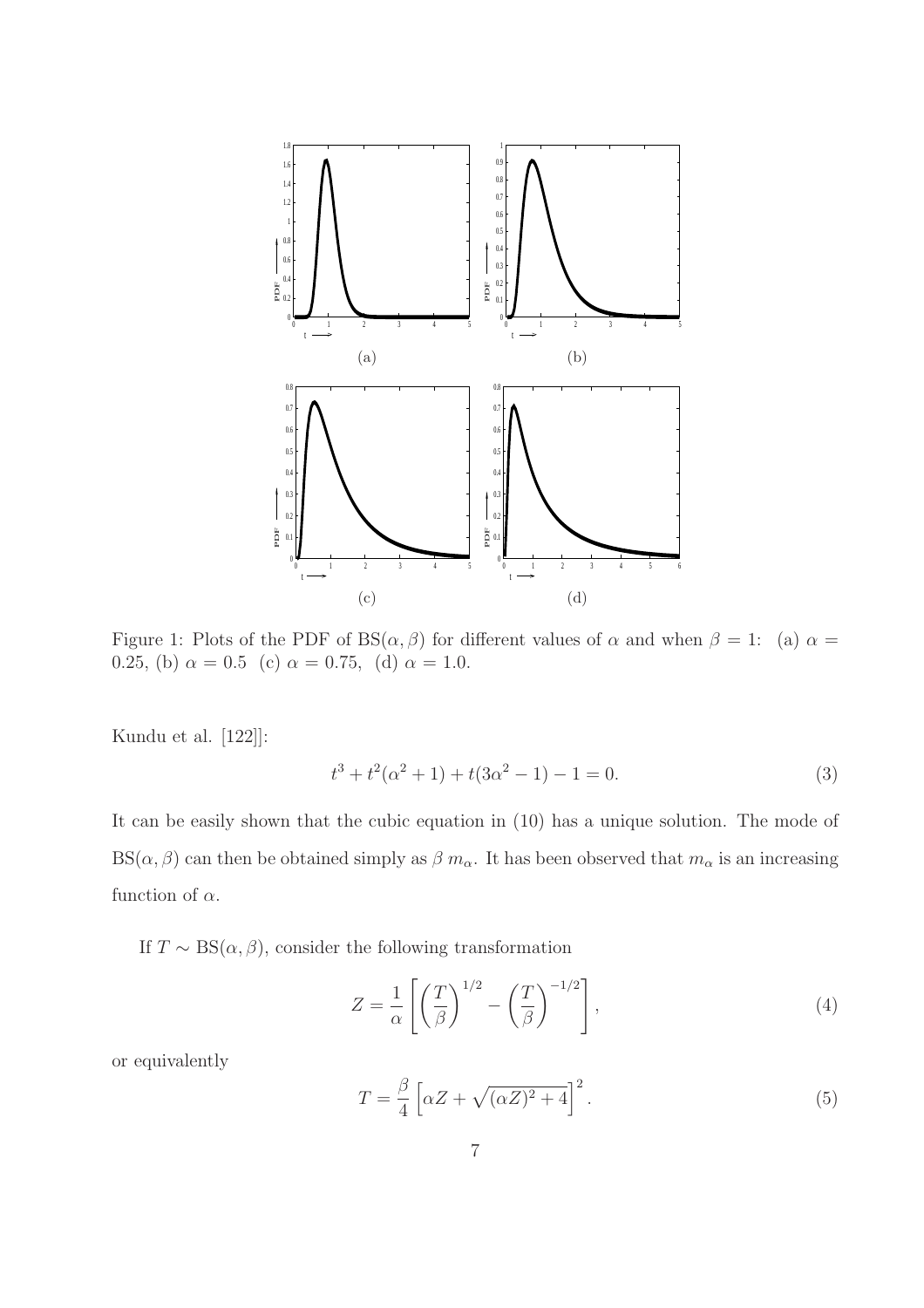

Figure 1: Plots of the PDF of BS $(\alpha, \beta)$  for different values of  $\alpha$  and when  $\beta = 1$ : (a)  $\alpha =$ 0.25, (b)  $\alpha = 0.5$  (c)  $\alpha = 0.75$ , (d)  $\alpha = 1.0$ .

Kundu et al. [122]]:

$$
t^3 + t^2(\alpha^2 + 1) + t(3\alpha^2 - 1) - 1 = 0.
$$
 (3)

It can be easily shown that the cubic equation in (10) has a unique solution. The mode of  $BS(\alpha, \beta)$  can then be obtained simply as  $\beta m_{\alpha}$ . It has been observed that  $m_{\alpha}$  is an increasing function of  $\alpha$ .

If  $T \sim BS(\alpha, \beta)$ , consider the following transformation

$$
Z = \frac{1}{\alpha} \left[ \left( \frac{T}{\beta} \right)^{1/2} - \left( \frac{T}{\beta} \right)^{-1/2} \right],\tag{4}
$$

or equivalently

$$
T = \frac{\beta}{4} \left[ \alpha Z + \sqrt{(\alpha Z)^2 + 4} \right]^2.
$$
 (5)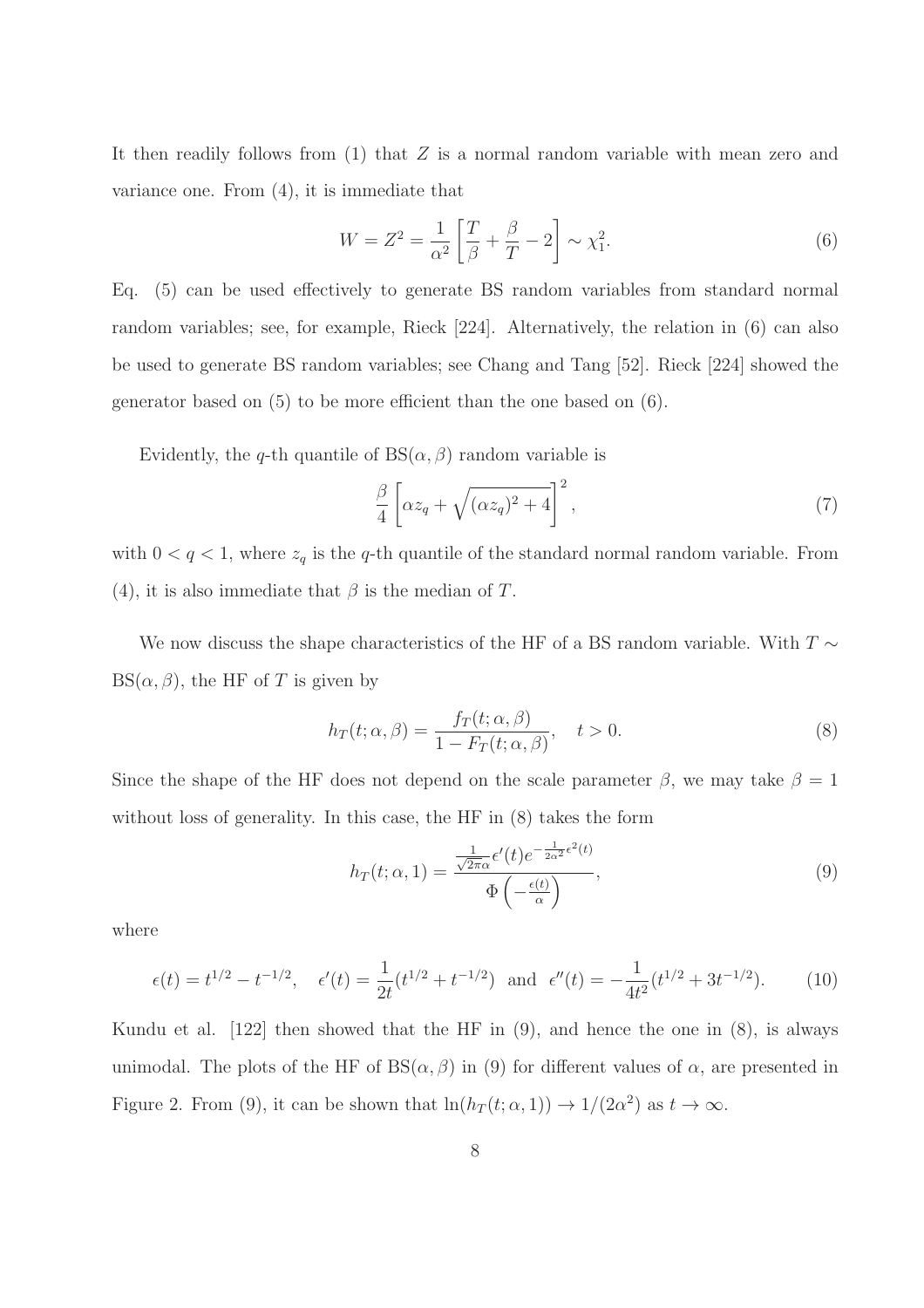It then readily follows from  $(1)$  that Z is a normal random variable with mean zero and variance one. From (4), it is immediate that

$$
W = Z^2 = \frac{1}{\alpha^2} \left[ \frac{T}{\beta} + \frac{\beta}{T} - 2 \right] \sim \chi_1^2.
$$
 (6)

Eq. (5) can be used effectively to generate BS random variables from standard normal random variables; see, for example, Rieck [224]. Alternatively, the relation in (6) can also be used to generate BS random variables; see Chang and Tang [52]. Rieck [224] showed the generator based on (5) to be more efficient than the one based on (6).

Evidently, the q-th quantile of  $BS(\alpha, \beta)$  random variable is

$$
\frac{\beta}{4} \left[ \alpha z_q + \sqrt{(\alpha z_q)^2 + 4} \right]^2,\tag{7}
$$

with  $0 < q < 1$ , where  $z_q$  is the q-th quantile of the standard normal random variable. From (4), it is also immediate that  $\beta$  is the median of T.

We now discuss the shape characteristics of the HF of a BS random variable. With  $T \sim$  $BS(\alpha, \beta)$ , the HF of T is given by

$$
h_T(t; \alpha, \beta) = \frac{f_T(t; \alpha, \beta)}{1 - F_T(t; \alpha, \beta)}, \quad t > 0.
$$
\n(8)

Since the shape of the HF does not depend on the scale parameter  $\beta$ , we may take  $\beta = 1$ without loss of generality. In this case, the HF in (8) takes the form

$$
h_T(t; \alpha, 1) = \frac{\frac{1}{\sqrt{2\pi}\alpha} \epsilon'(t) e^{-\frac{1}{2\alpha^2} \epsilon^2(t)}}{\Phi\left(-\frac{\epsilon(t)}{\alpha}\right)},
$$
\n(9)

where

$$
\epsilon(t) = t^{1/2} - t^{-1/2}, \quad \epsilon'(t) = \frac{1}{2t}(t^{1/2} + t^{-1/2}) \text{ and } \epsilon''(t) = -\frac{1}{4t^2}(t^{1/2} + 3t^{-1/2}).
$$
 (10)

Kundu et al. [122] then showed that the HF in (9), and hence the one in (8), is always unimodal. The plots of the HF of  $BS(\alpha, \beta)$  in (9) for different values of  $\alpha$ , are presented in Figure 2. From (9), it can be shown that  $\ln(h_T(t; \alpha, 1)) \to 1/(2\alpha^2)$  as  $t \to \infty$ .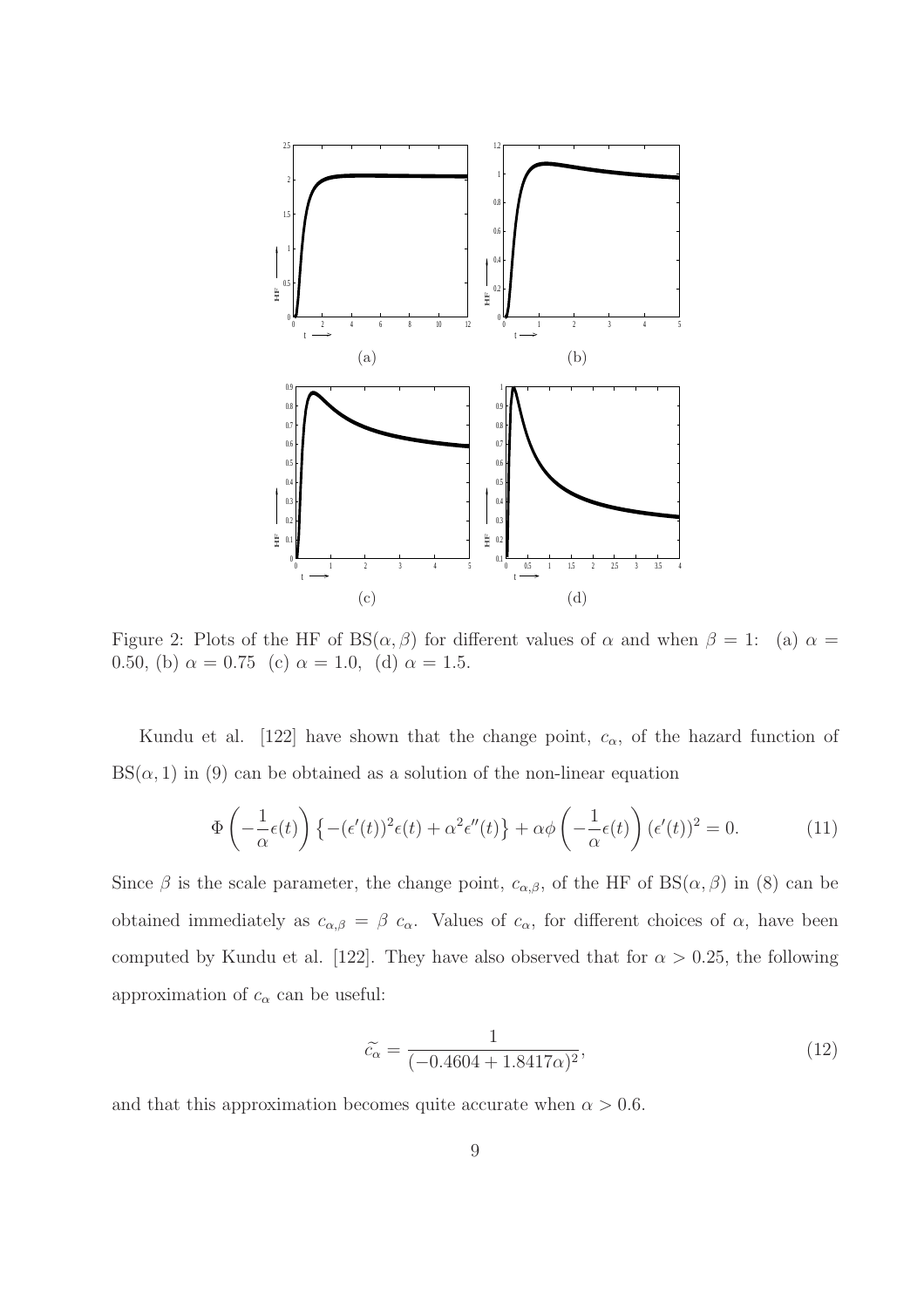

Figure 2: Plots of the HF of BS( $\alpha$ ,  $\beta$ ) for different values of  $\alpha$  and when  $\beta = 1$ : (a)  $\alpha =$ 0.50, (b)  $\alpha = 0.75$  (c)  $\alpha = 1.0$ , (d)  $\alpha = 1.5$ .

Kundu et al. [122] have shown that the change point,  $c_{\alpha}$ , of the hazard function of  $BS(\alpha, 1)$  in (9) can be obtained as a solution of the non-linear equation

$$
\Phi\left(-\frac{1}{\alpha}\epsilon(t)\right)\left\{-\left(\epsilon'(t)\right)^2\epsilon(t) + \alpha^2\epsilon''(t)\right\} + \alpha\phi\left(-\frac{1}{\alpha}\epsilon(t)\right)\left(\epsilon'(t)\right)^2 = 0. \tag{11}
$$

Since  $\beta$  is the scale parameter, the change point,  $c_{\alpha,\beta}$ , of the HF of BS( $\alpha,\beta$ ) in (8) can be obtained immediately as  $c_{\alpha,\beta} = \beta c_{\alpha}$ . Values of  $c_{\alpha}$ , for different choices of  $\alpha$ , have been computed by Kundu et al. [122]. They have also observed that for  $\alpha > 0.25$ , the following approximation of  $c_{\alpha}$  can be useful:

$$
\tilde{c}_{\alpha} = \frac{1}{(-0.4604 + 1.8417\alpha)^2},\tag{12}
$$

and that this approximation becomes quite accurate when  $\alpha > 0.6$ .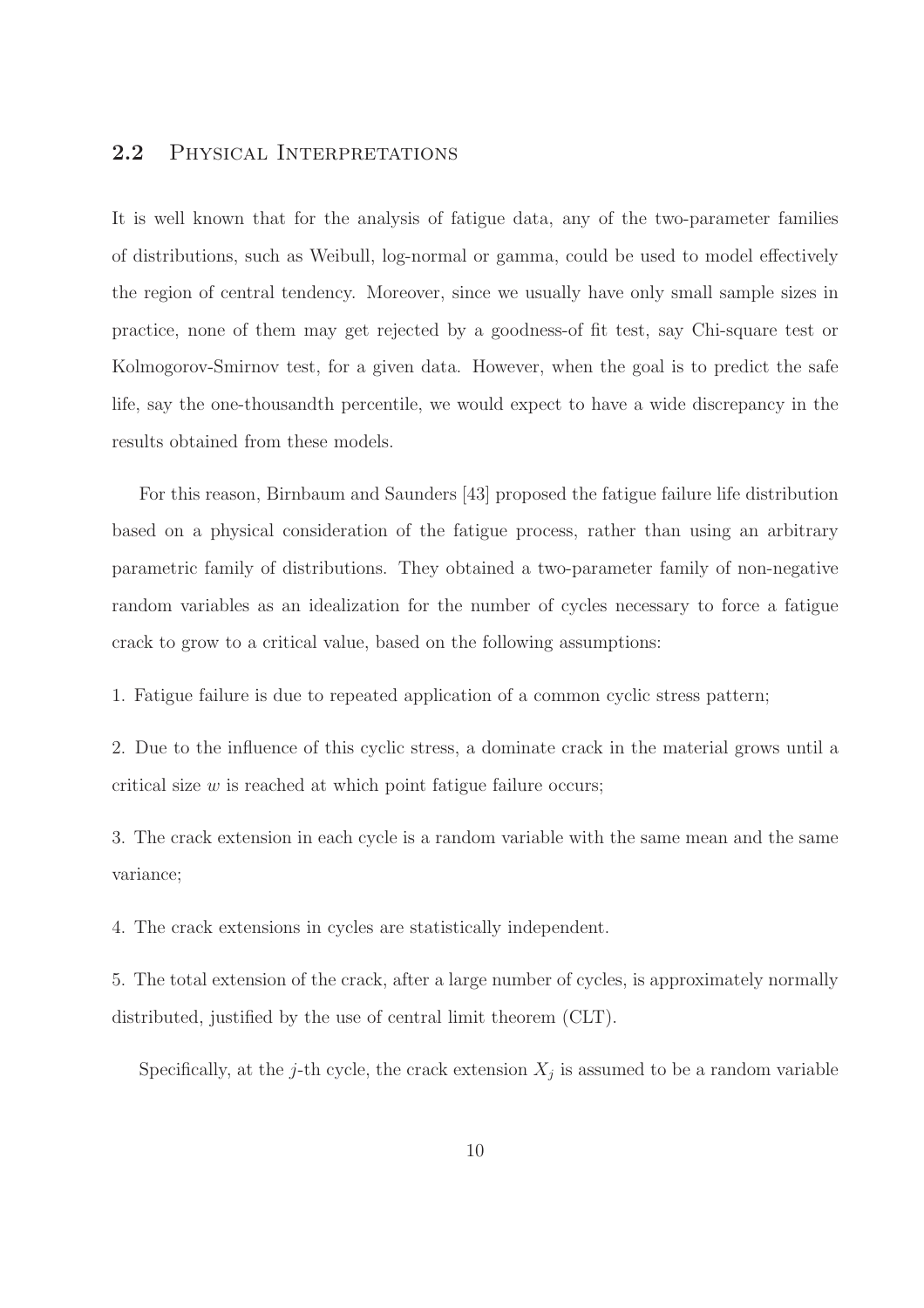## 2.2 Physical Interpretations

It is well known that for the analysis of fatigue data, any of the two-parameter families of distributions, such as Weibull, log-normal or gamma, could be used to model effectively the region of central tendency. Moreover, since we usually have only small sample sizes in practice, none of them may get rejected by a goodness-of fit test, say Chi-square test or Kolmogorov-Smirnov test, for a given data. However, when the goal is to predict the safe life, say the one-thousandth percentile, we would expect to have a wide discrepancy in the results obtained from these models.

For this reason, Birnbaum and Saunders [43] proposed the fatigue failure life distribution based on a physical consideration of the fatigue process, rather than using an arbitrary parametric family of distributions. They obtained a two-parameter family of non-negative random variables as an idealization for the number of cycles necessary to force a fatigue crack to grow to a critical value, based on the following assumptions:

1. Fatigue failure is due to repeated application of a common cyclic stress pattern;

2. Due to the influence of this cyclic stress, a dominate crack in the material grows until a critical size  $w$  is reached at which point fatigue failure occurs;

3. The crack extension in each cycle is a random variable with the same mean and the same variance;

4. The crack extensions in cycles are statistically independent.

5. The total extension of the crack, after a large number of cycles, is approximately normally distributed, justified by the use of central limit theorem (CLT).

Specifically, at the j-th cycle, the crack extension  $X_j$  is assumed to be a random variable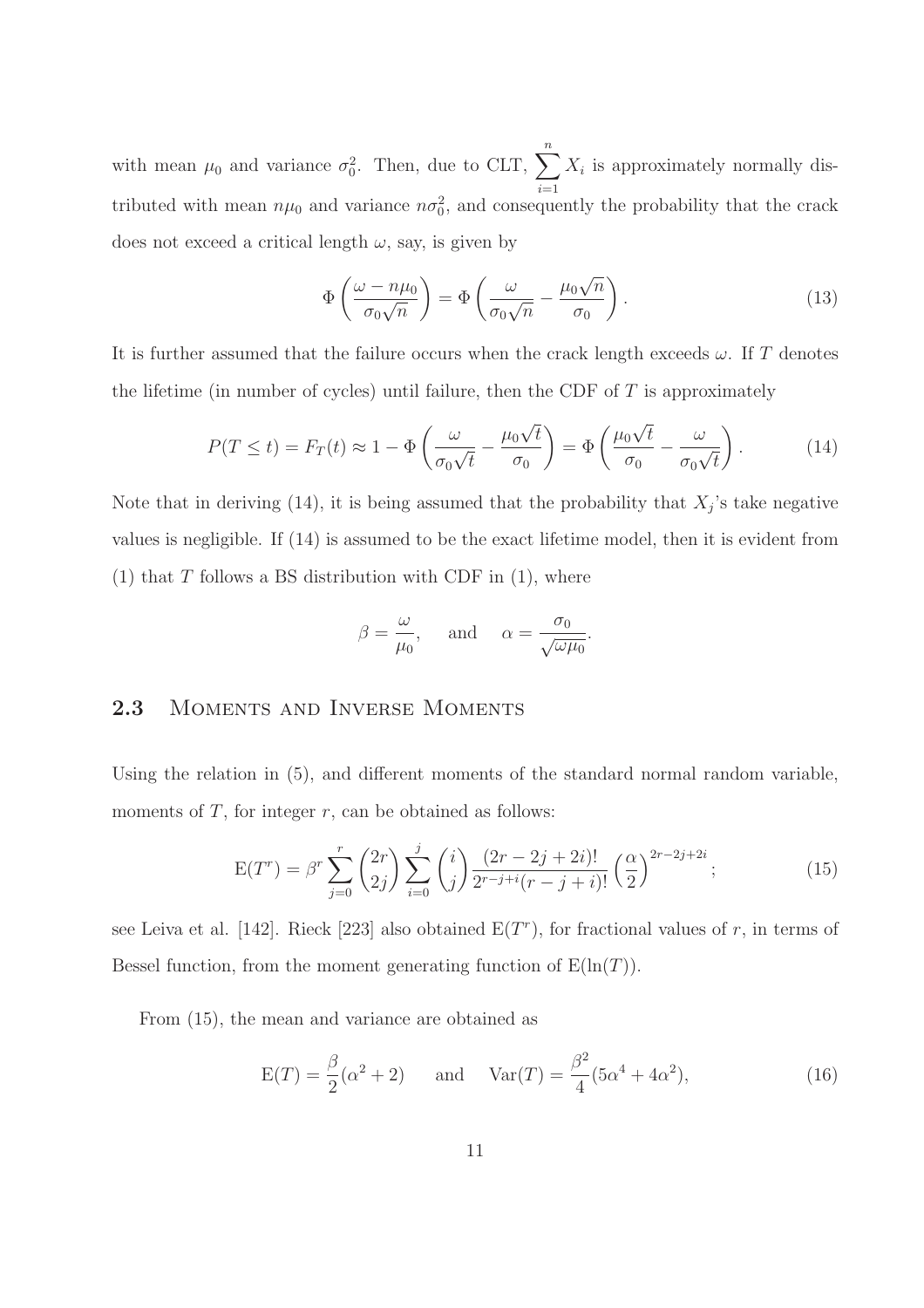with mean  $\mu_0$  and variance  $\sigma_0^2$ . Then, due to CLT,  $\sum_{n=1}^{\infty}$  $i=1$  $X_i$  is approximately normally distributed with mean  $n\mu_0$  and variance  $n\sigma_0^2$ , and consequently the probability that the crack does not exceed a critical length  $\omega$ , say, is given by

$$
\Phi\left(\frac{\omega - n\mu_0}{\sigma_0\sqrt{n}}\right) = \Phi\left(\frac{\omega}{\sigma_0\sqrt{n}} - \frac{\mu_0\sqrt{n}}{\sigma_0}\right). \tag{13}
$$

It is further assumed that the failure occurs when the crack length exceeds  $\omega$ . If T denotes the lifetime (in number of cycles) until failure, then the CDF of  $T$  is approximately

$$
P(T \le t) = F_T(t) \approx 1 - \Phi \left( \frac{\omega}{\sigma_0 \sqrt{t}} - \frac{\mu_0 \sqrt{t}}{\sigma_0} \right) = \Phi \left( \frac{\mu_0 \sqrt{t}}{\sigma_0} - \frac{\omega}{\sigma_0 \sqrt{t}} \right). \tag{14}
$$

Note that in deriving (14), it is being assumed that the probability that  $X_j$ 's take negative values is negligible. If (14) is assumed to be the exact lifetime model, then it is evident from (1) that  $T$  follows a BS distribution with CDF in (1), where

$$
\beta = \frac{\omega}{\mu_0}
$$
, and  $\alpha = \frac{\sigma_0}{\sqrt{\omega \mu_0}}$ .

## 2.3 MOMENTS AND INVERSE MOMENTS

Using the relation in (5), and different moments of the standard normal random variable, moments of  $T$ , for integer  $r$ , can be obtained as follows:

$$
E(T^r) = \beta^r \sum_{j=0}^r {2r \choose 2j} \sum_{i=0}^j {i \choose j} \frac{(2r-2j+2i)!}{2^{r-j+i}(r-j+i)!} \left(\frac{\alpha}{2}\right)^{2r-2j+2i};
$$
\n(15)

see Leiva et al. [142]. Rieck [223] also obtained  $E(T<sup>r</sup>)$ , for fractional values of r, in terms of Bessel function, from the moment generating function of  $E(\ln(T))$ .

From (15), the mean and variance are obtained as

$$
E(T) = \frac{\beta}{2}(\alpha^2 + 2)
$$
 and  $Var(T) = \frac{\beta^2}{4}(5\alpha^4 + 4\alpha^2)$ , (16)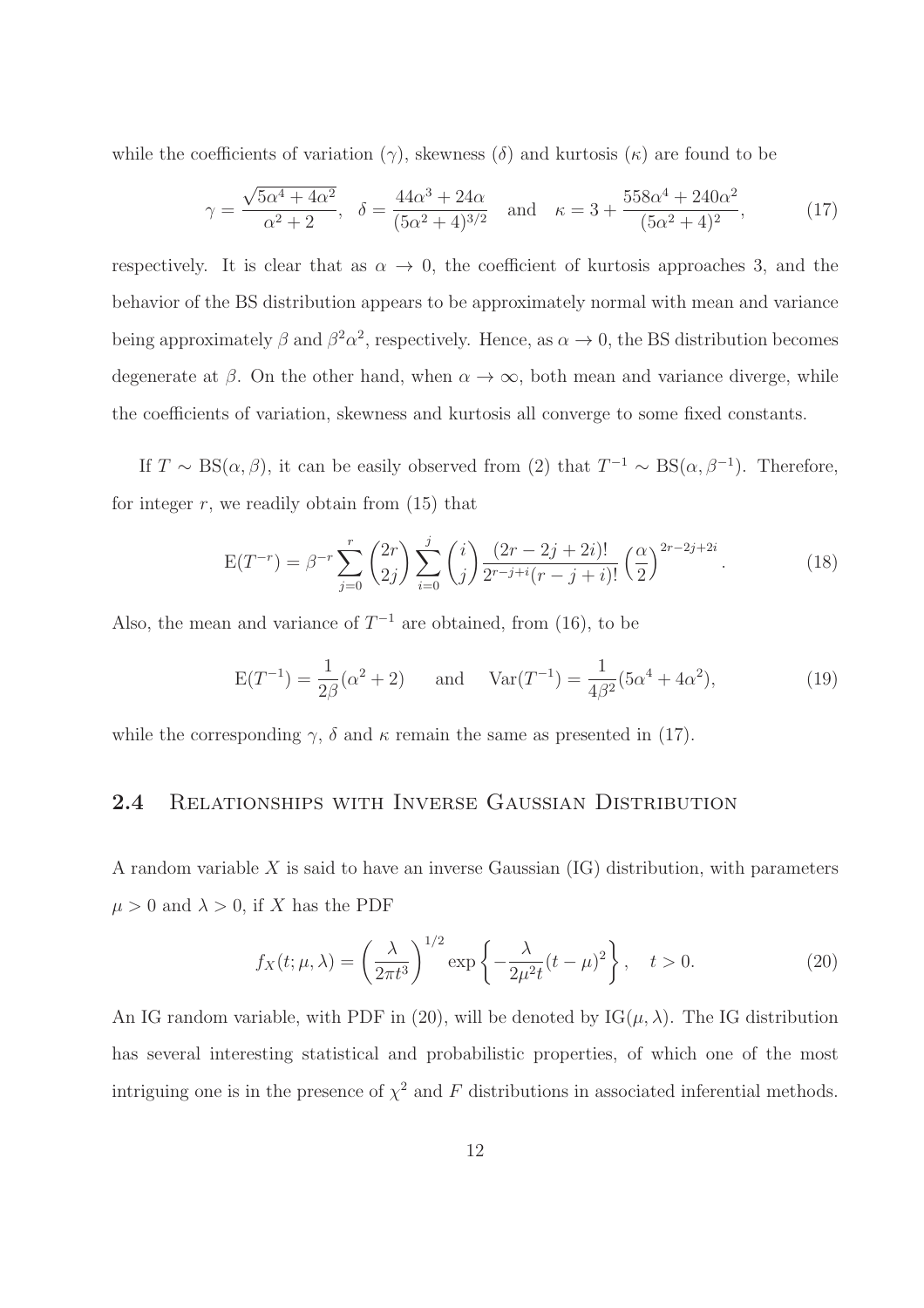while the coefficients of variation  $(\gamma)$ , skewness  $(\delta)$  and kurtosis  $(\kappa)$  are found to be

$$
\gamma = \frac{\sqrt{5\alpha^4 + 4\alpha^2}}{\alpha^2 + 2}, \quad \delta = \frac{44\alpha^3 + 24\alpha}{(5\alpha^2 + 4)^{3/2}} \quad \text{and} \quad \kappa = 3 + \frac{558\alpha^4 + 240\alpha^2}{(5\alpha^2 + 4)^2},\tag{17}
$$

respectively. It is clear that as  $\alpha \to 0$ , the coefficient of kurtosis approaches 3, and the behavior of the BS distribution appears to be approximately normal with mean and variance being approximately  $\beta$  and  $\beta^2 \alpha^2$ , respectively. Hence, as  $\alpha \to 0$ , the BS distribution becomes degenerate at  $\beta$ . On the other hand, when  $\alpha \to \infty$ , both mean and variance diverge, while the coefficients of variation, skewness and kurtosis all converge to some fixed constants.

If  $T \sim BS(\alpha, \beta)$ , it can be easily observed from (2) that  $T^{-1} \sim BS(\alpha, \beta^{-1})$ . Therefore, for integer  $r$ , we readily obtain from  $(15)$  that

$$
E(T^{-r}) = \beta^{-r} \sum_{j=0}^{r} {2r \choose 2j} \sum_{i=0}^{j} {i \choose j} \frac{(2r-2j+2i)!}{2^{r-j+i}(r-j+i)!} \left(\frac{\alpha}{2}\right)^{2r-2j+2i}.
$$
 (18)

Also, the mean and variance of  $T^{-1}$  are obtained, from (16), to be

$$
E(T^{-1}) = \frac{1}{2\beta}(\alpha^2 + 2)
$$
 and  $Var(T^{-1}) = \frac{1}{4\beta^2}(5\alpha^4 + 4\alpha^2),$  (19)

while the corresponding  $\gamma$ ,  $\delta$  and  $\kappa$  remain the same as presented in (17).

#### 2.4 Relationships with Inverse Gaussian Distribution

A random variable  $X$  is said to have an inverse Gaussian  $(IG)$  distribution, with parameters  $\mu > 0$  and  $\lambda > 0$ , if X has the PDF

$$
f_X(t; \mu, \lambda) = \left(\frac{\lambda}{2\pi t^3}\right)^{1/2} \exp\left\{-\frac{\lambda}{2\mu^2 t}(t-\mu)^2\right\}, \quad t > 0.
$$
 (20)

An IG random variable, with PDF in (20), will be denoted by  $IG(\mu, \lambda)$ . The IG distribution has several interesting statistical and probabilistic properties, of which one of the most intriguing one is in the presence of  $\chi^2$  and F distributions in associated inferential methods.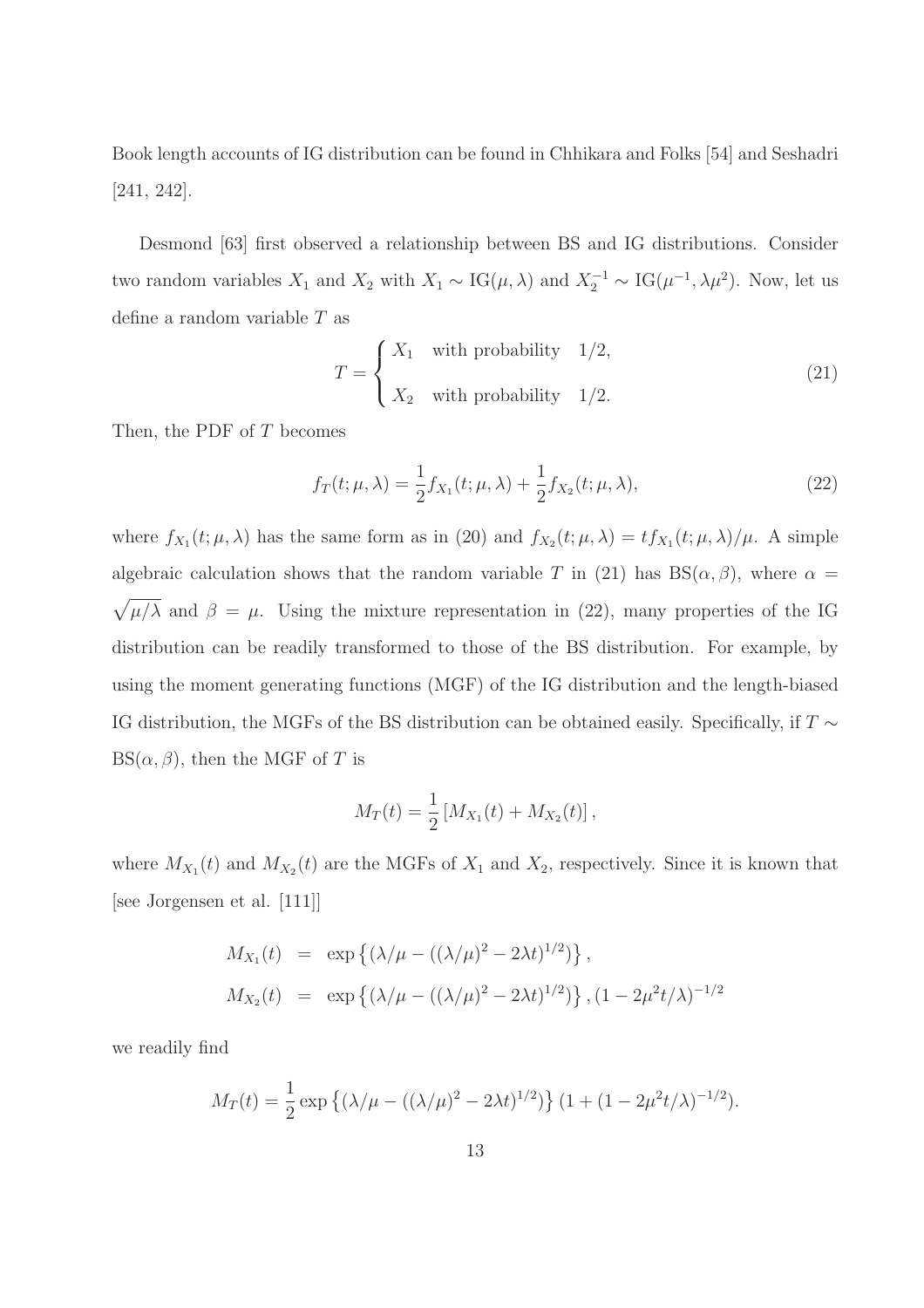Book length accounts of IG distribution can be found in Chhikara and Folks [54] and Seshadri [241, 242].

Desmond [63] first observed a relationship between BS and IG distributions. Consider two random variables  $X_1$  and  $X_2$  with  $X_1 \sim IG(\mu, \lambda)$  and  $X_2^{-1} \sim IG(\mu^{-1}, \lambda \mu^2)$ . Now, let us define a random variable T as

$$
T = \begin{cases} X_1 & \text{with probability} \quad 1/2, \\ X_2 & \text{with probability} \quad 1/2. \end{cases} \tag{21}
$$

Then, the PDF of T becomes

$$
f_T(t; \mu, \lambda) = \frac{1}{2} f_{X_1}(t; \mu, \lambda) + \frac{1}{2} f_{X_2}(t; \mu, \lambda),
$$
\n(22)

where  $f_{X_1}(t; \mu, \lambda)$  has the same form as in (20) and  $f_{X_2}(t; \mu, \lambda) = tf_{X_1}(t; \mu, \lambda)/\mu$ . A simple algebraic calculation shows that the random variable T in (21) has  $BS(\alpha, \beta)$ , where  $\alpha =$  $\sqrt{\mu/\lambda}$  and  $\beta = \mu$ . Using the mixture representation in (22), many properties of the IG distribution can be readily transformed to those of the BS distribution. For example, by using the moment generating functions (MGF) of the IG distribution and the length-biased IG distribution, the MGFs of the BS distribution can be obtained easily. Specifically, if  $T \sim$  $BS(\alpha, \beta)$ , then the MGF of T is

$$
M_T(t) = \frac{1}{2} [M_{X_1}(t) + M_{X_2}(t)],
$$

where  $M_{X_1}(t)$  and  $M_{X_2}(t)$  are the MGFs of  $X_1$  and  $X_2$ , respectively. Since it is known that [see Jorgensen et al. [111]]

$$
M_{X_1}(t) = \exp \{ (\lambda/\mu - ((\lambda/\mu)^2 - 2\lambda t)^{1/2}) \},
$$
  
\n
$$
M_{X_2}(t) = \exp \{ (\lambda/\mu - ((\lambda/\mu)^2 - 2\lambda t)^{1/2}) \}, (1 - 2\mu^2 t/\lambda)^{-1/2} \}
$$

we readily find

$$
M_T(t) = \frac{1}{2} \exp \left\{ (\lambda/\mu - ((\lambda/\mu)^2 - 2\lambda t)^{1/2}) \right\} (1 + (1 - 2\mu^2 t/\lambda)^{-1/2}).
$$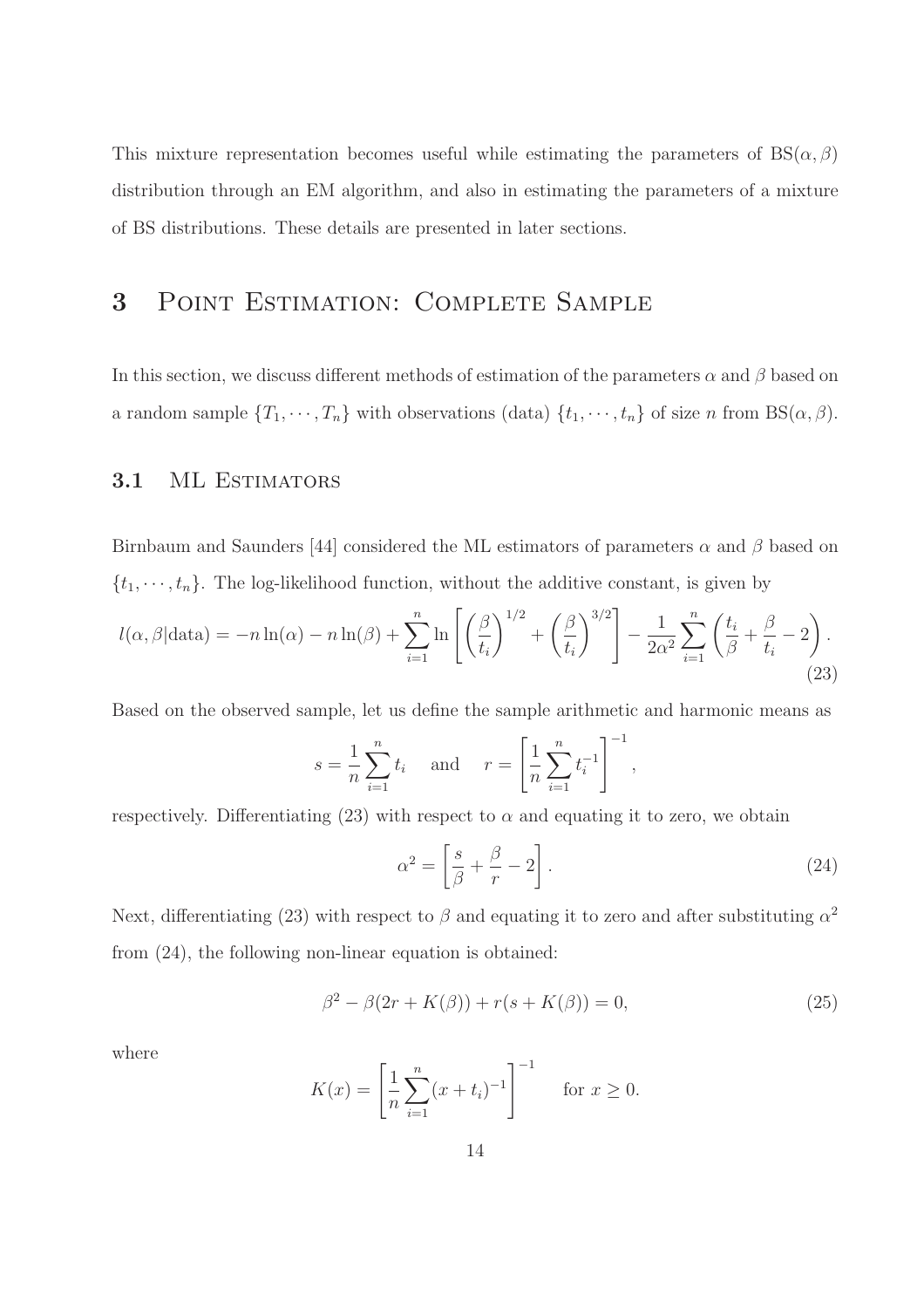This mixture representation becomes useful while estimating the parameters of  $BS(\alpha, \beta)$ distribution through an EM algorithm, and also in estimating the parameters of a mixture of BS distributions. These details are presented in later sections.

## 3 Point Estimation: Complete Sample

In this section, we discuss different methods of estimation of the parameters  $\alpha$  and  $\beta$  based on a random sample  $\{T_1, \dots, T_n\}$  with observations (data)  $\{t_1, \dots, t_n\}$  of size n from BS( $\alpha, \beta$ ).

#### 3.1 ML ESTIMATORS

Birnbaum and Saunders [44] considered the ML estimators of parameters  $\alpha$  and  $\beta$  based on  $\{t_1, \dots, t_n\}$ . The log-likelihood function, without the additive constant, is given by

$$
l(\alpha, \beta | \text{data}) = -n \ln(\alpha) - n \ln(\beta) + \sum_{i=1}^{n} \ln \left[ \left( \frac{\beta}{t_i} \right)^{1/2} + \left( \frac{\beta}{t_i} \right)^{3/2} \right] - \frac{1}{2\alpha^2} \sum_{i=1}^{n} \left( \frac{t_i}{\beta} + \frac{\beta}{t_i} - 2 \right).
$$
\n(23)

Based on the observed sample, let us define the sample arithmetic and harmonic means as

$$
s = \frac{1}{n} \sum_{i=1}^{n} t_i
$$
 and  $r = \left[ \frac{1}{n} \sum_{i=1}^{n} t_i^{-1} \right]^{-1}$ ,

respectively. Differentiating (23) with respect to  $\alpha$  and equating it to zero, we obtain

$$
\alpha^2 = \left[\frac{s}{\beta} + \frac{\beta}{r} - 2\right].\tag{24}
$$

Next, differentiating (23) with respect to  $\beta$  and equating it to zero and after substituting  $\alpha^2$ from (24), the following non-linear equation is obtained:

$$
\beta^{2} - \beta(2r + K(\beta)) + r(s + K(\beta)) = 0,
$$
\n(25)

where

$$
K(x) = \left[\frac{1}{n} \sum_{i=1}^{n} (x + t_i)^{-1}\right]^{-1} \quad \text{for } x \ge 0.
$$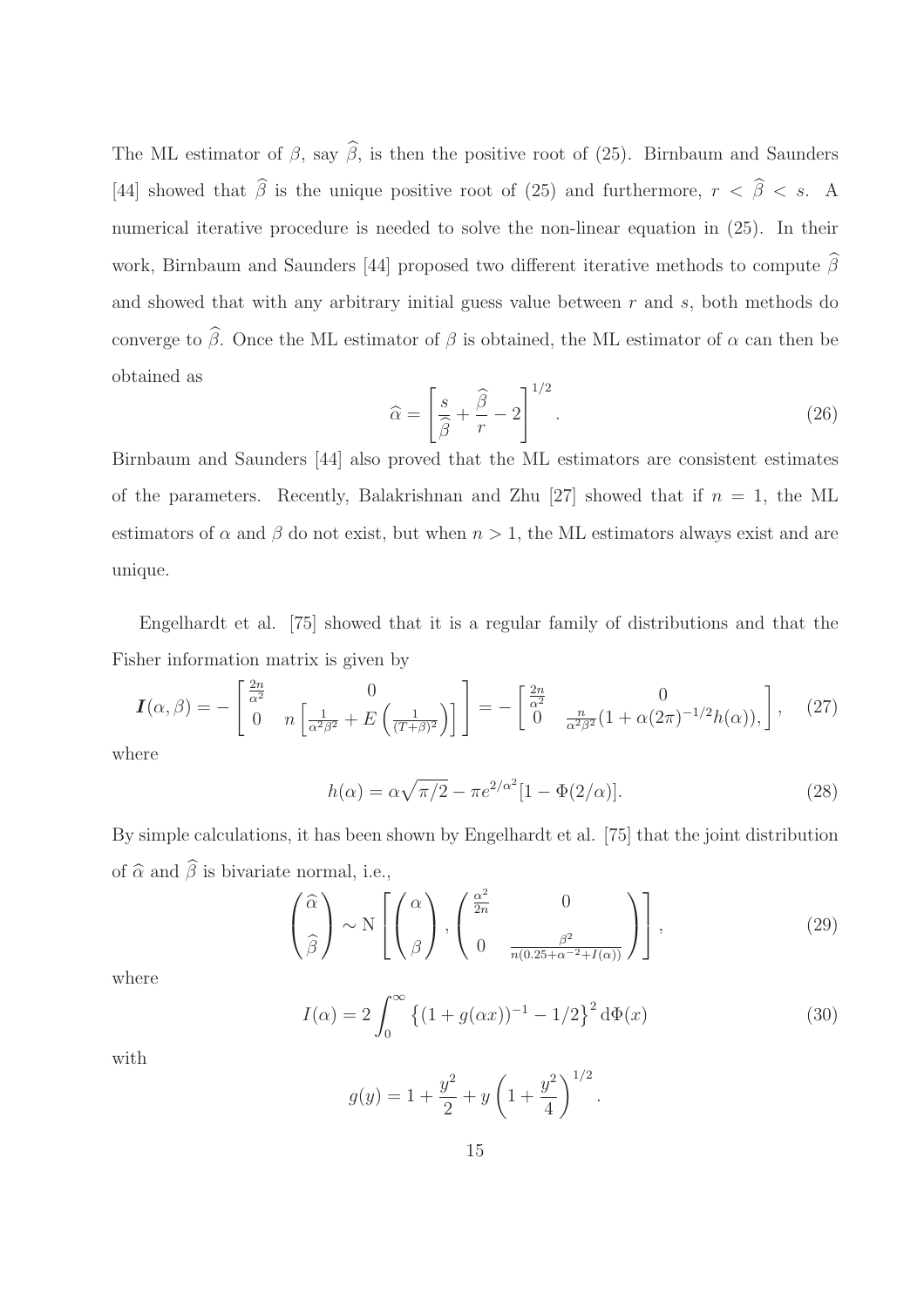The ML estimator of  $\beta$ , say  $\widehat{\beta}$ , is then the positive root of (25). Birnbaum and Saunders [44] showed that  $\hat{\beta}$  is the unique positive root of (25) and furthermore,  $r < \hat{\beta} < s$ . A numerical iterative procedure is needed to solve the non-linear equation in (25). In their work, Birnbaum and Saunders [44] proposed two different iterative methods to compute  $\hat{\beta}$ and showed that with any arbitrary initial guess value between  $r$  and  $s$ , both methods do converge to  $\widehat{\beta}$ . Once the ML estimator of  $\beta$  is obtained, the ML estimator of  $\alpha$  can then be obtained as

$$
\widehat{\alpha} = \left[\frac{s}{\widehat{\beta}} + \frac{\widehat{\beta}}{r} - 2\right]^{1/2}.\tag{26}
$$

Birnbaum and Saunders [44] also proved that the ML estimators are consistent estimates of the parameters. Recently, Balakrishnan and Zhu [27] showed that if  $n = 1$ , the ML estimators of  $\alpha$  and  $\beta$  do not exist, but when  $n > 1$ , the ML estimators always exist and are unique.

Engelhardt et al. [75] showed that it is a regular family of distributions and that the Fisher information matrix is given by

$$
\boldsymbol{I}(\alpha,\beta) = -\begin{bmatrix} \frac{2n}{\alpha^2} & 0\\ 0 & n \left[ \frac{1}{\alpha^2 \beta^2} + E\left( \frac{1}{(T+\beta)^2} \right) \right] \end{bmatrix} = -\begin{bmatrix} \frac{2n}{\alpha^2} & 0\\ 0 & \frac{n}{\alpha^2 \beta^2} (1 + \alpha(2\pi)^{-1/2} h(\alpha)), \end{bmatrix},\tag{27}
$$

where

$$
h(\alpha) = \alpha \sqrt{\pi/2} - \pi e^{2/\alpha^2} [1 - \Phi(2/\alpha)].
$$
 (28)

By simple calculations, it has been shown by Engelhardt et al. [75] that the joint distribution of  $\widehat{\alpha}$  and  $\widehat{\beta}$  is bivariate normal, i.e.,

$$
\left(\begin{matrix} \widehat{\alpha} \\ \widehat{\beta} \end{matrix}\right) \sim N \left[ \left(\begin{matrix} \alpha \\ \beta \end{matrix}\right), \left(\begin{matrix} \frac{\alpha^2}{2n} & 0 \\ 0 & \frac{\beta^2}{n(0.25 + \alpha^{-2} + I(\alpha))} \end{matrix}\right) \right],
$$
\n(29)

where

$$
I(\alpha) = 2 \int_0^\infty \left\{ (1 + g(\alpha x))^{-1} - 1/2 \right\}^2 d\Phi(x)
$$
 (30)

.

with

$$
g(y) = 1 + \frac{y^2}{2} + y \left( 1 + \frac{y^2}{4} \right)^{1/2}
$$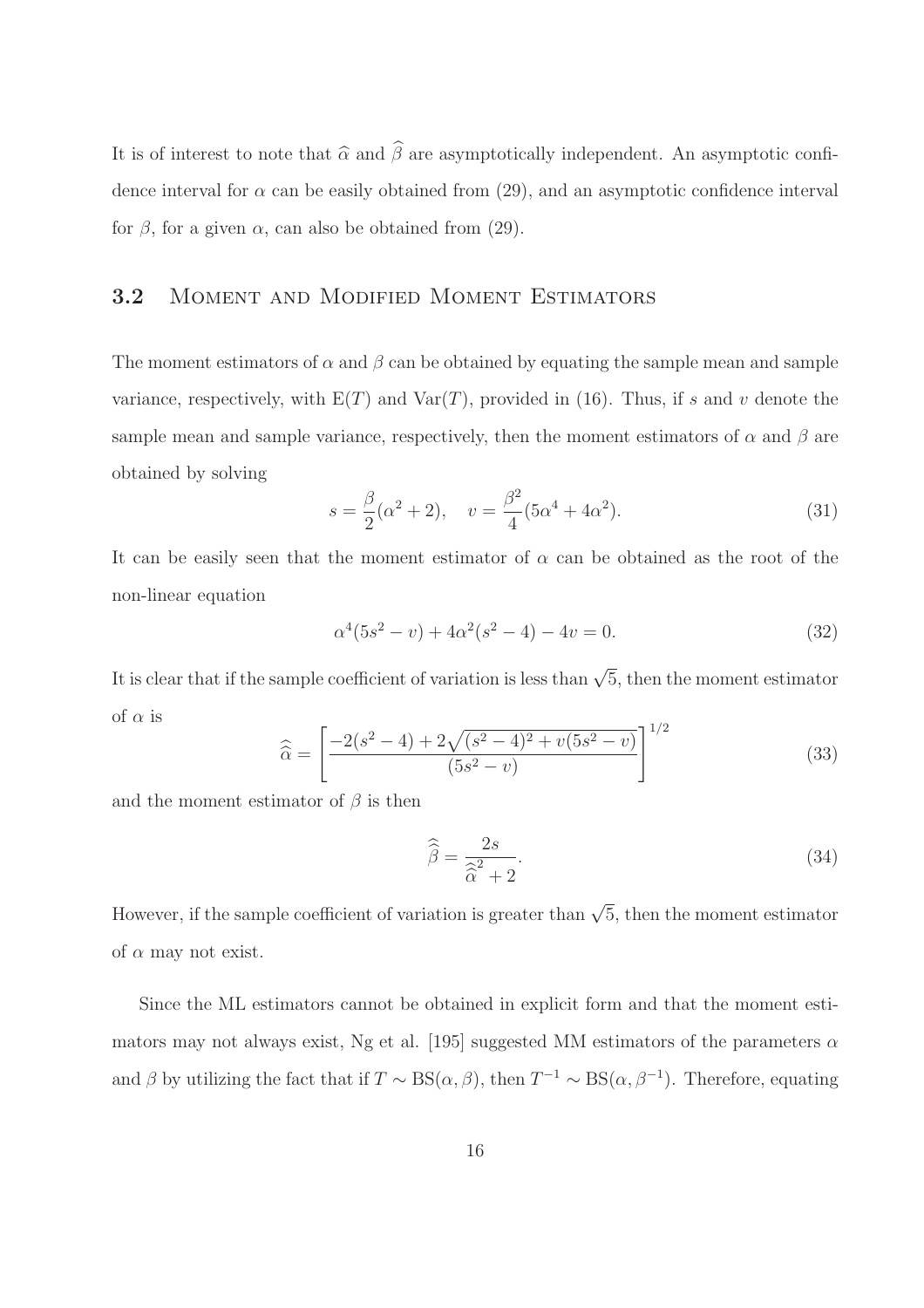It is of interest to note that  $\hat{\alpha}$  and  $\hat{\beta}$  are asymptotically independent. An asymptotic confidence interval for  $\alpha$  can be easily obtained from (29), and an asymptotic confidence interval for  $\beta$ , for a given  $\alpha$ , can also be obtained from (29).

## 3.2 Moment and Modified Moment Estimators

The moment estimators of  $\alpha$  and  $\beta$  can be obtained by equating the sample mean and sample variance, respectively, with  $E(T)$  and  $Var(T)$ , provided in (16). Thus, if s and v denote the sample mean and sample variance, respectively, then the moment estimators of  $\alpha$  and  $\beta$  are obtained by solving

$$
s = \frac{\beta}{2}(\alpha^2 + 2), \quad v = \frac{\beta^2}{4}(5\alpha^4 + 4\alpha^2). \tag{31}
$$

It can be easily seen that the moment estimator of  $\alpha$  can be obtained as the root of the non-linear equation

$$
\alpha^4(5s^2 - v) + 4\alpha^2(s^2 - 4) - 4v = 0.
$$
\n(32)

It is clear that if the sample coefficient of variation is less than  $\sqrt{5}$ , then the moment estimator of  $\alpha$  is

$$
\widehat{\widehat{\alpha}} = \left[ \frac{-2(s^2 - 4) + 2\sqrt{(s^2 - 4)^2 + v(5s^2 - v)}}{(5s^2 - v)} \right]^{1/2}
$$
(33)

and the moment estimator of  $\beta$  is then

$$
\widehat{\widehat{\beta}} = \frac{2s}{\widehat{\alpha}^2 + 2}.
$$
\n(34)

However, if the sample coefficient of variation is greater than  $\sqrt{5}$ , then the moment estimator of  $\alpha$  may not exist.

Since the ML estimators cannot be obtained in explicit form and that the moment estimators may not always exist, Ng et al. [195] suggested MM estimators of the parameters  $\alpha$ and  $\beta$  by utilizing the fact that if  $T \sim BS(\alpha, \beta)$ , then  $T^{-1} \sim BS(\alpha, \beta^{-1})$ . Therefore, equating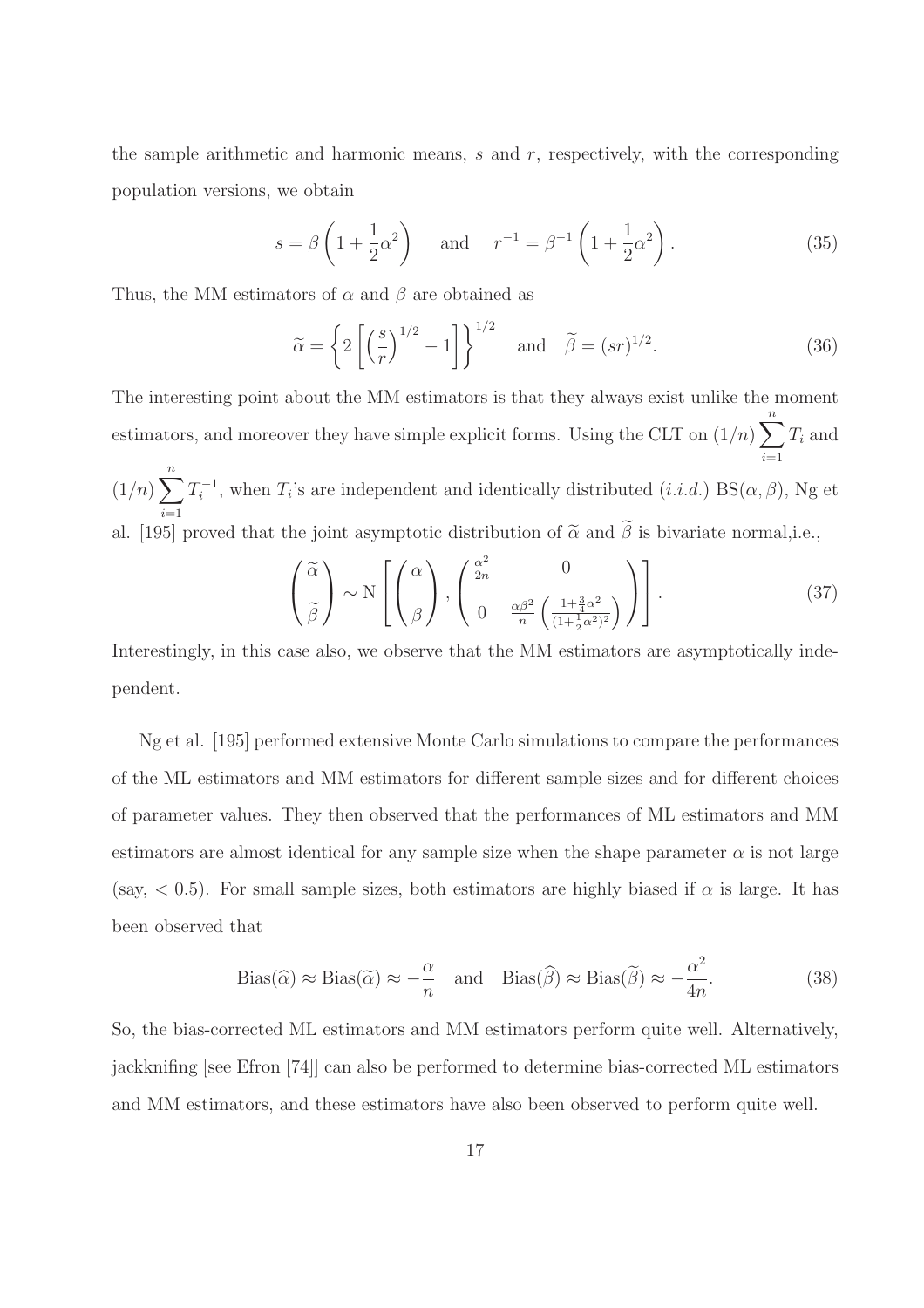the sample arithmetic and harmonic means,  $s$  and  $r$ , respectively, with the corresponding population versions, we obtain

$$
s = \beta \left( 1 + \frac{1}{2} \alpha^2 \right) \quad \text{and} \quad r^{-1} = \beta^{-1} \left( 1 + \frac{1}{2} \alpha^2 \right). \tag{35}
$$

Thus, the MM estimators of  $\alpha$  and  $\beta$  are obtained as

$$
\widetilde{\alpha} = \left\{ 2 \left[ \left( \frac{s}{r} \right)^{1/2} - 1 \right] \right\}^{1/2} \quad \text{and} \quad \widetilde{\beta} = (sr)^{1/2}.
$$
 (36)

The interesting point about the MM estimators is that they always exist unlike the moment estimators, and moreover they have simple explicit forms. Using the CLT on  $(1/n)$   $\sum_{n=1}^{n}$  $i=1$  $T_i$  and  $(1/n)\sum_{i=1}^{n}T_{i}^{-1}$ , when  $T_{i}$ 's are independent and identically distributed  $(i.i.d.)$  BS $(\alpha, \beta)$ , Ng et  $i=1$ al. [195] proved that the joint asymptotic distribution of  $\tilde{\alpha}$  and  $\beta$  is bivariate normal,i.e.,

$$
\begin{pmatrix}\n\widetilde{\alpha} \\
\widetilde{\beta}\n\end{pmatrix}\n\sim N\left[\begin{pmatrix}\n\alpha \\
\beta\n\end{pmatrix},\n\begin{pmatrix}\n\frac{\alpha^2}{2n} & 0 \\
0 & \frac{\alpha\beta^2}{n}\left(\frac{1+\frac{3}{4}\alpha^2}{(1+\frac{1}{2}\alpha^2)^2}\right)\n\end{pmatrix}\right].
$$
\n(37)

Interestingly, in this case also, we observe that the MM estimators are asymptotically independent.

Ng et al. [195] performed extensive Monte Carlo simulations to compare the performances of the ML estimators and MM estimators for different sample sizes and for different choices of parameter values. They then observed that the performances of ML estimators and MM estimators are almost identical for any sample size when the shape parameter  $\alpha$  is not large (say,  $< 0.5$ ). For small sample sizes, both estimators are highly biased if  $\alpha$  is large. It has been observed that

Bias(
$$
\hat{\alpha}
$$
)  $\approx$  Bias( $\tilde{\alpha}$ )  $\approx -\frac{\alpha}{n}$  and Bias( $\hat{\beta}$ )  $\approx$  Bias( $\tilde{\beta}$ )  $\approx -\frac{\alpha^2}{4n}$ . (38)

So, the bias-corrected ML estimators and MM estimators perform quite well. Alternatively, jackknifing [see Efron [74]] can also be performed to determine bias-corrected ML estimators and MM estimators, and these estimators have also been observed to perform quite well.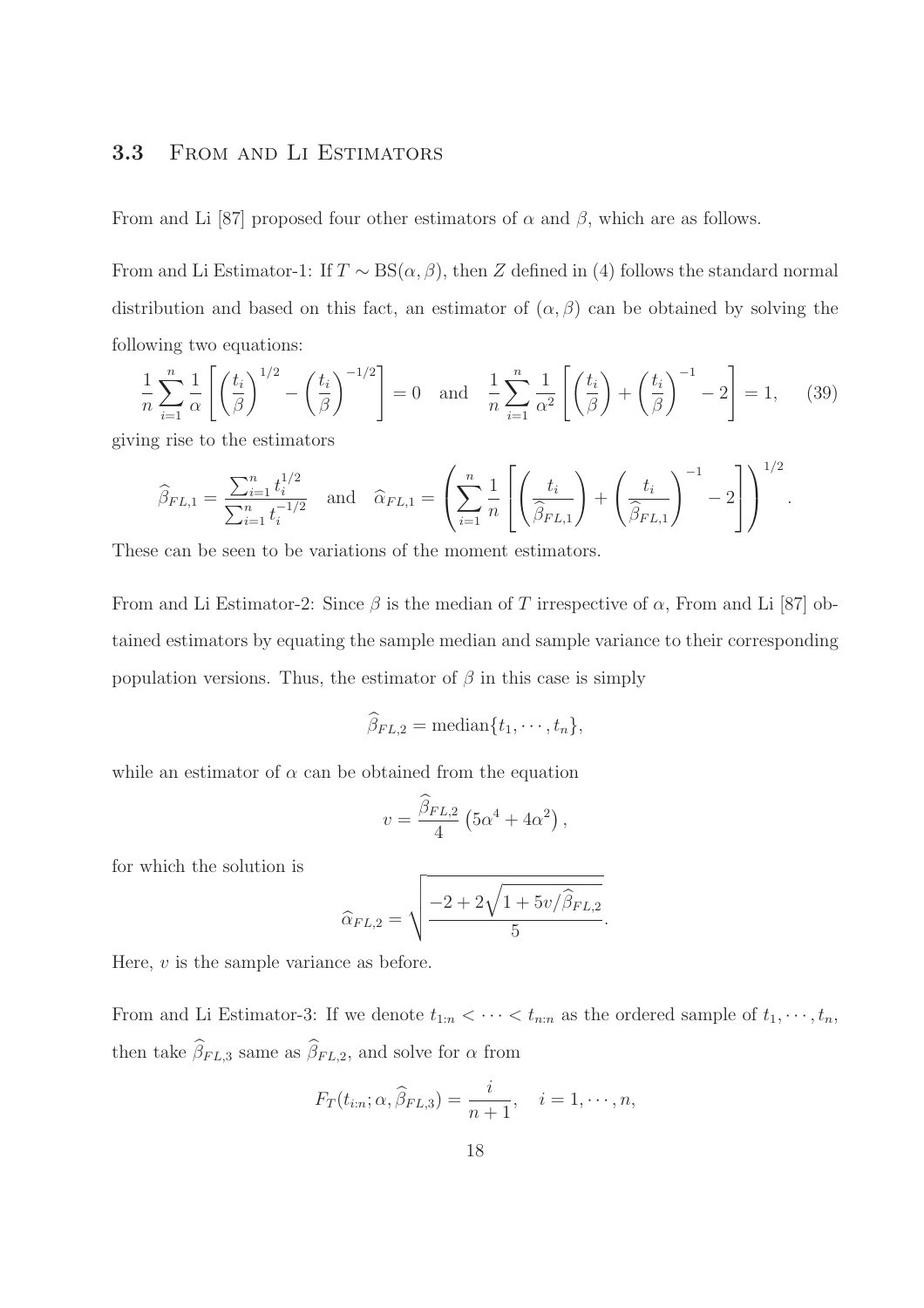## 3.3 FROM AND LI ESTIMATORS

From and Li [87] proposed four other estimators of  $\alpha$  and  $\beta$ , which are as follows.

From and Li Estimator-1: If  $T \sim BS(\alpha, \beta)$ , then Z defined in (4) follows the standard normal distribution and based on this fact, an estimator of  $(\alpha, \beta)$  can be obtained by solving the following two equations:

$$
\frac{1}{n}\sum_{i=1}^{n}\frac{1}{\alpha}\left[\left(\frac{t_i}{\beta}\right)^{1/2}-\left(\frac{t_i}{\beta}\right)^{-1/2}\right]=0 \text{ and } \frac{1}{n}\sum_{i=1}^{n}\frac{1}{\alpha^2}\left[\left(\frac{t_i}{\beta}\right)+\left(\frac{t_i}{\beta}\right)^{-1}-2\right]=1, \quad (39)
$$

.

giving rise to the estimators

$$
\widehat{\beta}_{FL,1} = \frac{\sum_{i=1}^{n} t_i^{1/2}}{\sum_{i=1}^{n} t_i^{-1/2}} \text{ and } \widehat{\alpha}_{FL,1} = \left(\sum_{i=1}^{n} \frac{1}{n} \left[ \left(\frac{t_i}{\widehat{\beta}_{FL,1}}\right) + \left(\frac{t_i}{\widehat{\beta}_{FL,1}}\right)^{-1} - 2 \right] \right)^{1/2}
$$

These can be seen to be variations of the moment estimators.

From and Li Estimator-2: Since  $\beta$  is the median of T irrespective of  $\alpha$ , From and Li [87] obtained estimators by equating the sample median and sample variance to their corresponding population versions. Thus, the estimator of  $\beta$  in this case is simply

$$
\beta_{FL,2} = \text{median}\{t_1,\cdots,t_n\},\
$$

while an estimator of  $\alpha$  can be obtained from the equation

$$
v = \frac{\widehat{\beta}_{FL,2}}{4} \left(5\alpha^4 + 4\alpha^2\right),
$$

for which the solution is

$$
\widehat{\alpha}_{FL,2} = \sqrt{\frac{-2 + 2\sqrt{1 + 5v/\widehat{\beta}_{FL,2}}}{5}}.
$$

Here, v is the sample variance as before.

From and Li Estimator-3: If we denote  $t_{1:n} < \cdots < t_{n:n}$  as the ordered sample of  $t_1, \cdots, t_n$ , then take  $\widehat{\beta}_{FL,3}$  same as  $\widehat{\beta}_{FL,2}$ , and solve for  $\alpha$  from

$$
F_T(t_{i:n}; \alpha, \widehat{\beta}_{FL,3}) = \frac{i}{n+1}, \quad i = 1, \cdots, n,
$$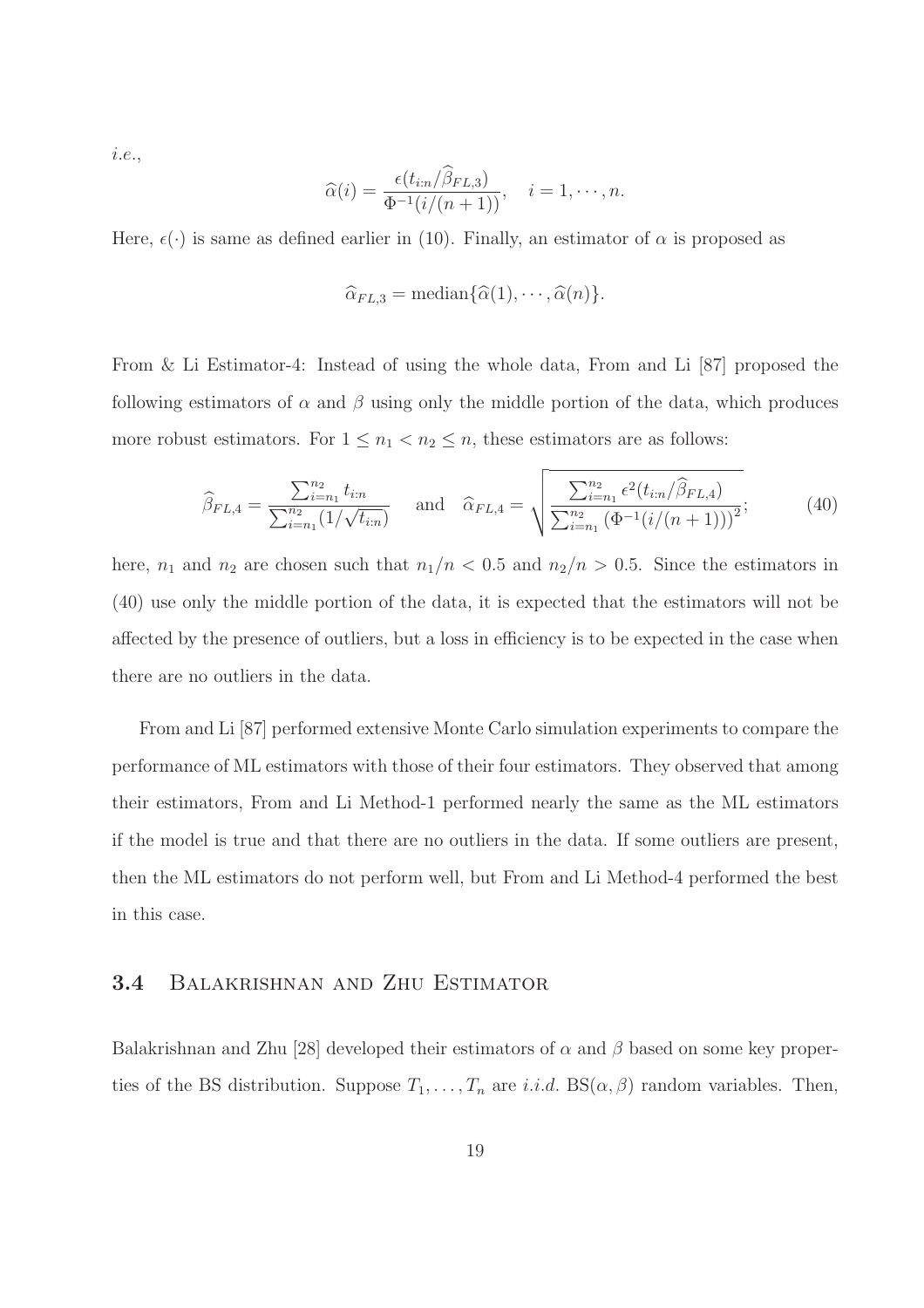i.e.,

$$
\widehat{\alpha}(i) = \frac{\epsilon(t_{i:n}/\widehat{\beta}_{FL,3})}{\Phi^{-1}(i/(n+1))}, \quad i = 1, \cdots, n.
$$

Here,  $\epsilon(\cdot)$  is same as defined earlier in (10). Finally, an estimator of  $\alpha$  is proposed as

$$
\widehat{\alpha}_{FL,3} = \text{median}\{\widehat{\alpha}(1), \cdots, \widehat{\alpha}(n)\}.
$$

From & Li Estimator-4: Instead of using the whole data, From and Li [87] proposed the following estimators of  $\alpha$  and  $\beta$  using only the middle portion of the data, which produces more robust estimators. For  $1 \leq n_1 < n_2 \leq n$ , these estimators are as follows:

$$
\widehat{\beta}_{FL,4} = \frac{\sum_{i=n_1}^{n_2} t_{i:n}}{\sum_{i=n_1}^{n_2} (1/\sqrt{t_{i:n}})} \quad \text{and} \quad \widehat{\alpha}_{FL,4} = \sqrt{\frac{\sum_{i=n_1}^{n_2} \epsilon^2 (t_{i:n}/\widehat{\beta}_{FL,4})}{\sum_{i=n_1}^{n_2} (\Phi^{-1}(i/(n+1)))^2}}; \tag{40}
$$

here,  $n_1$  and  $n_2$  are chosen such that  $n_1/n < 0.5$  and  $n_2/n > 0.5$ . Since the estimators in (40) use only the middle portion of the data, it is expected that the estimators will not be affected by the presence of outliers, but a loss in efficiency is to be expected in the case when there are no outliers in the data.

From and Li [87] performed extensive Monte Carlo simulation experiments to compare the performance of ML estimators with those of their four estimators. They observed that among their estimators, From and Li Method-1 performed nearly the same as the ML estimators if the model is true and that there are no outliers in the data. If some outliers are present, then the ML estimators do not perform well, but From and Li Method-4 performed the best in this case.

#### 3.4 Balakrishnan and Zhu Estimator

Balakrishnan and Zhu [28] developed their estimators of  $\alpha$  and  $\beta$  based on some key properties of the BS distribution. Suppose  $T_1, \ldots, T_n$  are *i.i.d.* BS( $\alpha, \beta$ ) random variables. Then,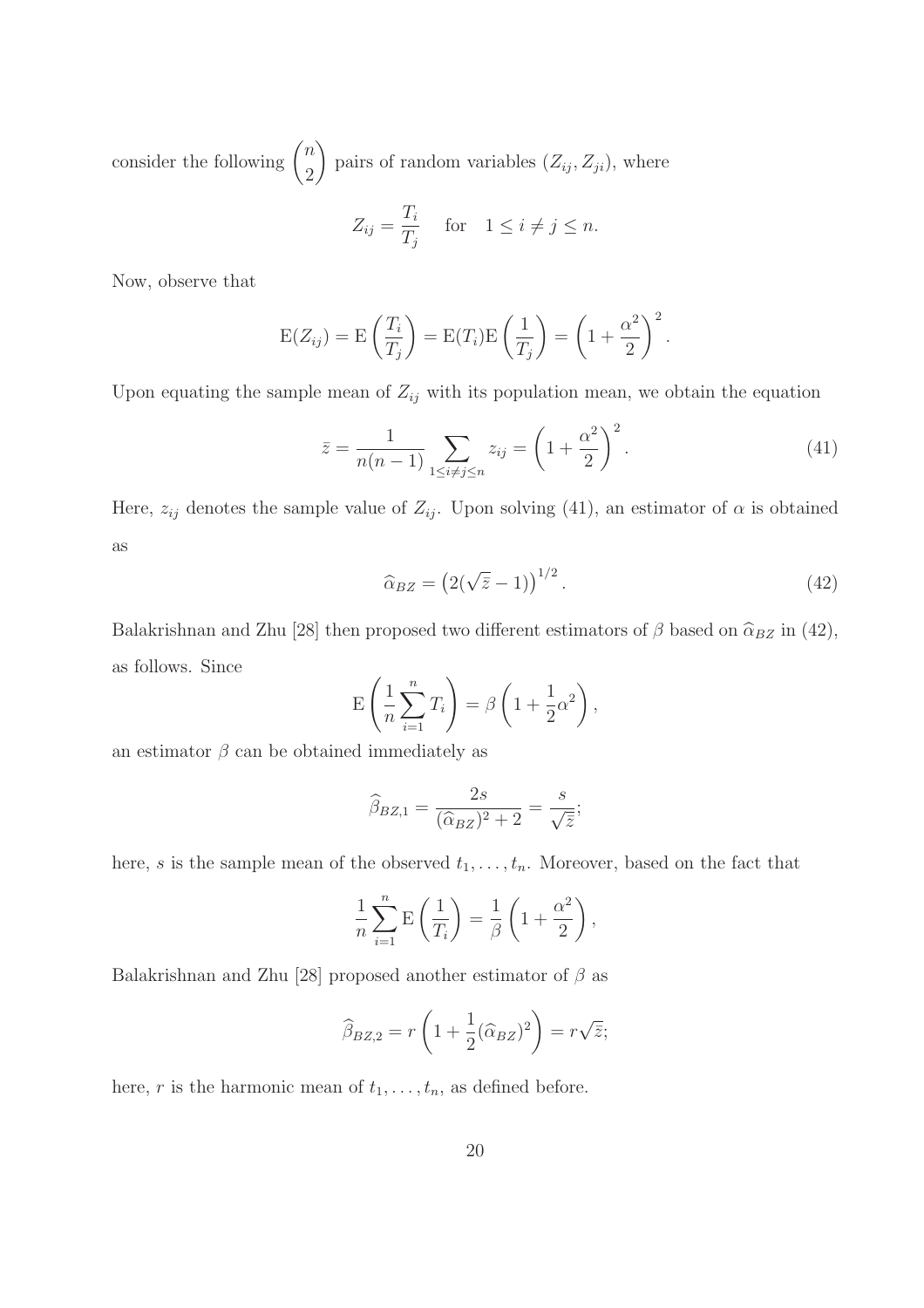consider the following  $\binom{n}{2}$ 2  $\setminus$ pairs of random variables  $(Z_{ij}, Z_{ji})$ , where

$$
Z_{ij} = \frac{T_i}{T_j} \quad \text{for} \quad 1 \le i \ne j \le n.
$$

Now, observe that

$$
E(Z_{ij}) = E\left(\frac{T_i}{T_j}\right) = E(T_i)E\left(\frac{1}{T_j}\right) = \left(1 + \frac{\alpha^2}{2}\right)^2.
$$

Upon equating the sample mean of  $Z_{ij}$  with its population mean, we obtain the equation

$$
\bar{z} = \frac{1}{n(n-1)} \sum_{1 \le i \ne j \le n} z_{ij} = \left(1 + \frac{\alpha^2}{2}\right)^2.
$$
 (41)

Here,  $z_{ij}$  denotes the sample value of  $Z_{ij}$ . Upon solving (41), an estimator of  $\alpha$  is obtained as

$$
\widehat{\alpha}_{BZ} = \left(2(\sqrt{\overline{z}} - 1)\right)^{1/2}.\tag{42}
$$

Balakrishnan and Zhu [28] then proposed two different estimators of  $\beta$  based on  $\hat{\alpha}_{BZ}$  in (42), as follows. Since

$$
E\left(\frac{1}{n}\sum_{i=1}^{n}T_i\right) = \beta\left(1 + \frac{1}{2}\alpha^2\right),
$$

an estimator  $\beta$  can be obtained immediately as

$$
\widehat{\beta}_{BZ,1} = \frac{2s}{(\widehat{\alpha}_{BZ})^2 + 2} = \frac{s}{\sqrt{\overline{z}}};
$$

here, s is the sample mean of the observed  $t_1, \ldots, t_n$ . Moreover, based on the fact that

$$
\frac{1}{n}\sum_{i=1}^{n} \mathbf{E}\left(\frac{1}{T_i}\right) = \frac{1}{\beta} \left(1 + \frac{\alpha^2}{2}\right),
$$

Balakrishnan and Zhu [28] proposed another estimator of  $\beta$  as

$$
\widehat{\beta}_{BZ,2} = r \left( 1 + \frac{1}{2} (\widehat{\alpha}_{BZ})^2 \right) = r \sqrt{\overline{z}};
$$

here, r is the harmonic mean of  $t_1, \ldots, t_n$ , as defined before.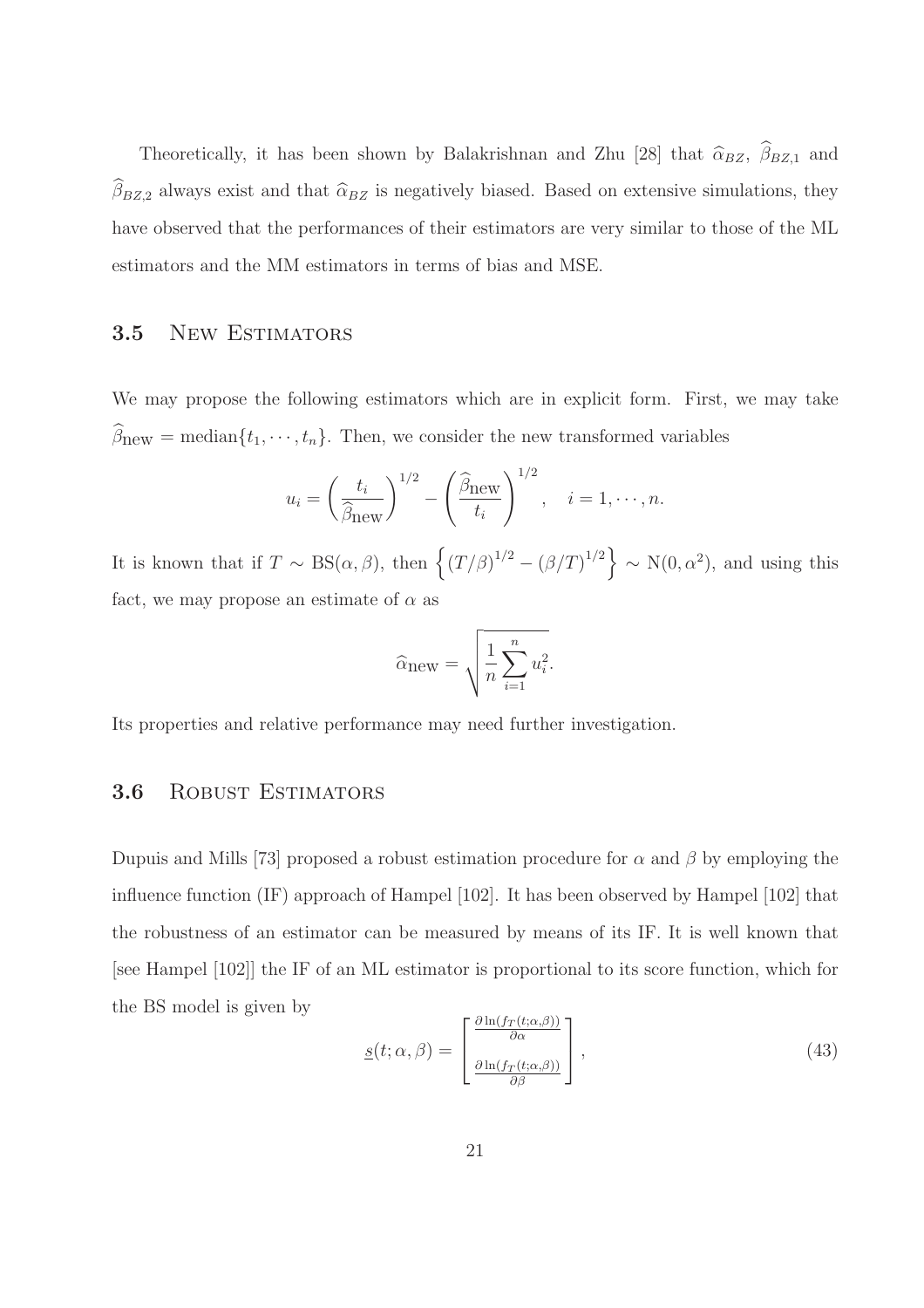Theoretically, it has been shown by Balakrishnan and Zhu [28] that  $\widehat{\alpha}_{BZ}$ ,  $\widehat{\beta}_{BZ,1}$  and  $\hat{\beta}_{BZ,2}$  always exist and that  $\hat{\alpha}_{BZ}$  is negatively biased. Based on extensive simulations, they have observed that the performances of their estimators are very similar to those of the ML estimators and the MM estimators in terms of bias and MSE.

## 3.5 New ESTIMATORS

We may propose the following estimators which are in explicit form. First, we may take  $\widehat{\beta}_{\text{new}} = \text{median}\{t_1, \dots, t_n\}$ . Then, we consider the new transformed variables

$$
u_i = \left(\frac{t_i}{\widehat{\beta}_{\text{new}}}\right)^{1/2} - \left(\frac{\widehat{\beta}_{\text{new}}}{t_i}\right)^{1/2}, \quad i = 1, \cdots, n.
$$

It is known that if  $T \sim BS(\alpha, \beta)$ , then  $\left\{ (T/\beta)^{1/2} - (\beta/T)^{1/2} \right\} \sim N(0, \alpha^2)$ , and using this fact, we may propose an estimate of  $\alpha$  as

$$
\widehat{\alpha}_{\text{new}} = \sqrt{\frac{1}{n} \sum_{i=1}^{n} u_i^2}.
$$

Its properties and relative performance may need further investigation.

### 3.6 ROBUST ESTIMATORS

Dupuis and Mills [73] proposed a robust estimation procedure for  $\alpha$  and  $\beta$  by employing the influence function (IF) approach of Hampel [102]. It has been observed by Hampel [102] that the robustness of an estimator can be measured by means of its IF. It is well known that [see Hampel [102]] the IF of an ML estimator is proportional to its score function, which for the BS model is given by

$$
\underline{s}(t; \alpha, \beta) = \begin{bmatrix} \frac{\partial \ln(f_T(t; \alpha, \beta))}{\partial \alpha} \\ \frac{\partial \ln(f_T(t; \alpha, \beta))}{\partial \beta} \end{bmatrix},
$$
\n(43)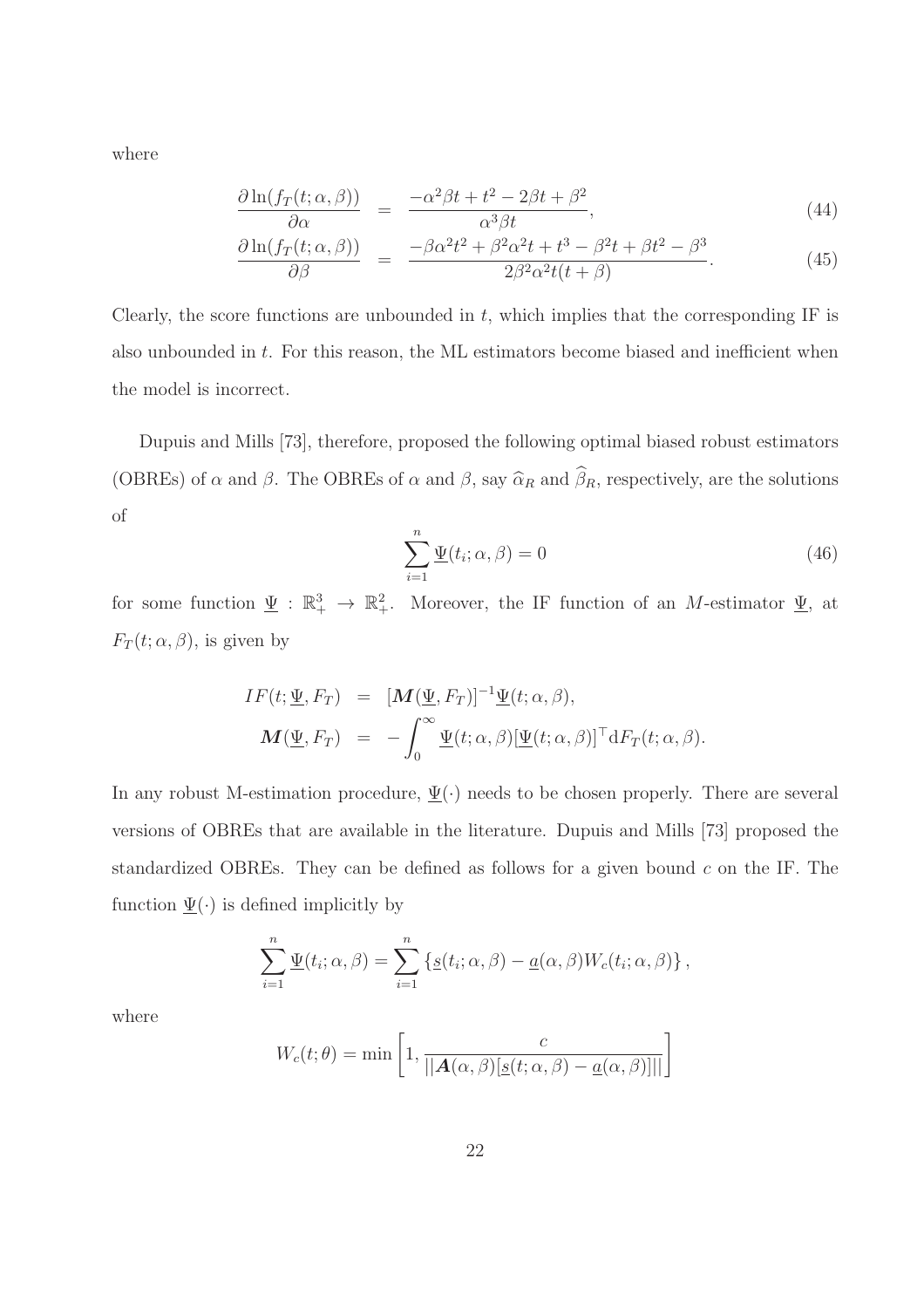where

$$
\frac{\partial \ln(f_T(t; \alpha, \beta))}{\partial \alpha} = \frac{-\alpha^2 \beta t + t^2 - 2\beta t + \beta^2}{\alpha^3 \beta t},\tag{44}
$$

$$
\frac{\partial \ln(f_T(t; \alpha, \beta))}{\partial \beta} = \frac{-\beta \alpha^2 t^2 + \beta^2 \alpha^2 t + t^3 - \beta^2 t + \beta t^2 - \beta^3}{2\beta^2 \alpha^2 t(t + \beta)}.
$$
\n(45)

Clearly, the score functions are unbounded in  $t$ , which implies that the corresponding IF is also unbounded in t. For this reason, the ML estimators become biased and inefficient when the model is incorrect.

Dupuis and Mills [73], therefore, proposed the following optimal biased robust estimators (OBREs) of  $\alpha$  and  $\beta$ . The OBREs of  $\alpha$  and  $\beta$ , say  $\widehat{\alpha}_R$  and  $\widehat{\beta}_R$ , respectively, are the solutions of

$$
\sum_{i=1}^{n} \underline{\Psi}(t_i; \alpha, \beta) = 0
$$
\n(46)

for some function  $\underline{\Psi} : \mathbb{R}^3_+ \to \mathbb{R}^2_+$ . Moreover, the IF function of an M-estimator  $\underline{\Psi}$ , at  $F_T(t; \alpha, \beta)$ , is given by

$$
IF(t; \underline{\Psi}, F_T) = [M(\underline{\Psi}, F_T)]^{-1} \underline{\Psi}(t; \alpha, \beta),
$$
  

$$
M(\underline{\Psi}, F_T) = -\int_0^\infty \underline{\Psi}(t; \alpha, \beta) [\underline{\Psi}(t; \alpha, \beta)]^\top dF_T(t; \alpha, \beta).
$$

In any robust M-estimation procedure,  $\Psi(\cdot)$  needs to be chosen properly. There are several versions of OBREs that are available in the literature. Dupuis and Mills [73] proposed the standardized OBREs. They can be defined as follows for a given bound  $c$  on the IF. The function  $\Psi(\cdot)$  is defined implicitly by

$$
\sum_{i=1}^n \underline{\Psi}(t_i; \alpha, \beta) = \sum_{i=1}^n \left\{ \underline{s}(t_i; \alpha, \beta) - \underline{a}(\alpha, \beta) W_c(t_i; \alpha, \beta) \right\},
$$

where

$$
W_c(t; \theta) = \min \left[ 1, \frac{c}{\left\| \mathbf{A}(\alpha, \beta) [\underline{s}(t; \alpha, \beta) - \underline{a}(\alpha, \beta)] \right\|} \right]
$$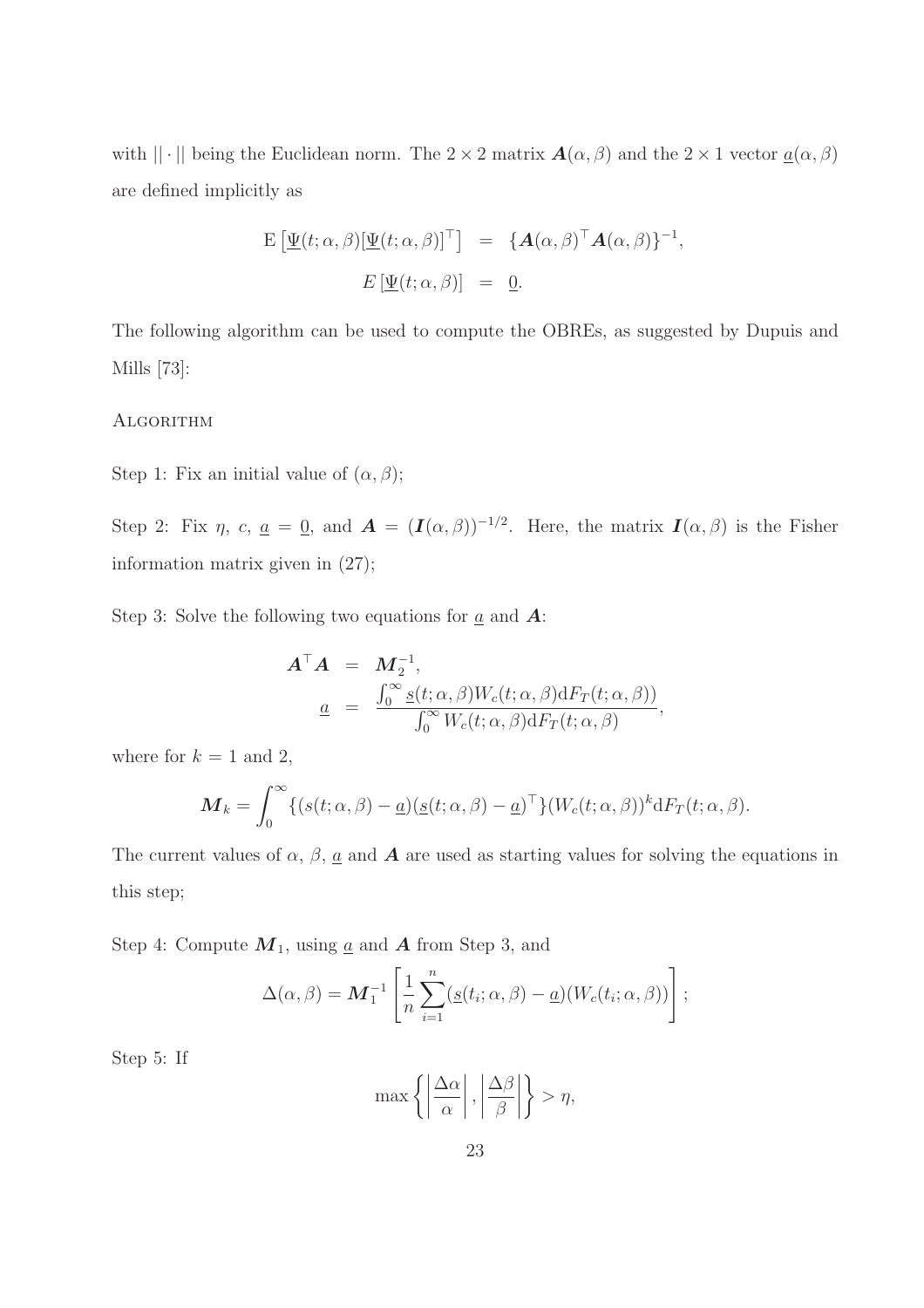with  $|| \cdot ||$  being the Euclidean norm. The  $2 \times 2$  matrix  $\mathbf{A}(\alpha, \beta)$  and the  $2 \times 1$  vector  $\underline{a}(\alpha, \beta)$ are defined implicitly as

$$
\begin{array}{rcl}\n\mathbf{E} \left[ \underline{\Psi}(t; \alpha, \beta) [\underline{\Psi}(t; \alpha, \beta)]^{\top} \right] & = & \{ \mathbf{A}(\alpha, \beta)^{\top} \mathbf{A}(\alpha, \beta) \}^{-1}, \\
& E \left[ \underline{\Psi}(t; \alpha, \beta) \right] & = & \underline{0}.\n\end{array}
$$

The following algorithm can be used to compute the OBREs, as suggested by Dupuis and Mills [73]:

#### **ALGORITHM**

Step 1: Fix an initial value of  $(\alpha, \beta)$ ;

Step 2: Fix  $\eta$ ,  $c$ ,  $\underline{a} = \underline{0}$ , and  $\mathbf{A} = (\mathbf{I}(\alpha, \beta))^{-1/2}$ . Here, the matrix  $\mathbf{I}(\alpha, \beta)$  is the Fisher information matrix given in (27);

Step 3: Solve the following two equations for  $\underline{a}$  and  $\underline{A}$ :

$$
\mathbf{A}^{\top}\mathbf{A} = \mathbf{M}_2^{-1}, \n\underline{a} = \frac{\int_0^{\infty} \underline{s}(t; \alpha, \beta) W_c(t; \alpha, \beta) dF_T(t; \alpha, \beta)}{\int_0^{\infty} W_c(t; \alpha, \beta) dF_T(t; \alpha, \beta)},
$$

where for  $k = 1$  and 2,

$$
\boldsymbol{M}_{k} = \int_{0}^{\infty} \{ (s(t; \alpha, \beta) - \underline{a}) (\underline{s}(t; \alpha, \beta) - \underline{a})^{\top} \} (W_{c}(t; \alpha, \beta))^{k} dF_{T}(t; \alpha, \beta).
$$

The current values of  $\alpha$ ,  $\beta$ ,  $\underline{a}$  and  $\bf{A}$  are used as starting values for solving the equations in this step;

Step 4: Compute  $M_1$ , using <u>a</u> and **A** from Step 3, and

$$
\Delta(\alpha, \beta) = \mathbf{M}_1^{-1} \left[ \frac{1}{n} \sum_{i=1}^n (g(t_i; \alpha, \beta) - \underline{a}) (W_c(t_i; \alpha, \beta)) \right];
$$

Step 5: If

$$
\max\left\{\left|\frac{\Delta\alpha}{\alpha}\right|,\left|\frac{\Delta\beta}{\beta}\right|\right\}>\eta,
$$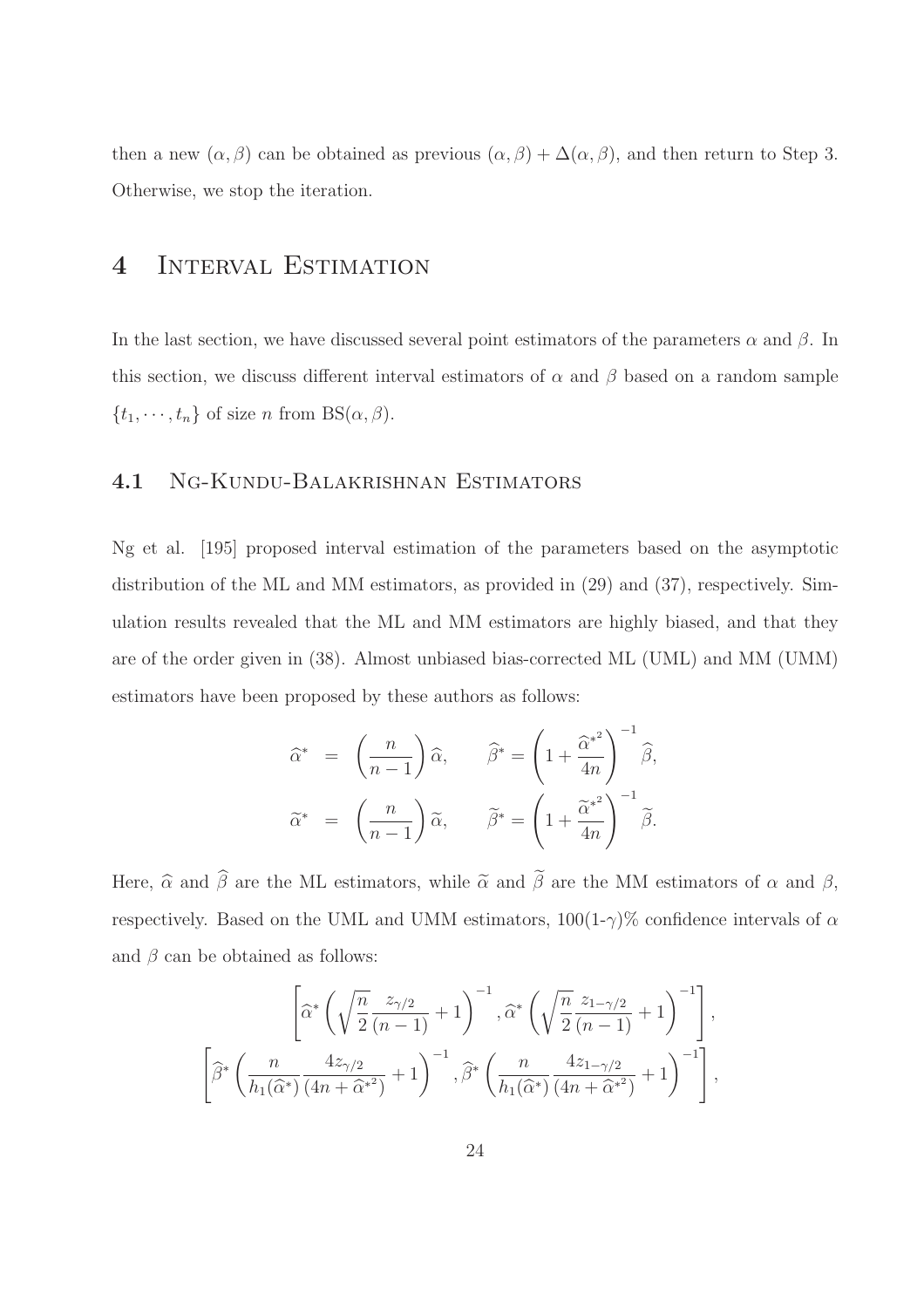then a new  $(\alpha, \beta)$  can be obtained as previous  $(\alpha, \beta) + \Delta(\alpha, \beta)$ , and then return to Step 3. Otherwise, we stop the iteration.

## 4 Interval Estimation

In the last section, we have discussed several point estimators of the parameters  $\alpha$  and  $\beta$ . In this section, we discuss different interval estimators of  $\alpha$  and  $\beta$  based on a random sample  $\{t_1, \dots, t_n\}$  of size n from BS( $\alpha, \beta$ ).

### 4.1 Ng-Kundu-Balakrishnan Estimators

Ng et al. [195] proposed interval estimation of the parameters based on the asymptotic distribution of the ML and MM estimators, as provided in (29) and (37), respectively. Simulation results revealed that the ML and MM estimators are highly biased, and that they are of the order given in (38). Almost unbiased bias-corrected ML (UML) and MM (UMM) estimators have been proposed by these authors as follows:

$$
\widehat{\alpha}^* = \left(\frac{n}{n-1}\right)\widehat{\alpha}, \qquad \widehat{\beta}^* = \left(1 + \frac{\widehat{\alpha}^{*^2}}{4n}\right)^{-1}\widehat{\beta},
$$
  

$$
\widetilde{\alpha}^* = \left(\frac{n}{n-1}\right)\widetilde{\alpha}, \qquad \widetilde{\beta}^* = \left(1 + \frac{\widetilde{\alpha}^{*^2}}{4n}\right)^{-1}\widetilde{\beta}.
$$

Here,  $\widehat{\alpha}$  and  $\widehat{\beta}$  are the ML estimators, while  $\widetilde{\alpha}$  and  $\widetilde{\beta}$  are the MM estimators of  $\alpha$  and  $\beta$ , respectively. Based on the UML and UMM estimators,  $100(1-\gamma)\%$  confidence intervals of  $\alpha$ and  $\beta$  can be obtained as follows:

$$
\left[\widehat{\alpha}^* \left(\sqrt{\frac{n}{2}} \frac{z_{\gamma/2}}{(n-1)} + 1\right)^{-1}, \widehat{\alpha}^* \left(\sqrt{\frac{n}{2}} \frac{z_{1-\gamma/2}}{(n-1)} + 1\right)^{-1}\right],
$$
  

$$
\left[\widehat{\beta}^* \left(\frac{n}{h_1(\widehat{\alpha}^*)} \frac{4z_{\gamma/2}}{(4n + \widehat{\alpha}^{*2})} + 1\right)^{-1}, \widehat{\beta}^* \left(\frac{n}{h_1(\widehat{\alpha}^*)} \frac{4z_{1-\gamma/2}}{(4n + \widehat{\alpha}^{*2})} + 1\right)^{-1}\right],
$$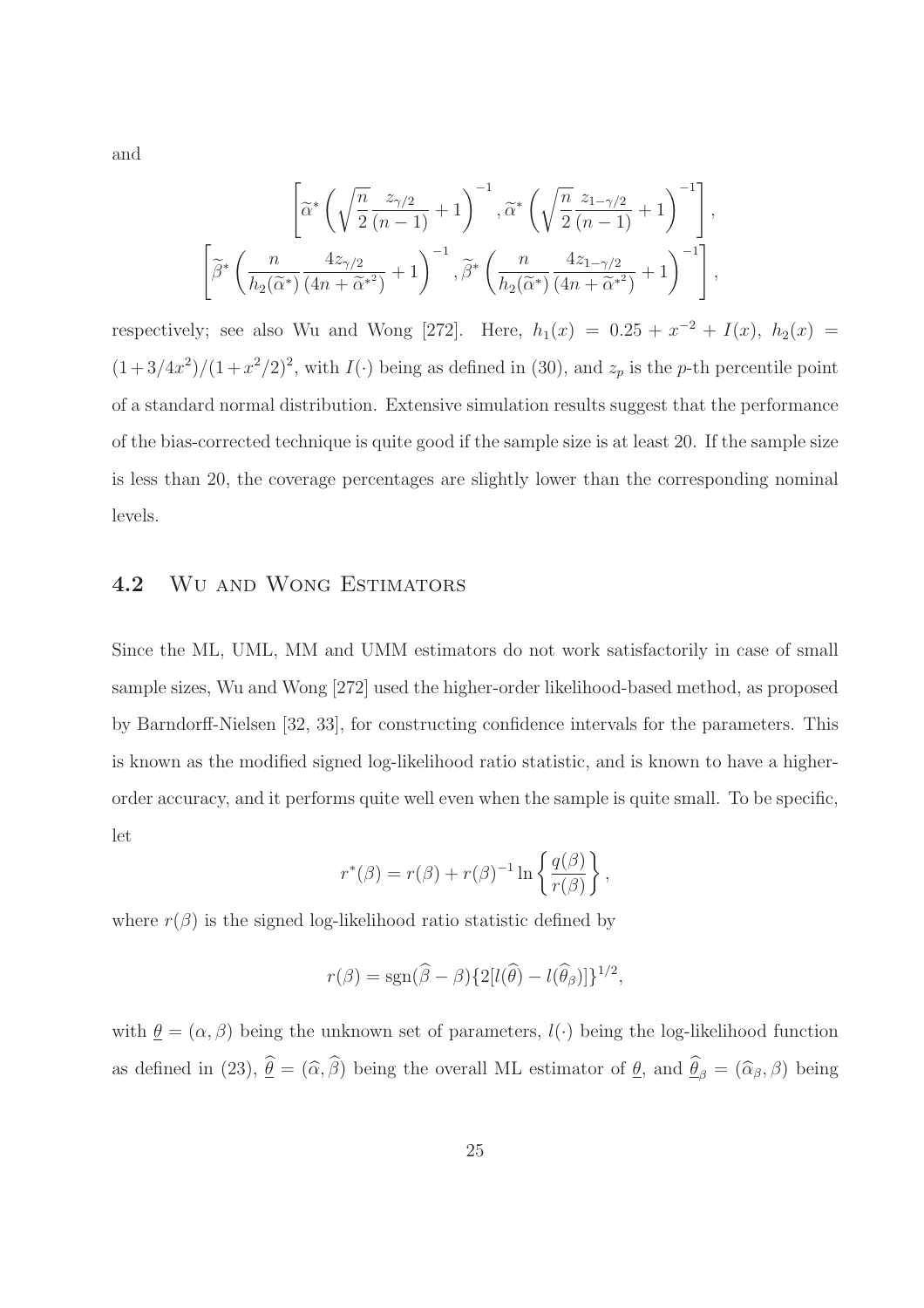and

$$
\left[\widetilde{\alpha}^* \left(\sqrt{\frac{n}{2}} \frac{z_{\gamma/2}}{(n-1)} + 1\right)^{-1}, \widetilde{\alpha}^* \left(\sqrt{\frac{n}{2}} \frac{z_{1-\gamma/2}}{(n-1)} + 1\right)^{-1}\right],
$$
  

$$
\left[\widetilde{\beta}^* \left(\frac{n}{h_2(\widetilde{\alpha}^*)} \frac{4z_{\gamma/2}}{(4n + \widetilde{\alpha}^{*2})} + 1\right)^{-1}, \widetilde{\beta}^* \left(\frac{n}{h_2(\widetilde{\alpha}^*)} \frac{4z_{1-\gamma/2}}{(4n + \widetilde{\alpha}^{*2})} + 1\right)^{-1}\right],
$$

respectively; see also Wu and Wong [272]. Here,  $h_1(x) = 0.25 + x^{-2} + I(x)$ ,  $h_2(x) =$  $(1+3/4x^2)/(1+x^2/2)^2$ , with  $I(\cdot)$  being as defined in (30), and  $z_p$  is the p-th percentile point of a standard normal distribution. Extensive simulation results suggest that the performance of the bias-corrected technique is quite good if the sample size is at least 20. If the sample size is less than 20, the coverage percentages are slightly lower than the corresponding nominal levels.

#### 4.2 Wu and Wong Estimators

Since the ML, UML, MM and UMM estimators do not work satisfactorily in case of small sample sizes, Wu and Wong [272] used the higher-order likelihood-based method, as proposed by Barndorff-Nielsen [32, 33], for constructing confidence intervals for the parameters. This is known as the modified signed log-likelihood ratio statistic, and is known to have a higherorder accuracy, and it performs quite well even when the sample is quite small. To be specific, let

$$
r^*(\beta) = r(\beta) + r(\beta)^{-1} \ln \left\{ \frac{q(\beta)}{r(\beta)} \right\},\,
$$

where  $r(\beta)$  is the signed log-likelihood ratio statistic defined by

$$
r(\beta) = \text{sgn}(\widehat{\beta} - \beta) \{2[l(\widehat{\theta}) - l(\widehat{\theta}_{\beta})]\}^{1/2},
$$

with  $\theta = (\alpha, \beta)$  being the unknown set of parameters,  $l(\cdot)$  being the log-likelihood function as defined in (23),  $\underline{\theta} = (\widehat{\alpha}, \beta)$  being the overall ML estimator of  $\underline{\theta}$ , and  $\underline{\theta}_{\beta} = (\widehat{\alpha}_{\beta}, \beta)$  being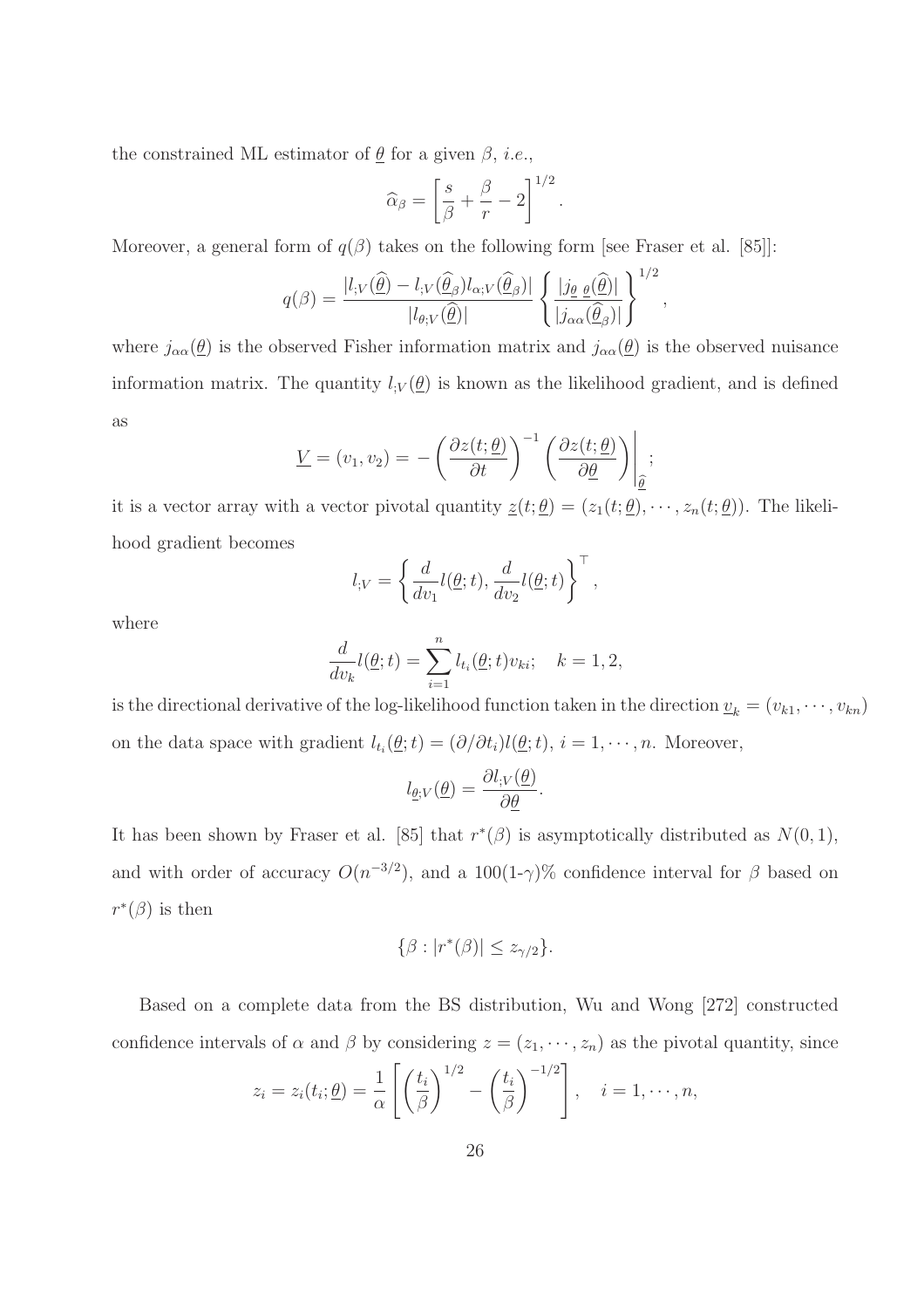the constrained ML estimator of  $\underline{\theta}$  for a given  $\beta$ , *i.e.*,

$$
\widehat{\alpha}_{\beta} = \left[\frac{s}{\beta} + \frac{\beta}{r} - 2\right]^{1/2}
$$

.

,

Moreover, a general form of  $q(\beta)$  takes on the following form [see Fraser et al. [85]]:

$$
q(\beta) = \frac{|l_{;V}(\widehat{\underline{\theta}}) - l_{;V}(\widehat{\underline{\theta}}_{\beta})l_{\alpha;V}(\widehat{\underline{\theta}}_{\beta})|}{|l_{\theta;V}(\widehat{\underline{\theta}})|} \left\{ \frac{|j_{\underline{\theta}} \underline{\theta}(\widehat{\underline{\theta}})|}{|j_{\alpha\alpha}(\widehat{\underline{\theta}}_{\beta})|} \right\}^{1/2}
$$

where  $j_{\alpha\alpha}(\underline{\theta})$  is the observed Fisher information matrix and  $j_{\alpha\alpha}(\underline{\theta})$  is the observed nuisance information matrix. The quantity  $l_V(\theta)$  is known as the likelihood gradient, and is defined as

$$
\underline{V} = (v_1, v_2) = -\left(\frac{\partial z(t; \underline{\theta})}{\partial t}\right)^{-1} \left(\frac{\partial z(t; \underline{\theta})}{\partial \underline{\theta}}\right)\Big|_{\underline{\hat{\theta}}};
$$

it is a vector array with a vector pivotal quantity  $\underline{z}(t; \underline{\theta}) = (z_1(t; \underline{\theta}), \cdots, z_n(t; \underline{\theta}))$ . The likelihood gradient becomes

$$
l_{;V} = \left\{ \frac{d}{dv_1} l(\underline{\theta}; t), \frac{d}{dv_2} l(\underline{\theta}; t) \right\}^{\top},
$$

where

$$
\frac{d}{dv_k}l(\underline{\theta};t) = \sum_{i=1}^n l_{t_i}(\underline{\theta};t)v_{ki}; \quad k = 1,2,
$$

is the directional derivative of the log-likelihood function taken in the direction  $\underline{v}_k = (v_{k1}, \dots, v_{kn})$ on the data space with gradient  $l_{t_i}(\underline{\theta};t) = (\partial/\partial t_i)l(\underline{\theta};t), i = 1, \dots, n$ . Moreover,

$$
l_{\underline{\theta};V}(\underline{\theta}) = \frac{\partial l_{;V}(\underline{\theta})}{\partial \underline{\theta}}.
$$

It has been shown by Fraser et al. [85] that  $r^*(\beta)$  is asymptotically distributed as  $N(0,1)$ , and with order of accuracy  $O(n^{-3/2})$ , and a  $100(1-\gamma)\%$  confidence interval for  $\beta$  based on  $r^*(\beta)$  is then

$$
\{\beta:|r^*(\beta)|\leq z_{\gamma/2}\}.
$$

Based on a complete data from the BS distribution, Wu and Wong [272] constructed confidence intervals of  $\alpha$  and  $\beta$  by considering  $z = (z_1, \dots, z_n)$  as the pivotal quantity, since

$$
z_i = z_i(t_i; \underline{\theta}) = \frac{1}{\alpha} \left[ \left( \frac{t_i}{\beta} \right)^{1/2} - \left( \frac{t_i}{\beta} \right)^{-1/2} \right], \quad i = 1, \cdots, n,
$$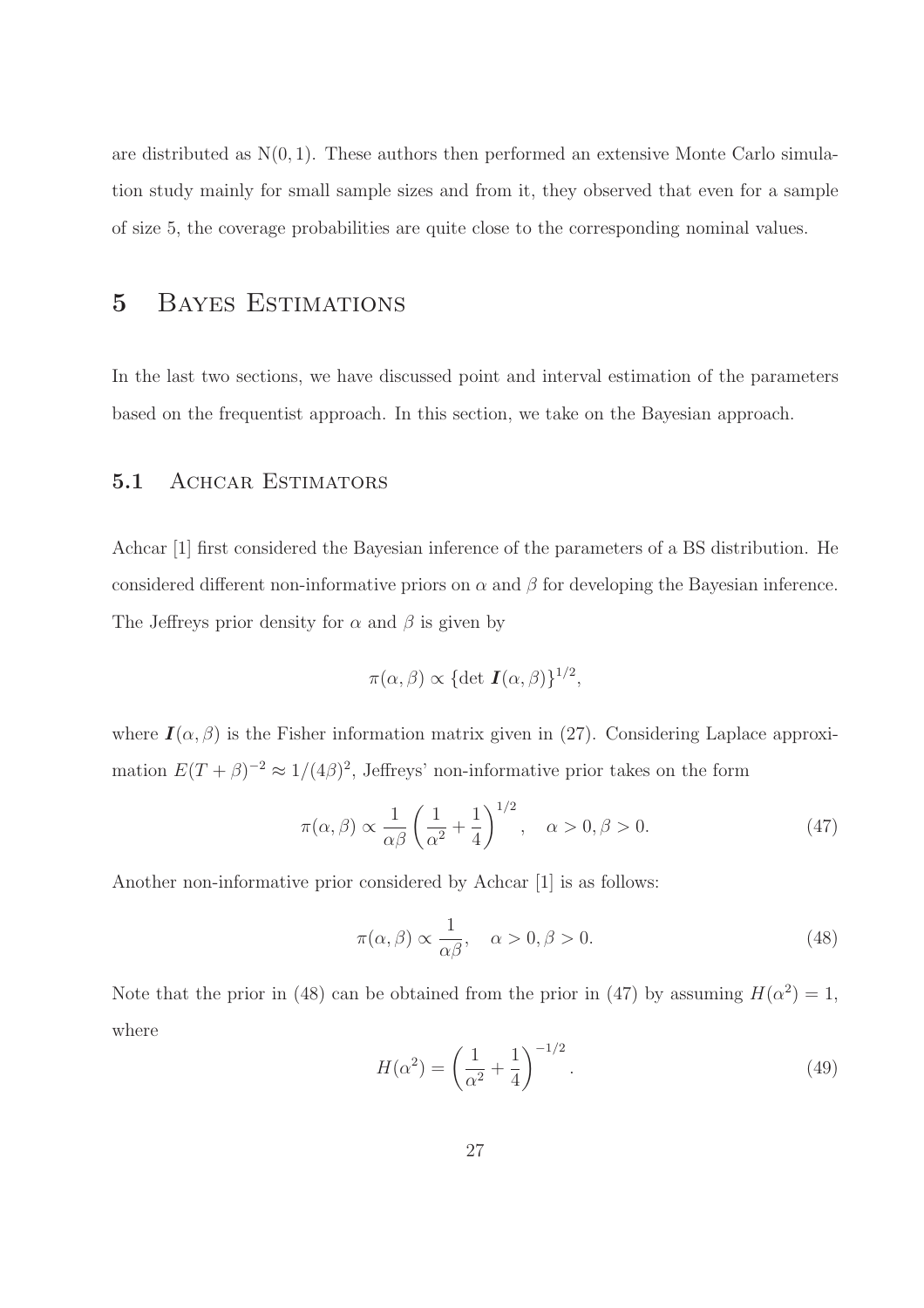are distributed as  $N(0, 1)$ . These authors then performed an extensive Monte Carlo simulation study mainly for small sample sizes and from it, they observed that even for a sample of size 5, the coverage probabilities are quite close to the corresponding nominal values.

## 5 Bayes Estimations

In the last two sections, we have discussed point and interval estimation of the parameters based on the frequentist approach. In this section, we take on the Bayesian approach.

### 5.1 ACHCAR ESTIMATORS

Achcar [1] first considered the Bayesian inference of the parameters of a BS distribution. He considered different non-informative priors on  $\alpha$  and  $\beta$  for developing the Bayesian inference. The Jeffreys prior density for  $\alpha$  and  $\beta$  is given by

$$
\pi(\alpha,\beta) \propto {\det \mathbf{I}(\alpha,\beta)}^{1/2},
$$

where  $I(\alpha, \beta)$  is the Fisher information matrix given in (27). Considering Laplace approximation  $E(T+\beta)^{-2} \approx 1/(4\beta)^2$ , Jeffreys' non-informative prior takes on the form

$$
\pi(\alpha,\beta) \propto \frac{1}{\alpha\beta} \left(\frac{1}{\alpha^2} + \frac{1}{4}\right)^{1/2}, \quad \alpha > 0, \beta > 0.
$$
 (47)

Another non-informative prior considered by Achcar [1] is as follows:

$$
\pi(\alpha,\beta) \propto \frac{1}{\alpha\beta}, \quad \alpha > 0, \beta > 0.
$$
\n(48)

Note that the prior in (48) can be obtained from the prior in (47) by assuming  $H(\alpha^2) = 1$ , where

$$
H(\alpha^2) = \left(\frac{1}{\alpha^2} + \frac{1}{4}\right)^{-1/2}.
$$
 (49)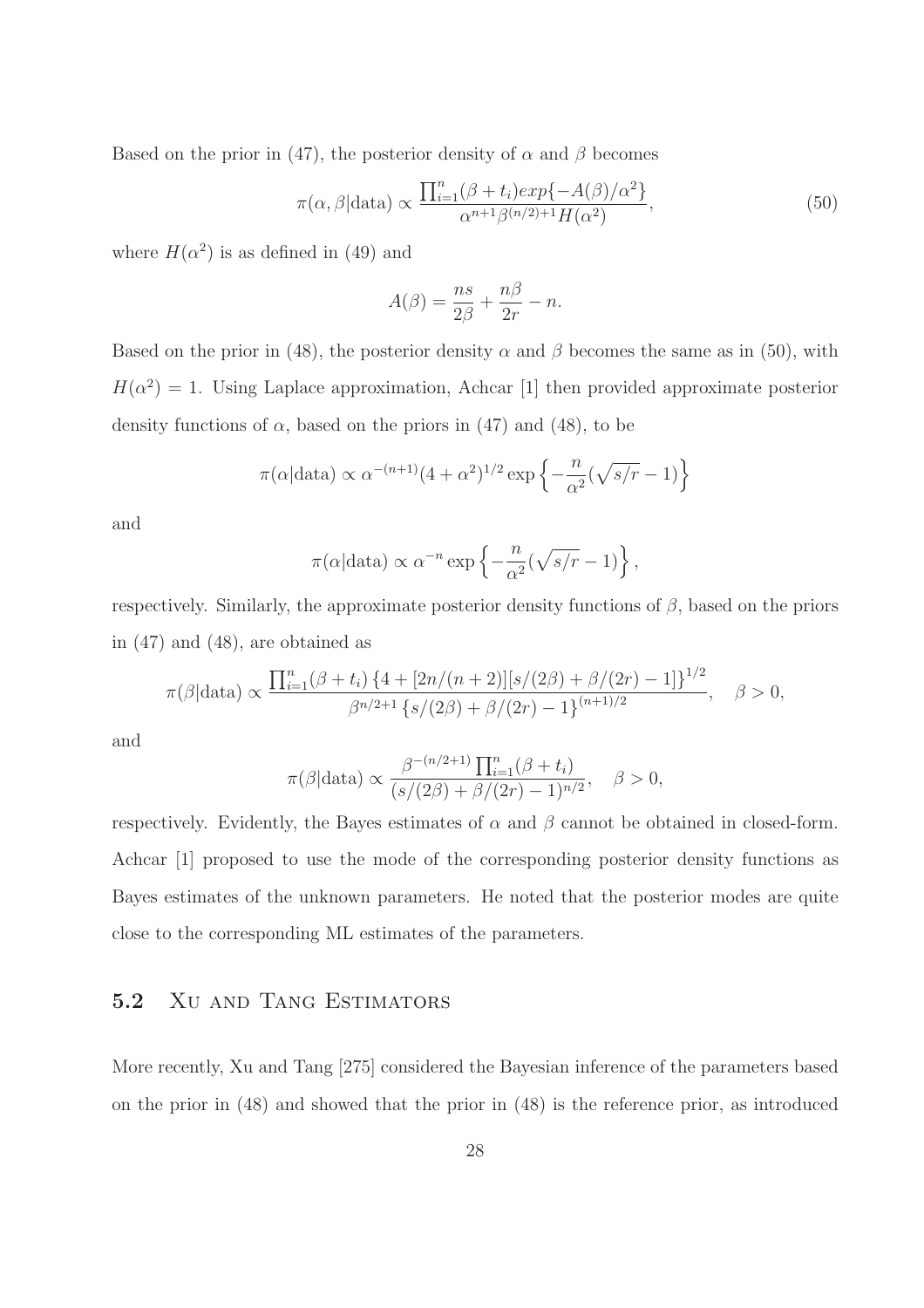Based on the prior in (47), the posterior density of  $\alpha$  and  $\beta$  becomes

$$
\pi(\alpha, \beta | \text{data}) \propto \frac{\prod_{i=1}^{n} (\beta + t_i) \exp\{-A(\beta)/\alpha^2\}}{\alpha^{n+1} \beta^{(n/2)+1} H(\alpha^2)},
$$
\n(50)

where  $H(\alpha^2)$  is as defined in (49) and

$$
A(\beta) = \frac{ns}{2\beta} + \frac{n\beta}{2r} - n.
$$

Based on the prior in (48), the posterior density  $\alpha$  and  $\beta$  becomes the same as in (50), with  $H(\alpha^2) = 1$ . Using Laplace approximation, Achcar [1] then provided approximate posterior density functions of  $\alpha$ , based on the priors in (47) and (48), to be

$$
\pi(\alpha|\text{data}) \propto \alpha^{-(n+1)}(4+\alpha^2)^{1/2} \exp\left\{-\frac{n}{\alpha^2}(\sqrt{s/r}-1)\right\}
$$

and

$$
\pi(\alpha|\text{data}) \propto \alpha^{-n} \exp\left\{-\frac{n}{\alpha^2}(\sqrt{s/r}-1)\right\},\,
$$

respectively. Similarly, the approximate posterior density functions of  $\beta$ , based on the priors in (47) and (48), are obtained as

$$
\pi(\beta|\text{data}) \propto \frac{\prod_{i=1}^{n} (\beta + t_i) \{4 + [2n/(n+2)][s/(2\beta) + \beta/(2r) - 1]\}^{1/2}}{\beta^{n/2+1} \{s/(2\beta) + \beta/(2r) - 1\}^{(n+1)/2}}, \quad \beta > 0,
$$

and

$$
\pi(\beta|\text{data}) \propto \frac{\beta^{-(n/2+1)} \prod_{i=1}^n (\beta + t_i)}{(s/(2\beta) + \beta/(2r) - 1)^{n/2}}, \quad \beta > 0,
$$

respectively. Evidently, the Bayes estimates of  $\alpha$  and  $\beta$  cannot be obtained in closed-form. Achcar [1] proposed to use the mode of the corresponding posterior density functions as Bayes estimates of the unknown parameters. He noted that the posterior modes are quite close to the corresponding ML estimates of the parameters.

## 5.2 Xu and Tang Estimators

More recently, Xu and Tang [275] considered the Bayesian inference of the parameters based on the prior in (48) and showed that the prior in (48) is the reference prior, as introduced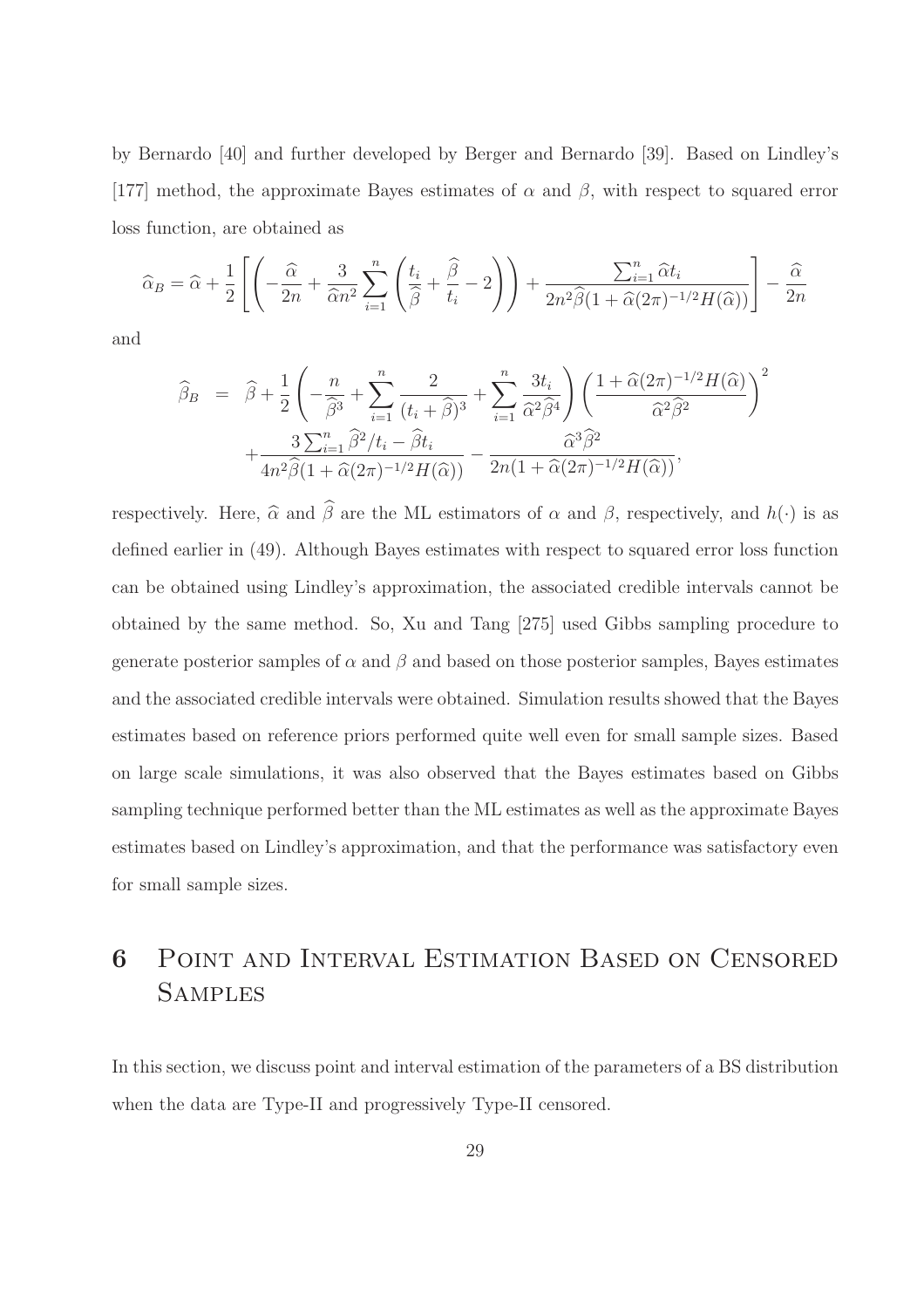by Bernardo [40] and further developed by Berger and Bernardo [39]. Based on Lindley's [177] method, the approximate Bayes estimates of  $\alpha$  and  $\beta$ , with respect to squared error loss function, are obtained as

$$
\widehat{\alpha}_B = \widehat{\alpha} + \frac{1}{2} \left[ \left( -\frac{\widehat{\alpha}}{2n} + \frac{3}{\widehat{\alpha}n^2} \sum_{i=1}^n \left( \frac{t_i}{\widehat{\beta}} + \frac{\widehat{\beta}}{t_i} - 2 \right) \right) + \frac{\sum_{i=1}^n \widehat{\alpha} t_i}{2n^2 \widehat{\beta} (1 + \widehat{\alpha}(2\pi)^{-1/2} H(\widehat{\alpha}))} \right] - \frac{\widehat{\alpha}}{2n}
$$

and

$$
\widehat{\beta}_B = \widehat{\beta} + \frac{1}{2} \left( -\frac{n}{\widehat{\beta}^3} + \sum_{i=1}^n \frac{2}{(t_i + \widehat{\beta})^3} + \sum_{i=1}^n \frac{3t_i}{\widehat{\alpha}^2 \widehat{\beta}^4} \right) \left( \frac{1 + \widehat{\alpha}(2\pi)^{-1/2} H(\widehat{\alpha})}{\widehat{\alpha}^2 \widehat{\beta}^2} \right)^2
$$

$$
+ \frac{3 \sum_{i=1}^n \widehat{\beta}^2 / t_i - \widehat{\beta} t_i}{4n^2 \widehat{\beta}(1 + \widehat{\alpha}(2\pi)^{-1/2} H(\widehat{\alpha}))} - \frac{\widehat{\alpha}^3 \widehat{\beta}^2}{2n(1 + \widehat{\alpha}(2\pi)^{-1/2} H(\widehat{\alpha}))},
$$

respectively. Here,  $\widehat{\alpha}$  and  $\widehat{\beta}$  are the ML estimators of  $\alpha$  and  $\beta$ , respectively, and  $h(\cdot)$  is as defined earlier in (49). Although Bayes estimates with respect to squared error loss function can be obtained using Lindley's approximation, the associated credible intervals cannot be obtained by the same method. So, Xu and Tang [275] used Gibbs sampling procedure to generate posterior samples of  $\alpha$  and  $\beta$  and based on those posterior samples, Bayes estimates and the associated credible intervals were obtained. Simulation results showed that the Bayes estimates based on reference priors performed quite well even for small sample sizes. Based on large scale simulations, it was also observed that the Bayes estimates based on Gibbs sampling technique performed better than the ML estimates as well as the approximate Bayes estimates based on Lindley's approximation, and that the performance was satisfactory even for small sample sizes.

## 6 Point and Interval Estimation Based on Censored **SAMPLES**

In this section, we discuss point and interval estimation of the parameters of a BS distribution when the data are Type-II and progressively Type-II censored.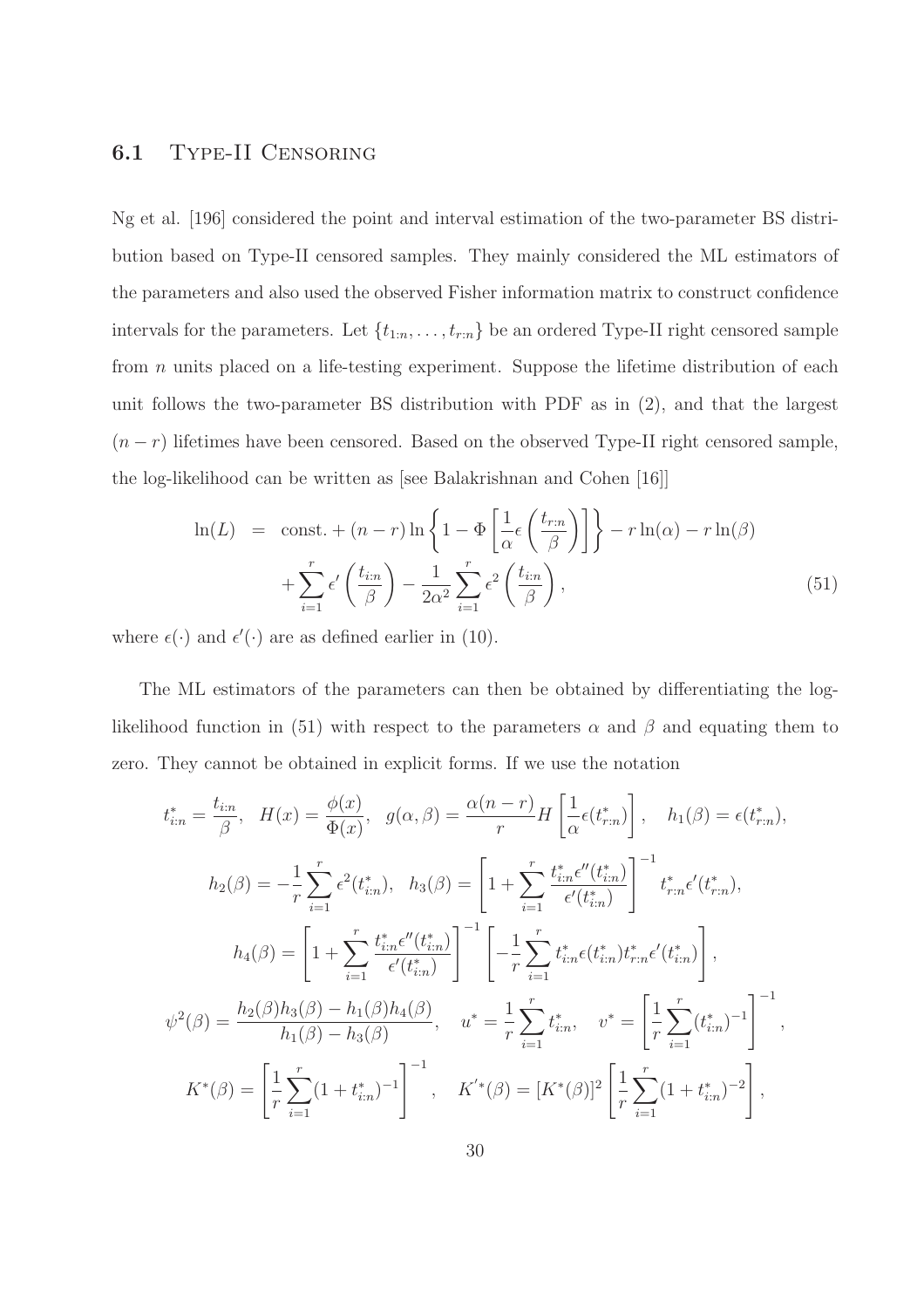## 6.1 Type-II Censoring

Ng et al. [196] considered the point and interval estimation of the two-parameter BS distribution based on Type-II censored samples. They mainly considered the ML estimators of the parameters and also used the observed Fisher information matrix to construct confidence intervals for the parameters. Let  $\{t_{1:n}, \ldots, t_{r:n}\}$  be an ordered Type-II right censored sample from n units placed on a life-testing experiment. Suppose the lifetime distribution of each unit follows the two-parameter BS distribution with PDF as in (2), and that the largest  $(n - r)$  lifetimes have been censored. Based on the observed Type-II right censored sample, the log-likelihood can be written as [see Balakrishnan and Cohen [16]]

$$
\ln(L) = \text{const.} + (n - r) \ln \left\{ 1 - \Phi \left[ \frac{1}{\alpha} \epsilon \left( \frac{t_{r:n}}{\beta} \right) \right] \right\} - r \ln(\alpha) - r \ln(\beta) + \sum_{i=1}^{r} \epsilon' \left( \frac{t_{i:n}}{\beta} \right) - \frac{1}{2\alpha^2} \sum_{i=1}^{r} \epsilon^2 \left( \frac{t_{i:n}}{\beta} \right),
$$
(51)

where  $\epsilon(\cdot)$  and  $\epsilon'(\cdot)$  are as defined earlier in (10).

The ML estimators of the parameters can then be obtained by differentiating the loglikelihood function in (51) with respect to the parameters  $\alpha$  and  $\beta$  and equating them to zero. They cannot be obtained in explicit forms. If we use the notation

$$
t_{i:n}^{*} = \frac{t_{i:n}}{\beta}, \quad H(x) = \frac{\phi(x)}{\Phi(x)}, \quad g(\alpha, \beta) = \frac{\alpha(n-r)}{r} H\left[\frac{1}{\alpha}\epsilon(t_{r:n}^{*})\right], \quad h_{1}(\beta) = \epsilon(t_{r:n}^{*}),
$$

$$
h_{2}(\beta) = -\frac{1}{r} \sum_{i=1}^{r} \epsilon^{2}(t_{i:n}^{*}), \quad h_{3}(\beta) = \left[1 + \sum_{i=1}^{r} \frac{t_{i:n}^{*}\epsilon''(t_{i:n}^{*})}{\epsilon'(t_{i:n}^{*})}\right]^{-1} t_{r:n}^{*}\epsilon'(t_{r:n}^{*}),
$$

$$
h_{4}(\beta) = \left[1 + \sum_{i=1}^{r} \frac{t_{i:n}^{*}\epsilon''(t_{i:n}^{*})}{\epsilon'(t_{i:n}^{*})}\right]^{-1} \left[-\frac{1}{r} \sum_{i=1}^{r} t_{i:n}^{*}\epsilon(t_{i:n}^{*})t_{r:n}^{*}\epsilon'(t_{i:n}^{*})\right],
$$

$$
\psi^{2}(\beta) = \frac{h_{2}(\beta)h_{3}(\beta) - h_{1}(\beta)h_{4}(\beta)}{h_{1}(\beta) - h_{3}(\beta)}, \quad u^{*} = \frac{1}{r} \sum_{i=1}^{r} t_{i:n}^{*}, \quad v^{*} = \left[\frac{1}{r} \sum_{i=1}^{r} (t_{i:n}^{*})^{-1}\right]^{-1},
$$

$$
K^{*}(\beta) = \left[\frac{1}{r} \sum_{i=1}^{r} (1 + t_{i:n}^{*})^{-1}\right]^{-1}, \quad K^{*}(\beta) = [K^{*}(\beta)]^{2} \left[\frac{1}{r} \sum_{i=1}^{r} (1 + t_{i:n}^{*})^{-2}\right],
$$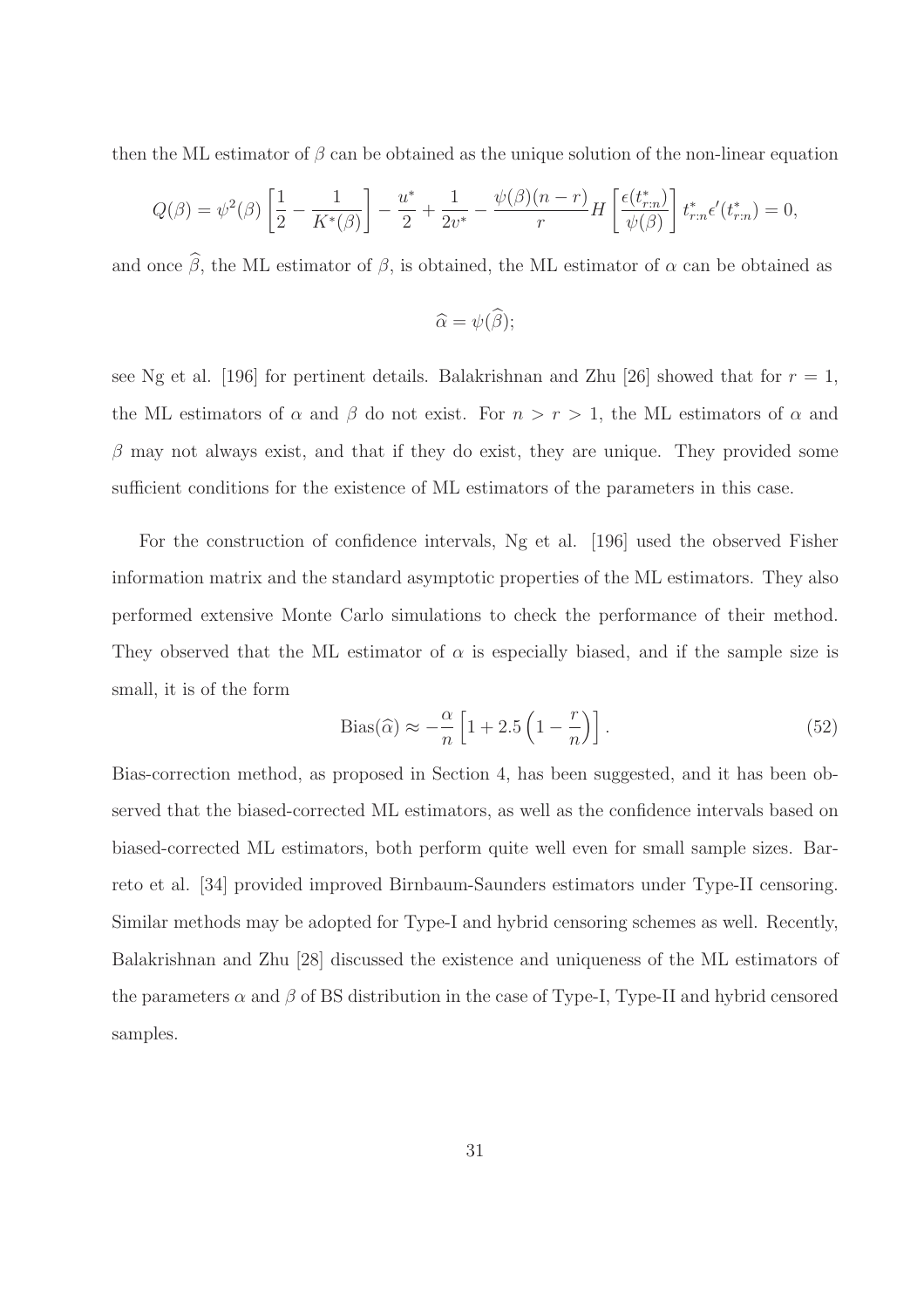then the ML estimator of  $\beta$  can be obtained as the unique solution of the non-linear equation

$$
Q(\beta) = \psi^{2}(\beta) \left[ \frac{1}{2} - \frac{1}{K^{*}(\beta)} \right] - \frac{u^{*}}{2} + \frac{1}{2v^{*}} - \frac{\psi(\beta)(n-r)}{r} H \left[ \frac{\epsilon(t^{*}_{r:n})}{\psi(\beta)} \right] t^{*}_{r:n} \epsilon'(t^{*}_{r:n}) = 0,
$$

and once  $\hat{\beta}$ , the ML estimator of  $\beta$ , is obtained, the ML estimator of  $\alpha$  can be obtained as

$$
\widehat{\alpha}=\psi(\widehat{\beta});
$$

see Ng et al. [196] for pertinent details. Balakrishnan and Zhu [26] showed that for  $r = 1$ , the ML estimators of  $\alpha$  and  $\beta$  do not exist. For  $n > r > 1$ , the ML estimators of  $\alpha$  and  $\beta$  may not always exist, and that if they do exist, they are unique. They provided some sufficient conditions for the existence of ML estimators of the parameters in this case.

For the construction of confidence intervals, Ng et al. [196] used the observed Fisher information matrix and the standard asymptotic properties of the ML estimators. They also performed extensive Monte Carlo simulations to check the performance of their method. They observed that the ML estimator of  $\alpha$  is especially biased, and if the sample size is small, it is of the form

Bias(
$$
\hat{\alpha}
$$
)  $\approx -\frac{\alpha}{n} \left[ 1 + 2.5 \left( 1 - \frac{r}{n} \right) \right].$  (52)

Bias-correction method, as proposed in Section 4, has been suggested, and it has been observed that the biased-corrected ML estimators, as well as the confidence intervals based on biased-corrected ML estimators, both perform quite well even for small sample sizes. Barreto et al. [34] provided improved Birnbaum-Saunders estimators under Type-II censoring. Similar methods may be adopted for Type-I and hybrid censoring schemes as well. Recently, Balakrishnan and Zhu [28] discussed the existence and uniqueness of the ML estimators of the parameters  $\alpha$  and  $\beta$  of BS distribution in the case of Type-I, Type-II and hybrid censored samples.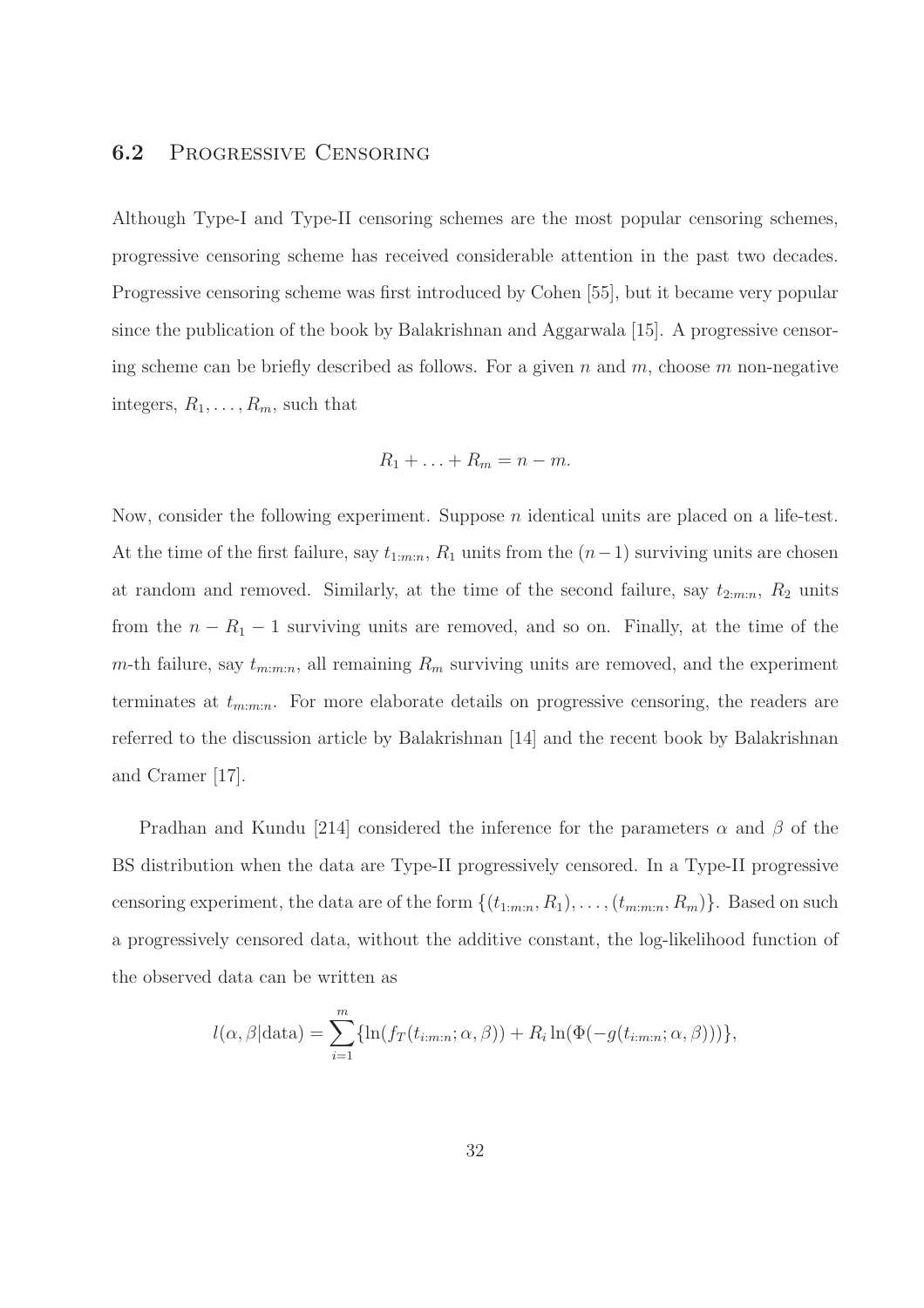## 6.2 Progressive Censoring

Although Type-I and Type-II censoring schemes are the most popular censoring schemes, progressive censoring scheme has received considerable attention in the past two decades. Progressive censoring scheme was first introduced by Cohen [55], but it became very popular since the publication of the book by Balakrishnan and Aggarwala [15]. A progressive censoring scheme can be briefly described as follows. For a given n and m, choose m non-negative integers,  $R_1, \ldots, R_m$ , such that

$$
R_1 + \ldots + R_m = n - m.
$$

Now, consider the following experiment. Suppose n identical units are placed on a life-test. At the time of the first failure, say  $t_{1:m:n}$ ,  $R_1$  units from the  $(n-1)$  surviving units are chosen at random and removed. Similarly, at the time of the second failure, say  $t_{2:m:n}$ ,  $R_2$  units from the  $n - R_1 - 1$  surviving units are removed, and so on. Finally, at the time of the m-th failure, say  $t_{m:m:n}$ , all remaining  $R_m$  surviving units are removed, and the experiment terminates at  $t_{m:m:n}$ . For more elaborate details on progressive censoring, the readers are referred to the discussion article by Balakrishnan [14] and the recent book by Balakrishnan and Cramer [17].

Pradhan and Kundu [214] considered the inference for the parameters  $\alpha$  and  $\beta$  of the BS distribution when the data are Type-II progressively censored. In a Type-II progressive censoring experiment, the data are of the form  $\{(t_{1:m:n}, R_1), \ldots, (t_{m:m:n}, R_m)\}\.$  Based on such a progressively censored data, without the additive constant, the log-likelihood function of the observed data can be written as

$$
l(\alpha, \beta | \text{data}) = \sum_{i=1}^{m} \{ \ln(f_T(t_{i:m:n}; \alpha, \beta)) + R_i \ln(\Phi(-g(t_{i:m:n}; \alpha, \beta))) \},
$$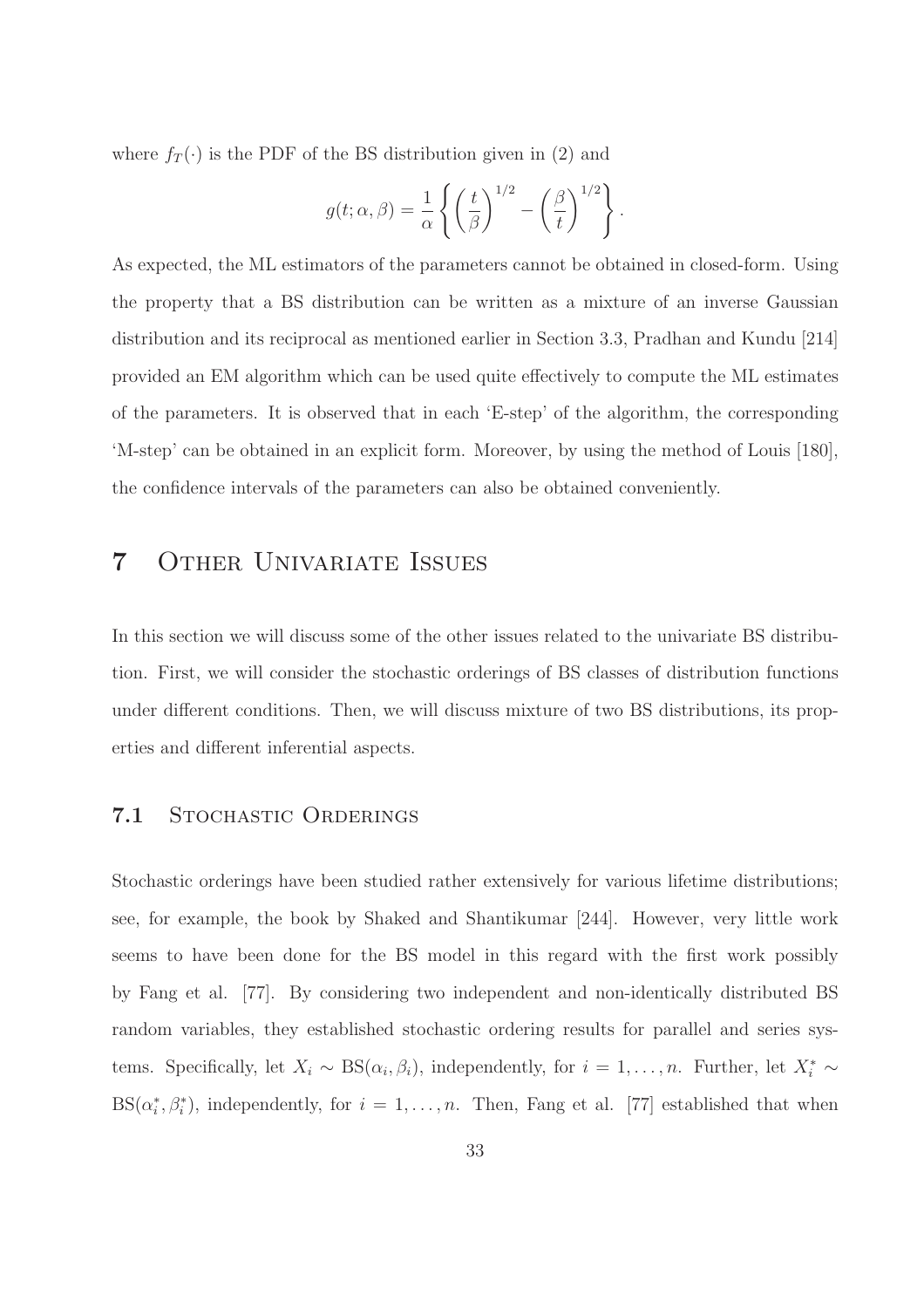where  $f_T(\cdot)$  is the PDF of the BS distribution given in (2) and

$$
g(t; \alpha, \beta) = \frac{1}{\alpha} \left\{ \left( \frac{t}{\beta} \right)^{1/2} - \left( \frac{\beta}{t} \right)^{1/2} \right\}.
$$

As expected, the ML estimators of the parameters cannot be obtained in closed-form. Using the property that a BS distribution can be written as a mixture of an inverse Gaussian distribution and its reciprocal as mentioned earlier in Section 3.3, Pradhan and Kundu [214] provided an EM algorithm which can be used quite effectively to compute the ML estimates of the parameters. It is observed that in each 'E-step' of the algorithm, the corresponding 'M-step' can be obtained in an explicit form. Moreover, by using the method of Louis [180], the confidence intervals of the parameters can also be obtained conveniently.

## 7 Other Univariate Issues

In this section we will discuss some of the other issues related to the univariate BS distribution. First, we will consider the stochastic orderings of BS classes of distribution functions under different conditions. Then, we will discuss mixture of two BS distributions, its properties and different inferential aspects.

### 7.1 STOCHASTIC ORDERINGS

Stochastic orderings have been studied rather extensively for various lifetime distributions; see, for example, the book by Shaked and Shantikumar [244]. However, very little work seems to have been done for the BS model in this regard with the first work possibly by Fang et al. [77]. By considering two independent and non-identically distributed BS random variables, they established stochastic ordering results for parallel and series systems. Specifically, let  $X_i \sim BS(\alpha_i, \beta_i)$ , independently, for  $i = 1, ..., n$ . Further, let  $X_i^* \sim$  $BS(\alpha_i^*, \beta_i^*)$ , independently, for  $i = 1, \ldots, n$ . Then, Fang et al. [77] established that when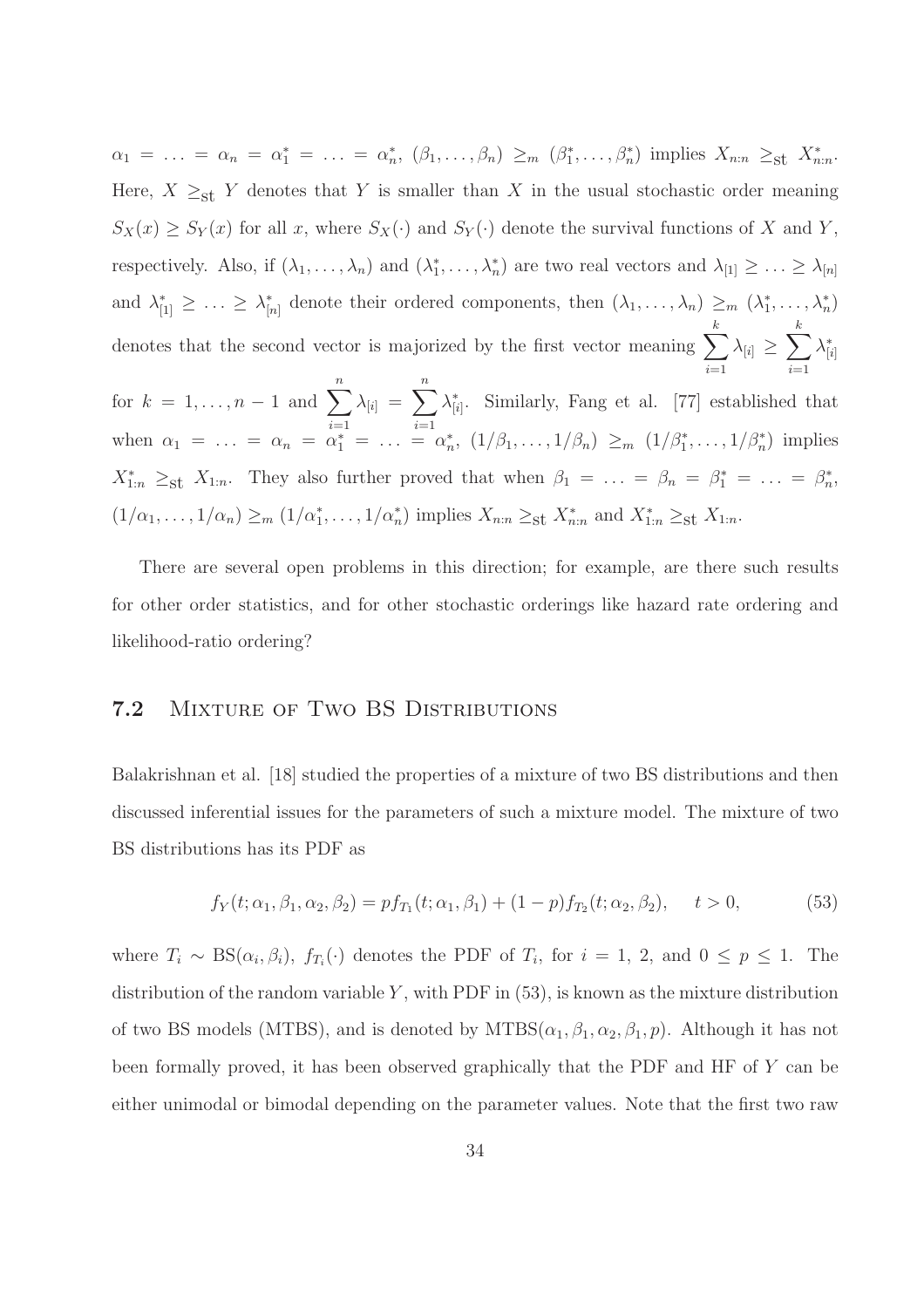$\alpha_1 = \ldots = \alpha_n = \alpha_1^* = \ldots = \alpha_n^*, \ (\beta_1, \ldots, \beta_n) \geq_m (\beta_1^*, \ldots, \beta_n^*) \ \text{implies} \ X_{n:n} \geq_{\text{st}} X_{n:n}^*$ Here,  $X \geq_{\text{st}} Y$  denotes that Y is smaller than X in the usual stochastic order meaning  $S_X(x) \geq S_Y(x)$  for all x, where  $S_X(\cdot)$  and  $S_Y(\cdot)$  denote the survival functions of X and Y, respectively. Also, if  $(\lambda_1,\ldots,\lambda_n)$  and  $(\lambda_1^*,\ldots,\lambda_n^*)$  are two real vectors and  $\lambda_{[1]}\geq\ldots\geq\lambda_{[n]}$ and  $\lambda_{[1]}^* \geq \ldots \geq \lambda_{[n]}^*$  denote their ordered components, then  $(\lambda_1, \ldots, \lambda_n) \geq_m (\lambda_1^*, \ldots, \lambda_n^*)$ denotes that the second vector is majorized by the first vector meaning  $\sum_{k=1}^{k}$  $i=1$  $\lambda_{[i]} \geq \sum^k$  $i=1$  $\lambda^*_{[i]}$ for  $k = 1, ..., n-1$  and  $\sum_{i=1}^{n} \lambda_{[i]} = \sum_{i=1}^{n} \lambda_{[i]}^*$ . Similarly, Fang et al. [77] established that  $i=1$   $i=1$ when  $\alpha_1 = \ldots = \alpha_n = \alpha_1^* = \ldots = \alpha_n^*$ ,  $(1/\beta_1, \ldots, 1/\beta_n) \geq_m (1/\beta_1^*, \ldots, 1/\beta_n^*)$  implies  $X_{1:n}^* \geq_{\text{st}} X_{1:n}$ . They also further proved that when  $\beta_1 = \ldots = \beta_n = \beta_1^* = \ldots = \beta_n^*$ ,  $(1/\alpha_1,\ldots,1/\alpha_n)\geq_m (1/\alpha_1^*,\ldots,1/\alpha_n^*)$  implies  $X_{n:n}\geq_{\text{st}} X_{n:n}^*$  and  $X_{1:n}^*\geq_{\text{st}} X_{1:n}$ .

There are several open problems in this direction; for example, are there such results for other order statistics, and for other stochastic orderings like hazard rate ordering and likelihood-ratio ordering?

## 7.2 MIXTURE OF TWO BS DISTRIBUTIONS

Balakrishnan et al. [18] studied the properties of a mixture of two BS distributions and then discussed inferential issues for the parameters of such a mixture model. The mixture of two BS distributions has its PDF as

$$
f_Y(t; \alpha_1, \beta_1, \alpha_2, \beta_2) = pf_{T_1}(t; \alpha_1, \beta_1) + (1 - p)f_{T_2}(t; \alpha_2, \beta_2), \quad t > 0,
$$
\n(53)

where  $T_i \sim BS(\alpha_i, \beta_i)$ ,  $f_{T_i}(\cdot)$  denotes the PDF of  $T_i$ , for  $i = 1, 2$ , and  $0 \le p \le 1$ . The distribution of the random variable  $Y$ , with PDF in  $(53)$ , is known as the mixture distribution of two BS models (MTBS), and is denoted by  $MTBS(\alpha_1, \beta_1, \alpha_2, \beta_1, p)$ . Although it has not been formally proved, it has been observed graphically that the PDF and HF of Y can be either unimodal or bimodal depending on the parameter values. Note that the first two raw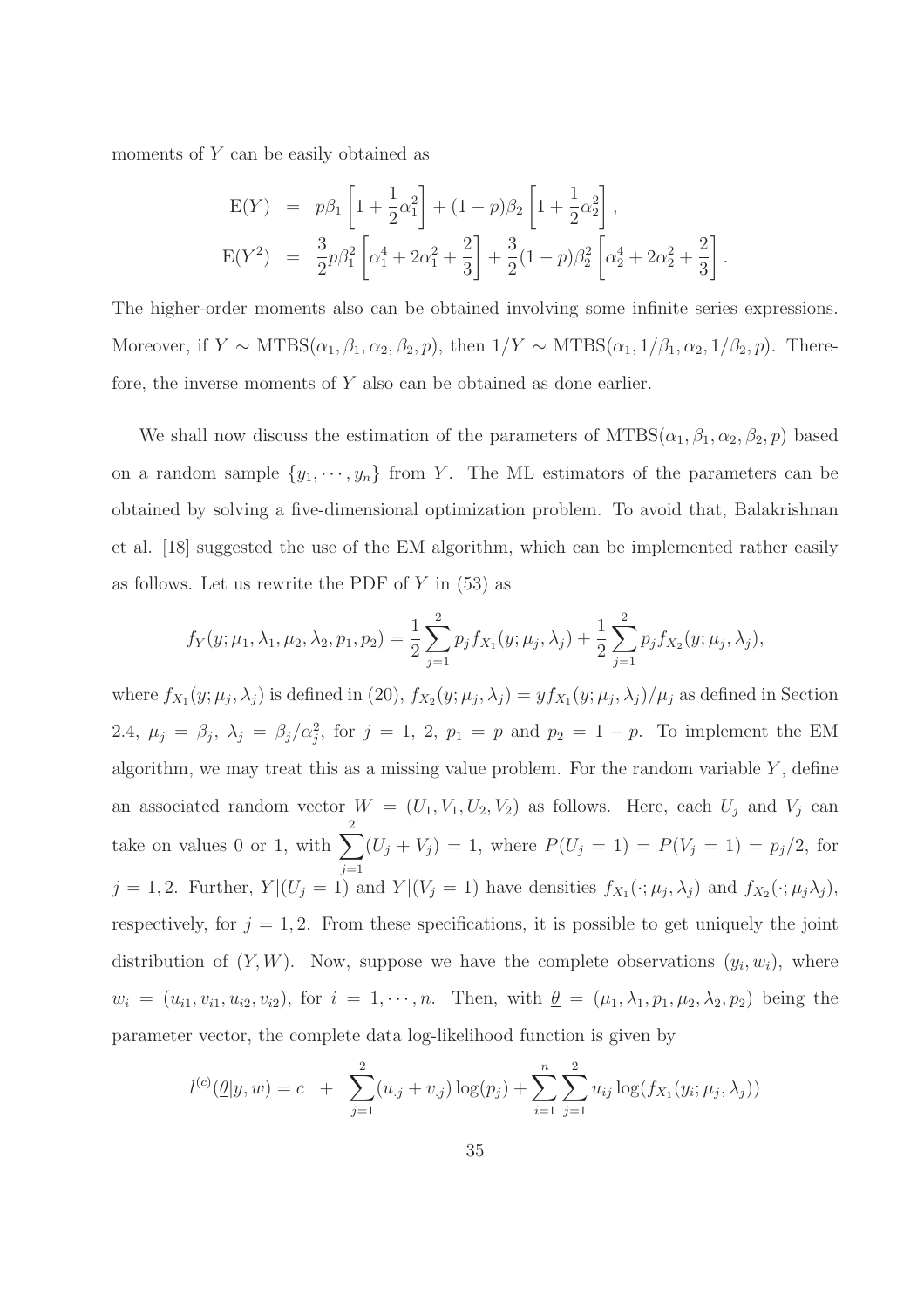moments of Y can be easily obtained as

$$
E(Y) = p\beta_1 \left[ 1 + \frac{1}{2} \alpha_1^2 \right] + (1 - p)\beta_2 \left[ 1 + \frac{1}{2} \alpha_2^2 \right],
$$
  
\n
$$
E(Y^2) = \frac{3}{2} p\beta_1^2 \left[ \alpha_1^4 + 2\alpha_1^2 + \frac{2}{3} \right] + \frac{3}{2} (1 - p)\beta_2^2 \left[ \alpha_2^4 + 2\alpha_2^2 + \frac{2}{3} \right].
$$

The higher-order moments also can be obtained involving some infinite series expressions. Moreover, if  $Y \sim \text{MTBS}(\alpha_1, \beta_1, \alpha_2, \beta_2, p)$ , then  $1/Y \sim \text{MTBS}(\alpha_1, 1/\beta_1, \alpha_2, 1/\beta_2, p)$ . Therefore, the inverse moments of Y also can be obtained as done earlier.

We shall now discuss the estimation of the parameters of  $MTBS(\alpha_1, \beta_1, \alpha_2, \beta_2, p)$  based on a random sample  $\{y_1, \dots, y_n\}$  from Y. The ML estimators of the parameters can be obtained by solving a five-dimensional optimization problem. To avoid that, Balakrishnan et al. [18] suggested the use of the EM algorithm, which can be implemented rather easily as follows. Let us rewrite the PDF of  $Y$  in  $(53)$  as

$$
f_Y(y; \mu_1, \lambda_1, \mu_2, \lambda_2, p_1, p_2) = \frac{1}{2} \sum_{j=1}^2 p_j f_{X_1}(y; \mu_j, \lambda_j) + \frac{1}{2} \sum_{j=1}^2 p_j f_{X_2}(y; \mu_j, \lambda_j),
$$

where  $f_{X_1}(y;\mu_j,\lambda_j)$  is defined in (20),  $f_{X_2}(y;\mu_j,\lambda_j)=yf_{X_1}(y;\mu_j,\lambda_j)/\mu_j$  as defined in Section 2.4,  $\mu_j = \beta_j$ ,  $\lambda_j = \beta_j / \alpha_j^2$ , for  $j = 1, 2, p_1 = p$  and  $p_2 = 1 - p$ . To implement the EM algorithm, we may treat this as a missing value problem. For the random variable  $Y$ , define an associated random vector  $W = (U_1, V_1, U_2, V_2)$  as follows. Here, each  $U_j$  and  $V_j$  can take on values 0 or 1, with  $\sum_{n=1}^{\infty}$  $j=1$  $(U_j + V_j) = 1$ , where  $P(U_j = 1) = P(V_j = 1) = p_j/2$ , for  $j = 1, 2$ . Further,  $Y | (U_j = 1)$  and  $Y | (V_j = 1)$  have densities  $f_{X_1}(\cdot; \mu_j, \lambda_j)$  and  $f_{X_2}(\cdot; \mu_j \lambda_j)$ , respectively, for  $j = 1, 2$ . From these specifications, it is possible to get uniquely the joint distribution of  $(Y, W)$ . Now, suppose we have the complete observations  $(y_i, w_i)$ , where  $w_i = (u_{i1}, v_{i1}, u_{i2}, v_{i2}),$  for  $i = 1, \dots, n$ . Then, with  $\underline{\theta} = (\mu_1, \lambda_1, p_1, \mu_2, \lambda_2, p_2)$  being the parameter vector, the complete data log-likelihood function is given by

$$
l^{(c)}(\underline{\theta}|y,w) = c + \sum_{j=1}^{2} (u_{\cdot j} + v_{\cdot j}) \log(p_j) + \sum_{i=1}^{n} \sum_{j=1}^{2} u_{ij} \log(f_{X_1}(y_i; \mu_j, \lambda_j))
$$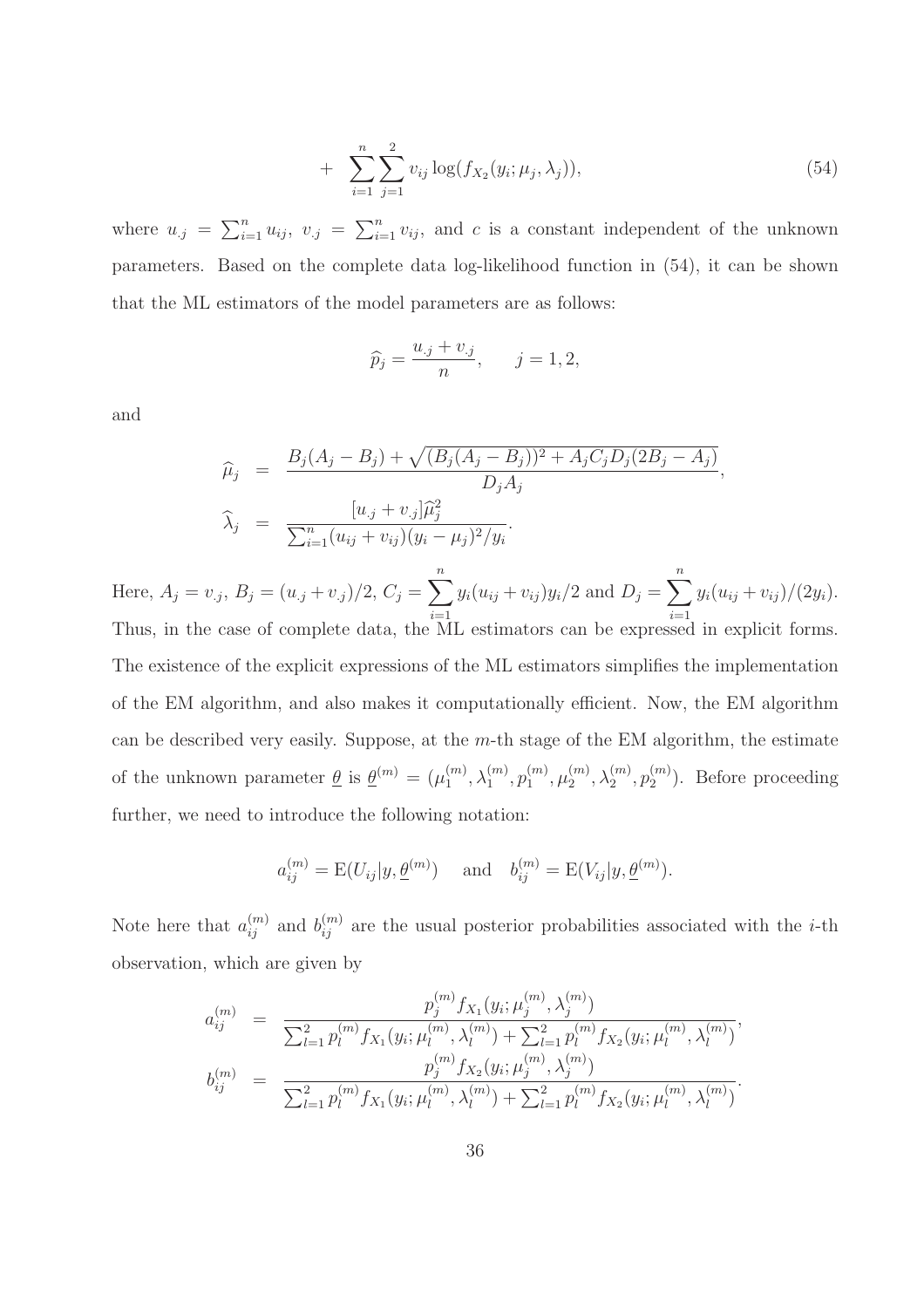+ 
$$
\sum_{i=1}^{n} \sum_{j=1}^{2} v_{ij} \log(f_{X_2}(y_i; \mu_j, \lambda_j)),
$$
 (54)

where  $u_{.j} = \sum_{i=1}^{n} u_{ij}$ ,  $v_{.j} = \sum_{i=1}^{n} v_{ij}$ , and c is a constant independent of the unknown parameters. Based on the complete data log-likelihood function in (54), it can be shown that the ML estimators of the model parameters are as follows:

$$
\widehat{p}_j = \frac{u_{\cdot j} + v_{\cdot j}}{n}, \qquad j = 1, 2,
$$

and

$$
\widehat{\mu}_j = \frac{B_j(A_j - B_j) + \sqrt{(B_j(A_j - B_j))^2 + A_j C_j D_j (2B_j - A_j)}}{D_j A_j},
$$
  

$$
\widehat{\lambda}_j = \frac{[u_{.j} + v_{.j}]\widehat{\mu}_j^2}{\sum_{i=1}^n (u_{ij} + v_{ij})(y_i - \mu_j)^2 / y_i}.
$$

Here,  $A_j = v_{.j}, B_j = (u_{.j} + v_{.j})/2, C_j = \sum_{j=1}^{n}$  $i=1$  $y_i(u_{ij} + v_{ij})y_i/2$  and  $D_j = \sum_{i=1}^n$  $i=1$  $y_i(u_{ij} + v_{ij})/(2y_i).$ Thus, in the case of complete data, the ML estimators can be expressed in explicit forms. The existence of the explicit expressions of the ML estimators simplifies the implementation of the EM algorithm, and also makes it computationally efficient. Now, the EM algorithm can be described very easily. Suppose, at the  $m$ -th stage of the EM algorithm, the estimate of the unknown parameter  $\underline{\theta}$  is  $\underline{\theta}^{(m)} = (\mu_1^{(m)})$  $\mathcal{h}^{(m)}_1, \lambda^{(m)}_1, p^{(m)}_1$  $_{1}^{(m)},\mu_{2}^{(m)}$  $\lambda_2^{(m)},\lambda_2^{(m)},p_2^{(m)}$  $2^{(m)}$ ). Before proceeding further, we need to introduce the following notation:

$$
a_{ij}^{(m)} = E(U_{ij}|y, \underline{\theta}^{(m)})
$$
 and  $b_{ij}^{(m)} = E(V_{ij}|y, \underline{\theta}^{(m)}).$ 

Note here that  $a_{ij}^{(m)}$  and  $b_{ij}^{(m)}$  are the usual posterior probabilities associated with the *i*-th observation, which are given by

$$
a_{ij}^{(m)} = \frac{p_j^{(m)} f_{X_1}(y_i; \mu_j^{(m)}, \lambda_j^{(m)})}{\sum_{l=1}^2 p_l^{(m)} f_{X_1}(y_i; \mu_l^{(m)}, \lambda_l^{(m)}) + \sum_{l=1}^2 p_l^{(m)} f_{X_2}(y_i; \mu_l^{(m)}, \lambda_l^{(m)})},
$$
  

$$
b_{ij}^{(m)} = \frac{p_j^{(m)} f_{X_2}(y_i; \mu_j^{(m)}, \lambda_j^{(m)})}{\sum_{l=1}^2 p_l^{(m)} f_{X_1}(y_i; \mu_l^{(m)}, \lambda_l^{(m)}) + \sum_{l=1}^2 p_l^{(m)} f_{X_2}(y_i; \mu_l^{(m)}, \lambda_l^{(m)})}.
$$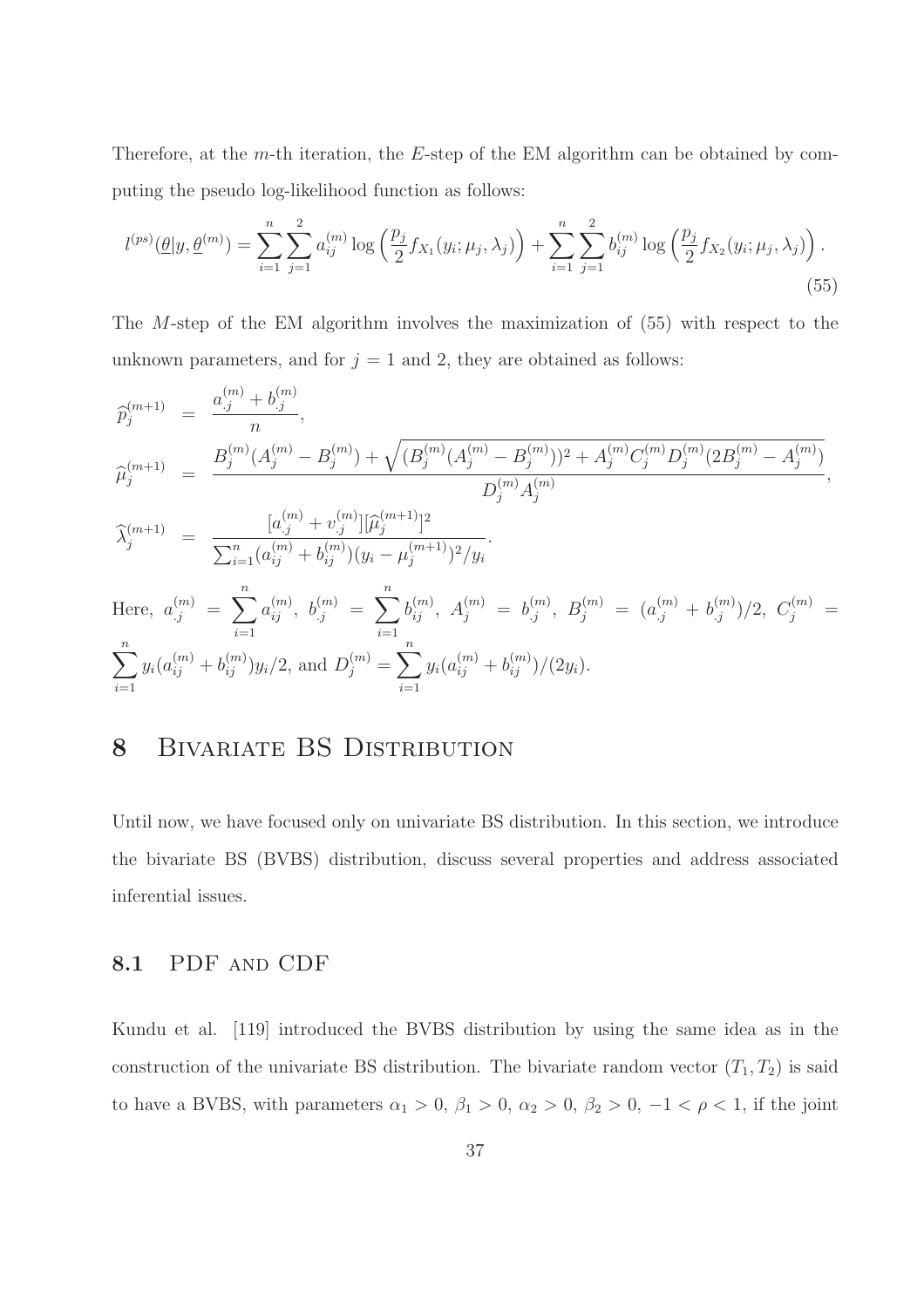Therefore, at the m-th iteration, the E-step of the EM algorithm can be obtained by computing the pseudo log-likelihood function as follows:

$$
l^{(ps)}(\underline{\theta}|y, \underline{\theta}^{(m)}) = \sum_{i=1}^{n} \sum_{j=1}^{2} a_{ij}^{(m)} \log \left( \frac{p_j}{2} f_{X_1}(y_i; \mu_j, \lambda_j) \right) + \sum_{i=1}^{n} \sum_{j=1}^{2} b_{ij}^{(m)} \log \left( \frac{p_j}{2} f_{X_2}(y_i; \mu_j, \lambda_j) \right).
$$
\n(55)

The M-step of the EM algorithm involves the maximization of (55) with respect to the unknown parameters, and for  $j = 1$  and 2, they are obtained as follows:

$$
\begin{aligned}\n\widehat{p}_{j}^{(m+1)} &= \frac{a_{.j}^{(m)} + b_{.j}^{(m)}}{n}, \\
\widehat{\mu}_{j}^{(m+1)} &= \frac{B_{j}^{(m)}(A_{j}^{(m)} - B_{j}^{(m)}) + \sqrt{(B_{j}^{(m)}(A_{j}^{(m)} - B_{j}^{(m)}))^2 + A_{j}^{(m)}C_{j}^{(m)}D_{j}^{(m)}(2B_{j}^{(m)} - A_{j}^{(m)})}}{D_{j}^{(m)}A_{j}^{(m)}} \\
\widehat{\lambda}_{j}^{(m+1)} &= \frac{[a_{.j}^{(m)} + v_{.j}^{(m)}][\widehat{\mu}_{j}^{(m+1)}]^2}{\sum_{i=1}^{n} (a_{ij}^{(m)} + b_{ij}^{(m)})(y_i - \mu_{j}^{(m+1)})^2/y_i}.\n\end{aligned}
$$
\nHere,  $a_{.j}^{(m)} = \sum_{i=1}^{n} a_{ij}^{(m)}, b_{.j}^{(m)} = \sum_{i=1}^{n} b_{ij}^{(m)}, A_{j}^{(m)} = b_{.j}^{(m)}, B_{j}^{(m)} = (a_{.j}^{(m)} + b_{.j}^{(m)})/2, C_{j}^{(m)} = n$ 

$$
\sum_{i=1}^{n} y_i (a_{ij}^{(m)} + b_{ij}^{(m)}) y_i/2, \text{ and } D_j^{(m)} = \sum_{i=1}^{n} y_i (a_{ij}^{(m)} + b_{ij}^{(m)})/(2y_i).
$$

# 8 BIVARIATE BS DISTRIBUTION

Until now, we have focused only on univariate BS distribution. In this section, we introduce the bivariate BS (BVBS) distribution, discuss several properties and address associated inferential issues.

#### 8.1 PDF and CDF

Kundu et al. [119] introduced the BVBS distribution by using the same idea as in the construction of the univariate BS distribution. The bivariate random vector  $(T_1, T_2)$  is said to have a BVBS, with parameters  $\alpha_1 > 0$ ,  $\beta_1 > 0$ ,  $\alpha_2 > 0$ ,  $\beta_2 > 0$ ,  $-1 < \rho < 1$ , if the joint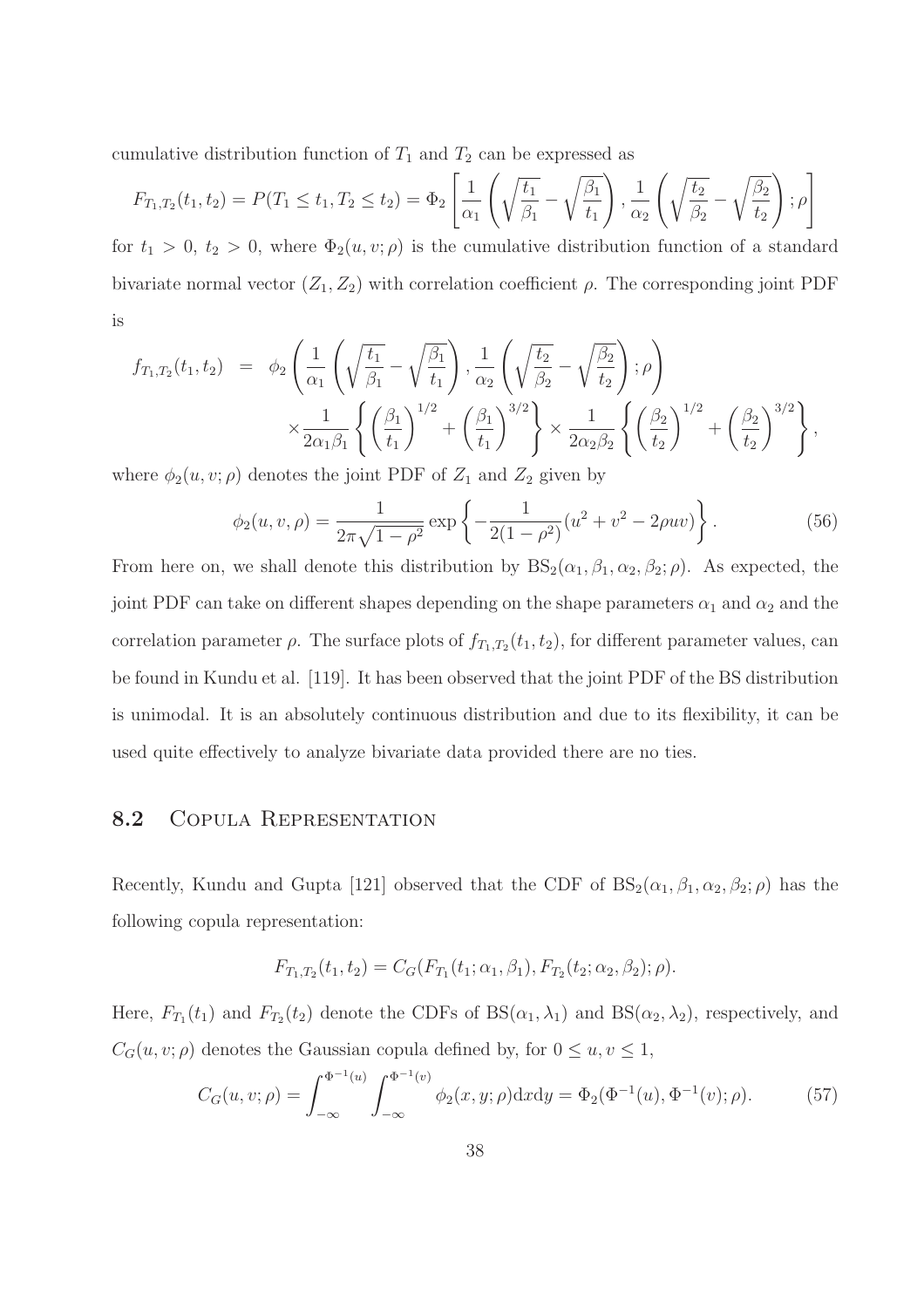cumulative distribution function of  $T_1$  and  $T_2$  can be expressed as

$$
F_{T_1,T_2}(t_1,t_2) = P(T_1 \le t_1, T_2 \le t_2) = \Phi_2 \left[ \frac{1}{\alpha_1} \left( \sqrt{\frac{t_1}{\beta_1}} - \sqrt{\frac{\beta_1}{t_1}} \right), \frac{1}{\alpha_2} \left( \sqrt{\frac{t_2}{\beta_2}} - \sqrt{\frac{\beta_2}{t_2}} \right); \rho \right]
$$

for  $t_1 > 0$ ,  $t_2 > 0$ , where  $\Phi_2(u, v; \rho)$  is the cumulative distribution function of a standard bivariate normal vector  $(Z_1, Z_2)$  with correlation coefficient  $\rho$ . The corresponding joint PDF is

$$
f_{T_1,T_2}(t_1, t_2) = \phi_2 \left( \frac{1}{\alpha_1} \left( \sqrt{\frac{t_1}{\beta_1}} - \sqrt{\frac{\beta_1}{t_1}} \right), \frac{1}{\alpha_2} \left( \sqrt{\frac{t_2}{\beta_2}} - \sqrt{\frac{\beta_2}{t_2}} \right); \rho \right) \times \frac{1}{2\alpha_1 \beta_1} \left\{ \left( \frac{\beta_1}{t_1} \right)^{1/2} + \left( \frac{\beta_1}{t_1} \right)^{3/2} \right\} \times \frac{1}{2\alpha_2 \beta_2} \left\{ \left( \frac{\beta_2}{t_2} \right)^{1/2} + \left( \frac{\beta_2}{t_2} \right)^{3/2} \right\},
$$

where  $\phi_2(u, v; \rho)$  denotes the joint PDF of  $Z_1$  and  $Z_2$  given by

$$
\phi_2(u, v, \rho) = \frac{1}{2\pi\sqrt{1 - \rho^2}} \exp\left\{-\frac{1}{2(1 - \rho^2)}(u^2 + v^2 - 2\rho uv)\right\}.
$$
\n(56)

From here on, we shall denote this distribution by  $BS_2(\alpha_1, \beta_1, \alpha_2, \beta_2; \rho)$ . As expected, the joint PDF can take on different shapes depending on the shape parameters  $\alpha_1$  and  $\alpha_2$  and the correlation parameter  $\rho$ . The surface plots of  $f_{T_1,T_2}(t_1,t_2)$ , for different parameter values, can be found in Kundu et al. [119]. It has been observed that the joint PDF of the BS distribution is unimodal. It is an absolutely continuous distribution and due to its flexibility, it can be used quite effectively to analyze bivariate data provided there are no ties.

## 8.2 COPULA REPRESENTATION

Recently, Kundu and Gupta [121] observed that the CDF of  $BS_2(\alpha_1, \beta_1, \alpha_2, \beta_2; \rho)$  has the following copula representation:

$$
F_{T_1,T_2}(t_1,t_2) = C_G(F_{T_1}(t_1;\alpha_1,\beta_1), F_{T_2}(t_2;\alpha_2,\beta_2); \rho).
$$

Here,  $F_{T_1}(t_1)$  and  $F_{T_2}(t_2)$  denote the CDFs of BS( $\alpha_1, \lambda_1$ ) and BS( $\alpha_2, \lambda_2$ ), respectively, and  $C_G(u, v; \rho)$  denotes the Gaussian copula defined by, for  $0 \le u, v \le 1$ ,

$$
C_G(u, v; \rho) = \int_{-\infty}^{\Phi^{-1}(u)} \int_{-\infty}^{\Phi^{-1}(v)} \phi_2(x, y; \rho) \, dx \, dy = \Phi_2(\Phi^{-1}(u), \Phi^{-1}(v); \rho). \tag{57}
$$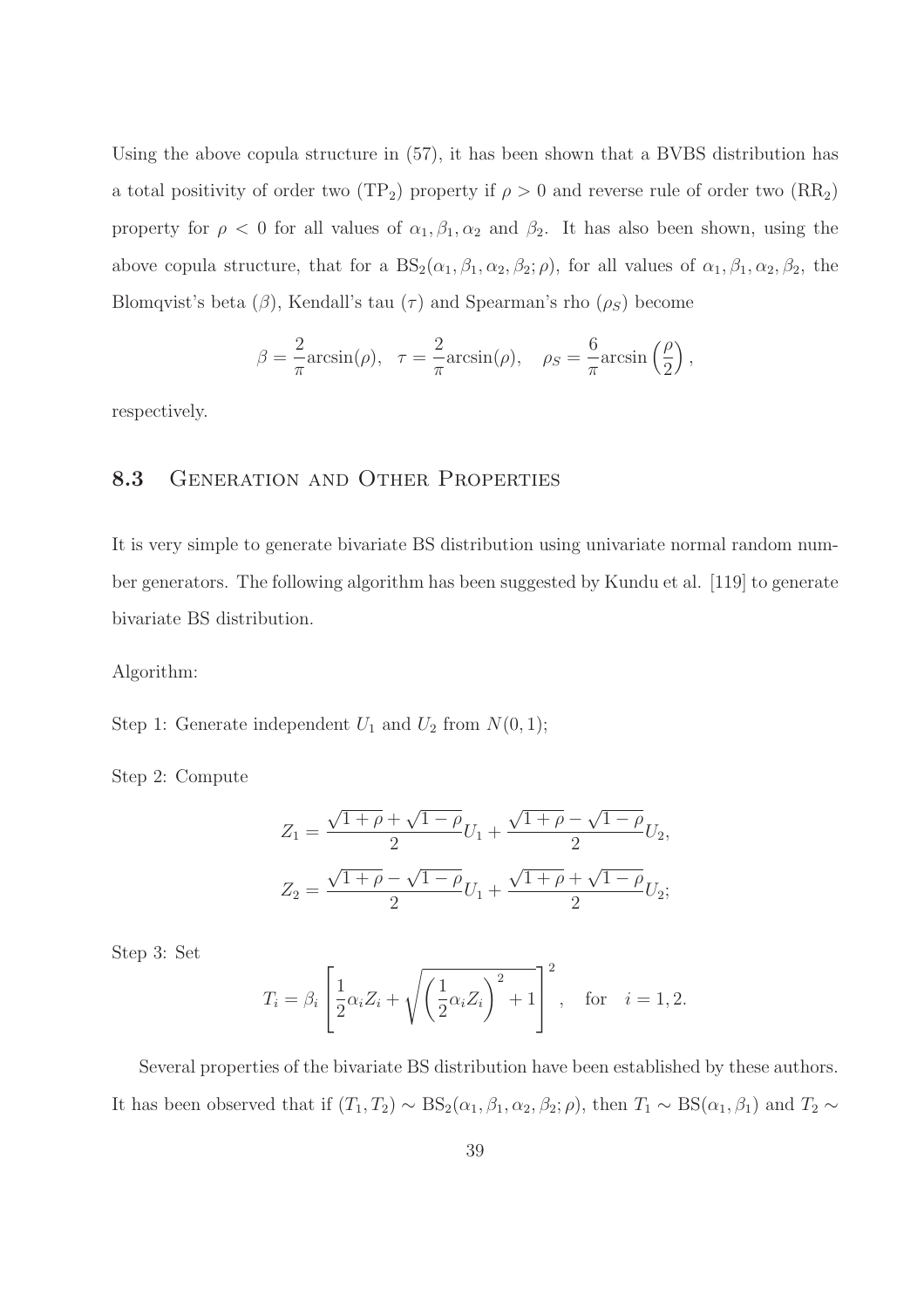Using the above copula structure in (57), it has been shown that a BVBS distribution has a total positivity of order two (TP<sub>2</sub>) property if  $\rho > 0$  and reverse rule of order two (RR<sub>2</sub>) property for  $\rho < 0$  for all values of  $\alpha_1, \beta_1, \alpha_2$  and  $\beta_2$ . It has also been shown, using the above copula structure, that for a  $BS_2(\alpha_1, \beta_1, \alpha_2, \beta_2; \rho)$ , for all values of  $\alpha_1, \beta_1, \alpha_2, \beta_2$ , the Blomqvist's beta  $(\beta)$ , Kendall's tau  $(\tau)$  and Spearman's rho  $(\rho_S)$  become

$$
\beta = \frac{2}{\pi} \arcsin(\rho), \quad \tau = \frac{2}{\pi} \arcsin(\rho), \quad \rho_S = \frac{6}{\pi} \arcsin\left(\frac{\rho}{2}\right),
$$

respectively.

#### 8.3 GENERATION AND OTHER PROPERTIES

It is very simple to generate bivariate BS distribution using univariate normal random number generators. The following algorithm has been suggested by Kundu et al. [119] to generate bivariate BS distribution.

Algorithm:

Step 1: Generate independent  $U_1$  and  $U_2$  from  $N(0, 1)$ ;

Step 2: Compute

$$
Z_1 = \frac{\sqrt{1+\rho} + \sqrt{1-\rho}}{2}U_1 + \frac{\sqrt{1+\rho} - \sqrt{1-\rho}}{2}U_2,
$$
  

$$
Z_2 = \frac{\sqrt{1+\rho} - \sqrt{1-\rho}}{2}U_1 + \frac{\sqrt{1+\rho} + \sqrt{1-\rho}}{2}U_2;
$$

Step 3: Set

$$
T_i = \beta_i \left[ \frac{1}{2} \alpha_i Z_i + \sqrt{\left(\frac{1}{2} \alpha_i Z_i\right)^2 + 1} \right]^2, \text{ for } i = 1, 2.
$$

Several properties of the bivariate BS distribution have been established by these authors. It has been observed that if  $(T_1, T_2) \sim BS_2(\alpha_1, \beta_1, \alpha_2, \beta_2; \rho)$ , then  $T_1 \sim BS(\alpha_1, \beta_1)$  and  $T_2 \sim$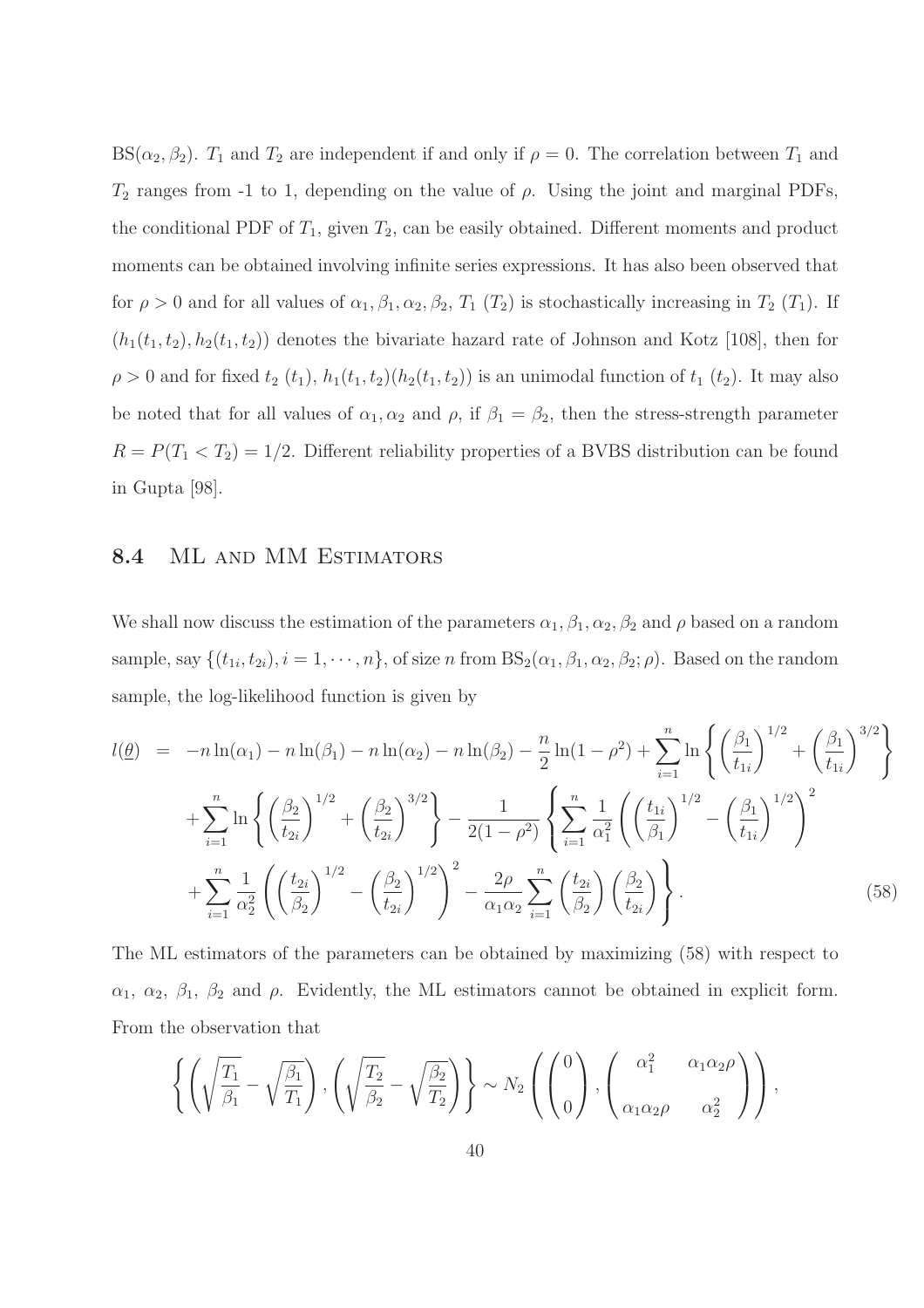BS( $\alpha_2, \beta_2$ ).  $T_1$  and  $T_2$  are independent if and only if  $\rho = 0$ . The correlation between  $T_1$  and  $T_2$  ranges from -1 to 1, depending on the value of  $\rho$ . Using the joint and marginal PDFs, the conditional PDF of  $T_1$ , given  $T_2$ , can be easily obtained. Different moments and product moments can be obtained involving infinite series expressions. It has also been observed that for  $\rho > 0$  and for all values of  $\alpha_1, \beta_1, \alpha_2, \beta_2, T_1$  (T<sub>2</sub>) is stochastically increasing in T<sub>2</sub> (T<sub>1</sub>). If  $(h_1(t_1, t_2), h_2(t_1, t_2))$  denotes the bivariate hazard rate of Johnson and Kotz [108], then for  $\rho > 0$  and for fixed  $t_2(t_1)$ ,  $h_1(t_1, t_2)(h_2(t_1, t_2))$  is an unimodal function of  $t_1(t_2)$ . It may also be noted that for all values of  $\alpha_1, \alpha_2$  and  $\rho$ , if  $\beta_1 = \beta_2$ , then the stress-strength parameter  $R = P(T_1 < T_2) = 1/2$ . Different reliability properties of a BVBS distribution can be found in Gupta [98].

#### 8.4 ML AND MM ESTIMATORS

We shall now discuss the estimation of the parameters  $\alpha_1, \beta_1, \alpha_2, \beta_2$  and  $\rho$  based on a random sample, say  $\{(t_{1i}, t_{2i}), i = 1, \cdots, n\}$ , of size n from  $BS_2(\alpha_1, \beta_1, \alpha_2, \beta_2; \rho)$ . Based on the random sample, the log-likelihood function is given by

$$
l(\underline{\theta}) = -n \ln(\alpha_1) - n \ln(\beta_1) - n \ln(\alpha_2) - n \ln(\beta_2) - \frac{n}{2} \ln(1 - \rho^2) + \sum_{i=1}^n \ln \left\{ \left(\frac{\beta_1}{t_{1i}}\right)^{1/2} + \left(\frac{\beta_1}{t_{1i}}\right)^{3/2} \right\} + \sum_{i=1}^n \ln \left\{ \left(\frac{\beta_2}{t_{2i}}\right)^{1/2} + \left(\frac{\beta_2}{t_{2i}}\right)^{3/2} \right\} - \frac{1}{2(1 - \rho^2)} \left\{ \sum_{i=1}^n \frac{1}{\alpha_1^2} \left( \left(\frac{t_{1i}}{\beta_1}\right)^{1/2} - \left(\frac{\beta_1}{t_{1i}}\right)^{1/2} \right)^2 + \sum_{i=1}^n \frac{1}{\alpha_2^2} \left( \left(\frac{t_{2i}}{\beta_2}\right)^{1/2} - \left(\frac{\beta_2}{t_{2i}}\right)^{1/2} \right)^2 - \frac{2\rho}{\alpha_1 \alpha_2} \sum_{i=1}^n \left(\frac{t_{2i}}{\beta_2}\right) \left(\frac{\beta_2}{t_{2i}}\right) \right\}.
$$
\n(58)

The ML estimators of the parameters can be obtained by maximizing (58) with respect to  $\alpha_1, \alpha_2, \beta_1, \beta_2$  and  $\rho$ . Evidently, the ML estimators cannot be obtained in explicit form. From the observation that

$$
\left\{ \left( \sqrt{\frac{T_1}{\beta_1}} - \sqrt{\frac{\beta_1}{T_1}} \right), \left( \sqrt{\frac{T_2}{\beta_2}} - \sqrt{\frac{\beta_2}{T_2}} \right) \right\} \sim N_2 \left( \begin{pmatrix} 0 \\ 0 \end{pmatrix}, \begin{pmatrix} \alpha_1^2 & \alpha_1 \alpha_2 \rho \\ \alpha_1 \alpha_2 \rho & \alpha_2^2 \end{pmatrix} \right),
$$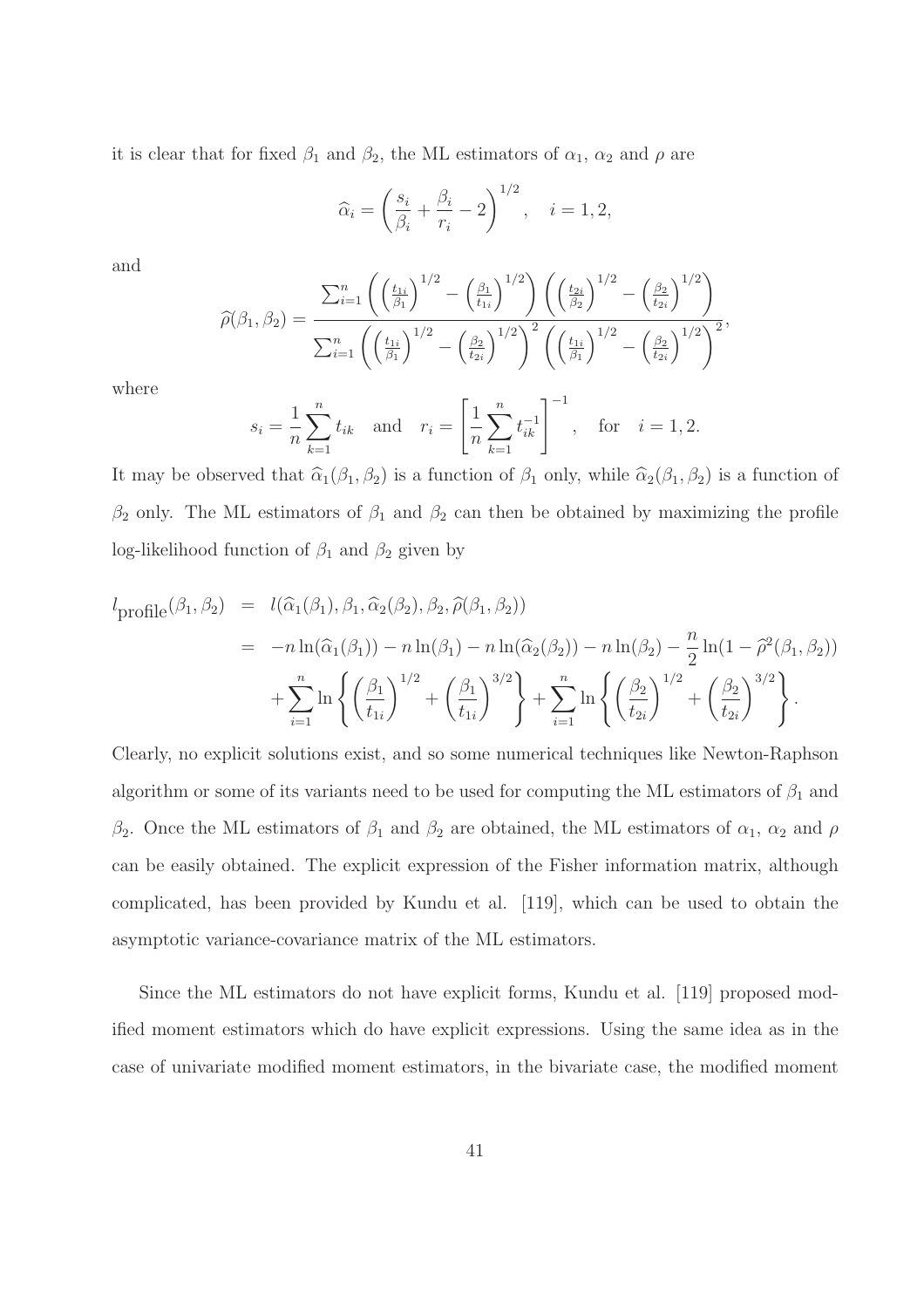it is clear that for fixed  $\beta_1$  and  $\beta_2$ , the ML estimators of  $\alpha_1$ ,  $\alpha_2$  and  $\rho$  are

$$
\widehat{\alpha}_i = \left(\frac{s_i}{\beta_i} + \frac{\beta_i}{r_i} - 2\right)^{1/2}, \quad i = 1, 2,
$$

and

$$
\widehat{\rho}(\beta_1, \beta_2) = \frac{\sum_{i=1}^n \left( \left(\frac{t_{1i}}{\beta_1}\right)^{1/2} - \left(\frac{\beta_1}{t_{1i}}\right)^{1/2} \right) \left( \left(\frac{t_{2i}}{\beta_2}\right)^{1/2} - \left(\frac{\beta_2}{t_{2i}}\right)^{1/2} \right)}{\sum_{i=1}^n \left( \left(\frac{t_{1i}}{\beta_1}\right)^{1/2} - \left(\frac{\beta_2}{t_{2i}}\right)^{1/2} \right)^2 \left( \left(\frac{t_{1i}}{\beta_1}\right)^{1/2} - \left(\frac{\beta_2}{t_{2i}}\right)^{1/2} \right)^2},
$$

where

$$
s_i = \frac{1}{n} \sum_{k=1}^n t_{ik}
$$
 and  $r_i = \left[ \frac{1}{n} \sum_{k=1}^n t_{ik}^{-1} \right]^{-1}$ , for  $i = 1, 2$ .

It may be observed that  $\hat{\alpha}_1(\beta_1, \beta_2)$  is a function of  $\beta_1$  only, while  $\hat{\alpha}_2(\beta_1, \beta_2)$  is a function of  $\beta_2$  only. The ML estimators of  $\beta_1$  and  $\beta_2$  can then be obtained by maximizing the profile log-likelihood function of  $\beta_1$  and  $\beta_2$  given by

$$
l_{\text{profile}}(\beta_1, \beta_2) = l(\hat{\alpha}_1(\beta_1), \beta_1, \hat{\alpha}_2(\beta_2), \beta_2, \hat{\rho}(\beta_1, \beta_2))
$$
  
=  $-n \ln(\hat{\alpha}_1(\beta_1)) - n \ln(\beta_1) - n \ln(\hat{\alpha}_2(\beta_2)) - n \ln(\beta_2) - \frac{n}{2} \ln(1 - \hat{\rho}^2(\beta_1, \beta_2))$   
+  $\sum_{i=1}^n \ln \left\{ \left(\frac{\beta_1}{t_{1i}}\right)^{1/2} + \left(\frac{\beta_1}{t_{1i}}\right)^{3/2} \right\} + \sum_{i=1}^n \ln \left\{ \left(\frac{\beta_2}{t_{2i}}\right)^{1/2} + \left(\frac{\beta_2}{t_{2i}}\right)^{3/2} \right\}.$ 

Clearly, no explicit solutions exist, and so some numerical techniques like Newton-Raphson algorithm or some of its variants need to be used for computing the ML estimators of  $\beta_1$  and β<sub>2</sub>. Once the ML estimators of  $β_1$  and  $β_2$  are obtained, the ML estimators of  $α_1$ ,  $α_2$  and  $ρ$ can be easily obtained. The explicit expression of the Fisher information matrix, although complicated, has been provided by Kundu et al. [119], which can be used to obtain the asymptotic variance-covariance matrix of the ML estimators.

Since the ML estimators do not have explicit forms, Kundu et al. [119] proposed modified moment estimators which do have explicit expressions. Using the same idea as in the case of univariate modified moment estimators, in the bivariate case, the modified moment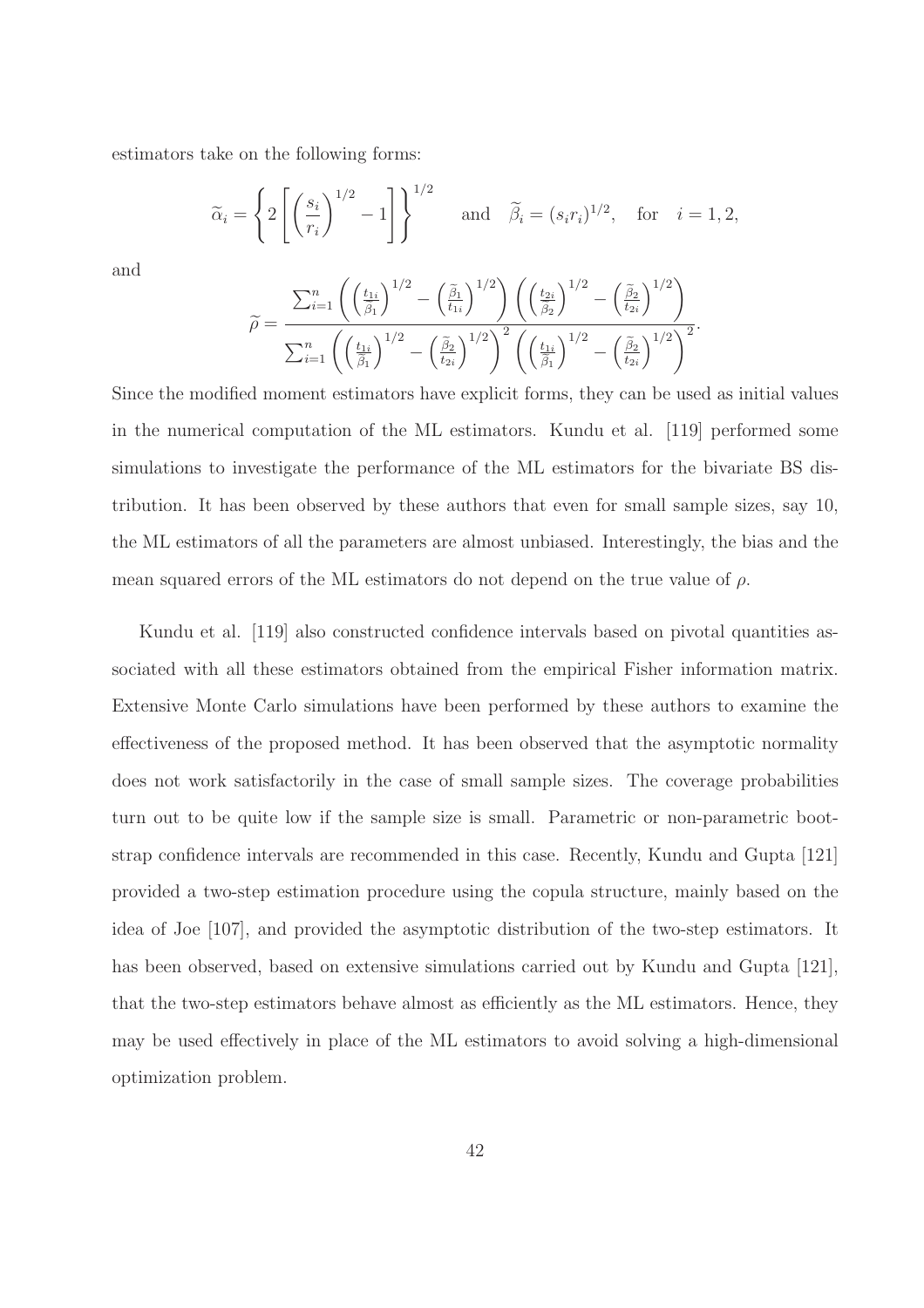estimators take on the following forms:

$$
\widetilde{\alpha}_i = \left\{ 2 \left[ \left( \frac{s_i}{r_i} \right)^{1/2} - 1 \right] \right\}^{1/2} \quad \text{and} \quad \widetilde{\beta}_i = (s_i r_i)^{1/2}, \quad \text{for} \quad i = 1, 2,
$$

and

$$
\widetilde{\rho} = \frac{\sum_{i=1}^{n} \left( \left(\frac{t_{1i}}{\widetilde{\beta}_{1}}\right)^{1/2} - \left(\frac{\widetilde{\beta}_{1}}{t_{1i}}\right)^{1/2}\right) \left( \left(\frac{t_{2i}}{\widetilde{\beta}_{2}}\right)^{1/2} - \left(\frac{\widetilde{\beta}_{2}}{t_{2i}}\right)^{1/2}\right)}{\sum_{i=1}^{n} \left( \left(\frac{t_{1i}}{\widetilde{\beta}_{1}}\right)^{1/2} - \left(\frac{\widetilde{\beta}_{2}}{t_{2i}}\right)^{1/2}\right)^{2} \left( \left(\frac{t_{1i}}{\widetilde{\beta}_{1}}\right)^{1/2} - \left(\frac{\widetilde{\beta}_{2}}{t_{2i}}\right)^{1/2}\right)^{2}}.
$$

Since the modified moment estimators have explicit forms, they can be used as initial values in the numerical computation of the ML estimators. Kundu et al. [119] performed some simulations to investigate the performance of the ML estimators for the bivariate BS distribution. It has been observed by these authors that even for small sample sizes, say 10, the ML estimators of all the parameters are almost unbiased. Interestingly, the bias and the mean squared errors of the ML estimators do not depend on the true value of  $\rho$ .

Kundu et al. [119] also constructed confidence intervals based on pivotal quantities associated with all these estimators obtained from the empirical Fisher information matrix. Extensive Monte Carlo simulations have been performed by these authors to examine the effectiveness of the proposed method. It has been observed that the asymptotic normality does not work satisfactorily in the case of small sample sizes. The coverage probabilities turn out to be quite low if the sample size is small. Parametric or non-parametric bootstrap confidence intervals are recommended in this case. Recently, Kundu and Gupta [121] provided a two-step estimation procedure using the copula structure, mainly based on the idea of Joe [107], and provided the asymptotic distribution of the two-step estimators. It has been observed, based on extensive simulations carried out by Kundu and Gupta [121], that the two-step estimators behave almost as efficiently as the ML estimators. Hence, they may be used effectively in place of the ML estimators to avoid solving a high-dimensional optimization problem.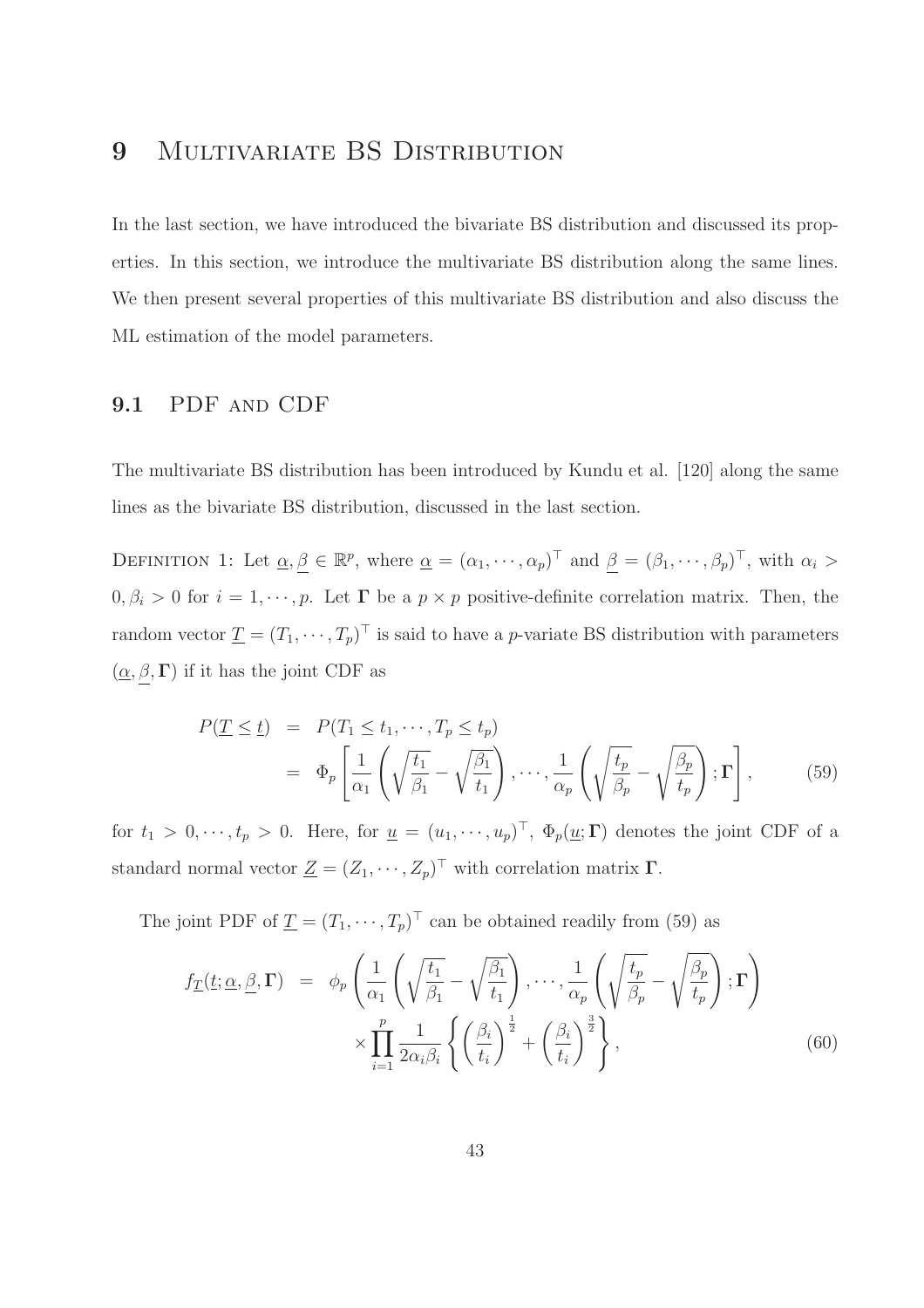# 9 MULTIVARIATE BS DISTRIBUTION

In the last section, we have introduced the bivariate BS distribution and discussed its properties. In this section, we introduce the multivariate BS distribution along the same lines. We then present several properties of this multivariate BS distribution and also discuss the ML estimation of the model parameters.

### 9.1 PDF and CDF

The multivariate BS distribution has been introduced by Kundu et al. [120] along the same lines as the bivariate BS distribution, discussed in the last section.

DEFINITION 1: Let  $\underline{\alpha}, \underline{\beta} \in \mathbb{R}^p$ , where  $\underline{\alpha} = (\alpha_1, \dots, \alpha_p)^\top$  and  $\underline{\beta} = (\beta_1, \dots, \beta_p)^\top$ , with  $\alpha_i >$  $0, \beta_i > 0$  for  $i = 1, \dots, p$ . Let  $\Gamma$  be a  $p \times p$  positive-definite correlation matrix. Then, the random vector  $\underline{T} = (T_1, \dots, T_p)^\top$  is said to have a *p*-variate BS distribution with parameters  $(\underline{\alpha}, \beta, \Gamma)$  if it has the joint CDF as

$$
P(\underline{T} \leq \underline{t}) = P(T_1 \leq t_1, \cdots, T_p \leq t_p)
$$
  
=  $\Phi_p \left[ \frac{1}{\alpha_1} \left( \sqrt{\frac{t_1}{\beta_1}} - \sqrt{\frac{\beta_1}{t_1}} \right), \cdots, \frac{1}{\alpha_p} \left( \sqrt{\frac{t_p}{\beta_p}} - \sqrt{\frac{\beta_p}{t_p}} \right); \Gamma \right],$  (59)

for  $t_1 > 0, \dots, t_p > 0$ . Here, for  $\underline{u} = (u_1, \dots, u_p)^\top$ ,  $\Phi_p(\underline{u}; \Gamma)$  denotes the joint CDF of a standard normal vector  $\underline{Z} = (Z_1, \cdots, Z_p)^\top$  with correlation matrix  $\Gamma$ .

The joint PDF of  $\underline{T} = (T_1, \dots, T_p)^\top$  can be obtained readily from (59) as

$$
f_{\underline{T}}(\underline{t}; \underline{\alpha}, \underline{\beta}, \Gamma) = \phi_p \left( \frac{1}{\alpha_1} \left( \sqrt{\frac{t_1}{\beta_1}} - \sqrt{\frac{\beta_1}{t_1}} \right), \cdots, \frac{1}{\alpha_p} \left( \sqrt{\frac{t_p}{\beta_p}} - \sqrt{\frac{\beta_p}{t_p}} \right); \Gamma \right) \times \prod_{i=1}^p \frac{1}{2\alpha_i \beta_i} \left\{ \left( \frac{\beta_i}{t_i} \right)^{\frac{1}{2}} + \left( \frac{\beta_i}{t_i} \right)^{\frac{3}{2}} \right\},
$$
\n(60)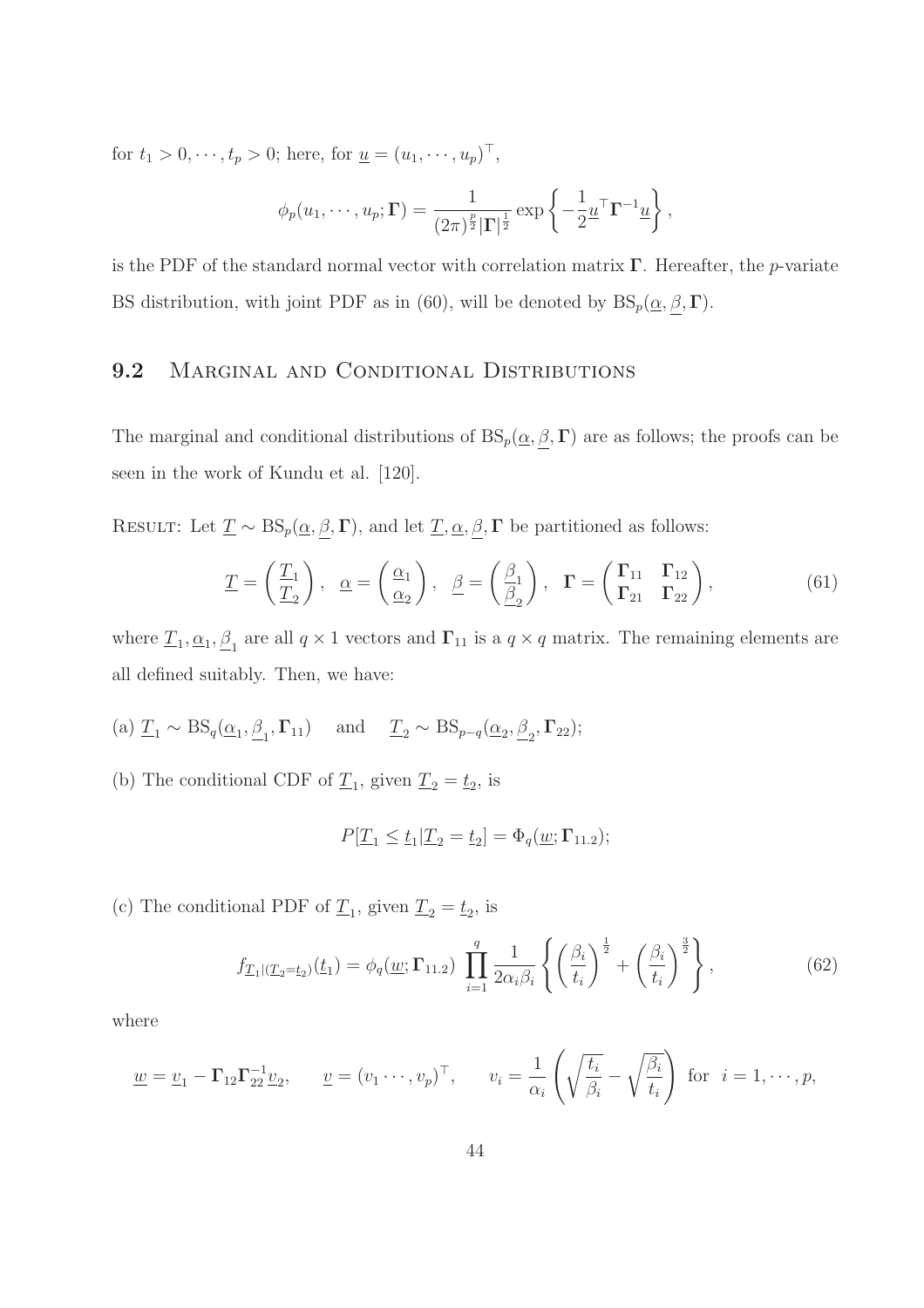for  $t_1 > 0, \dots, t_p > 0$ ; here, for  $\underline{u} = (u_1, \dots, u_p)^\top$ ,

$$
\phi_p(u_1,\dots,u_p;\mathbf{\Gamma}) = \frac{1}{(2\pi)^{\frac{p}{2}}|\mathbf{\Gamma}|^{\frac{1}{2}}} \exp\left\{-\frac{1}{2}u^{\top}\mathbf{\Gamma}^{-1}u\right\},\,
$$

is the PDF of the standard normal vector with correlation matrix  $\Gamma$ . Hereafter, the *p*-variate BS distribution, with joint PDF as in (60), will be denoted by  $BS_p(\underline{\alpha}, \beta, \Gamma)$ .

### 9.2 MARGINAL AND CONDITIONAL DISTRIBUTIONS

The marginal and conditional distributions of  $BS_p(\underline{\alpha}, \beta, \Gamma)$  are as follows; the proofs can be seen in the work of Kundu et al. [120].

RESULT: Let  $\underline{T} \sim BS_p(\underline{\alpha}, \underline{\beta}, \Gamma)$ , and let  $\underline{T}, \underline{\alpha}, \underline{\beta}, \Gamma$  be partitioned as follows:

$$
\underline{T} = \begin{pmatrix} \underline{T}_1 \\ \underline{T}_2 \end{pmatrix}, \quad \underline{\alpha} = \begin{pmatrix} \underline{\alpha}_1 \\ \underline{\alpha}_2 \end{pmatrix}, \quad \underline{\beta} = \begin{pmatrix} \underline{\beta}_1 \\ \underline{\beta}_2 \end{pmatrix}, \quad \Gamma = \begin{pmatrix} \Gamma_{11} & \Gamma_{12} \\ \Gamma_{21} & \Gamma_{22} \end{pmatrix}, \tag{61}
$$

where  $\underline{T}_1, \underline{\alpha}_1, \underline{\beta}_1$  are all  $q \times 1$  vectors and  $\Gamma_{11}$  is a  $q \times q$  matrix. The remaining elements are all defined suitably. Then, we have:

- (a)  $\underline{T}_1 \sim \text{BS}_q(\underline{\alpha}_1, \underline{\beta}_1, \Gamma_{11})$  and  $\underline{T}_2 \sim \text{BS}_{p-q}(\underline{\alpha}_2, \underline{\beta}_2, \Gamma_{22});$
- (b) The conditional CDF of  $\underline{T}_1$ , given  $\underline{T}_2 = \underline{t}_2$ , is

$$
P[\underline{T}_1 \leq \underline{t}_1 | \underline{T}_2 = \underline{t}_2] = \Phi_q(\underline{w}; \Gamma_{11.2});
$$

(c) The conditional PDF of  $\underline{T}_1$ , given  $\underline{T}_2 = \underline{t}_2$ , is

$$
f_{\underline{T}_1|(\underline{T}_2 = \underline{t}_2)}(\underline{t}_1) = \phi_q(\underline{w}; \Gamma_{11.2}) \prod_{i=1}^q \frac{1}{2\alpha_i \beta_i} \left\{ \left(\frac{\beta_i}{t_i}\right)^{\frac{1}{2}} + \left(\frac{\beta_i}{t_i}\right)^{\frac{3}{2}} \right\},
$$
(62)

where

$$
\underline{w} = \underline{v}_1 - \Gamma_{12} \Gamma_{22}^{-1} \underline{v}_2, \qquad \underline{v} = (v_1 \cdots, v_p)^\top, \qquad v_i = \frac{1}{\alpha_i} \left( \sqrt{\frac{t_i}{\beta_i}} - \sqrt{\frac{\beta_i}{t_i}} \right) \text{ for } i = 1, \cdots, p,
$$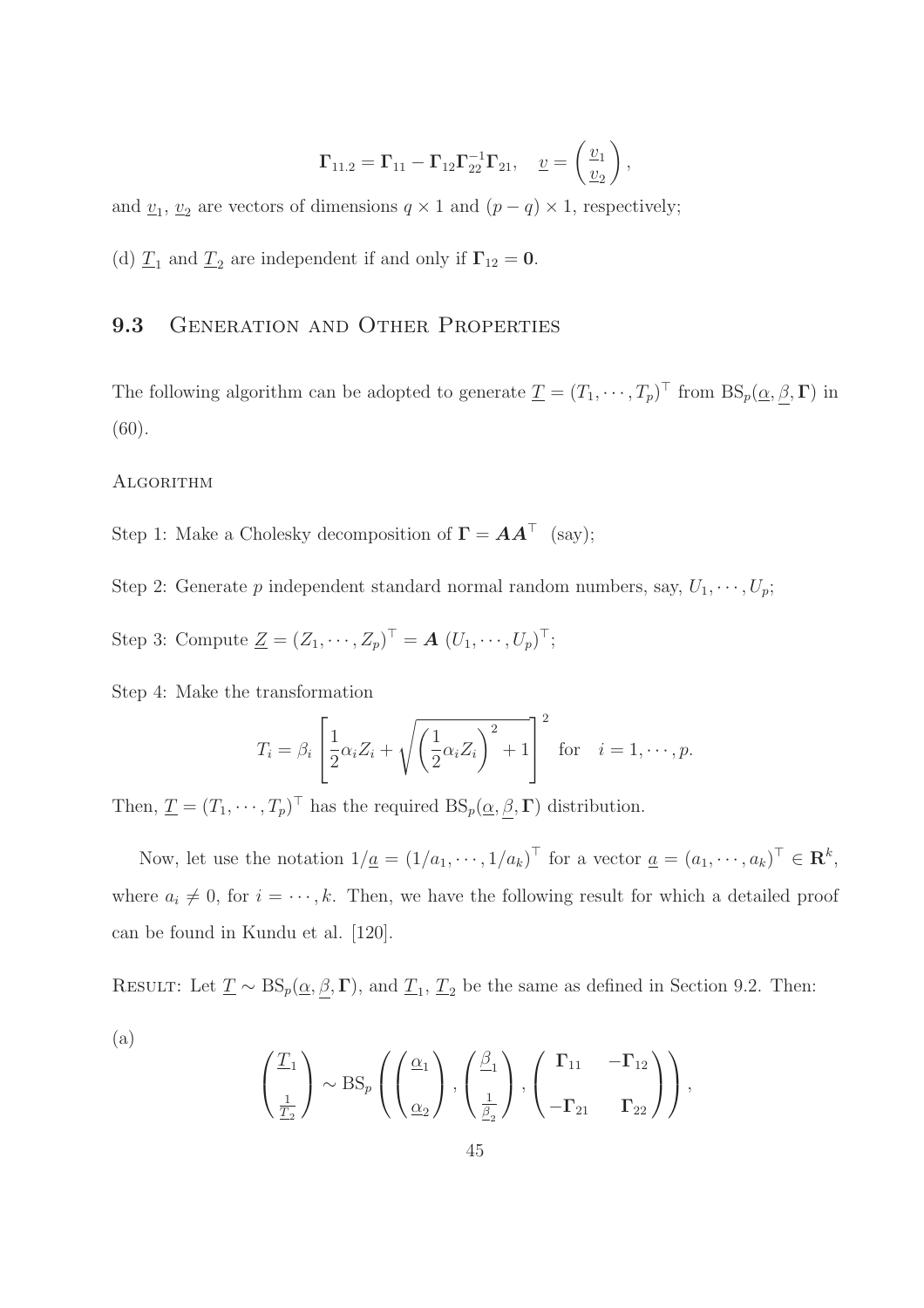$$
\Gamma_{11.2}=\Gamma_{11}-\Gamma_{12}\Gamma_{22}^{-1}\Gamma_{21},\quad \underline{\boldsymbol{\upsilon}}=\left(\frac{\boldsymbol{\upsilon}_1}{\boldsymbol{\upsilon}_2}\right),
$$

and  $\underline{v}_1$ ,  $\underline{v}_2$  are vectors of dimensions  $q \times 1$  and  $(p - q) \times 1$ , respectively;

(d)  $\underline{T}_1$  and  $\underline{T}_2$  are independent if and only if  $\Gamma_{12} = 0$ .

### 9.3 GENERATION AND OTHER PROPERTIES

The following algorithm can be adopted to generate  $\underline{T} = (T_1, \dots, T_p)^\top$  from  $BS_p(\underline{\alpha}, \underline{\beta}, \Gamma)$  in (60).

#### **ALGORITHM**

(a)

Step 1: Make a Cholesky decomposition of  $\Gamma = AA^{\top}$  (say);

Step 2: Generate p independent standard normal random numbers, say,  $U_1, \dots, U_p$ ;

Step 3: Compute  $\underline{Z} = (Z_1, \cdots, Z_p)^{\top} = \mathbf{A} (U_1, \cdots, U_p)^{\top};$ 

Step 4: Make the transformation

$$
T_i = \beta_i \left[ \frac{1}{2} \alpha_i Z_i + \sqrt{\left(\frac{1}{2} \alpha_i Z_i\right)^2 + 1} \right]^2
$$
 for  $i = 1, \dots, p$ .

Then,  $\underline{T} = (T_1, \dots, T_p)^\top$  has the required  $BS_p(\underline{\alpha}, \underline{\beta}, \Gamma)$  distribution.

Now, let use the notation  $1/\underline{a} = (1/a_1, \dots, 1/a_k)^{\top}$  for a vector  $\underline{a} = (a_1, \dots, a_k)^{\top} \in \mathbb{R}^k$ , where  $a_i \neq 0$ , for  $i = \dots, k$ . Then, we have the following result for which a detailed proof can be found in Kundu et al. [120].

RESULT: Let  $\underline{T} \sim BS_p(\underline{\alpha}, \underline{\beta}, \Gamma)$ , and  $\underline{T}_1$ ,  $\underline{T}_2$  be the same as defined in Section 9.2. Then:

$$
\left(\frac{T_1}{\frac{1}{T_2}}\right) \sim \text{BS}_p\left(\left(\frac{\alpha_1}{\alpha_2}\right), \left(\frac{\beta_1}{\frac{1}{\beta_2}}\right), \left(\frac{\Gamma_{11}}{-\Gamma_{21}} - \Gamma_{12}\right)\right),\right.
$$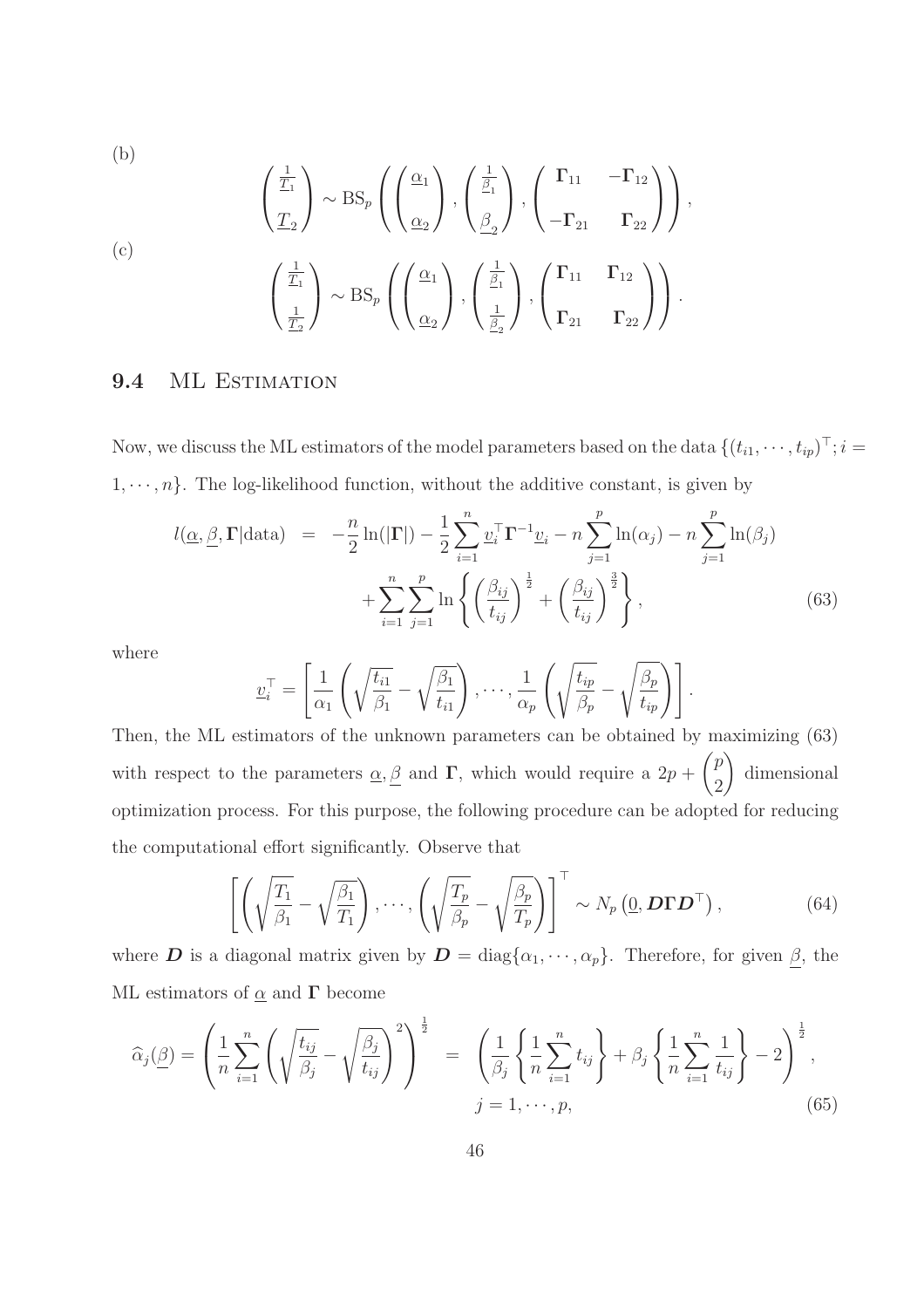(b)

(c)  

$$
\left(\frac{\frac{1}{T_1}}{T_2}\right) \sim \text{BS}_p\left(\left(\frac{\alpha_1}{\alpha_2}\right), \left(\frac{\frac{1}{\beta_1}}{\beta_2}\right), \left(\frac{\Gamma_{11}}{-\Gamma_{21}} - \Gamma_{12}\right)\right),
$$
  
(c)
$$
\left(\frac{\frac{1}{T_1}}{\frac{1}{T_2}}\right) \sim \text{BS}_p\left(\left(\frac{\alpha_1}{\alpha_2}\right), \left(\frac{\frac{1}{\beta_1}}{\frac{1}{\beta_2}}\right), \left(\frac{\Gamma_{11}}{\Gamma_{21}} - \Gamma_{12}\right)\right).
$$

#### 9.4 ML ESTIMATION

Now, we discuss the ML estimators of the model parameters based on the data  $\{(t_{i1}, \dots, t_{ip}) \mid ; i =$  $1, \dots, n$ . The log-likelihood function, without the additive constant, is given by

$$
l(\underline{\alpha}, \underline{\beta}, \Gamma | \text{data}) = -\frac{n}{2} \ln(|\Gamma|) - \frac{1}{2} \sum_{i=1}^{n} \underline{v}_{i}^{\top} \Gamma^{-1} \underline{v}_{i} - n \sum_{j=1}^{p} \ln(\alpha_{j}) - n \sum_{j=1}^{p} \ln(\beta_{j}) + \sum_{i=1}^{n} \sum_{j=1}^{p} \ln\left\{ \left(\frac{\beta_{ij}}{t_{ij}}\right)^{\frac{1}{2}} + \left(\frac{\beta_{ij}}{t_{ij}}\right)^{\frac{3}{2}} \right\},
$$
\n(63)

where

$$
\underline{v}_i^{\top} = \left[ \frac{1}{\alpha_1} \left( \sqrt{\frac{t_{i1}}{\beta_1}} - \sqrt{\frac{\beta_1}{t_{i1}}} \right), \cdots, \frac{1}{\alpha_p} \left( \sqrt{\frac{t_{ip}}{\beta_p}} - \sqrt{\frac{\beta_p}{t_{ip}}} \right) \right].
$$

Then, the ML estimators of the unknown parameters can be obtained by maximizing (63) with respect to the parameters  $\alpha, \beta$  and  $\Gamma$ , which would require a  $2p + \binom{p}{q}$ 2  $\setminus$ dimensional optimization process. For this purpose, the following procedure can be adopted for reducing the computational effort significantly. Observe that

$$
\left[ \left( \sqrt{\frac{T_1}{\beta_1}} - \sqrt{\frac{\beta_1}{T_1}} \right), \cdots, \left( \sqrt{\frac{T_p}{\beta_p}} - \sqrt{\frac{\beta_p}{T_p}} \right) \right]^\top \sim N_p \left( \underline{0}, \mathbf{D} \boldsymbol{\Gamma} \mathbf{D}^\top \right),\tag{64}
$$

where **D** is a diagonal matrix given by  $D = diag\{\alpha_1, \dots, \alpha_p\}$ . Therefore, for given  $\underline{\beta}$ , the ML estimators of  $\underline{\alpha}$  and  $\Gamma$  become

$$
\widehat{\alpha}_{j}(\underline{\beta}) = \left(\frac{1}{n}\sum_{i=1}^{n} \left(\sqrt{\frac{t_{ij}}{\beta_{j}}}-\sqrt{\frac{\beta_{j}}{t_{ij}}}\right)^{2}\right)^{\frac{1}{2}} = \left(\frac{1}{\beta_{j}}\left\{\frac{1}{n}\sum_{i=1}^{n} t_{ij}\right\} + \beta_{j}\left\{\frac{1}{n}\sum_{i=1}^{n} \frac{1}{t_{ij}}\right\} - 2\right)^{\frac{1}{2}},
$$
\n
$$
j = 1, \cdots, p,
$$
\n(65)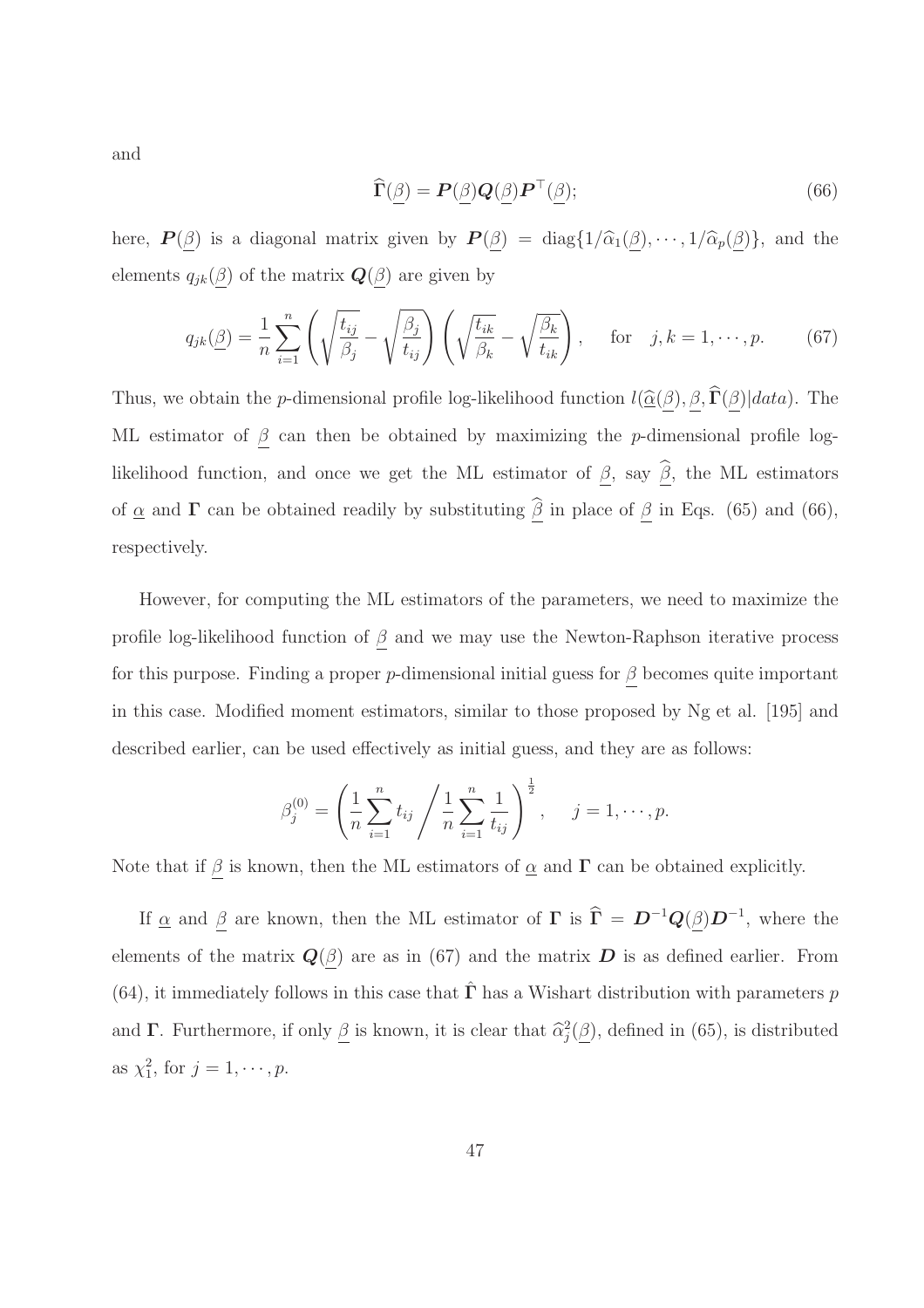and

$$
\widehat{\Gamma}(\underline{\beta}) = \boldsymbol{P}(\underline{\beta})\boldsymbol{Q}(\underline{\beta})\boldsymbol{P}^{\top}(\underline{\beta});\tag{66}
$$

here,  $\mathbf{P}(\underline{\beta})$  is a diagonal matrix given by  $\mathbf{P}(\underline{\beta}) = \text{diag}\{1/\hat{\alpha}_1(\underline{\beta}), \cdots, 1/\hat{\alpha}_p(\underline{\beta})\}$ , and the elements  $q_{jk}(\underline{\beta})$  of the matrix  $\mathbf{Q}(\underline{\beta})$  are given by

$$
q_{jk}(\underline{\beta}) = \frac{1}{n} \sum_{i=1}^{n} \left( \sqrt{\frac{t_{ij}}{\beta_j}} - \sqrt{\frac{\beta_j}{t_{ij}}} \right) \left( \sqrt{\frac{t_{ik}}{\beta_k}} - \sqrt{\frac{\beta_k}{t_{ik}}} \right), \quad \text{for} \quad j, k = 1, \cdots, p. \tag{67}
$$

Thus, we obtain the *p*-dimensional profile log-likelihood function  $l(\hat{\underline{\alpha}}(\underline{\beta}), \underline{\beta}, \hat{\Gamma}(\underline{\beta})|data)$ . The ML estimator of  $\beta$  can then be obtained by maximizing the p-dimensional profile loglikelihood function, and once we get the ML estimator of  $\beta$ , say  $\widehat{\beta}$ , the ML estimators of  $\underline{\alpha}$  and  $\Gamma$  can be obtained readily by substituting  $\underline{\hat{\beta}}$  in place of  $\underline{\beta}$  in Eqs. (65) and (66), respectively.

However, for computing the ML estimators of the parameters, we need to maximize the profile log-likelihood function of  $\beta$  and we may use the Newton-Raphson iterative process for this purpose. Finding a proper p-dimensional initial guess for  $\beta$  becomes quite important in this case. Modified moment estimators, similar to those proposed by Ng et al. [195] and described earlier, can be used effectively as initial guess, and they are as follows:

$$
\beta_j^{(0)} = \left(\frac{1}{n}\sum_{i=1}^n t_{ij} / \frac{1}{n}\sum_{i=1}^n \frac{1}{t_{ij}}\right)^{\frac{1}{2}}, \quad j = 1, \cdots, p.
$$

Note that if  $\beta$  is known, then the ML estimators of  $\underline{\alpha}$  and  $\Gamma$  can be obtained explicitly.

If  $\underline{\alpha}$  and  $\underline{\beta}$  are known, then the ML estimator of  $\Gamma$  is  $\widehat{\Gamma} = D^{-1}Q(\underline{\beta})D^{-1}$ , where the elements of the matrix  $\mathbf{Q}(\beta)$  are as in (67) and the matrix  $\mathbf{D}$  is as defined earlier. From (64), it immediately follows in this case that  $\hat{\Gamma}$  has a Wishart distribution with parameters p and  $\Gamma$ . Furthermore, if only  $\underline{\beta}$  is known, it is clear that  $\widehat{\alpha}_j^2(\underline{\beta})$ , defined in (65), is distributed as  $\chi_1^2$ , for  $j = 1, \dots, p$ .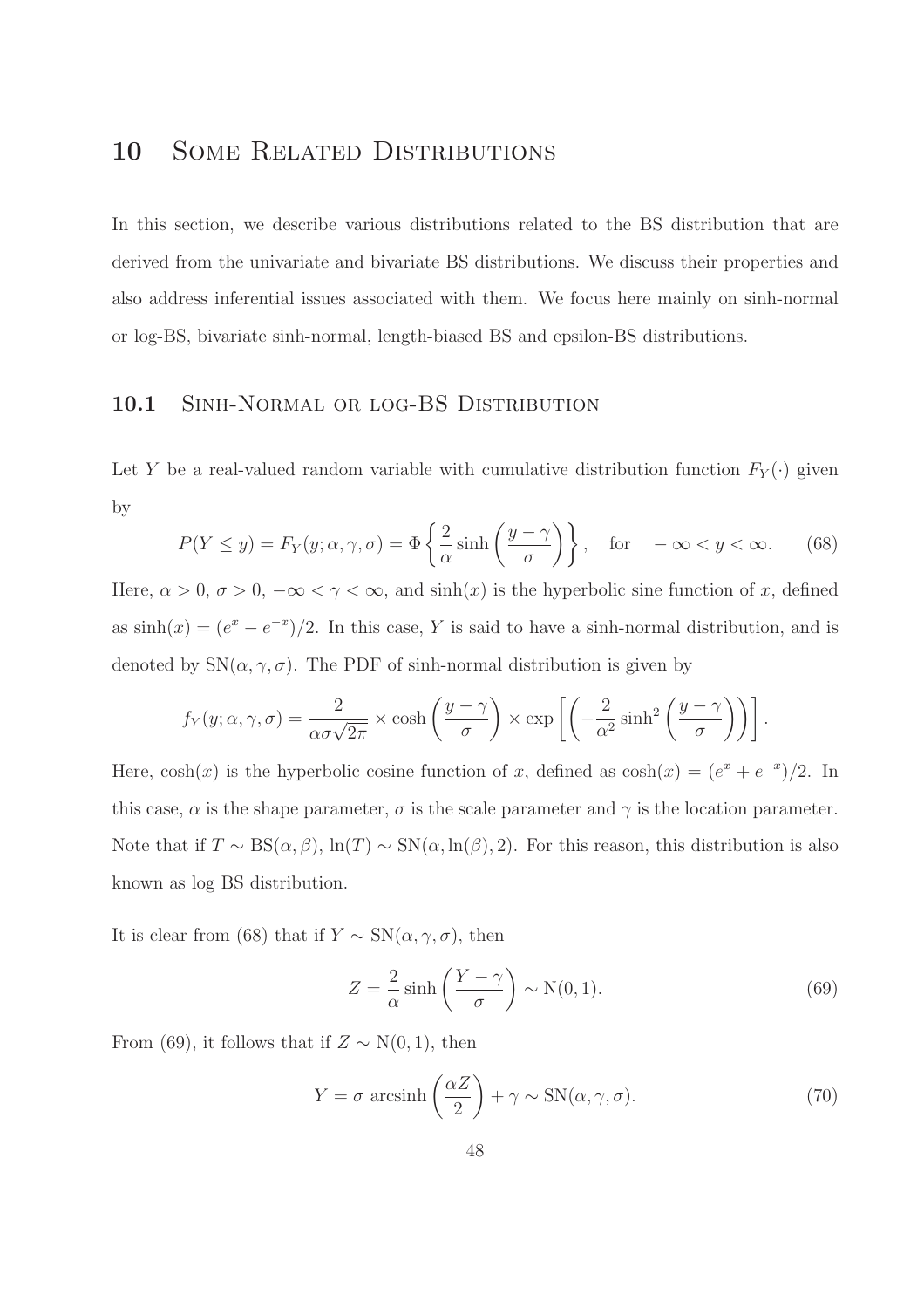# 10 SOME RELATED DISTRIBUTIONS

In this section, we describe various distributions related to the BS distribution that are derived from the univariate and bivariate BS distributions. We discuss their properties and also address inferential issues associated with them. We focus here mainly on sinh-normal or log-BS, bivariate sinh-normal, length-biased BS and epsilon-BS distributions.

## 10.1 SINH-NORMAL OR LOG-BS DISTRIBUTION

Let Y be a real-valued random variable with cumulative distribution function  $F_Y(\cdot)$  given by

$$
P(Y \le y) = F_Y(y; \alpha, \gamma, \sigma) = \Phi\left\{\frac{2}{\alpha}\sinh\left(\frac{y - \gamma}{\sigma}\right)\right\}, \quad \text{for } \quad -\infty < y < \infty. \tag{68}
$$

Here,  $\alpha > 0$ ,  $\sigma > 0$ ,  $-\infty < \gamma < \infty$ , and  $\sinh(x)$  is the hyperbolic sine function of x, defined as  $sinh(x) = (e^x - e^{-x})/2$ . In this case, Y is said to have a sinh-normal distribution, and is denoted by  $SN(\alpha, \gamma, \sigma)$ . The PDF of sinh-normal distribution is given by

$$
f_Y(y; \alpha, \gamma, \sigma) = \frac{2}{\alpha \sigma \sqrt{2\pi}} \times \cosh\left(\frac{y - \gamma}{\sigma}\right) \times \exp\left[\left(-\frac{2}{\alpha^2} \sinh^2\left(\frac{y - \gamma}{\sigma}\right)\right)\right].
$$

Here,  $cosh(x)$  is the hyperbolic cosine function of x, defined as  $cosh(x) = (e^x + e^{-x})/2$ . In this case,  $\alpha$  is the shape parameter,  $\sigma$  is the scale parameter and  $\gamma$  is the location parameter. Note that if  $T \sim BS(\alpha, \beta)$ ,  $\ln(T) \sim SN(\alpha, \ln(\beta), 2)$ . For this reason, this distribution is also known as log BS distribution.

It is clear from (68) that if  $Y \sim SN(\alpha, \gamma, \sigma)$ , then

$$
Z = \frac{2}{\alpha} \sinh\left(\frac{Y - \gamma}{\sigma}\right) \sim N(0, 1). \tag{69}
$$

From (69), it follows that if  $Z \sim N(0, 1)$ , then

$$
Y = \sigma \, \arcsinh\left(\frac{\alpha Z}{2}\right) + \gamma \sim \text{SN}(\alpha, \gamma, \sigma). \tag{70}
$$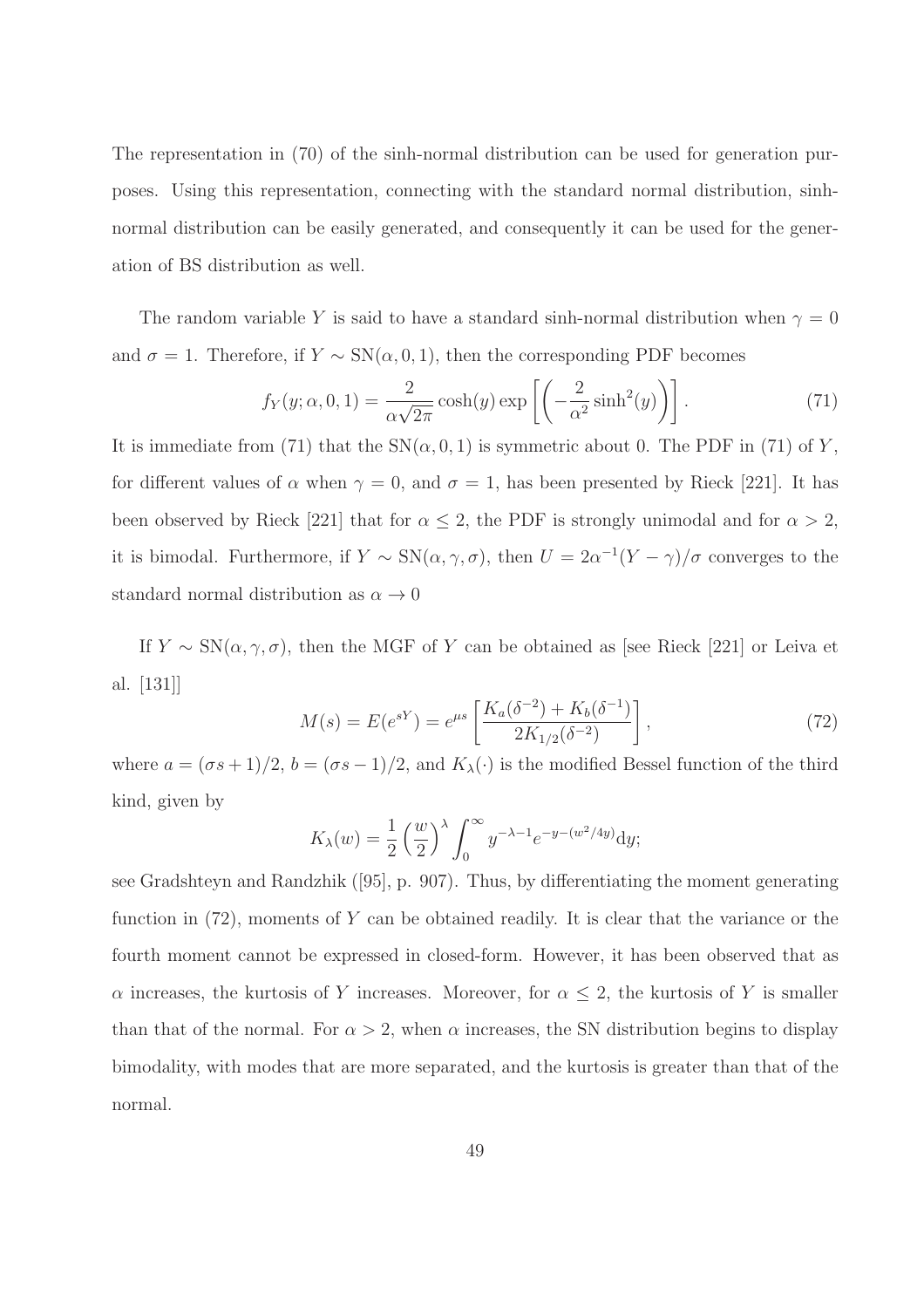The representation in (70) of the sinh-normal distribution can be used for generation purposes. Using this representation, connecting with the standard normal distribution, sinhnormal distribution can be easily generated, and consequently it can be used for the generation of BS distribution as well.

The random variable Y is said to have a standard sinh-normal distribution when  $\gamma = 0$ and  $\sigma = 1$ . Therefore, if  $Y \sim SN(\alpha, 0, 1)$ , then the corresponding PDF becomes

$$
f_Y(y; \alpha, 0, 1) = \frac{2}{\alpha \sqrt{2\pi}} \cosh(y) \exp\left[\left(-\frac{2}{\alpha^2} \sinh^2(y)\right)\right].
$$
 (71)

It is immediate from (71) that the  $SN(\alpha, 0, 1)$  is symmetric about 0. The PDF in (71) of Y, for different values of  $\alpha$  when  $\gamma = 0$ , and  $\sigma = 1$ , has been presented by Rieck [221]. It has been observed by Rieck [221] that for  $\alpha \leq 2$ , the PDF is strongly unimodal and for  $\alpha > 2$ , it is bimodal. Furthermore, if  $Y \sim SN(\alpha, \gamma, \sigma)$ , then  $U = 2\alpha^{-1}(Y - \gamma)/\sigma$  converges to the standard normal distribution as  $\alpha \to 0$ 

If  $Y \sim SN(\alpha, \gamma, \sigma)$ , then the MGF of Y can be obtained as [see Rieck [221] or Leiva et al. [131]]

$$
M(s) = E(e^{sY}) = e^{\mu s} \left[ \frac{K_a(\delta^{-2}) + K_b(\delta^{-1})}{2K_{1/2}(\delta^{-2})} \right],
$$
\n(72)

where  $a = (\sigma s + 1)/2$ ,  $b = (\sigma s - 1)/2$ , and  $K_{\lambda}(\cdot)$  is the modified Bessel function of the third kind, given by

$$
K_{\lambda}(w) = \frac{1}{2} \left(\frac{w}{2}\right)^{\lambda} \int_0^{\infty} y^{-\lambda - 1} e^{-y - (w^2/4y)} dy;
$$

see Gradshteyn and Randzhik ([95], p. 907). Thus, by differentiating the moment generating function in (72), moments of Y can be obtained readily. It is clear that the variance or the fourth moment cannot be expressed in closed-form. However, it has been observed that as  $\alpha$  increases, the kurtosis of Y increases. Moreover, for  $\alpha \leq 2$ , the kurtosis of Y is smaller than that of the normal. For  $\alpha > 2$ , when  $\alpha$  increases, the SN distribution begins to display bimodality, with modes that are more separated, and the kurtosis is greater than that of the normal.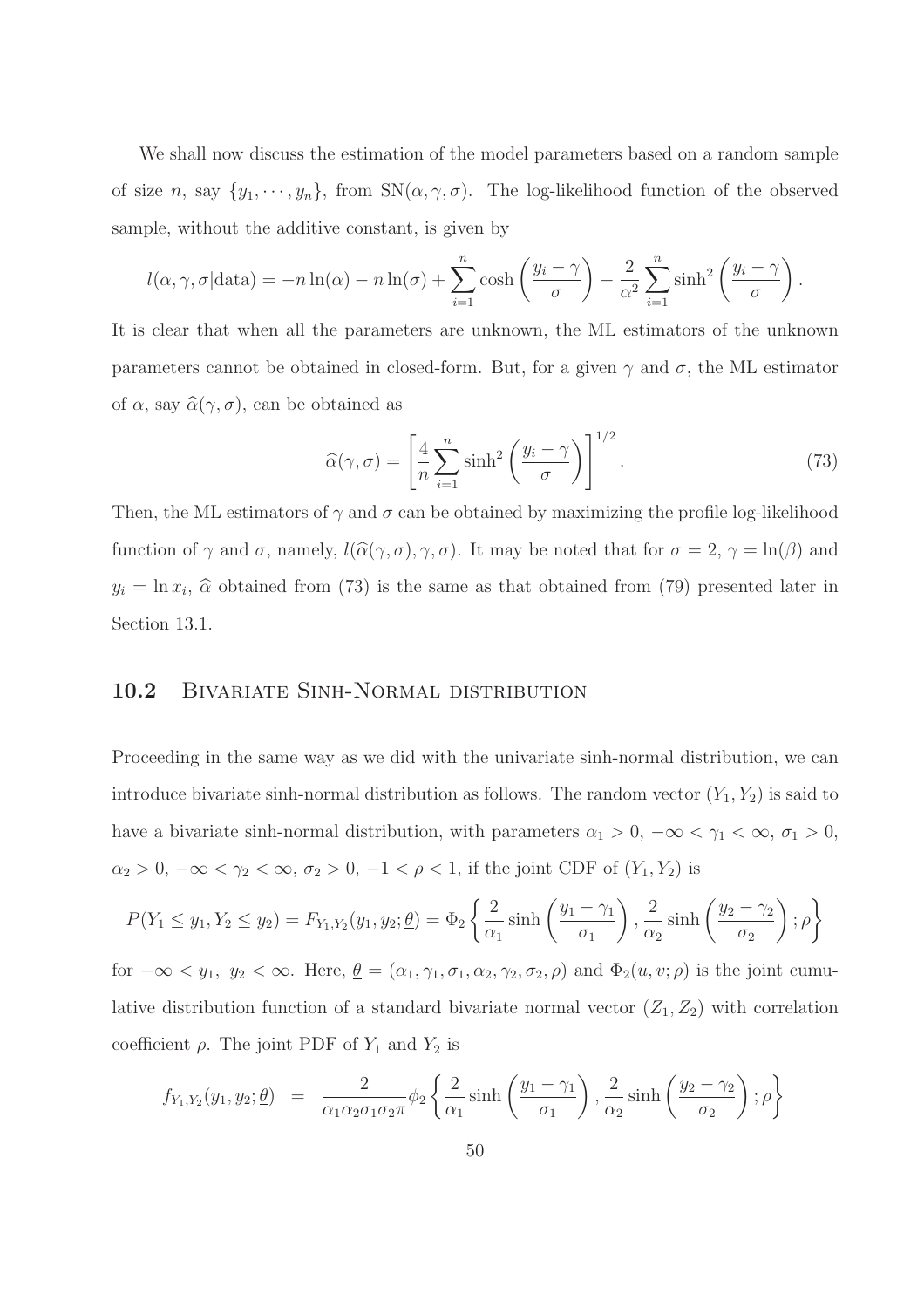We shall now discuss the estimation of the model parameters based on a random sample of size n, say  $\{y_1, \dots, y_n\}$ , from  $SN(\alpha, \gamma, \sigma)$ . The log-likelihood function of the observed sample, without the additive constant, is given by

$$
l(\alpha, \gamma, \sigma | \text{data}) = -n \ln(\alpha) - n \ln(\sigma) + \sum_{i=1}^{n} \cosh\left(\frac{y_i - \gamma}{\sigma}\right) - \frac{2}{\alpha^2} \sum_{i=1}^{n} \sinh^2\left(\frac{y_i - \gamma}{\sigma}\right).
$$

It is clear that when all the parameters are unknown, the ML estimators of the unknown parameters cannot be obtained in closed-form. But, for a given  $\gamma$  and  $\sigma$ , the ML estimator of  $\alpha$ , say  $\widehat{\alpha}(\gamma, \sigma)$ , can be obtained as

$$
\widehat{\alpha}(\gamma,\sigma) = \left[\frac{4}{n}\sum_{i=1}^{n}\sinh^{2}\left(\frac{y_{i}-\gamma}{\sigma}\right)\right]^{1/2}.\tag{73}
$$

Then, the ML estimators of  $\gamma$  and  $\sigma$  can be obtained by maximizing the profile log-likelihood function of  $\gamma$  and  $\sigma$ , namely,  $l(\widehat{\alpha}(\gamma, \sigma), \gamma, \sigma)$ . It may be noted that for  $\sigma = 2$ ,  $\gamma = \ln(\beta)$  and  $y_i = \ln x_i$ ,  $\hat{\alpha}$  obtained from (73) is the same as that obtained from (79) presented later in Section 13.1.

### 10.2 BIVARIATE SINH-NORMAL DISTRIBUTION

Proceeding in the same way as we did with the univariate sinh-normal distribution, we can introduce bivariate sinh-normal distribution as follows. The random vector  $(Y_1, Y_2)$  is said to have a bivariate sinh-normal distribution, with parameters  $\alpha_1 > 0$ ,  $-\infty < \gamma_1 < \infty$ ,  $\sigma_1 > 0$ ,  $\alpha_2 > 0$ ,  $-\infty < \gamma_2 < \infty$ ,  $\sigma_2 > 0$ ,  $-1 < \rho < 1$ , if the joint CDF of  $(Y_1, Y_2)$  is

$$
P(Y_1 \le y_1, Y_2 \le y_2) = F_{Y_1, Y_2}(y_1, y_2; \underline{\theta}) = \Phi_2 \left\{ \frac{2}{\alpha_1} \sinh\left(\frac{y_1 - \gamma_1}{\sigma_1}\right), \frac{2}{\alpha_2} \sinh\left(\frac{y_2 - \gamma_2}{\sigma_2}\right); \rho \right\}
$$

for  $-\infty < y_1, y_2 < \infty$ . Here,  $\underline{\theta} = (\alpha_1, \gamma_1, \alpha_1, \alpha_2, \gamma_2, \sigma_2, \rho)$  and  $\Phi_2(u, v; \rho)$  is the joint cumulative distribution function of a standard bivariate normal vector  $(Z_1, Z_2)$  with correlation coefficient  $\rho$ . The joint PDF of  $Y_1$  and  $Y_2$  is

$$
f_{Y_1,Y_2}(y_1,y_2;\underline{\theta}) = \frac{2}{\alpha_1\alpha_2\sigma_1\sigma_2\pi} \phi_2 \left\{ \frac{2}{\alpha_1} \sinh\left(\frac{y_1-\gamma_1}{\sigma_1}\right), \frac{2}{\alpha_2} \sinh\left(\frac{y_2-\gamma_2}{\sigma_2}\right); \rho \right\}
$$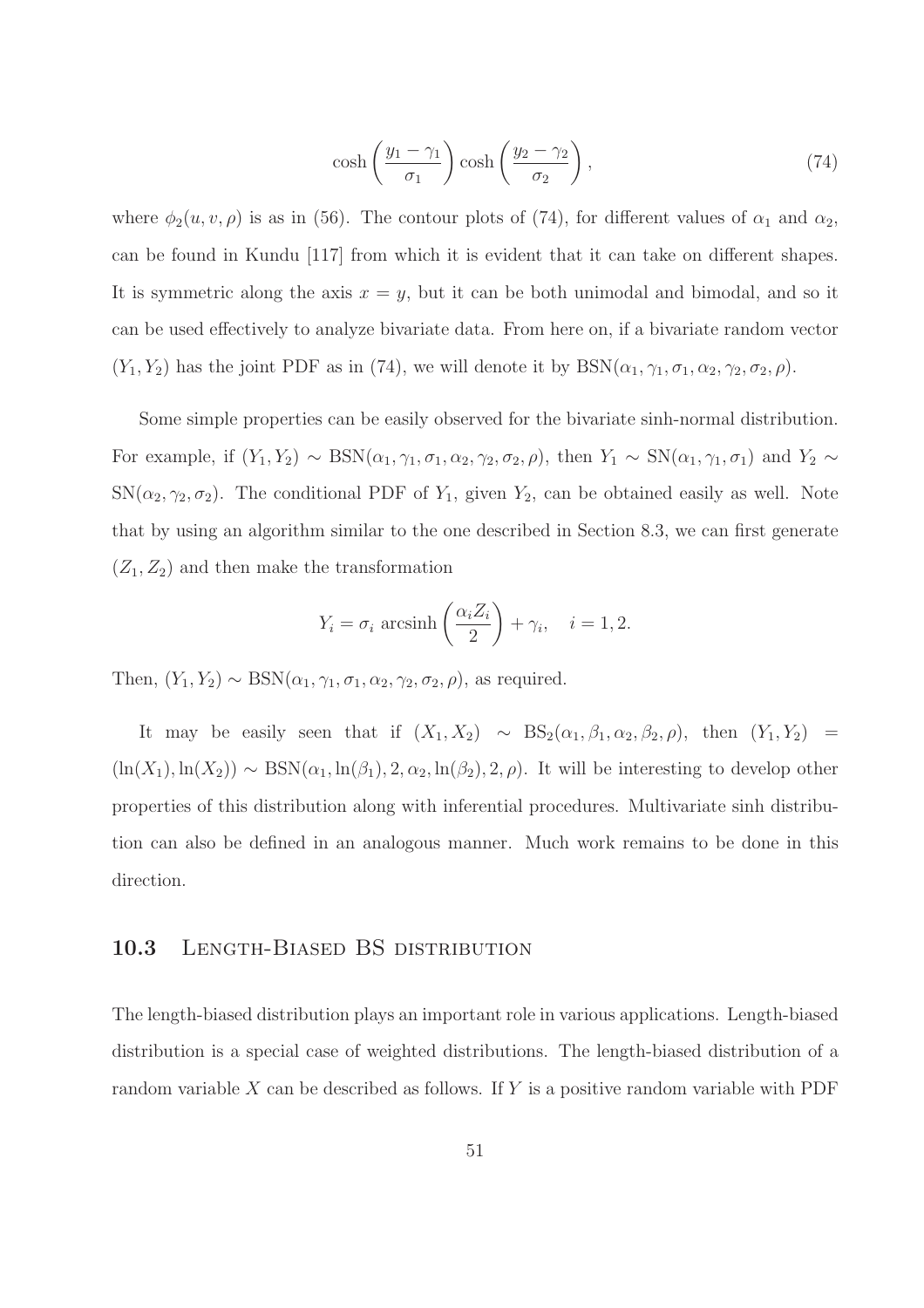$$
\cosh\left(\frac{y_1 - \gamma_1}{\sigma_1}\right)\cosh\left(\frac{y_2 - \gamma_2}{\sigma_2}\right),\tag{74}
$$

where  $\phi_2(u, v, \rho)$  is as in (56). The contour plots of (74), for different values of  $\alpha_1$  and  $\alpha_2$ , can be found in Kundu [117] from which it is evident that it can take on different shapes. It is symmetric along the axis  $x = y$ , but it can be both unimodal and bimodal, and so it can be used effectively to analyze bivariate data. From here on, if a bivariate random vector  $(Y_1, Y_2)$  has the joint PDF as in (74), we will denote it by  $BSN(\alpha_1, \gamma_1, \sigma_1, \alpha_2, \gamma_2, \sigma_2, \rho)$ .

Some simple properties can be easily observed for the bivariate sinh-normal distribution. For example, if  $(Y_1, Y_2) \sim \text{BSN}(\alpha_1, \gamma_1, \sigma_1, \alpha_2, \gamma_2, \sigma_2, \rho)$ , then  $Y_1 \sim \text{SN}(\alpha_1, \gamma_1, \sigma_1)$  and  $Y_2 \sim$  $SN(\alpha_2, \gamma_2, \sigma_2)$ . The conditional PDF of  $Y_1$ , given  $Y_2$ , can be obtained easily as well. Note that by using an algorithm similar to the one described in Section 8.3, we can first generate  $(Z_1, Z_2)$  and then make the transformation

$$
Y_i = \sigma_i \operatorname{arcsinh}\left(\frac{\alpha_i Z_i}{2}\right) + \gamma_i, \quad i = 1, 2.
$$

Then,  $(Y_1, Y_2) \sim \text{BSN}(\alpha_1, \gamma_1, \alpha_1, \alpha_2, \gamma_2, \sigma_2, \rho)$ , as required.

It may be easily seen that if  $(X_1, X_2) \sim BS_2(\alpha_1, \beta_1, \alpha_2, \beta_2, \rho)$ , then  $(Y_1, Y_2)$  =  $(ln(X_1), ln(X_2)) \sim BSN(\alpha_1, ln(\beta_1), 2, \alpha_2, ln(\beta_2), 2, \rho)$ . It will be interesting to develop other properties of this distribution along with inferential procedures. Multivariate sinh distribution can also be defined in an analogous manner. Much work remains to be done in this direction.

#### 10.3 LENGTH-BIASED BS DISTRIBUTION

The length-biased distribution plays an important role in various applications. Length-biased distribution is a special case of weighted distributions. The length-biased distribution of a random variable  $X$  can be described as follows. If  $Y$  is a positive random variable with PDF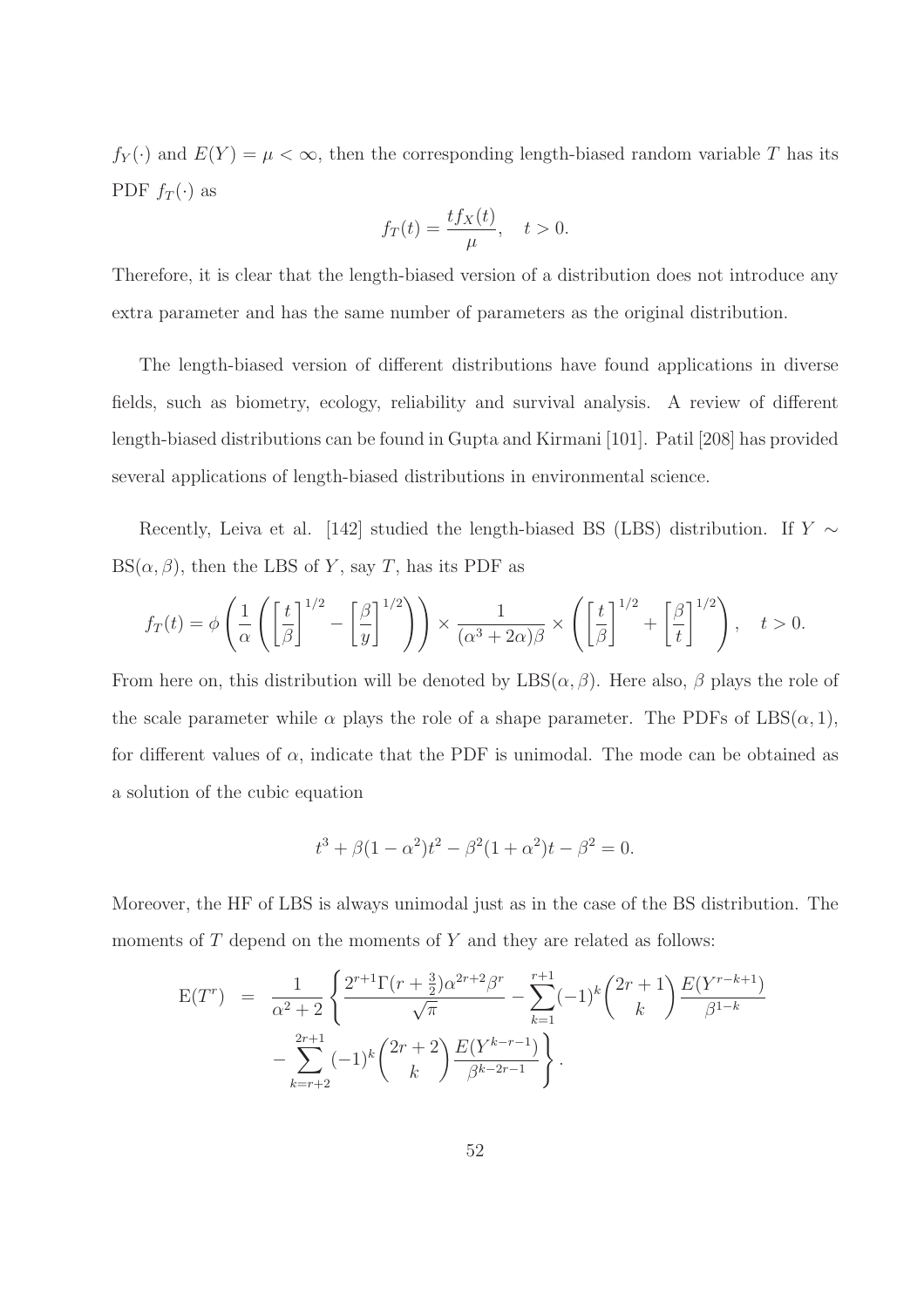$f_Y(\cdot)$  and  $E(Y) = \mu < \infty$ , then the corresponding length-biased random variable T has its PDF  $f_T(\cdot)$  as

$$
f_T(t) = \frac{tf_X(t)}{\mu}, \quad t > 0.
$$

Therefore, it is clear that the length-biased version of a distribution does not introduce any extra parameter and has the same number of parameters as the original distribution.

The length-biased version of different distributions have found applications in diverse fields, such as biometry, ecology, reliability and survival analysis. A review of different length-biased distributions can be found in Gupta and Kirmani [101]. Patil [208] has provided several applications of length-biased distributions in environmental science.

Recently, Leiva et al. [142] studied the length-biased BS (LBS) distribution. If  $Y \sim$  $BS(\alpha, \beta)$ , then the LBS of Y, say T, has its PDF as

$$
f_T(t) = \phi \left( \frac{1}{\alpha} \left( \left[ \frac{t}{\beta} \right]^{1/2} - \left[ \frac{\beta}{y} \right]^{1/2} \right) \right) \times \frac{1}{(\alpha^3 + 2\alpha)\beta} \times \left( \left[ \frac{t}{\beta} \right]^{1/2} + \left[ \frac{\beta}{t} \right]^{1/2} \right), \quad t > 0.
$$

From here on, this distribution will be denoted by  $\text{LBS}(\alpha, \beta)$ . Here also,  $\beta$  plays the role of the scale parameter while  $\alpha$  plays the role of a shape parameter. The PDFs of LBS( $\alpha$ , 1), for different values of  $\alpha$ , indicate that the PDF is unimodal. The mode can be obtained as a solution of the cubic equation

$$
t^3 + \beta(1 - \alpha^2)t^2 - \beta^2(1 + \alpha^2)t - \beta^2 = 0.
$$

Moreover, the HF of LBS is always unimodal just as in the case of the BS distribution. The moments of  $T$  depend on the moments of  $Y$  and they are related as follows:

$$
E(T^r) = \frac{1}{\alpha^2 + 2} \left\{ \frac{2^{r+1} \Gamma(r + \frac{3}{2}) \alpha^{2r+2} \beta^r}{\sqrt{\pi}} - \sum_{k=1}^{r+1} (-1)^k {2r+1 \choose k} \frac{E(Y^{r-k+1})}{\beta^{1-k}} - \sum_{k=r+2}^{2r+1} (-1)^k {2r+2 \choose k} \frac{E(Y^{k-r-1})}{\beta^{k-2r-1}} \right\}.
$$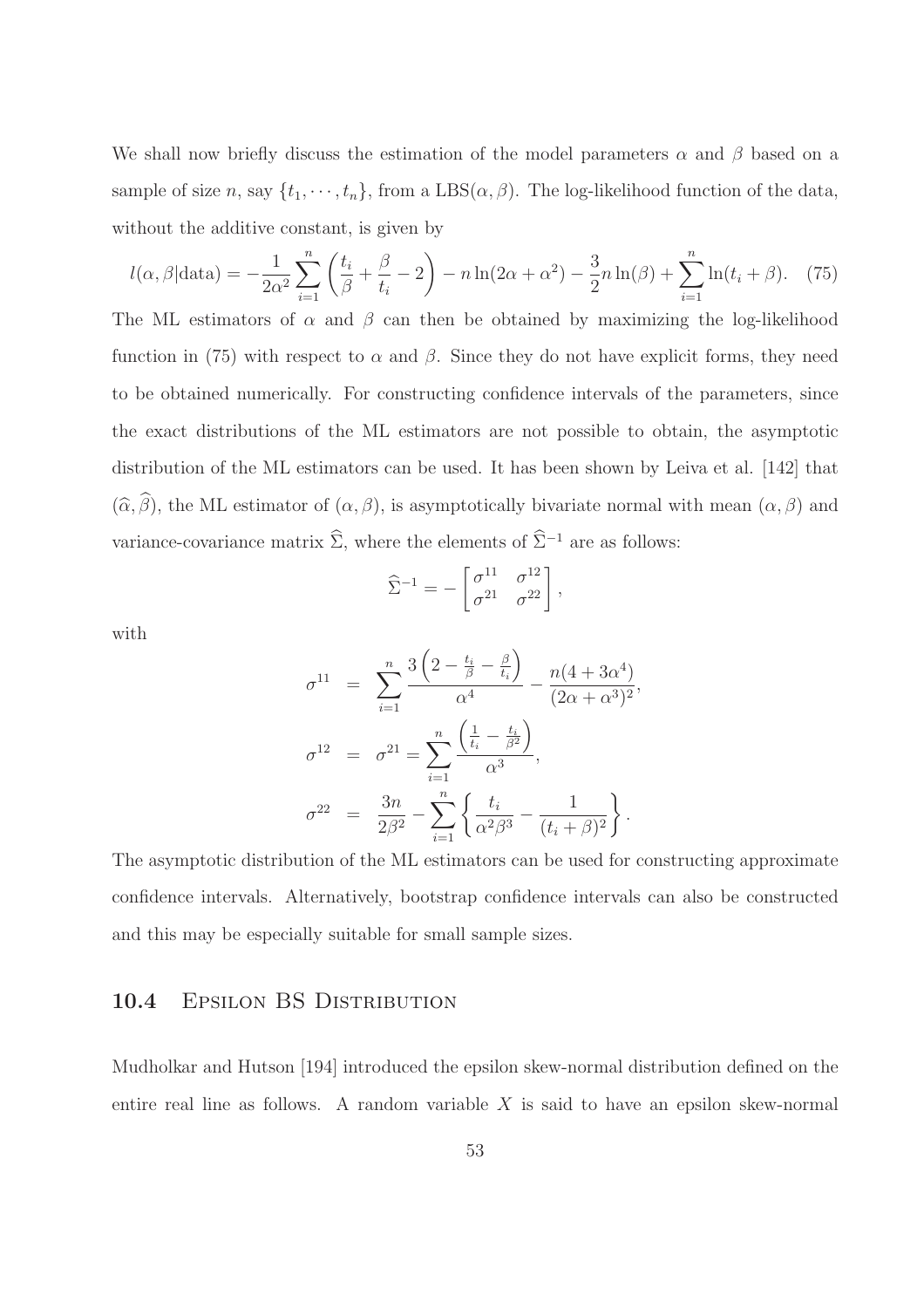We shall now briefly discuss the estimation of the model parameters  $\alpha$  and  $\beta$  based on a sample of size n, say  $\{t_1, \dots, t_n\}$ , from a  $\text{LBS}(\alpha, \beta)$ . The log-likelihood function of the data, without the additive constant, is given by

$$
l(\alpha, \beta | \text{data}) = -\frac{1}{2\alpha^2} \sum_{i=1}^n \left( \frac{t_i}{\beta} + \frac{\beta}{t_i} - 2 \right) - n \ln(2\alpha + \alpha^2) - \frac{3}{2} n \ln(\beta) + \sum_{i=1}^n \ln(t_i + \beta). \tag{75}
$$

The ML estimators of  $\alpha$  and  $\beta$  can then be obtained by maximizing the log-likelihood function in (75) with respect to  $\alpha$  and  $\beta$ . Since they do not have explicit forms, they need to be obtained numerically. For constructing confidence intervals of the parameters, since the exact distributions of the ML estimators are not possible to obtain, the asymptotic distribution of the ML estimators can be used. It has been shown by Leiva et al. [142] that  $(\widehat{\alpha}, \widehat{\beta})$ , the ML estimator of  $(\alpha, \beta)$ , is asymptotically bivariate normal with mean  $(\alpha, \beta)$  and variance-covariance matrix  $\widehat{\Sigma}$ , where the elements of  $\widehat{\Sigma}^{-1}$  are as follows:

$$
\widehat{\Sigma}^{-1} = -\begin{bmatrix} \sigma^{11} & \sigma^{12} \\ \sigma^{21} & \sigma^{22} \end{bmatrix},
$$

with

$$
\sigma^{11} = \sum_{i=1}^{n} \frac{3\left(2 - \frac{t_i}{\beta} - \frac{\beta}{t_i}\right)}{\alpha^4} - \frac{n(4 + 3\alpha^4)}{(2\alpha + \alpha^3)^2},
$$
  

$$
\sigma^{12} = \sigma^{21} = \sum_{i=1}^{n} \frac{\left(\frac{1}{t_i} - \frac{t_i}{\beta^2}\right)}{\alpha^3},
$$
  

$$
\sigma^{22} = \frac{3n}{2\beta^2} - \sum_{i=1}^{n} \left\{\frac{t_i}{\alpha^2\beta^3} - \frac{1}{(t_i + \beta)^2}\right\}.
$$

The asymptotic distribution of the ML estimators can be used for constructing approximate confidence intervals. Alternatively, bootstrap confidence intervals can also be constructed and this may be especially suitable for small sample sizes.

### 10.4 EPSILON BS DISTRIBUTION

Mudholkar and Hutson [194] introduced the epsilon skew-normal distribution defined on the entire real line as follows. A random variable  $X$  is said to have an epsilon skew-normal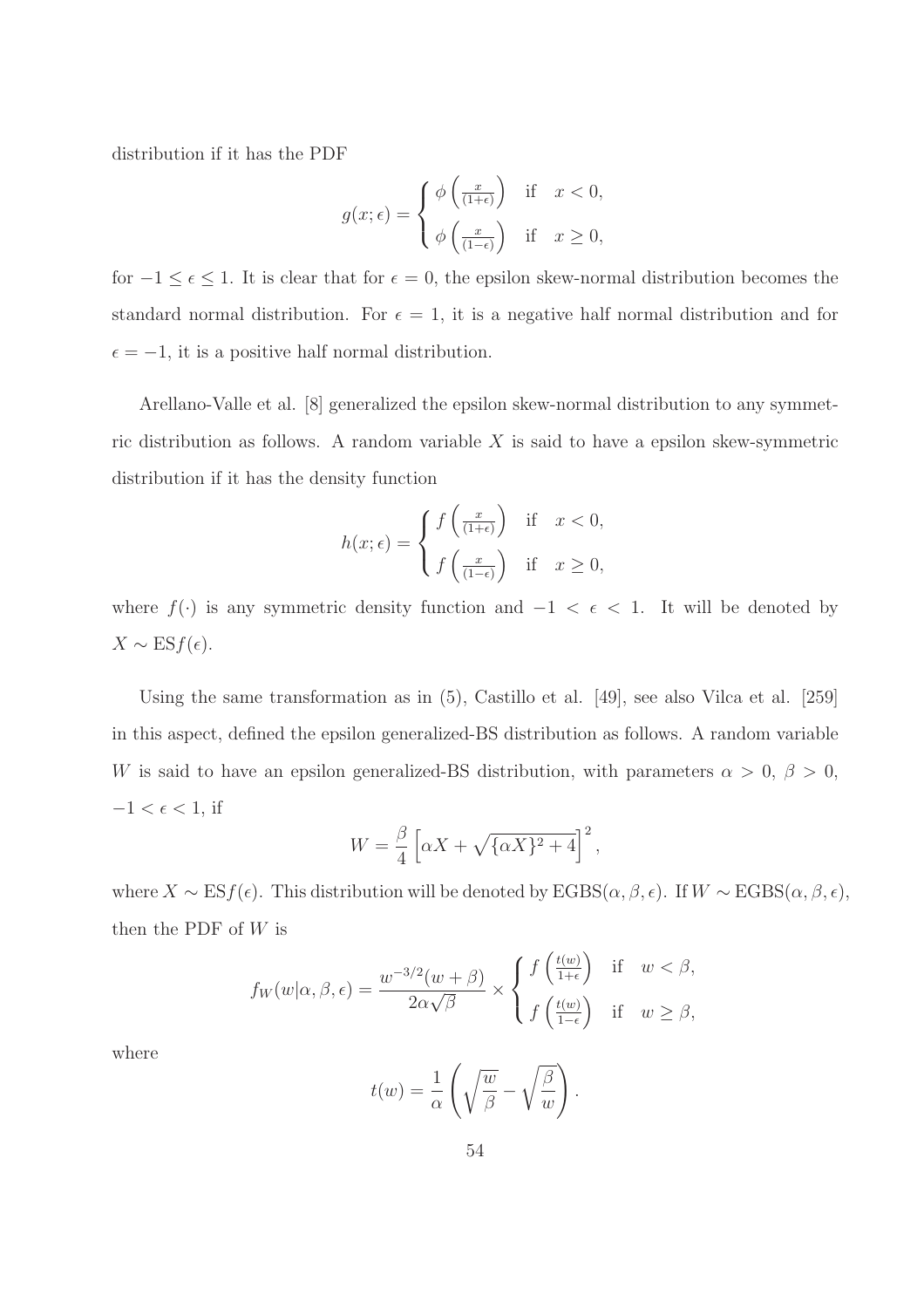distribution if it has the PDF

$$
g(x; \epsilon) = \begin{cases} \phi\left(\frac{x}{(1+\epsilon)}\right) & \text{if } x < 0, \\ \phi\left(\frac{x}{(1-\epsilon)}\right) & \text{if } x \ge 0, \end{cases}
$$

for  $-1 \leq \epsilon \leq 1$ . It is clear that for  $\epsilon = 0$ , the epsilon skew-normal distribution becomes the standard normal distribution. For  $\epsilon = 1$ , it is a negative half normal distribution and for  $\epsilon = -1$ , it is a positive half normal distribution.

Arellano-Valle et al. [8] generalized the epsilon skew-normal distribution to any symmetric distribution as follows. A random variable  $X$  is said to have a epsilon skew-symmetric distribution if it has the density function

$$
h(x; \epsilon) = \begin{cases} f\left(\frac{x}{(1+\epsilon)}\right) & \text{if } x < 0, \\ f\left(\frac{x}{(1-\epsilon)}\right) & \text{if } x \ge 0, \end{cases}
$$

where  $f(\cdot)$  is any symmetric density function and  $-1 < \epsilon < 1$ . It will be denoted by  $X \sim \text{ES}f(\epsilon).$ 

Using the same transformation as in (5), Castillo et al. [49], see also Vilca et al. [259] in this aspect, defined the epsilon generalized-BS distribution as follows. A random variable W is said to have an epsilon generalized-BS distribution, with parameters  $\alpha > 0, \beta > 0$ ,  $-1 < \epsilon < 1$ , if

$$
W = \frac{\beta}{4} \left[ \alpha X + \sqrt{\{\alpha X\}^2 + 4} \right]^2,
$$

where  $X \sim \text{ES}f(\epsilon)$ . This distribution will be denoted by  $\text{EGBS}(\alpha, \beta, \epsilon)$ . If  $W \sim \text{EGBS}(\alpha, \beta, \epsilon)$ , then the PDF of  $W$  is

$$
f_W(w|\alpha, \beta, \epsilon) = \frac{w^{-3/2}(w+\beta)}{2\alpha\sqrt{\beta}} \times \begin{cases} f\left(\frac{t(w)}{1+\epsilon}\right) & \text{if } w < \beta, \\ f\left(\frac{t(w)}{1-\epsilon}\right) & \text{if } w \ge \beta, \end{cases}
$$

where

$$
t(w) = \frac{1}{\alpha} \left( \sqrt{\frac{w}{\beta}} - \sqrt{\frac{\beta}{w}} \right).
$$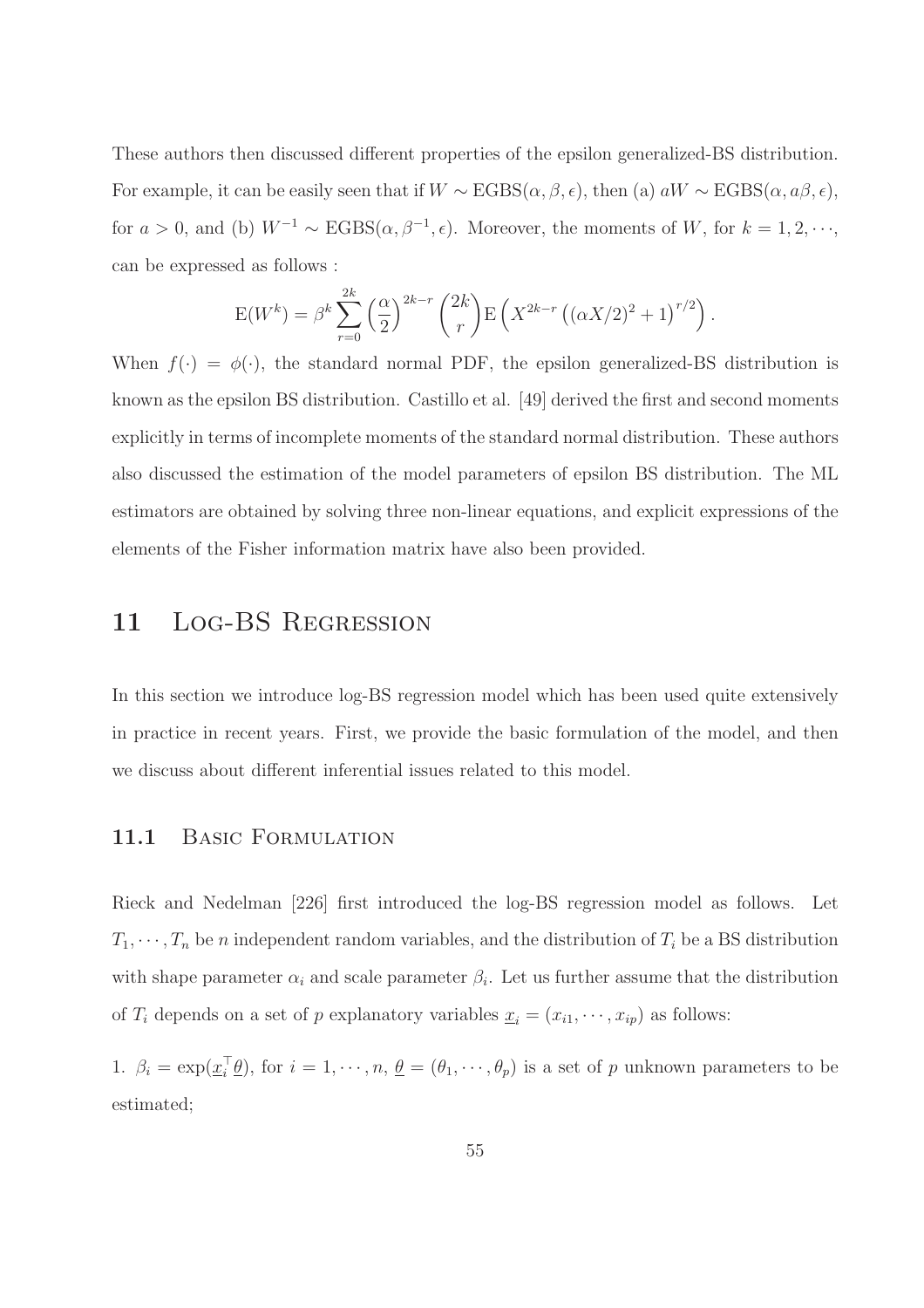These authors then discussed different properties of the epsilon generalized-BS distribution. For example, it can be easily seen that if  $W \sim \text{EGBS}(\alpha, \beta, \epsilon)$ , then (a)  $aW \sim \text{EGBS}(\alpha, a\beta, \epsilon)$ , for  $a > 0$ , and (b)  $W^{-1} \sim \text{EGBS}(\alpha, \beta^{-1}, \epsilon)$ . Moreover, the moments of W, for  $k = 1, 2, \dots$ , can be expressed as follows :

$$
E(W^k) = \beta^k \sum_{r=0}^{2k} \left(\frac{\alpha}{2}\right)^{2k-r} {2k \choose r} E\left(X^{2k-r} \left((\alpha X/2)^2 + 1\right)^{r/2}\right).
$$

When  $f(\cdot) = \phi(\cdot)$ , the standard normal PDF, the epsilon generalized-BS distribution is known as the epsilon BS distribution. Castillo et al. [49] derived the first and second moments explicitly in terms of incomplete moments of the standard normal distribution. These authors also discussed the estimation of the model parameters of epsilon BS distribution. The ML estimators are obtained by solving three non-linear equations, and explicit expressions of the elements of the Fisher information matrix have also been provided.

# 11 LOG-BS REGRESSION

In this section we introduce log-BS regression model which has been used quite extensively in practice in recent years. First, we provide the basic formulation of the model, and then we discuss about different inferential issues related to this model.

#### 11.1 BASIC FORMULATION

Rieck and Nedelman [226] first introduced the log-BS regression model as follows. Let  $T_1, \dots, T_n$  be n independent random variables, and the distribution of  $T_i$  be a BS distribution with shape parameter  $\alpha_i$  and scale parameter  $\beta_i$ . Let us further assume that the distribution of  $T_i$  depends on a set of p explanatory variables  $\underline{x}_i = (x_{i1}, \dots, x_{ip})$  as follows:

1.  $\beta_i = \exp(\underline{x_i}^t \underline{\theta})$ , for  $i = 1, \dots, n$ ,  $\underline{\theta} = (\theta_1, \dots, \theta_p)$  is a set of p unknown parameters to be estimated;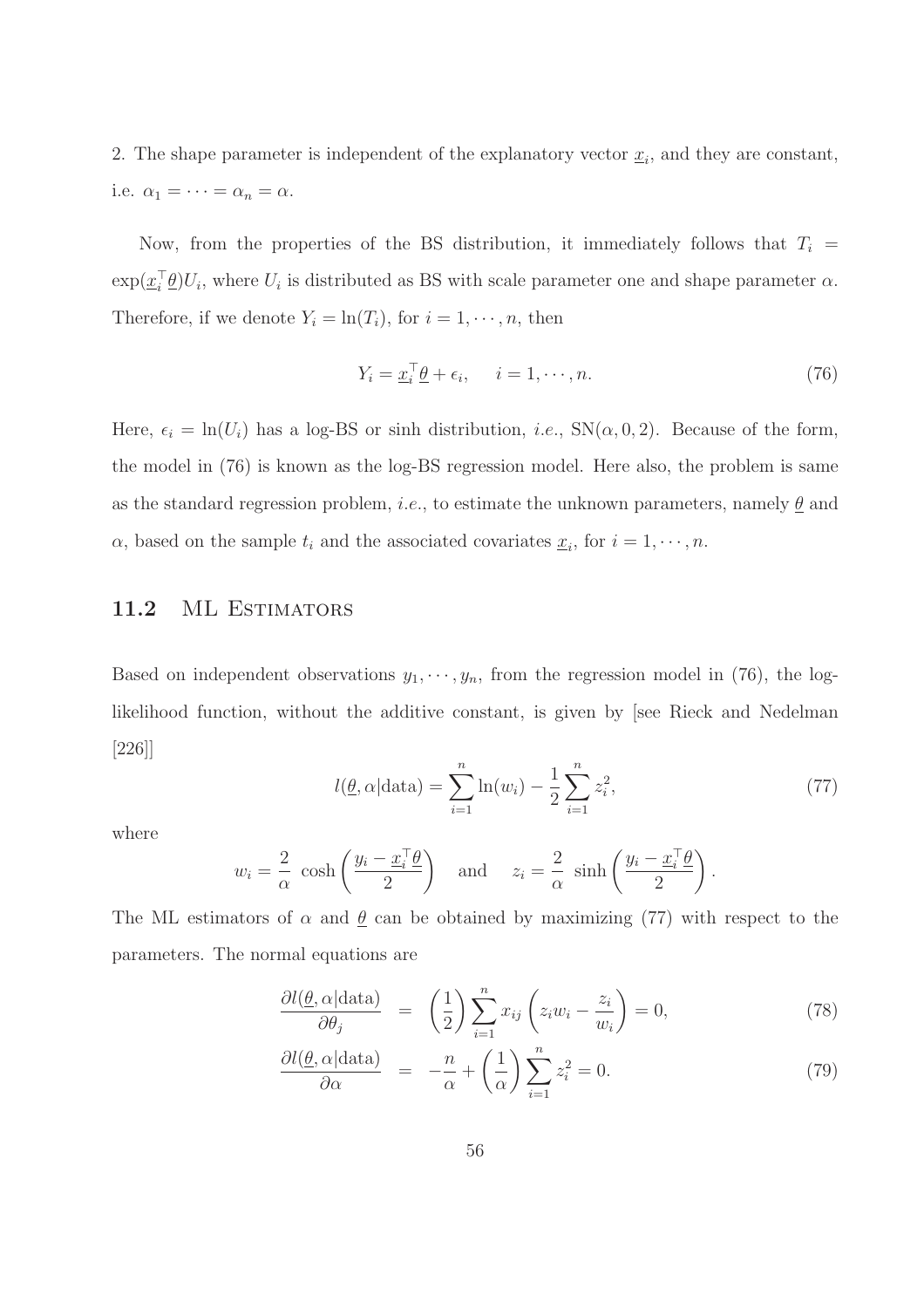2. The shape parameter is independent of the explanatory vector  $\underline{x}_i$ , and they are constant, i.e.  $\alpha_1 = \cdots = \alpha_n = \alpha$ .

Now, from the properties of the BS distribution, it immediately follows that  $T_i$  =  $\exp(\underline{x_i}^{\dagger} \underline{\theta}) U_i$ , where  $U_i$  is distributed as BS with scale parameter one and shape parameter  $\alpha$ . Therefore, if we denote  $Y_i = \ln(T_i)$ , for  $i = 1, \dots, n$ , then

$$
Y_i = \underline{x}_i^{\top} \underline{\theta} + \epsilon_i, \quad i = 1, \cdots, n. \tag{76}
$$

Here,  $\epsilon_i = \ln(U_i)$  has a log-BS or sinh distribution, *i.e.*,  $SN(\alpha, 0, 2)$ . Because of the form, the model in (76) is known as the log-BS regression model. Here also, the problem is same as the standard regression problem, *i.e.*, to estimate the unknown parameters, namely  $\theta$  and  $\alpha$ , based on the sample  $t_i$  and the associated covariates  $\underline{x}_i$ , for  $i = 1, \dots, n$ .

### 11.2 ML ESTIMATORS

Based on independent observations  $y_1, \dots, y_n$ , from the regression model in (76), the loglikelihood function, without the additive constant, is given by [see Rieck and Nedelman [226]]

$$
l(\underline{\theta}, \alpha | \text{data}) = \sum_{i=1}^{n} \ln(w_i) - \frac{1}{2} \sum_{i=1}^{n} z_i^2,
$$
 (77)

where

$$
w_i = \frac{2}{\alpha} \cosh\left(\frac{y_i - x_i^{\top}\theta}{2}\right)
$$
 and  $z_i = \frac{2}{\alpha} \sinh\left(\frac{y_i - x_i^{\top}\theta}{2}\right)$ .

The ML estimators of  $\alpha$  and  $\theta$  can be obtained by maximizing (77) with respect to the parameters. The normal equations are

$$
\frac{\partial l(\underline{\theta}, \alpha | \text{data})}{\partial \theta_j} = \left(\frac{1}{2}\right) \sum_{i=1}^n x_{ij} \left(z_i w_i - \frac{z_i}{w_i}\right) = 0,\tag{78}
$$

$$
\frac{\partial l(\underline{\theta}, \alpha | \text{data})}{\partial \alpha} = -\frac{n}{\alpha} + \left(\frac{1}{\alpha}\right) \sum_{i=1}^{n} z_i^2 = 0. \tag{79}
$$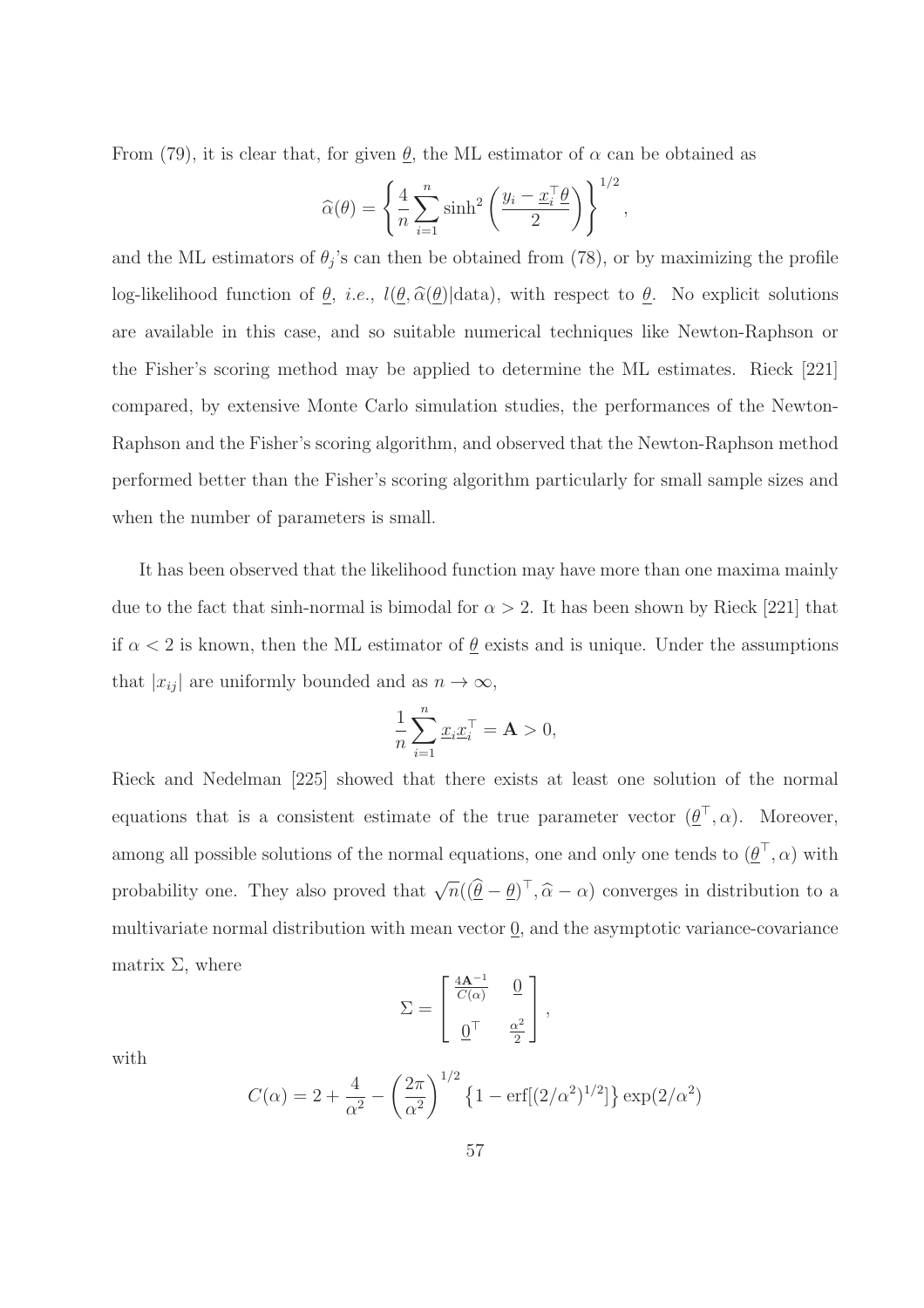From (79), it is clear that, for given  $\underline{\theta}$ , the ML estimator of  $\alpha$  can be obtained as

$$
\widehat{\alpha}(\theta) = \left\{ \frac{4}{n} \sum_{i=1}^{n} \sinh^2 \left( \frac{y_i - \underline{x}_i^{\top} \theta}{2} \right) \right\}^{1/2},
$$

and the ML estimators of  $\theta_j$ 's can then be obtained from (78), or by maximizing the profile log-likelihood function of  $\underline{\theta}$ , *i.e.*,  $l(\underline{\theta}, \widehat{\alpha}(\underline{\theta})|data)$ , with respect to  $\underline{\theta}$ . No explicit solutions are available in this case, and so suitable numerical techniques like Newton-Raphson or the Fisher's scoring method may be applied to determine the ML estimates. Rieck [221] compared, by extensive Monte Carlo simulation studies, the performances of the Newton-Raphson and the Fisher's scoring algorithm, and observed that the Newton-Raphson method performed better than the Fisher's scoring algorithm particularly for small sample sizes and when the number of parameters is small.

It has been observed that the likelihood function may have more than one maxima mainly due to the fact that sinh-normal is bimodal for  $\alpha > 2$ . It has been shown by Rieck [221] that if  $\alpha < 2$  is known, then the ML estimator of  $\underline{\theta}$  exists and is unique. Under the assumptions that  $|x_{ij}|$  are uniformly bounded and as  $n \to \infty$ ,

$$
\frac{1}{n}\sum_{i=1}^n \underline{x}_i \underline{x}_i^\top = \mathbf{A} > 0,
$$

Rieck and Nedelman [225] showed that there exists at least one solution of the normal equations that is a consistent estimate of the true parameter vector  $(\underline{\theta}^+, \alpha)$ . Moreover, among all possible solutions of the normal equations, one and only one tends to  $(\underline{\theta}^+, \alpha)$  with probability one. They also proved that  $\sqrt{n}((\hat{\theta} - \theta)^{\top}, \hat{\alpha} - \alpha)$  converges in distribution to a multivariate normal distribution with mean vector 0, and the asymptotic variance-covariance matrix  $\Sigma$ , where

$$
\Sigma = \begin{bmatrix} \frac{4\mathbf{A}^{-1}}{C(\alpha)} & \frac{\mathbf{0}}{2} \\ \frac{\mathbf{0}}{2} & \frac{\mathbf{0}^{2}}{2} \end{bmatrix},
$$

with

$$
C(\alpha) = 2 + \frac{4}{\alpha^2} - \left(\frac{2\pi}{\alpha^2}\right)^{1/2} \left\{1 - \text{erf}[(2/\alpha^2)^{1/2}] \right\} \exp(2/\alpha^2)
$$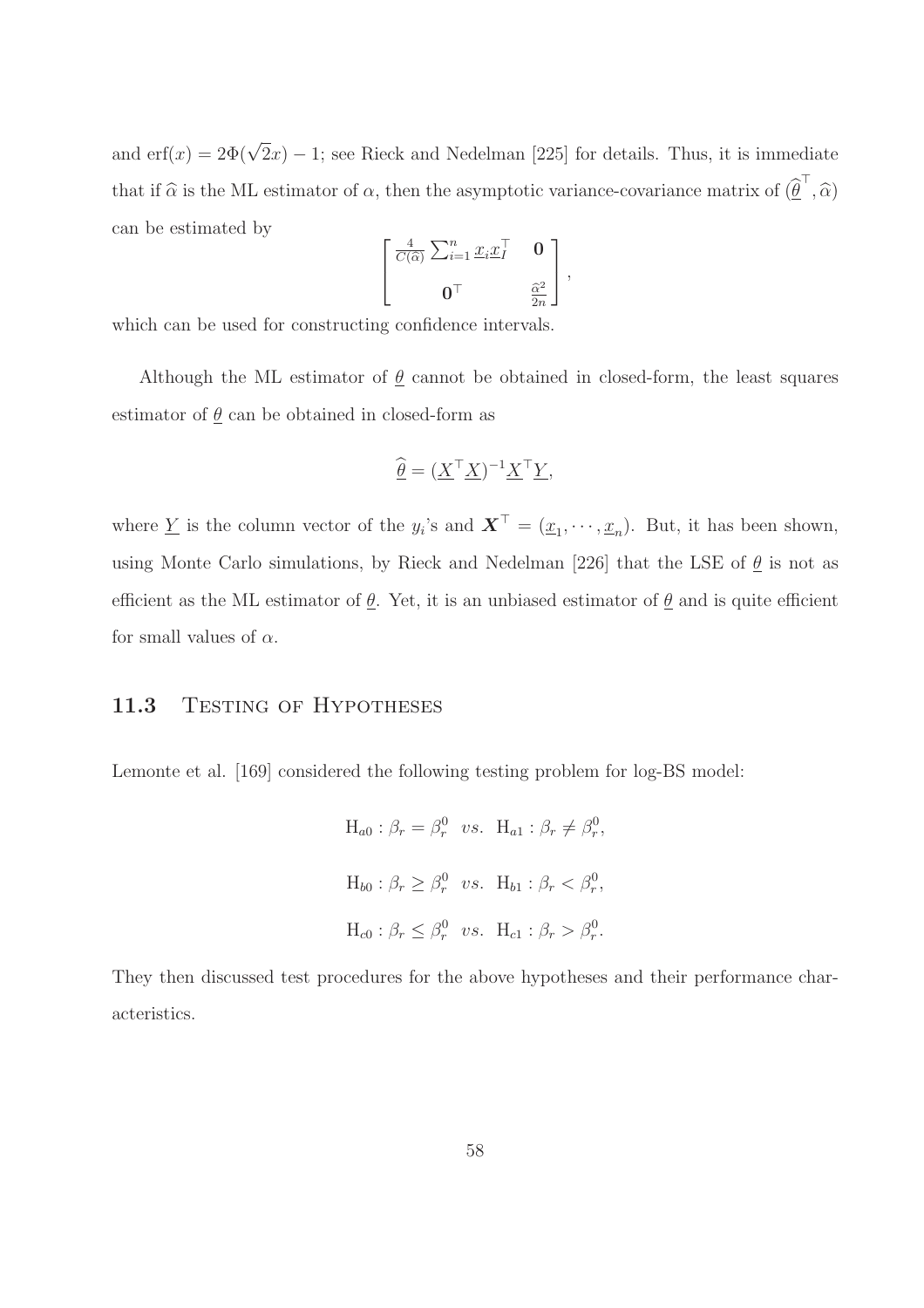and erf(x) =  $2\Phi(\sqrt{2}x) - 1$ ; see Rieck and Nedelman [225] for details. Thus, it is immediate that if  $\hat{\alpha}$  is the ML estimator of  $\alpha$ , then the asymptotic variance-covariance matrix of  $(\hat{\theta}^{\perp}, \hat{\alpha})$ can be estimated by

$$
\begin{bmatrix}\n\frac{4}{C(\widehat{\alpha})} \sum_{i=1}^{n} \underline{x}_i \underline{x}_I^\top & \mathbf{0} \\
\mathbf{0}^\top & \frac{\widehat{\alpha}^2}{2n}\n\end{bmatrix},
$$

which can be used for constructing confidence intervals.

Although the ML estimator of  $\underline{\theta}$  cannot be obtained in closed-form, the least squares estimator of  $\underline{\theta}$  can be obtained in closed-form as

$$
\widehat{\underline{\theta}} = (\underline{X}^\top \underline{X})^{-1} \underline{X}^\top \underline{Y},
$$

where  $\underline{Y}$  is the column vector of the  $y_i$ 's and  $\boldsymbol{X}^{\perp} = (\underline{x}_1, \dots, \underline{x}_n)$ . But, it has been shown, using Monte Carlo simulations, by Rieck and Nedelman [226] that the LSE of  $\underline{\theta}$  is not as efficient as the ML estimator of  $\underline{\theta}$ . Yet, it is an unbiased estimator of  $\underline{\theta}$  and is quite efficient for small values of  $\alpha$ .

### 11.3 TESTING OF HYPOTHESES

Lemonte et al. [169] considered the following testing problem for log-BS model:

$$
H_{a0}: \beta_r = \beta_r^0 \quad vs. \quad H_{a1}: \beta_r \neq \beta_r^0,
$$
  

$$
H_{b0}: \beta_r \geq \beta_r^0 \quad vs. \quad H_{b1}: \beta_r < \beta_r^0,
$$
  

$$
H_{c0}: \beta_r \leq \beta_r^0 \quad vs. \quad H_{c1}: \beta_r > \beta_r^0.
$$

They then discussed test procedures for the above hypotheses and their performance characteristics.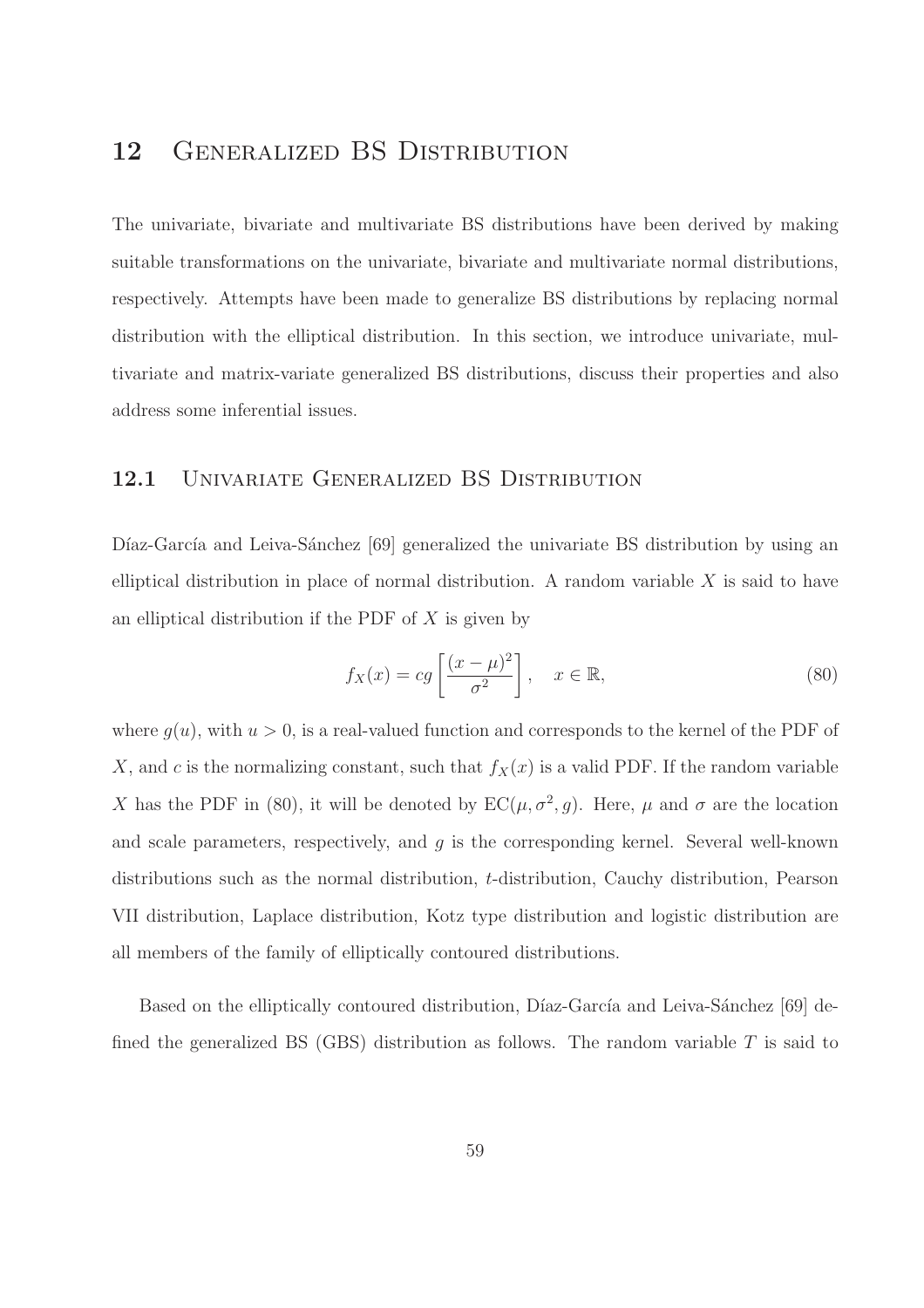# 12 GENERALIZED BS DISTRIBUTION

The univariate, bivariate and multivariate BS distributions have been derived by making suitable transformations on the univariate, bivariate and multivariate normal distributions, respectively. Attempts have been made to generalize BS distributions by replacing normal distribution with the elliptical distribution. In this section, we introduce univariate, multivariate and matrix-variate generalized BS distributions, discuss their properties and also address some inferential issues.

#### 12.1 UNIVARIATE GENERALIZED BS DISTRIBUTION

Díaz-García and Leiva-Sánchez [69] generalized the univariate BS distribution by using an elliptical distribution in place of normal distribution. A random variable  $X$  is said to have an elliptical distribution if the PDF of  $X$  is given by

$$
f_X(x) = cg\left[\frac{(x-\mu)^2}{\sigma^2}\right], \quad x \in \mathbb{R},\tag{80}
$$

where  $g(u)$ , with  $u > 0$ , is a real-valued function and corresponds to the kernel of the PDF of X, and c is the normalizing constant, such that  $f_X(x)$  is a valid PDF. If the random variable X has the PDF in (80), it will be denoted by  $EC(\mu, \sigma^2, g)$ . Here,  $\mu$  and  $\sigma$  are the location and scale parameters, respectively, and  $g$  is the corresponding kernel. Several well-known distributions such as the normal distribution, t-distribution, Cauchy distribution, Pearson VII distribution, Laplace distribution, Kotz type distribution and logistic distribution are all members of the family of elliptically contoured distributions.

Based on the elliptically contoured distribution, Díaz-García and Leiva-Sánchez [69] defined the generalized BS (GBS) distribution as follows. The random variable  $T$  is said to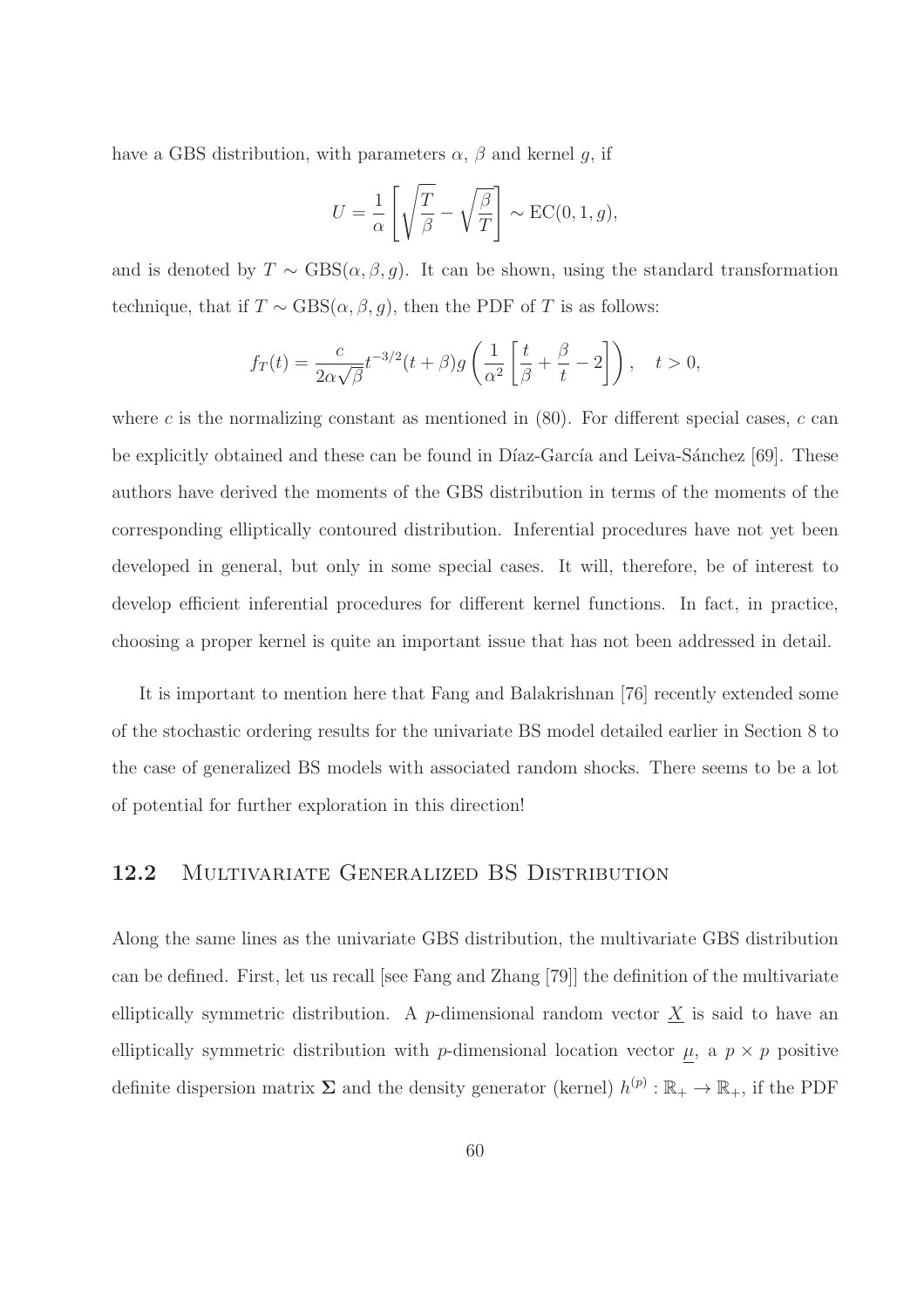have a GBS distribution, with parameters  $\alpha$ ,  $\beta$  and kernel g, if

$$
U = \frac{1}{\alpha} \left[ \sqrt{\frac{T}{\beta}} - \sqrt{\frac{\beta}{T}} \right] \sim \text{EC}(0, 1, g),
$$

and is denoted by  $T \sim \text{GBS}(\alpha, \beta, g)$ . It can be shown, using the standard transformation technique, that if  $T \sim \text{GBS}(\alpha, \beta, g)$ , then the PDF of T is as follows:

$$
f_T(t) = \frac{c}{2\alpha\sqrt{\beta}}t^{-3/2}(t+\beta)g\left(\frac{1}{\alpha^2}\left[\frac{t}{\beta} + \frac{\beta}{t} - 2\right]\right), \quad t > 0,
$$

where c is the normalizing constant as mentioned in  $(80)$ . For different special cases, c can be explicitly obtained and these can be found in Díaz-García and Leiva-Sánchez [69]. These authors have derived the moments of the GBS distribution in terms of the moments of the corresponding elliptically contoured distribution. Inferential procedures have not yet been developed in general, but only in some special cases. It will, therefore, be of interest to develop efficient inferential procedures for different kernel functions. In fact, in practice, choosing a proper kernel is quite an important issue that has not been addressed in detail.

It is important to mention here that Fang and Balakrishnan [76] recently extended some of the stochastic ordering results for the univariate BS model detailed earlier in Section 8 to the case of generalized BS models with associated random shocks. There seems to be a lot of potential for further exploration in this direction!

#### 12.2 MULTIVARIATE GENERALIZED BS DISTRIBUTION

Along the same lines as the univariate GBS distribution, the multivariate GBS distribution can be defined. First, let us recall [see Fang and Zhang [79]] the definition of the multivariate elliptically symmetric distribution. A p-dimensional random vector  $\underline{X}$  is said to have an elliptically symmetric distribution with p-dimensional location vector  $\mu$ , a  $p \times p$  positive definite dispersion matrix  $\Sigma$  and the density generator (kernel)  $h^{(p)} : \mathbb{R}_+ \to \mathbb{R}_+$ , if the PDF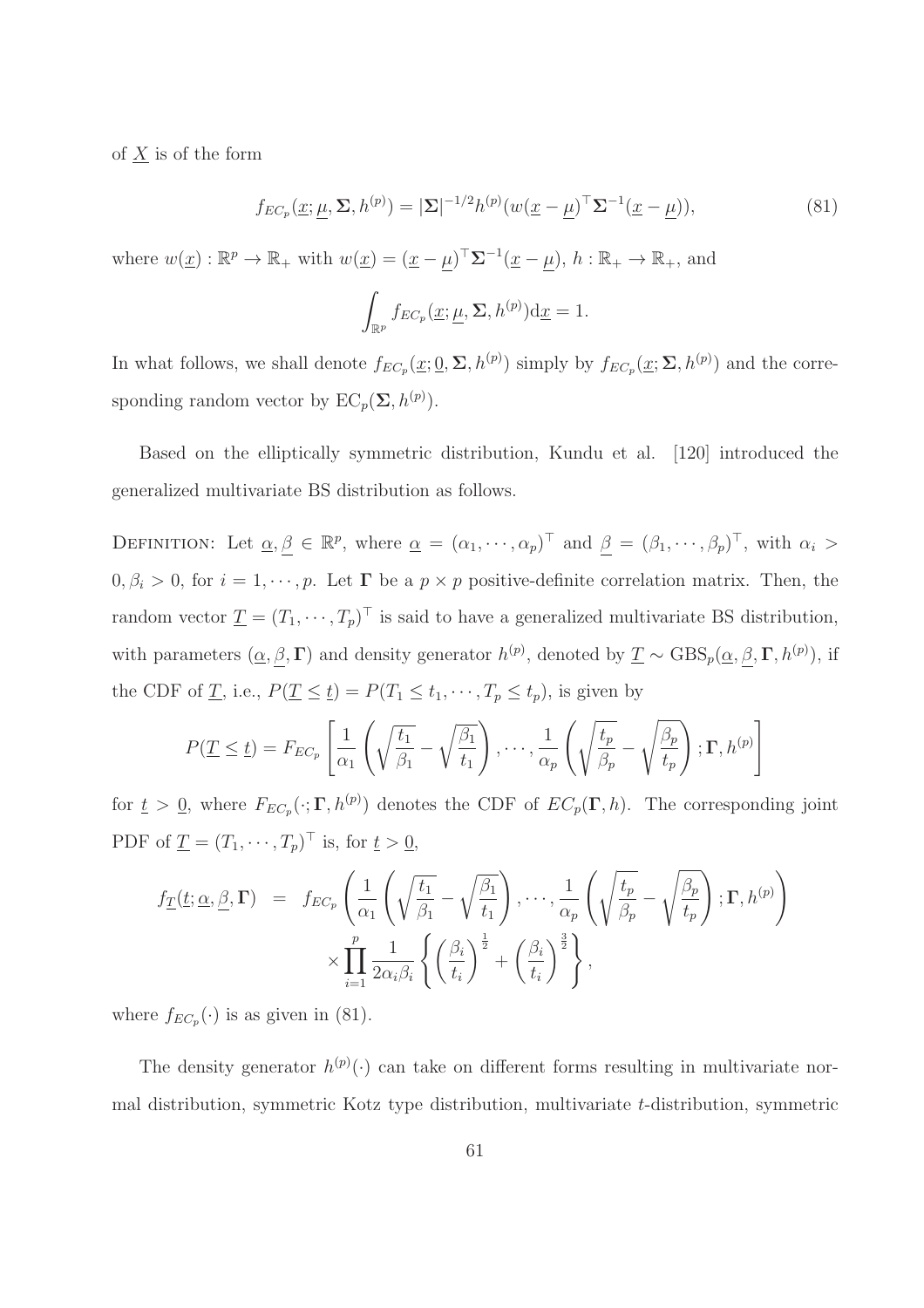of  $\underline{X}$  is of the form

$$
f_{EC_p}(\underline{x}; \underline{\mu}, \Sigma, h^{(p)}) = |\Sigma|^{-1/2} h^{(p)} (w(\underline{x} - \underline{\mu})^\top \Sigma^{-1} (\underline{x} - \underline{\mu})), \tag{81}
$$

where  $w(\underline{x}): \mathbb{R}^p \to \mathbb{R}_+$  with  $w(\underline{x}) = (\underline{x} - \underline{\mu})^\top \Sigma^{-1} (\underline{x} - \underline{\mu})$ ,  $h: \mathbb{R}_+ \to \mathbb{R}_+$ , and

$$
\int_{\mathbb{R}^p} f_{EC_p}(\underline{x}; \underline{\mu}, \Sigma, h^{(p)}) \mathrm{d} \underline{x} = 1.
$$

In what follows, we shall denote  $f_{EC_p}(\underline{x};\underline{0},\Sigma,h^{(p)})$  simply by  $f_{EC_p}(\underline{x};\Sigma,h^{(p)})$  and the corresponding random vector by  $EC_p(\Sigma, h^{(p)})$ .

Based on the elliptically symmetric distribution, Kundu et al. [120] introduced the generalized multivariate BS distribution as follows.

DEFINITION: Let  $\underline{\alpha}, \underline{\beta} \in \mathbb{R}^p$ , where  $\underline{\alpha} = (\alpha_1, \dots, \alpha_p)^\top$  and  $\underline{\beta} = (\beta_1, \dots, \beta_p)^\top$ , with  $\alpha_i >$  $0, \beta_i > 0$ , for  $i = 1, \dots, p$ . Let  $\Gamma$  be a  $p \times p$  positive-definite correlation matrix. Then, the random vector  $\underline{T} = (T_1, \dots, T_p)$ <sup> $\vdots$ </sup> is said to have a generalized multivariate BS distribution, with parameters  $(\underline{\alpha}, \underline{\beta}, \Gamma)$  and density generator  $h^{(p)}$ , denoted by  $\underline{T} \sim \text{GBS}_p(\underline{\alpha}, \underline{\beta}, \Gamma, h^{(p)})$ , if the CDF of <u>T</u>, i.e.,  $P(\underline{T} \leq \underline{t}) = P(T_1 \leq t_1, \dots, T_p \leq t_p)$ , is given by

$$
P(\underline{T} \leq \underline{t}) = F_{EC_p} \left[ \frac{1}{\alpha_1} \left( \sqrt{\frac{t_1}{\beta_1}} - \sqrt{\frac{\beta_1}{t_1}} \right), \cdots, \frac{1}{\alpha_p} \left( \sqrt{\frac{t_p}{\beta_p}} - \sqrt{\frac{\beta_p}{t_p}} \right); \Gamma, h^{(p)} \right]
$$

for  $\underline{t} > \underline{0}$ , where  $F_{EC_p}(\cdot; \Gamma, h^{(p)})$  denotes the CDF of  $EC_p(\Gamma, h)$ . The corresponding joint PDF of  $\underline{T} = (T_1, \dots, T_p)^\top$  is, for  $\underline{t} > \underline{0}$ ,

$$
f_{\underline{T}}(\underline{t}; \underline{\alpha}, \underline{\beta}, \Gamma) = f_{EC_p} \left( \frac{1}{\alpha_1} \left( \sqrt{\frac{t_1}{\beta_1}} - \sqrt{\frac{\beta_1}{t_1}} \right), \cdots, \frac{1}{\alpha_p} \left( \sqrt{\frac{t_p}{\beta_p}} - \sqrt{\frac{\beta_p}{t_p}} \right); \Gamma, h^{(p)} \right) \times \prod_{i=1}^p \frac{1}{2\alpha_i \beta_i} \left\{ \left( \frac{\beta_i}{t_i} \right)^{\frac{1}{2}} + \left( \frac{\beta_i}{t_i} \right)^{\frac{3}{2}} \right\},
$$

where  $f_{EC_p}(\cdot)$  is as given in (81).

The density generator  $h^{(p)}(\cdot)$  can take on different forms resulting in multivariate normal distribution, symmetric Kotz type distribution, multivariate t-distribution, symmetric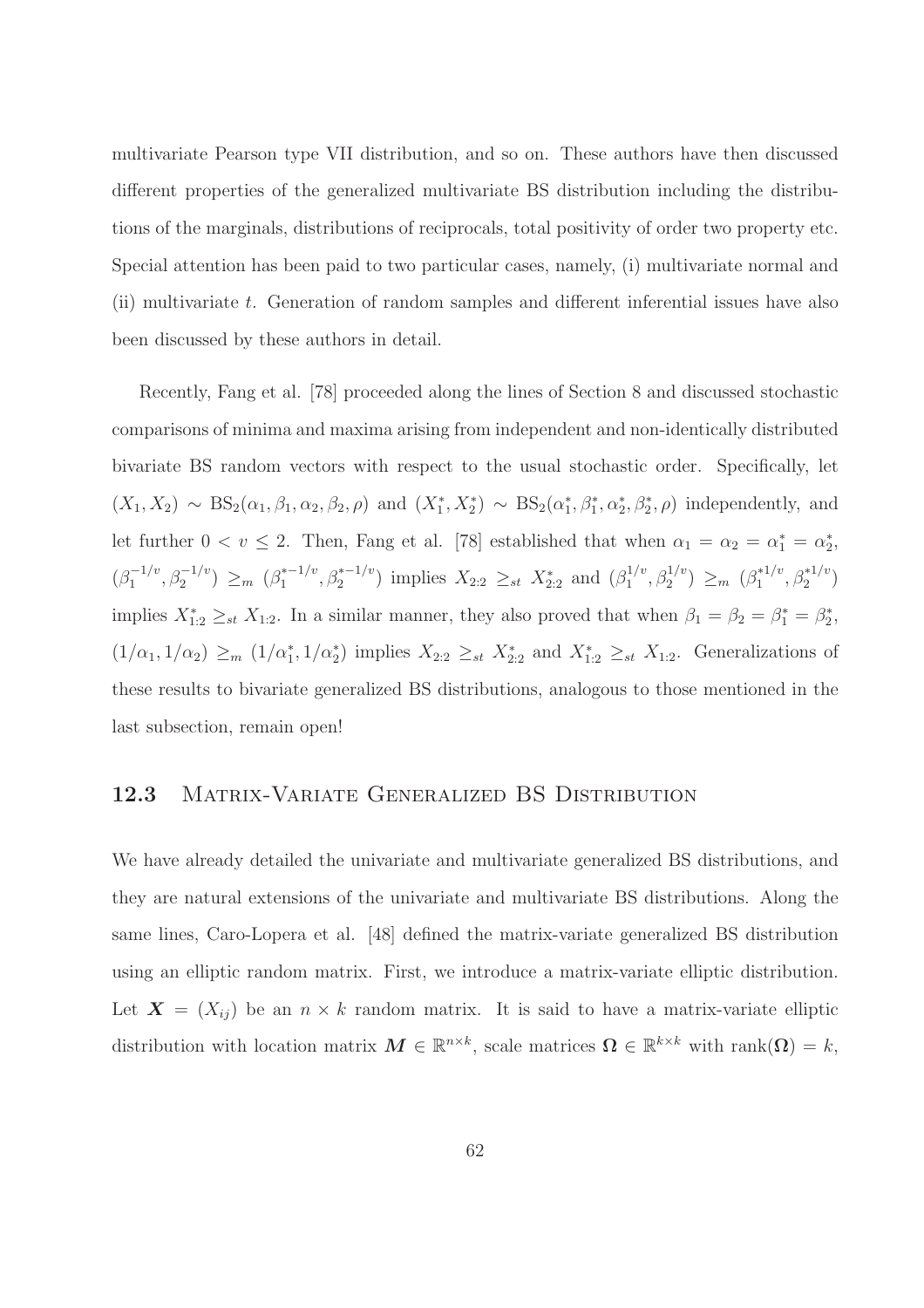multivariate Pearson type VII distribution, and so on. These authors have then discussed different properties of the generalized multivariate BS distribution including the distributions of the marginals, distributions of reciprocals, total positivity of order two property etc. Special attention has been paid to two particular cases, namely, (i) multivariate normal and (ii) multivariate t. Generation of random samples and different inferential issues have also been discussed by these authors in detail.

Recently, Fang et al. [78] proceeded along the lines of Section 8 and discussed stochastic comparisons of minima and maxima arising from independent and non-identically distributed bivariate BS random vectors with respect to the usual stochastic order. Specifically, let  $(X_1, X_2) \sim BS_2(\alpha_1, \beta_1, \alpha_2, \beta_2, \rho)$  and  $(X_1^*, X_2^*) \sim BS_2(\alpha_1^*, \beta_1^*, \alpha_2^*, \beta_2^*, \rho)$  independently, and let further  $0 < v \le 2$ . Then, Fang et al. [78] established that when  $\alpha_1 = \alpha_2 = \alpha_1^* = \alpha_2^*$ ,  $(\beta_1^{-1/v}, \beta_2^{-1/v}) \geq_m (\beta_1^{*-1/v}, \beta_2^{*-1/v})$  implies  $X_{2:2} \geq_{st} X_{2:2}^*$  and  $(\beta_1^{1/v})$  $\binom{1/v}{1}, \beta_2^{1/v} \geq m \ (\beta_1^{*1/v}, \beta_2^{*1/v})$ implies  $X_{1:2}^* \geq_{st} X_{1:2}$ . In a similar manner, they also proved that when  $\beta_1 = \beta_2 = \beta_1^* = \beta_2^*$ ,  $(1/\alpha_1, 1/\alpha_2) \geq_m (1/\alpha_1^*, 1/\alpha_2^*)$  implies  $X_{2:2} \geq_{st} X_{2:2}^*$  and  $X_{1:2}^* \geq_{st} X_{1:2}$ . Generalizations of these results to bivariate generalized BS distributions, analogous to those mentioned in the last subsection, remain open!

#### 12.3 Matrix-Variate Generalized BS Distribution

We have already detailed the univariate and multivariate generalized BS distributions, and they are natural extensions of the univariate and multivariate BS distributions. Along the same lines, Caro-Lopera et al. [48] defined the matrix-variate generalized BS distribution using an elliptic random matrix. First, we introduce a matrix-variate elliptic distribution. Let  $\mathbf{X} = (X_{ij})$  be an  $n \times k$  random matrix. It is said to have a matrix-variate elliptic distribution with location matrix  $M \in \mathbb{R}^{n \times k}$ , scale matrices  $\Omega \in \mathbb{R}^{k \times k}$  with rank $(\Omega) = k$ ,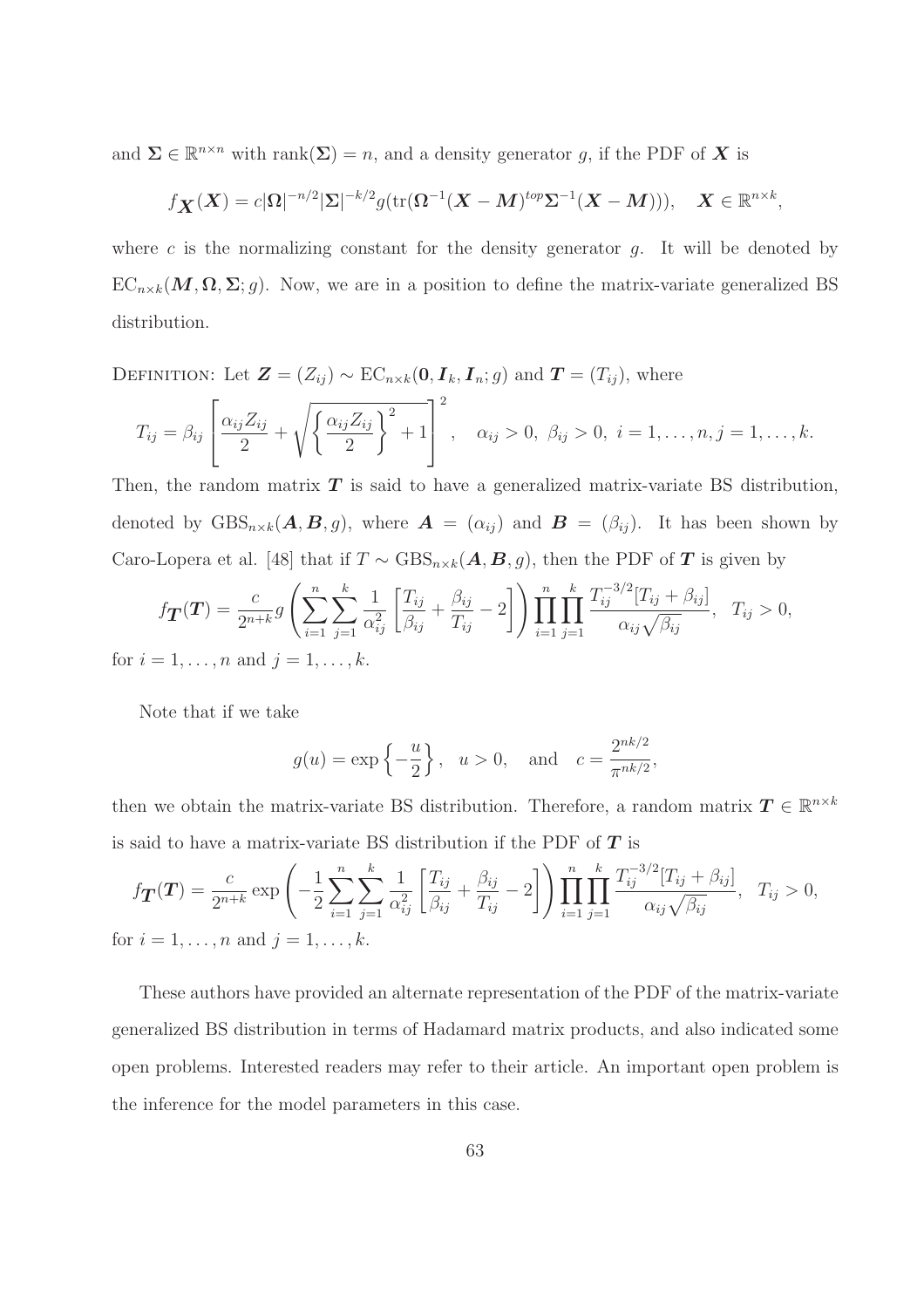and  $\Sigma \in \mathbb{R}^{n \times n}$  with rank $(\Sigma) = n$ , and a density generator g, if the PDF of **X** is

$$
f_{\boldsymbol{X}}(\boldsymbol{X})=c|\Omega|^{-n/2}|\Sigma|^{-k/2}g(\text{tr}(\Omega^{-1}(\boldsymbol{X}-\boldsymbol{M})^{top}\Sigma^{-1}(\boldsymbol{X}-\boldsymbol{M}))),\quad \boldsymbol{X}\in\mathbb{R}^{n\times k},
$$

where c is the normalizing constant for the density generator  $g$ . It will be denoted by  $EC_{n\times k}(M,\Omega,\Sigma;g)$ . Now, we are in a position to define the matrix-variate generalized BS distribution.

DEFINITION: Let  $\mathbf{Z} = (Z_{ij}) \sim \text{EC}_{n \times k}(\mathbf{0}, \mathbf{I}_k, \mathbf{I}_n; g)$  and  $\mathbf{T} = (T_{ij})$ , where

$$
T_{ij} = \beta_{ij} \left[ \frac{\alpha_{ij} Z_{ij}}{2} + \sqrt{\left\{ \frac{\alpha_{ij} Z_{ij}}{2} \right\}^2 + 1} \right]^2, \quad \alpha_{ij} > 0, \ \beta_{ij} > 0, \ i = 1, \dots, n, j = 1, \dots, k.
$$

Then, the random matrix  $T$  is said to have a generalized matrix-variate BS distribution, denoted by  $GBS_{n\times k}(A, B, g)$ , where  $A = (\alpha_{ij})$  and  $B = (\beta_{ij})$ . It has been shown by Caro-Lopera et al. [48] that if  $T \sim \text{GBS}_{n \times k}(A, B, g)$ , then the PDF of  $T$  is given by

$$
f_{\mathbf{T}}(\mathbf{T}) = \frac{c}{2^{n+k}} g\left(\sum_{i=1}^n \sum_{j=1}^k \frac{1}{\alpha_{ij}^2} \left[ \frac{T_{ij}}{\beta_{ij}} + \frac{\beta_{ij}}{T_{ij}} - 2 \right] \right) \prod_{i=1}^n \prod_{j=1}^k \frac{T_{ij}^{-3/2} [T_{ij} + \beta_{ij}]}{\alpha_{ij} \sqrt{\beta_{ij}}}, \quad T_{ij} > 0,
$$
  
= 1, ..., n and j = 1, ..., k.

Note that if we take

for  $i$ 

$$
g(u) = \exp\left\{-\frac{u}{2}\right\}, \quad u > 0, \text{ and } c = \frac{2^{nk/2}}{\pi^{nk/2}},
$$

then we obtain the matrix-variate BS distribution. Therefore, a random matrix  $T \in \mathbb{R}^{n \times k}$ is said to have a matrix-variate BS distribution if the PDF of  $T$  is

$$
f_{\mathbf{T}}(\mathbf{T}) = \frac{c}{2^{n+k}} \exp\left(-\frac{1}{2} \sum_{i=1}^{n} \sum_{j=1}^{k} \frac{1}{\alpha_{ij}^{2}} \left[\frac{T_{ij}}{\beta_{ij}} + \frac{\beta_{ij}}{T_{ij}} - 2\right]\right) \prod_{i=1}^{n} \prod_{j=1}^{k} \frac{T_{ij}^{-3/2} [T_{ij} + \beta_{ij}]}{\alpha_{ij} \sqrt{\beta_{ij}}}, \quad T_{ij} > 0,
$$
  
for  $i = 1, ..., n$  and  $j = 1, ..., k$ .

These authors have provided an alternate representation of the PDF of the matrix-variate generalized BS distribution in terms of Hadamard matrix products, and also indicated some open problems. Interested readers may refer to their article. An important open problem is the inference for the model parameters in this case.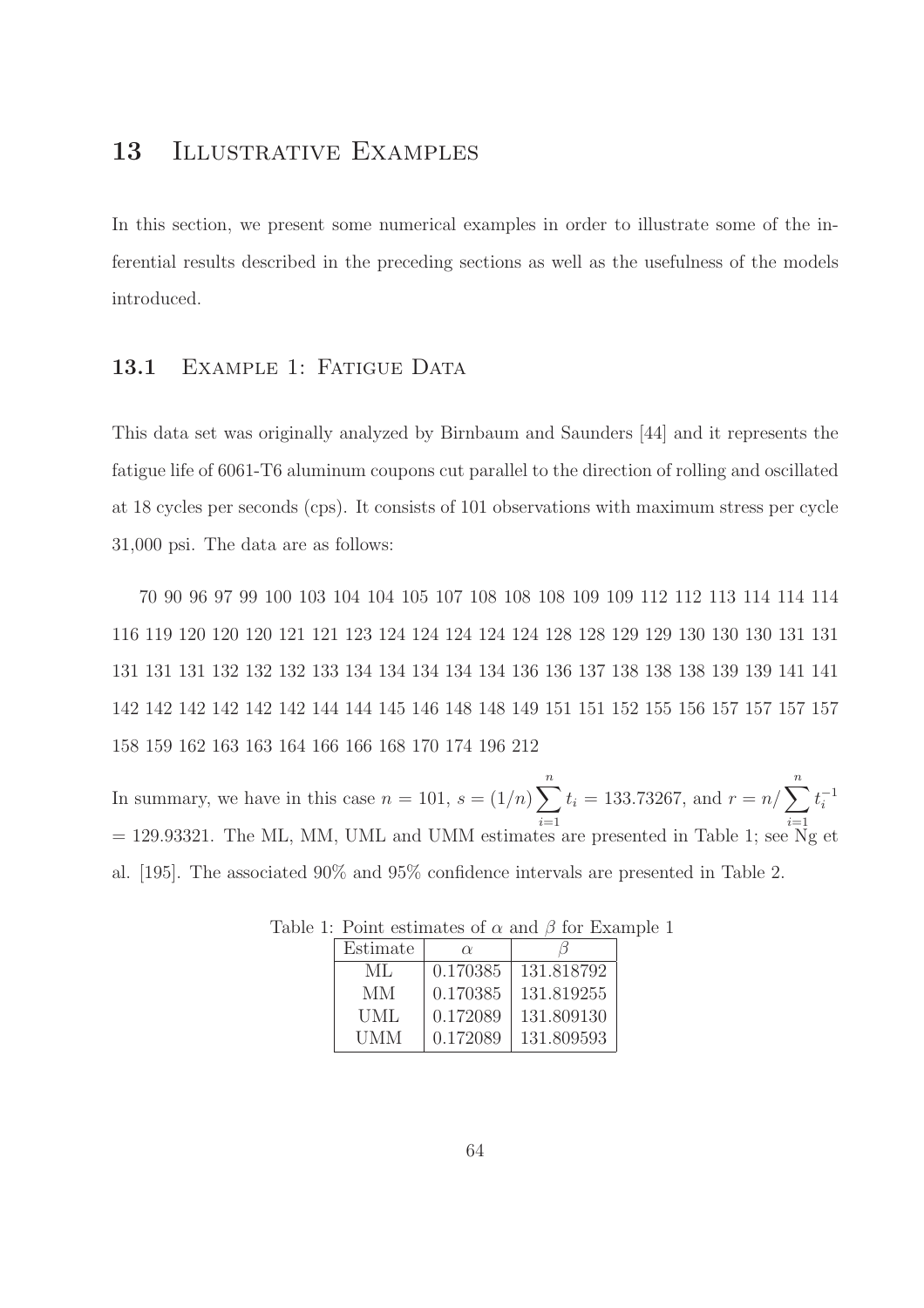# 13 ILLUSTRATIVE EXAMPLES

In this section, we present some numerical examples in order to illustrate some of the inferential results described in the preceding sections as well as the usefulness of the models introduced.

### 13.1 EXAMPLE 1: FATIGUE DATA

This data set was originally analyzed by Birnbaum and Saunders [44] and it represents the fatigue life of 6061-T6 aluminum coupons cut parallel to the direction of rolling and oscillated at 18 cycles per seconds (cps). It consists of 101 observations with maximum stress per cycle 31,000 psi. The data are as follows:

70 90 96 97 99 100 103 104 104 105 107 108 108 108 109 109 112 112 113 114 114 114 116 119 120 120 120 121 121 123 124 124 124 124 124 128 128 129 129 130 130 130 131 131 131 131 131 132 132 132 133 134 134 134 134 134 136 136 137 138 138 138 139 139 141 141 142 142 142 142 142 142 144 144 145 146 148 148 149 151 151 152 155 156 157 157 157 157 158 159 162 163 163 164 166 166 168 170 174 196 212

In summary, we have in this case  $n = 101$ ,  $s = (1/n) \sum_{n=1}^{\infty}$  $i=1$  $t_i = 133.73267$ , and  $r = n/\sum_{n=1}^n$  $i=1$  $t_i^{-1}$ = 129.93321. The ML, MM, UML and UMM estimates are presented in Table 1; see  $N_g$  et al. [195]. The associated 90% and 95% confidence intervals are presented in Table 2.

| Estimate   | $\alpha$ |            |
|------------|----------|------------|
| ML         | 0.170385 | 131.818792 |
| MМ         | 0.170385 | 131.819255 |
| <b>UML</b> | 0.172089 | 131.809130 |
| UMM        | 0.172089 | 131.809593 |

Table 1: Point estimates of  $\alpha$  and  $\beta$  for Example 1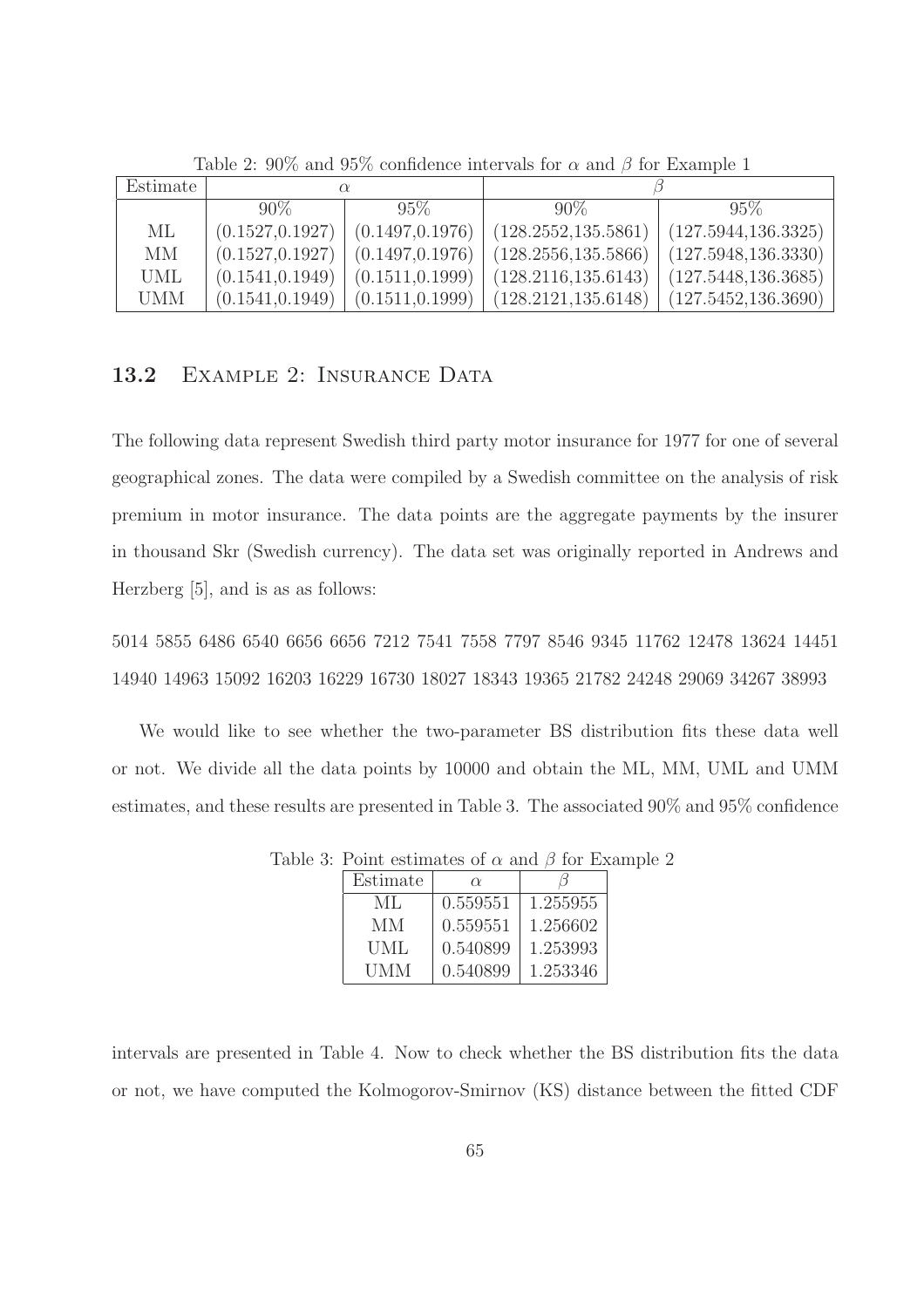| Estimate   |                  |                  |                      |                                               |  |
|------------|------------------|------------------|----------------------|-----------------------------------------------|--|
|            | $90\%$           | $95\%$           | $90\%$               | $95\%$                                        |  |
| МL         | (0.1527, 0.1927) | (0.1497, 0.1976) | (128.2552.135.5861)  | (127.5944, 136.3325)                          |  |
| MМ         | (0.1527, 0.1927) | (0.1497, 0.1976) | (128.2556, 135.5866) | $\mid$ (127.5948,136.3330) $\mid$             |  |
| <b>UML</b> | (0.1541, 0.1949) | (0.1511, 0.1999) | (128.2116, 135.6143) | (127.5448, 136.3685)                          |  |
| <b>UMM</b> | (0.1541, 0.1949) | (0.1511, 0.1999) |                      | $(128.2121, 135.6148)$ $(127.5452, 136.3690)$ |  |

Table 2:  $90\%$  and  $95\%$  confidence intervals for  $\alpha$  and  $\beta$  for Example 1

## 13.2 EXAMPLE 2: INSURANCE DATA

The following data represent Swedish third party motor insurance for 1977 for one of several geographical zones. The data were compiled by a Swedish committee on the analysis of risk premium in motor insurance. The data points are the aggregate payments by the insurer in thousand Skr (Swedish currency). The data set was originally reported in Andrews and Herzberg [5], and is as as follows:

5014 5855 6486 6540 6656 6656 7212 7541 7558 7797 8546 9345 11762 12478 13624 14451 14940 14963 15092 16203 16229 16730 18027 18343 19365 21782 24248 29069 34267 38993

We would like to see whether the two-parameter BS distribution fits these data well or not. We divide all the data points by 10000 and obtain the ML, MM, UML and UMM estimates, and these results are presented in Table 3. The associated 90% and 95% confidence

| Estimate | $\alpha$ |          |
|----------|----------|----------|
| МL       | 0.559551 | 1.255955 |
| MМ       | 0.559551 | 1.256602 |
| UML      | 0.540899 | 1.253993 |
| UMM      | 0.540899 | 1.253346 |

Table 3: Point estimates of  $\alpha$  and  $\beta$  for Example 2

intervals are presented in Table 4. Now to check whether the BS distribution fits the data or not, we have computed the Kolmogorov-Smirnov (KS) distance between the fitted CDF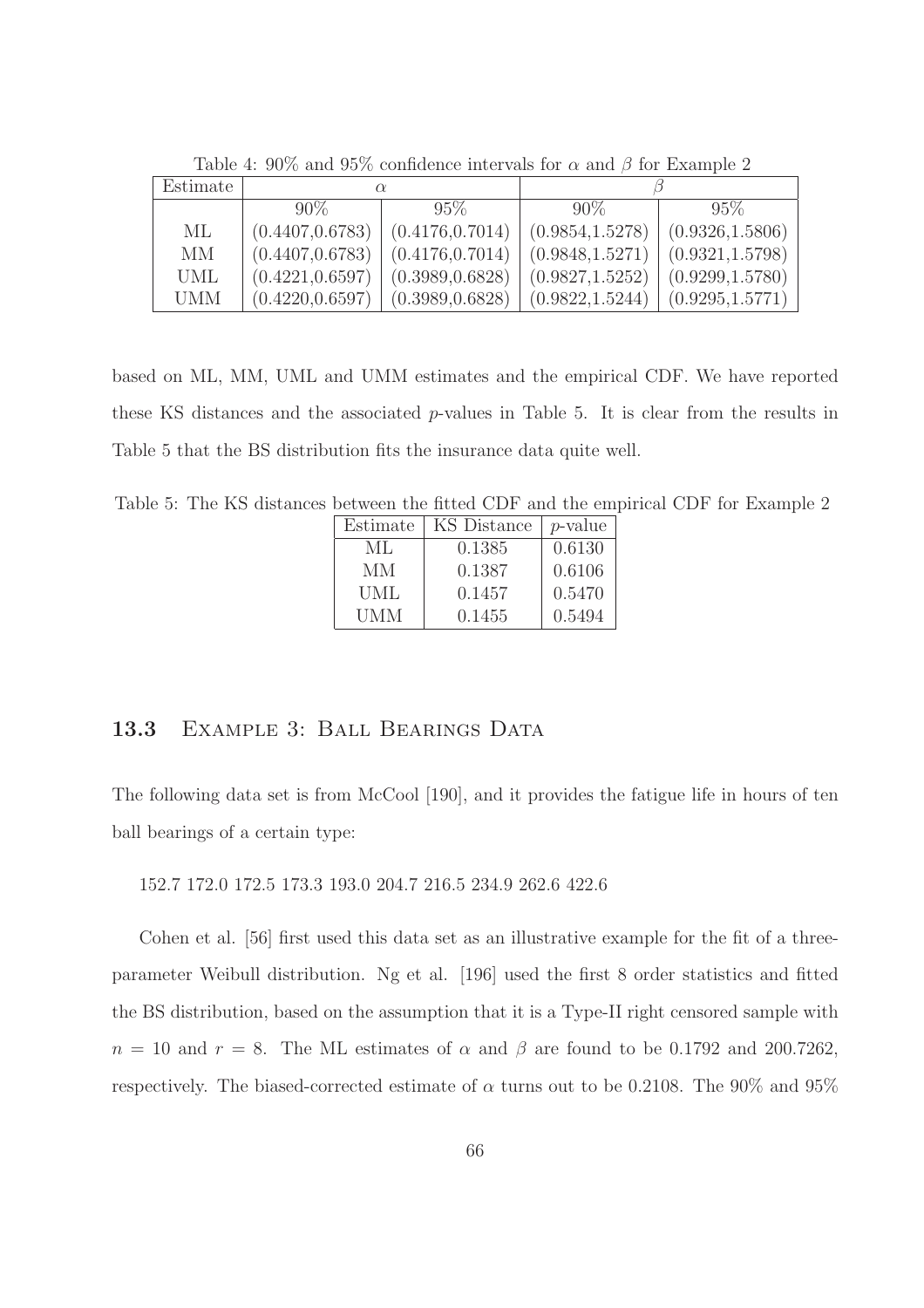| Estimate   |                  | $\alpha$         |                  |                  |  |
|------------|------------------|------------------|------------------|------------------|--|
|            | $90\%$           | $95\%$           | $90\%$           | $95\%$           |  |
| МL         | (0.4407, 0.6783) | (0.4176, 0.7014) | (0.9854, 1.5278) | (0.9326, 1.5806) |  |
| MМ         | (0.4407, 0.6783) | (0.4176, 0.7014) | (0.9848, 1.5271) | (0.9321, 1.5798) |  |
| <b>UML</b> | (0.4221, 0.6597) | (0.3989, 0.6828) | (0.9827, 1.5252) | (0.9299, 1.5780) |  |
| <b>UMM</b> | (0.4220, 0.6597) | (0.3989, 0.6828) | (0.9822, 1.5244) | (0.9295, 1.5771) |  |

Table 4:  $90\%$  and  $95\%$  confidence intervals for  $\alpha$  and  $\beta$  for Example 2

based on ML, MM, UML and UMM estimates and the empirical CDF. We have reported these KS distances and the associated p-values in Table 5. It is clear from the results in Table 5 that the BS distribution fits the insurance data quite well.

Table 5: The KS distances between the fitted CDF and the empirical CDF for Example 2

| Estimate | KS Distance | $p$ -value |
|----------|-------------|------------|
| ML       | 0.1385      | 0.6130     |
| MМ       | 0.1387      | 0.6106     |
| UML      | 0.1457      | 0.5470     |
| UMM      | 0.1455      | 0.5494     |

### 13.3 EXAMPLE 3: BALL BEARINGS DATA

The following data set is from McCool [190], and it provides the fatigue life in hours of ten ball bearings of a certain type:

152.7 172.0 172.5 173.3 193.0 204.7 216.5 234.9 262.6 422.6

Cohen et al. [56] first used this data set as an illustrative example for the fit of a threeparameter Weibull distribution. Ng et al. [196] used the first 8 order statistics and fitted the BS distribution, based on the assumption that it is a Type-II right censored sample with  $n = 10$  and  $r = 8$ . The ML estimates of  $\alpha$  and  $\beta$  are found to be 0.1792 and 200.7262, respectively. The biased-corrected estimate of  $\alpha$  turns out to be 0.2108. The 90% and 95%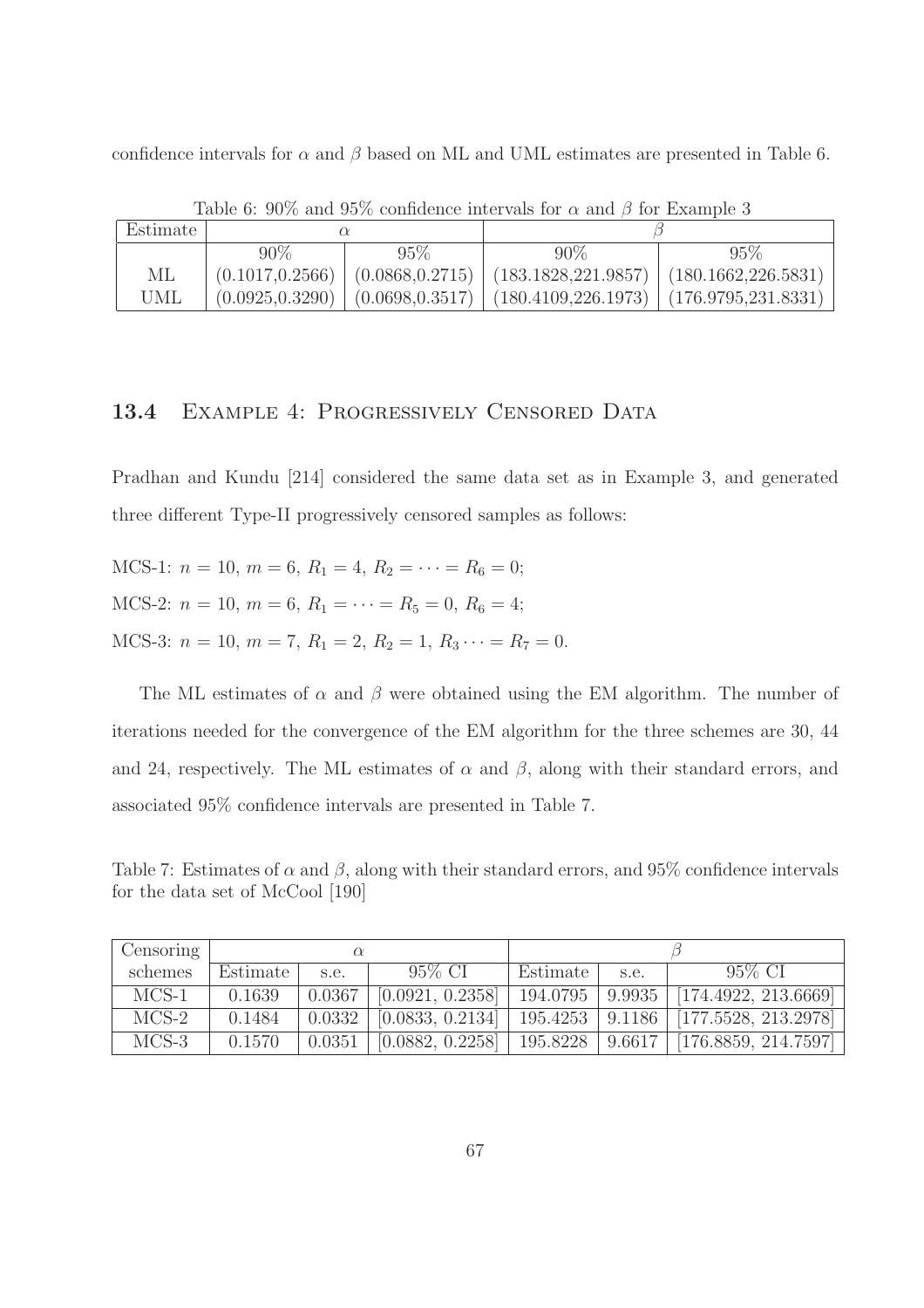confidence intervals for  $\alpha$  and  $\beta$  based on ML and UML estimates are presented in Table 6.

| Estimate |                  |                  |                                               |        |  |
|----------|------------------|------------------|-----------------------------------------------|--------|--|
|          | 90%              | 95%              | $90\%$                                        | $95\%$ |  |
| МL       | (0.1017, 0.2566) | (0.0868, 0.2715) | $(183.1828, 221.9857)$ $(180.1662, 226.5831)$ |        |  |
| UML      | (0.0925, 0.3290) | (0.0698, 0.3517) | $(180.4109.226.1973) (176.9795.231.8331)$     |        |  |

Table 6:  $90\%$  and  $95\%$  confidence intervals for  $\alpha$  and  $\beta$  for Example 3

### 13.4 EXAMPLE 4: PROGRESSIVELY CENSORED DATA

Pradhan and Kundu [214] considered the same data set as in Example 3, and generated three different Type-II progressively censored samples as follows:

MCS-1:  $n = 10$ ,  $m = 6$ ,  $R_1 = 4$ ,  $R_2 = \cdots = R_6 = 0$ ; MCS-2:  $n = 10$ ,  $m = 6$ ,  $R_1 = \cdots = R_5 = 0$ ,  $R_6 = 4$ ; MCS-3:  $n = 10$ ,  $m = 7$ ,  $R_1 = 2$ ,  $R_2 = 1$ ,  $R_3 \cdots = R_7 = 0$ .

The ML estimates of  $\alpha$  and  $\beta$  were obtained using the EM algorithm. The number of iterations needed for the convergence of the EM algorithm for the three schemes are 30, 44 and 24, respectively. The ML estimates of  $\alpha$  and  $\beta$ , along with their standard errors, and associated 95% confidence intervals are presented in Table 7.

Table 7: Estimates of  $\alpha$  and  $\beta$ , along with their standard errors, and 95% confidence intervals for the data set of McCool [190]

| Censoring $\perp$ | $\alpha$ |        |                  |          |        |                                          |
|-------------------|----------|--------|------------------|----------|--------|------------------------------------------|
| schemes           | Estimate | s.e.   | 95% CI           | Estimate | s.e.   | $95\%$ CI                                |
| $MCS-1$           | 0.1639   | 0.0367 | [0.0921, 0.2358] | 194.0795 | 9.9935 | [174.4922, 213.6669]                     |
| $MCS-2$           | 0.1484   | 0.0332 | [0.0833, 0.2134] |          |        | 195.4253   9.1186   [177.5528, 213.2978] |
| $MCS-3$           | 0.1570   | 0.0351 | [0.0882, 0.2258] | 195.8228 | 9.6617 | [176.8859, 214.7597]                     |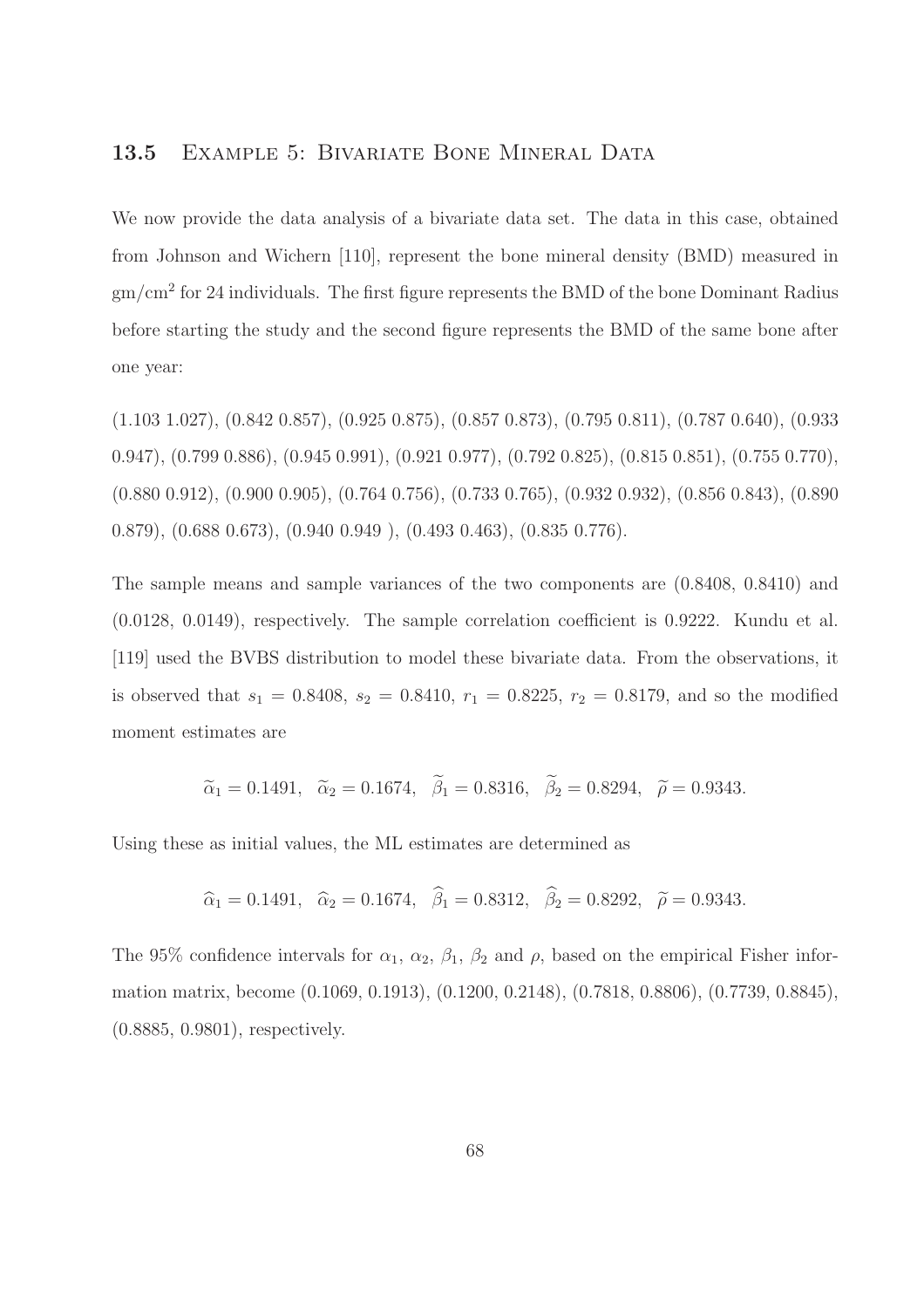#### 13.5 EXAMPLE 5: BIVARIATE BONE MINERAL DATA

We now provide the data analysis of a bivariate data set. The data in this case, obtained from Johnson and Wichern [110], represent the bone mineral density (BMD) measured in  $\rm gm/cm^2$  for 24 individuals. The first figure represents the BMD of the bone Dominant Radius before starting the study and the second figure represents the BMD of the same bone after one year:

(1.103 1.027), (0.842 0.857), (0.925 0.875), (0.857 0.873), (0.795 0.811), (0.787 0.640), (0.933 0.947), (0.799 0.886), (0.945 0.991), (0.921 0.977), (0.792 0.825), (0.815 0.851), (0.755 0.770), (0.880 0.912), (0.900 0.905), (0.764 0.756), (0.733 0.765), (0.932 0.932), (0.856 0.843), (0.890 0.879), (0.688 0.673), (0.940 0.949 ), (0.493 0.463), (0.835 0.776).

The sample means and sample variances of the two components are (0.8408, 0.8410) and (0.0128, 0.0149), respectively. The sample correlation coefficient is 0.9222. Kundu et al. [119] used the BVBS distribution to model these bivariate data. From the observations, it is observed that  $s_1 = 0.8408$ ,  $s_2 = 0.8410$ ,  $r_1 = 0.8225$ ,  $r_2 = 0.8179$ , and so the modified moment estimates are

$$
\tilde{\alpha}_1 = 0.1491
$$
,  $\tilde{\alpha}_2 = 0.1674$ ,  $\tilde{\beta}_1 = 0.8316$ ,  $\tilde{\beta}_2 = 0.8294$ ,  $\tilde{\rho} = 0.9343$ .

Using these as initial values, the ML estimates are determined as

$$
\hat{\alpha}_1 = 0.1491
$$
,  $\hat{\alpha}_2 = 0.1674$ ,  $\hat{\beta}_1 = 0.8312$ ,  $\hat{\beta}_2 = 0.8292$ ,  $\tilde{\rho} = 0.9343$ .

The 95% confidence intervals for  $\alpha_1$ ,  $\alpha_2$ ,  $\beta_1$ ,  $\beta_2$  and  $\rho$ , based on the empirical Fisher information matrix, become (0.1069, 0.1913), (0.1200, 0.2148), (0.7818, 0.8806), (0.7739, 0.8845), (0.8885, 0.9801), respectively.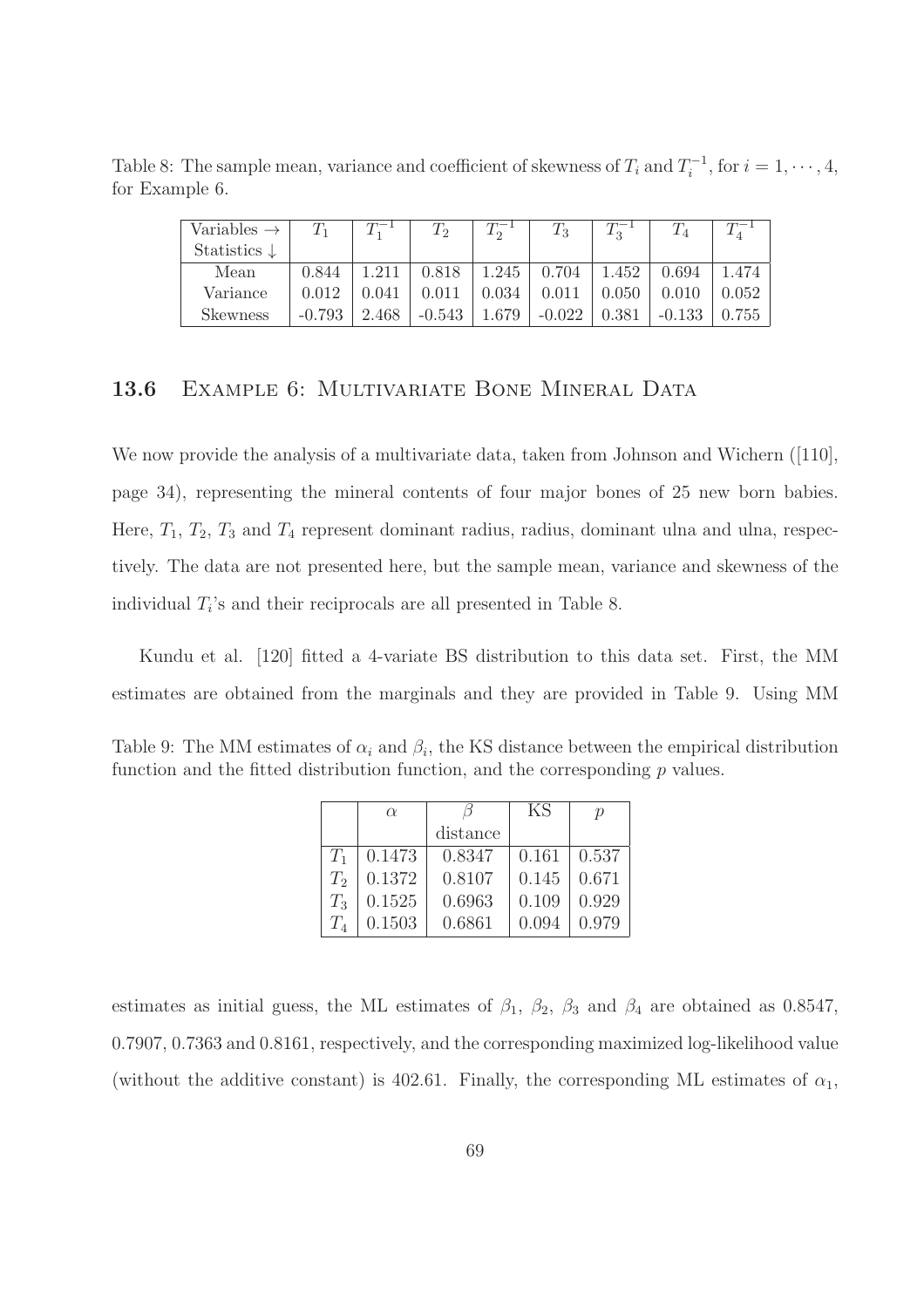Table 8: The sample mean, variance and coefficient of skewness of  $T_i$  and  $T_i^{-1}$ , for  $i = 1, \dots, 4$ , for Example 6.

| Variables $\rightarrow$ | $T_1$    |       | $T_2$       |       | $\, T_{3}$ | $T_2^-$ | $T_{4}$  |       |
|-------------------------|----------|-------|-------------|-------|------------|---------|----------|-------|
| Statistics $\downarrow$ |          |       |             |       |            |         |          |       |
| Mean                    | 0.844    |       | 0.818       | 1.245 | 0.704      | 1.452   | 0.694    | 1.474 |
| Variance                | 0.012    | 0.041 | $\rm 0.011$ | 0.034 | 0.011      | 0.050   | 0.010    | 0.052 |
| Skewness                | $-0.793$ | 2.468 | $-0.543$    | 1.679 | $-0.022$   | 0.381   | $-0.133$ | 0.755 |

#### 13.6 EXAMPLE 6: MULTIVARIATE BONE MINERAL DATA

We now provide the analysis of a multivariate data, taken from Johnson and Wichern ([110], page 34), representing the mineral contents of four major bones of 25 new born babies. Here,  $T_1$ ,  $T_2$ ,  $T_3$  and  $T_4$  represent dominant radius, radius, dominant ulna and ulna, respectively. The data are not presented here, but the sample mean, variance and skewness of the individual  $T_i$ 's and their reciprocals are all presented in Table 8.

Kundu et al. [120] fitted a 4-variate BS distribution to this data set. First, the MM estimates are obtained from the marginals and they are provided in Table 9. Using MM

Table 9: The MM estimates of  $\alpha_i$  and  $\beta_i$ , the KS distance between the empirical distribution function and the fitted distribution function, and the corresponding  $p$  values.

|                | $\alpha$ |          | KS    | $\mathcal{D}$ |
|----------------|----------|----------|-------|---------------|
|                |          | distance |       |               |
| $T_{1}$        | 0.1473   | 0.8347   | 0.161 | 0.537         |
| T <sub>2</sub> | 0.1372   | 0.8107   | 0.145 | 0.671         |
| $T_3$          | 0.1525   | 0.6963   | 0.109 | 0.929         |
| $T_A$          | 0.1503   | 0.6861   | 0.094 | 0.979         |

estimates as initial guess, the ML estimates of  $\beta_1$ ,  $\beta_2$ ,  $\beta_3$  and  $\beta_4$  are obtained as 0.8547, 0.7907, 0.7363 and 0.8161, respectively, and the corresponding maximized log-likelihood value (without the additive constant) is 402.61. Finally, the corresponding ML estimates of  $\alpha_1$ ,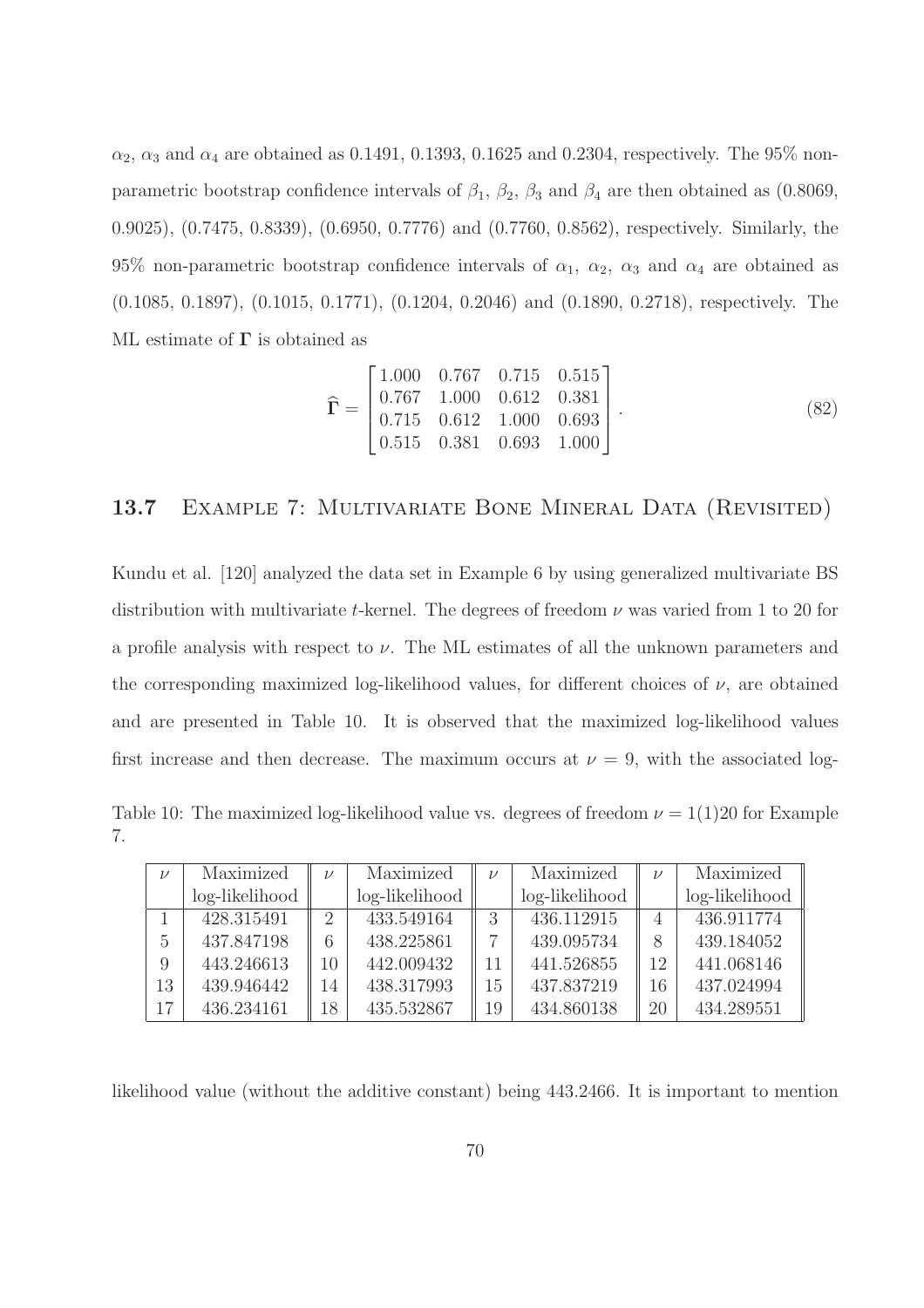$\alpha_2$ ,  $\alpha_3$  and  $\alpha_4$  are obtained as 0.1491, 0.1393, 0.1625 and 0.2304, respectively. The 95% nonparametric bootstrap confidence intervals of  $\beta_1$ ,  $\beta_2$ ,  $\beta_3$  and  $\beta_4$  are then obtained as (0.8069, 0.9025), (0.7475, 0.8339), (0.6950, 0.7776) and (0.7760, 0.8562), respectively. Similarly, the 95% non-parametric bootstrap confidence intervals of  $\alpha_1$ ,  $\alpha_2$ ,  $\alpha_3$  and  $\alpha_4$  are obtained as (0.1085, 0.1897), (0.1015, 0.1771), (0.1204, 0.2046) and (0.1890, 0.2718), respectively. The ML estimate of  $\Gamma$  is obtained as

$$
\widehat{\mathbf{\Gamma}} = \begin{bmatrix} 1.000 & 0.767 & 0.715 & 0.515 \\ 0.767 & 1.000 & 0.612 & 0.381 \\ 0.715 & 0.612 & 1.000 & 0.693 \\ 0.515 & 0.381 & 0.693 & 1.000 \end{bmatrix} . \tag{82}
$$

# 13.7 EXAMPLE 7: MULTIVARIATE BONE MINERAL DATA (REVISITED)

Kundu et al. [120] analyzed the data set in Example 6 by using generalized multivariate BS distribution with multivariate t-kernel. The degrees of freedom  $\nu$  was varied from 1 to 20 for a profile analysis with respect to  $\nu$ . The ML estimates of all the unknown parameters and the corresponding maximized log-likelihood values, for different choices of  $\nu$ , are obtained and are presented in Table 10. It is observed that the maximized log-likelihood values first increase and then decrease. The maximum occurs at  $\nu = 9$ , with the associated log-

Table 10: The maximized log-likelihood value vs. degrees of freedom  $\nu = 1(1)20$  for Example 7.

| $\nu$ | Maximized      | $\mathcal{U}$               | Maximized      | $\mathcal{U}$ | Maximized      | $\nu$ | Maximized        |
|-------|----------------|-----------------------------|----------------|---------------|----------------|-------|------------------|
|       | log-likelihood |                             | log-likelihood |               | log-likelihood |       | $log-likelihood$ |
|       | 428.315491     | $\mathcal{D}_{\mathcal{A}}$ | 433.549164     |               | 436.112915     |       | 436.911774       |
| 5     | 437.847198     |                             | 438.225861     |               | 439.095734     | 8     | 439.184052       |
| 9     | 443.246613     | 10                          | 442.009432     | 11            | 441.526855     | 12    | 441.068146       |
| 13    | 439.946442     | 14                          | 438.317993     | 15            | 437.837219     | 16    | 437.024994       |
|       | 436.234161     | 18                          | 435.532867     | 19            | 434.860138     | 20    | 434.289551       |

likelihood value (without the additive constant) being 443.2466. It is important to mention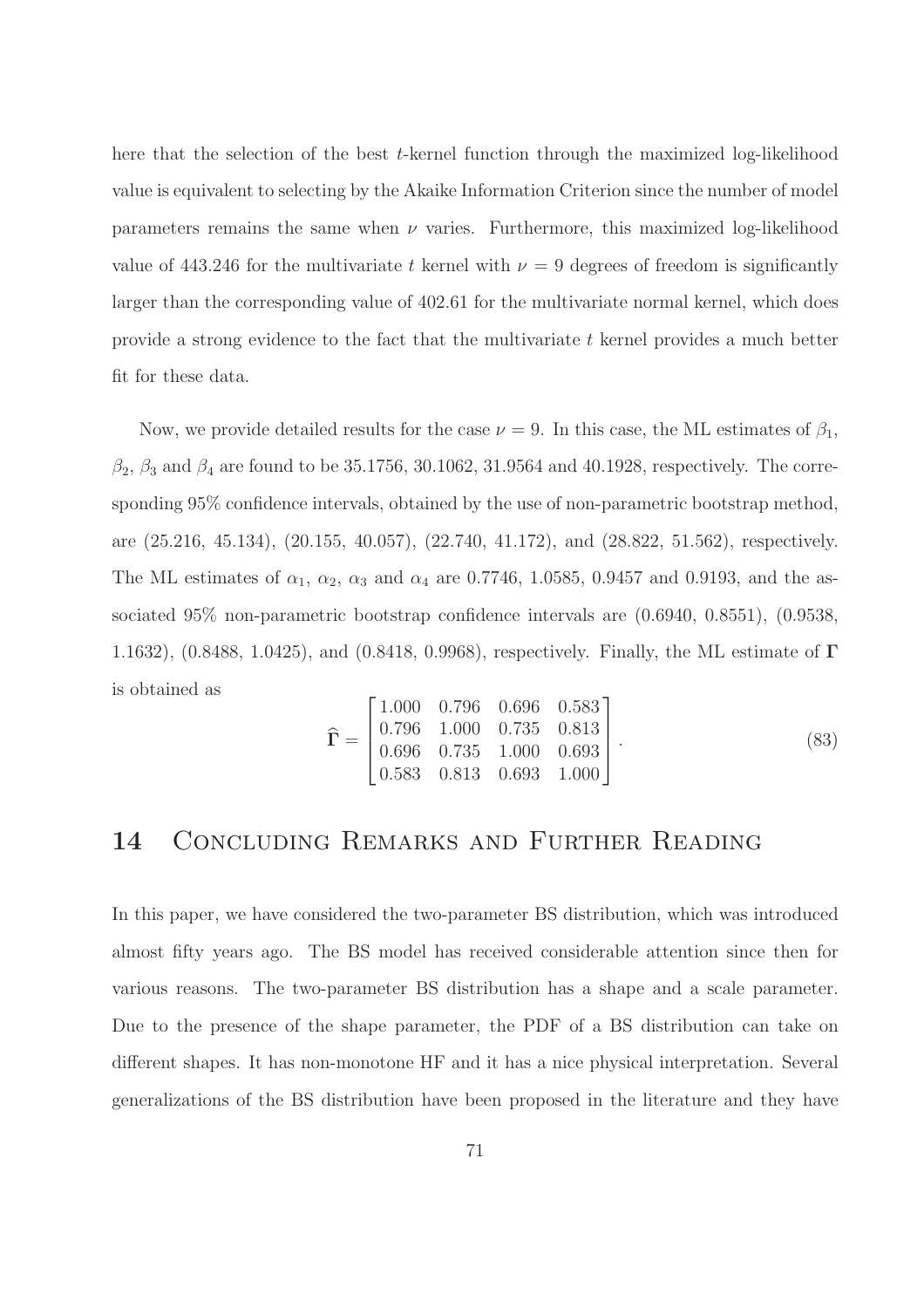here that the selection of the best t-kernel function through the maximized log-likelihood value is equivalent to selecting by the Akaike Information Criterion since the number of model parameters remains the same when  $\nu$  varies. Furthermore, this maximized log-likelihood value of 443.246 for the multivariate t kernel with  $\nu = 9$  degrees of freedom is significantly larger than the corresponding value of 402.61 for the multivariate normal kernel, which does provide a strong evidence to the fact that the multivariate t kernel provides a much better fit for these data.

Now, we provide detailed results for the case  $\nu = 9$ . In this case, the ML estimates of  $\beta_1$ ,  $\beta_2$ ,  $\beta_3$  and  $\beta_4$  are found to be 35.1756, 30.1062, 31.9564 and 40.1928, respectively. The corresponding 95% confidence intervals, obtained by the use of non-parametric bootstrap method, are (25.216, 45.134), (20.155, 40.057), (22.740, 41.172), and (28.822, 51.562), respectively. The ML estimates of  $\alpha_1$ ,  $\alpha_2$ ,  $\alpha_3$  and  $\alpha_4$  are 0.7746, 1.0585, 0.9457 and 0.9193, and the associated 95% non-parametric bootstrap confidence intervals are (0.6940, 0.8551), (0.9538, 1.1632), (0.8488, 1.0425), and (0.8418, 0.9968), respectively. Finally, the ML estimate of Γ is obtained as

$$
\widehat{\Gamma} = \begin{bmatrix}\n1.000 & 0.796 & 0.696 & 0.583 \\
0.796 & 1.000 & 0.735 & 0.813 \\
0.696 & 0.735 & 1.000 & 0.693 \\
0.583 & 0.813 & 0.693 & 1.000\n\end{bmatrix}.
$$
\n(83)

# 14 Concluding Remarks and Further Reading

In this paper, we have considered the two-parameter BS distribution, which was introduced almost fifty years ago. The BS model has received considerable attention since then for various reasons. The two-parameter BS distribution has a shape and a scale parameter. Due to the presence of the shape parameter, the PDF of a BS distribution can take on different shapes. It has non-monotone HF and it has a nice physical interpretation. Several generalizations of the BS distribution have been proposed in the literature and they have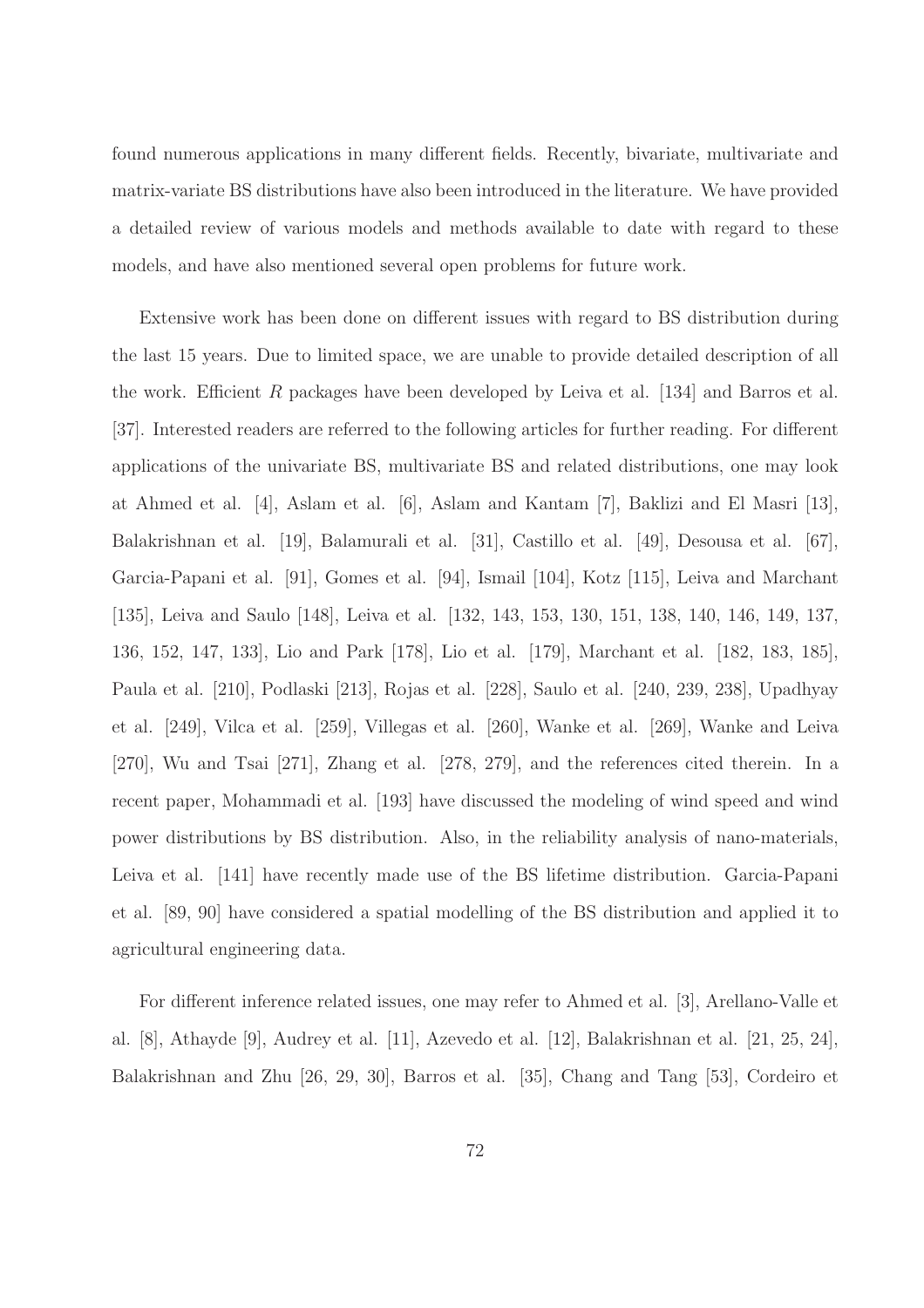found numerous applications in many different fields. Recently, bivariate, multivariate and matrix-variate BS distributions have also been introduced in the literature. We have provided a detailed review of various models and methods available to date with regard to these models, and have also mentioned several open problems for future work.

Extensive work has been done on different issues with regard to BS distribution during the last 15 years. Due to limited space, we are unable to provide detailed description of all the work. Efficient R packages have been developed by Leiva et al. [134] and Barros et al. [37]. Interested readers are referred to the following articles for further reading. For different applications of the univariate BS, multivariate BS and related distributions, one may look at Ahmed et al. [4], Aslam et al. [6], Aslam and Kantam [7], Baklizi and El Masri [13], Balakrishnan et al. [19], Balamurali et al. [31], Castillo et al. [49], Desousa et al. [67], Garcia-Papani et al. [91], Gomes et al. [94], Ismail [104], Kotz [115], Leiva and Marchant [135], Leiva and Saulo [148], Leiva et al. [132, 143, 153, 130, 151, 138, 140, 146, 149, 137, 136, 152, 147, 133], Lio and Park [178], Lio et al. [179], Marchant et al. [182, 183, 185], Paula et al. [210], Podlaski [213], Rojas et al. [228], Saulo et al. [240, 239, 238], Upadhyay et al. [249], Vilca et al. [259], Villegas et al. [260], Wanke et al. [269], Wanke and Leiva [270], Wu and Tsai [271], Zhang et al. [278, 279], and the references cited therein. In a recent paper, Mohammadi et al. [193] have discussed the modeling of wind speed and wind power distributions by BS distribution. Also, in the reliability analysis of nano-materials, Leiva et al. [141] have recently made use of the BS lifetime distribution. Garcia-Papani et al. [89, 90] have considered a spatial modelling of the BS distribution and applied it to agricultural engineering data.

For different inference related issues, one may refer to Ahmed et al. [3], Arellano-Valle et al. [8], Athayde [9], Audrey et al. [11], Azevedo et al. [12], Balakrishnan et al. [21, 25, 24], Balakrishnan and Zhu [26, 29, 30], Barros et al. [35], Chang and Tang [53], Cordeiro et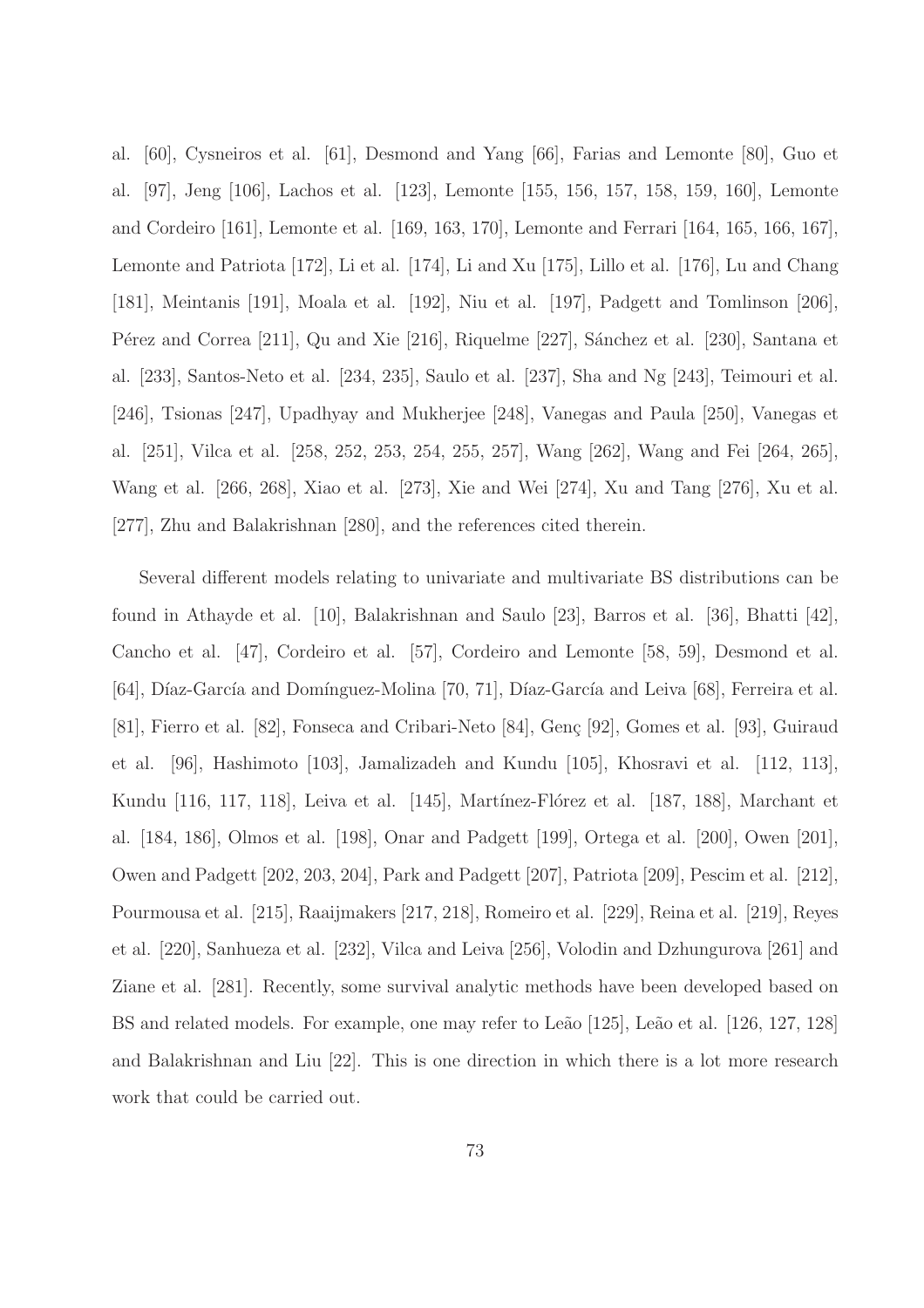al. [60], Cysneiros et al. [61], Desmond and Yang [66], Farias and Lemonte [80], Guo et al. [97], Jeng [106], Lachos et al. [123], Lemonte [155, 156, 157, 158, 159, 160], Lemonte and Cordeiro [161], Lemonte et al. [169, 163, 170], Lemonte and Ferrari [164, 165, 166, 167], Lemonte and Patriota [172], Li et al. [174], Li and Xu [175], Lillo et al. [176], Lu and Chang [181], Meintanis [191], Moala et al. [192], Niu et al. [197], Padgett and Tomlinson [206], Pérez and Correa [211], Qu and Xie [216], Riquelme [227], Sánchez et al. [230], Santana et al. [233], Santos-Neto et al. [234, 235], Saulo et al. [237], Sha and Ng [243], Teimouri et al. [246], Tsionas [247], Upadhyay and Mukherjee [248], Vanegas and Paula [250], Vanegas et al. [251], Vilca et al. [258, 252, 253, 254, 255, 257], Wang [262], Wang and Fei [264, 265], Wang et al. [266, 268], Xiao et al. [273], Xie and Wei [274], Xu and Tang [276], Xu et al. [277], Zhu and Balakrishnan [280], and the references cited therein.

Several different models relating to univariate and multivariate BS distributions can be found in Athayde et al. [10], Balakrishnan and Saulo [23], Barros et al. [36], Bhatti [42], Cancho et al. [47], Cordeiro et al. [57], Cordeiro and Lemonte [58, 59], Desmond et al. [64], Díaz-García and Domínguez-Molina [70, 71], Díaz-García and Leiva [68], Ferreira et al. [81], Fierro et al. [82], Fonseca and Cribari-Neto [84], Genç [92], Gomes et al. [93], Guiraud et al. [96], Hashimoto [103], Jamalizadeh and Kundu [105], Khosravi et al. [112, 113], Kundu [116, 117, 118], Leiva et al. [145], Martínez-Flórez et al. [187, 188], Marchant et al. [184, 186], Olmos et al. [198], Onar and Padgett [199], Ortega et al. [200], Owen [201], Owen and Padgett [202, 203, 204], Park and Padgett [207], Patriota [209], Pescim et al. [212], Pourmousa et al. [215], Raaijmakers [217, 218], Romeiro et al. [229], Reina et al. [219], Reyes et al. [220], Sanhueza et al. [232], Vilca and Leiva [256], Volodin and Dzhungurova [261] and Ziane et al. [281]. Recently, some survival analytic methods have been developed based on BS and related models. For example, one may refer to Leão [125], Leão et al. [126, 127, 128] and Balakrishnan and Liu [22]. This is one direction in which there is a lot more research work that could be carried out.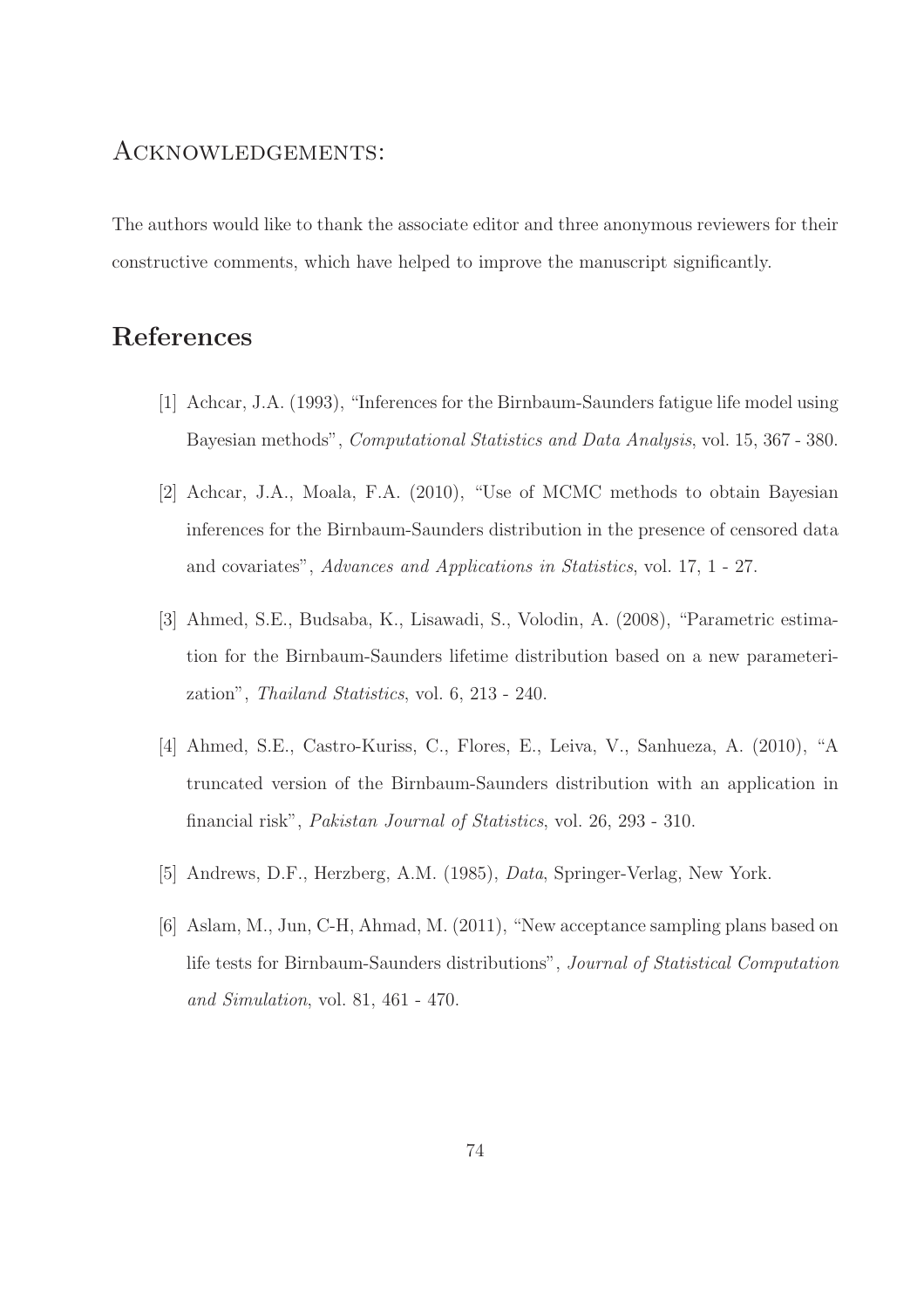## Acknowledgements:

The authors would like to thank the associate editor and three anonymous reviewers for their constructive comments, which have helped to improve the manuscript significantly.

## References

- [1] Achcar, J.A. (1993), "Inferences for the Birnbaum-Saunders fatigue life model using Bayesian methods", *Computational Statistics and Data Analysis*, vol. 15, 367 - 380.
- [2] Achcar, J.A., Moala, F.A. (2010), "Use of MCMC methods to obtain Bayesian inferences for the Birnbaum-Saunders distribution in the presence of censored data and covariates", *Advances and Applications in Statistics*, vol. 17, 1 - 27.
- [3] Ahmed, S.E., Budsaba, K., Lisawadi, S., Volodin, A. (2008), "Parametric estimation for the Birnbaum-Saunders lifetime distribution based on a new parameterization", *Thailand Statistics*, vol. 6, 213 - 240.
- [4] Ahmed, S.E., Castro-Kuriss, C., Flores, E., Leiva, V., Sanhueza, A. (2010), "A truncated version of the Birnbaum-Saunders distribution with an application in financial risk", *Pakistan Journal of Statistics*, vol. 26, 293 - 310.
- [5] Andrews, D.F., Herzberg, A.M. (1985), *Data*, Springer-Verlag, New York.
- [6] Aslam, M., Jun, C-H, Ahmad, M. (2011), "New acceptance sampling plans based on life tests for Birnbaum-Saunders distributions", *Journal of Statistical Computation and Simulation*, vol. 81, 461 - 470.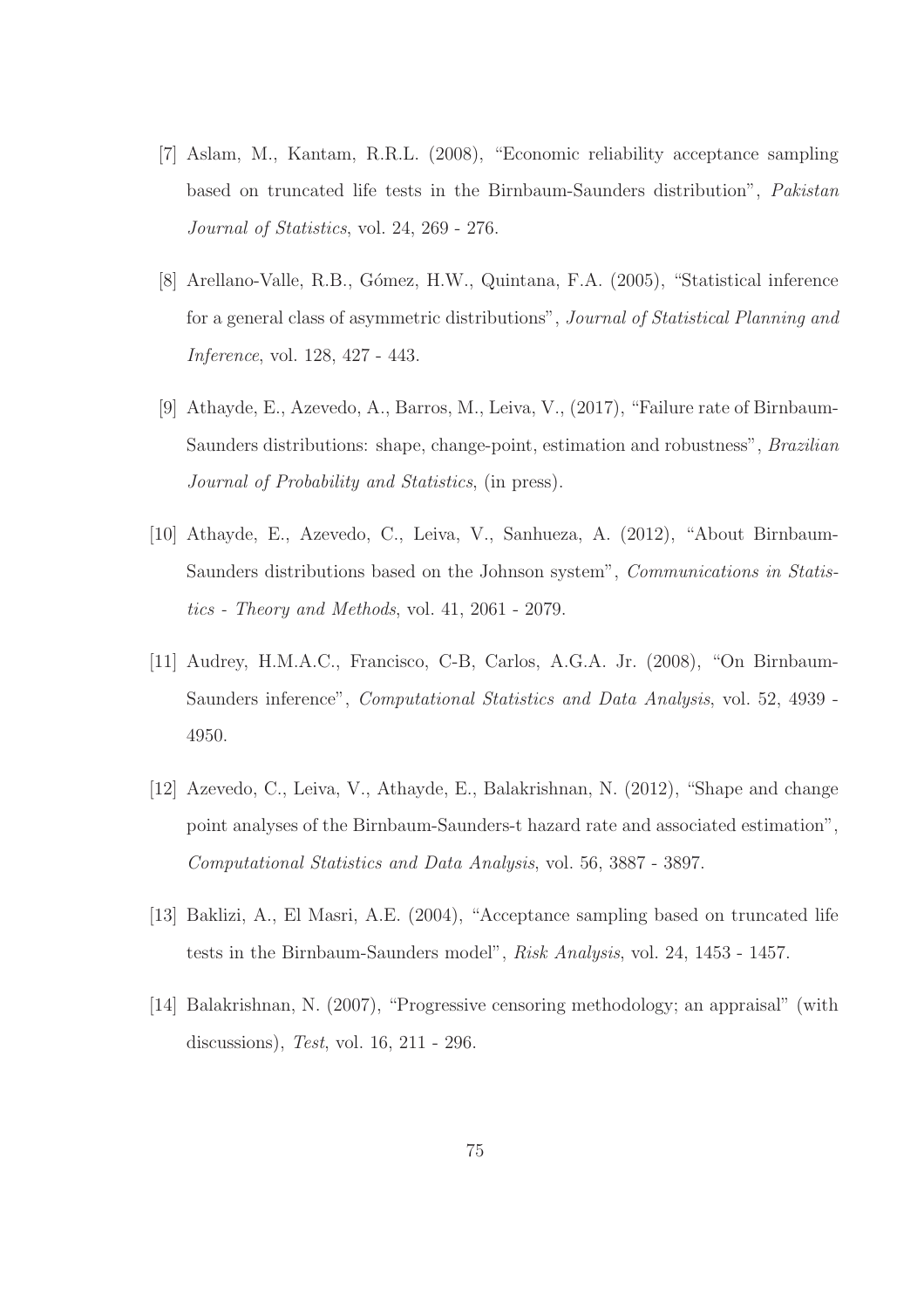- [7] Aslam, M., Kantam, R.R.L. (2008), "Economic reliability acceptance sampling based on truncated life tests in the Birnbaum-Saunders distribution", *Pakistan Journal of Statistics*, vol. 24, 269 - 276.
- [8] Arellano-Valle, R.B., Gómez, H.W., Quintana, F.A. (2005), "Statistical inference for a general class of asymmetric distributions", *Journal of Statistical Planning and Inference*, vol. 128, 427 - 443.
- [9] Athayde, E., Azevedo, A., Barros, M., Leiva, V., (2017), "Failure rate of Birnbaum-Saunders distributions: shape, change-point, estimation and robustness", *Brazilian Journal of Probability and Statistics*, (in press).
- [10] Athayde, E., Azevedo, C., Leiva, V., Sanhueza, A. (2012), "About Birnbaum-Saunders distributions based on the Johnson system", *Communications in Statistics - Theory and Methods*, vol. 41, 2061 - 2079.
- [11] Audrey, H.M.A.C., Francisco, C-B, Carlos, A.G.A. Jr. (2008), "On Birnbaum-Saunders inference", *Computational Statistics and Data Analysis*, vol. 52, 4939 - 4950.
- [12] Azevedo, C., Leiva, V., Athayde, E., Balakrishnan, N. (2012), "Shape and change point analyses of the Birnbaum-Saunders-t hazard rate and associated estimation", *Computational Statistics and Data Analysis*, vol. 56, 3887 - 3897.
- [13] Baklizi, A., El Masri, A.E. (2004), "Acceptance sampling based on truncated life tests in the Birnbaum-Saunders model", *Risk Analysis*, vol. 24, 1453 - 1457.
- [14] Balakrishnan, N. (2007), "Progressive censoring methodology; an appraisal" (with discussions), *Test*, vol. 16, 211 - 296.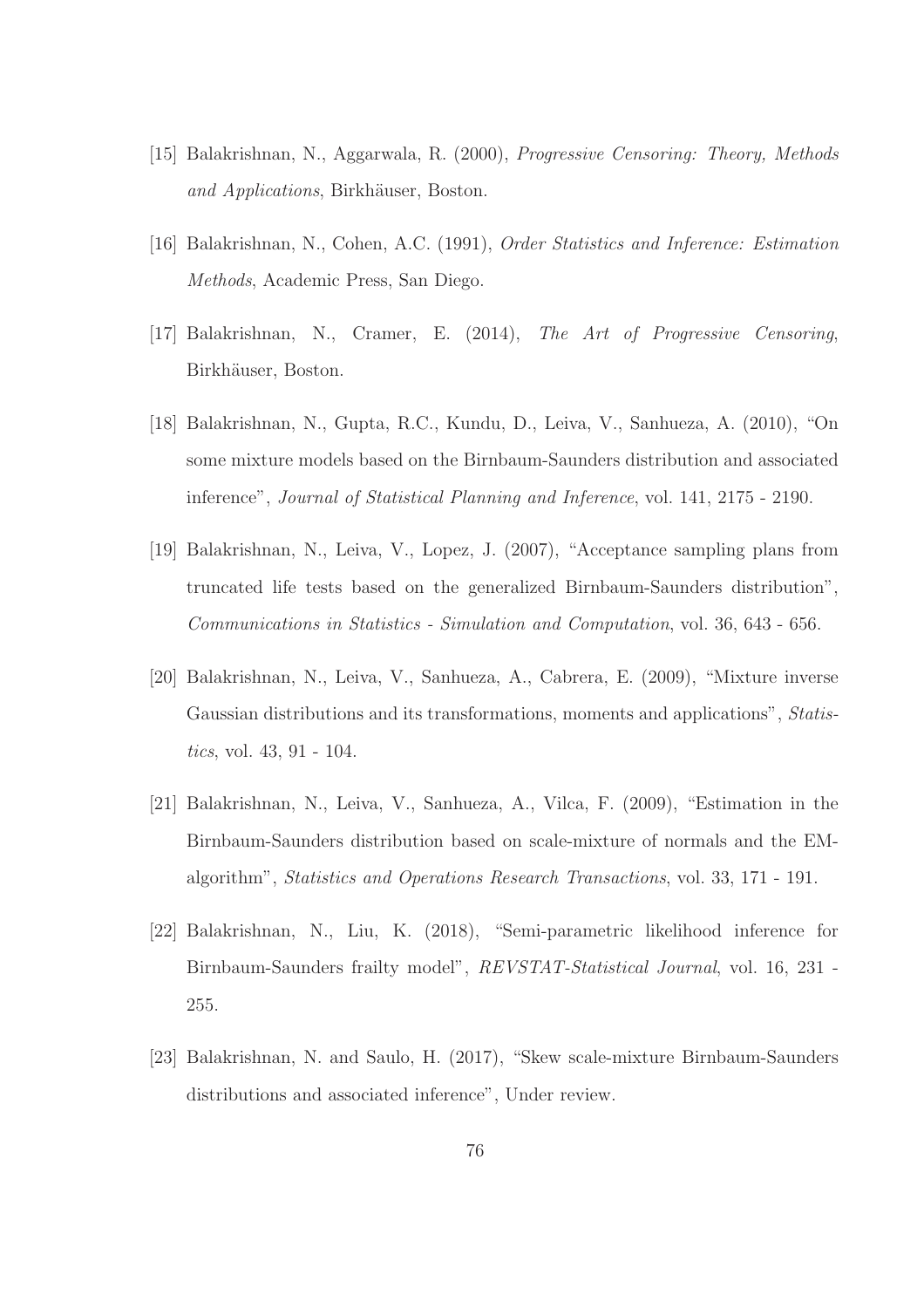- [15] Balakrishnan, N., Aggarwala, R. (2000), *Progressive Censoring: Theory, Methods and Applications*, Birkhäuser, Boston.
- [16] Balakrishnan, N., Cohen, A.C. (1991), *Order Statistics and Inference: Estimation Methods*, Academic Press, San Diego.
- [17] Balakrishnan, N., Cramer, E. (2014), *The Art of Progressive Censoring*, Birkhäuser, Boston.
- [18] Balakrishnan, N., Gupta, R.C., Kundu, D., Leiva, V., Sanhueza, A. (2010), "On some mixture models based on the Birnbaum-Saunders distribution and associated inference", *Journal of Statistical Planning and Inference*, vol. 141, 2175 - 2190.
- [19] Balakrishnan, N., Leiva, V., Lopez, J. (2007), "Acceptance sampling plans from truncated life tests based on the generalized Birnbaum-Saunders distribution", *Communications in Statistics - Simulation and Computation*, vol. 36, 643 - 656.
- [20] Balakrishnan, N., Leiva, V., Sanhueza, A., Cabrera, E. (2009), "Mixture inverse Gaussian distributions and its transformations, moments and applications", *Statistics*, vol. 43, 91 - 104.
- [21] Balakrishnan, N., Leiva, V., Sanhueza, A., Vilca, F. (2009), "Estimation in the Birnbaum-Saunders distribution based on scale-mixture of normals and the EMalgorithm", *Statistics and Operations Research Transactions*, vol. 33, 171 - 191.
- [22] Balakrishnan, N., Liu, K. (2018), "Semi-parametric likelihood inference for Birnbaum-Saunders frailty model", *REVSTAT-Statistical Journal*, vol. 16, 231 - 255.
- [23] Balakrishnan, N. and Saulo, H. (2017), "Skew scale-mixture Birnbaum-Saunders distributions and associated inference", Under review.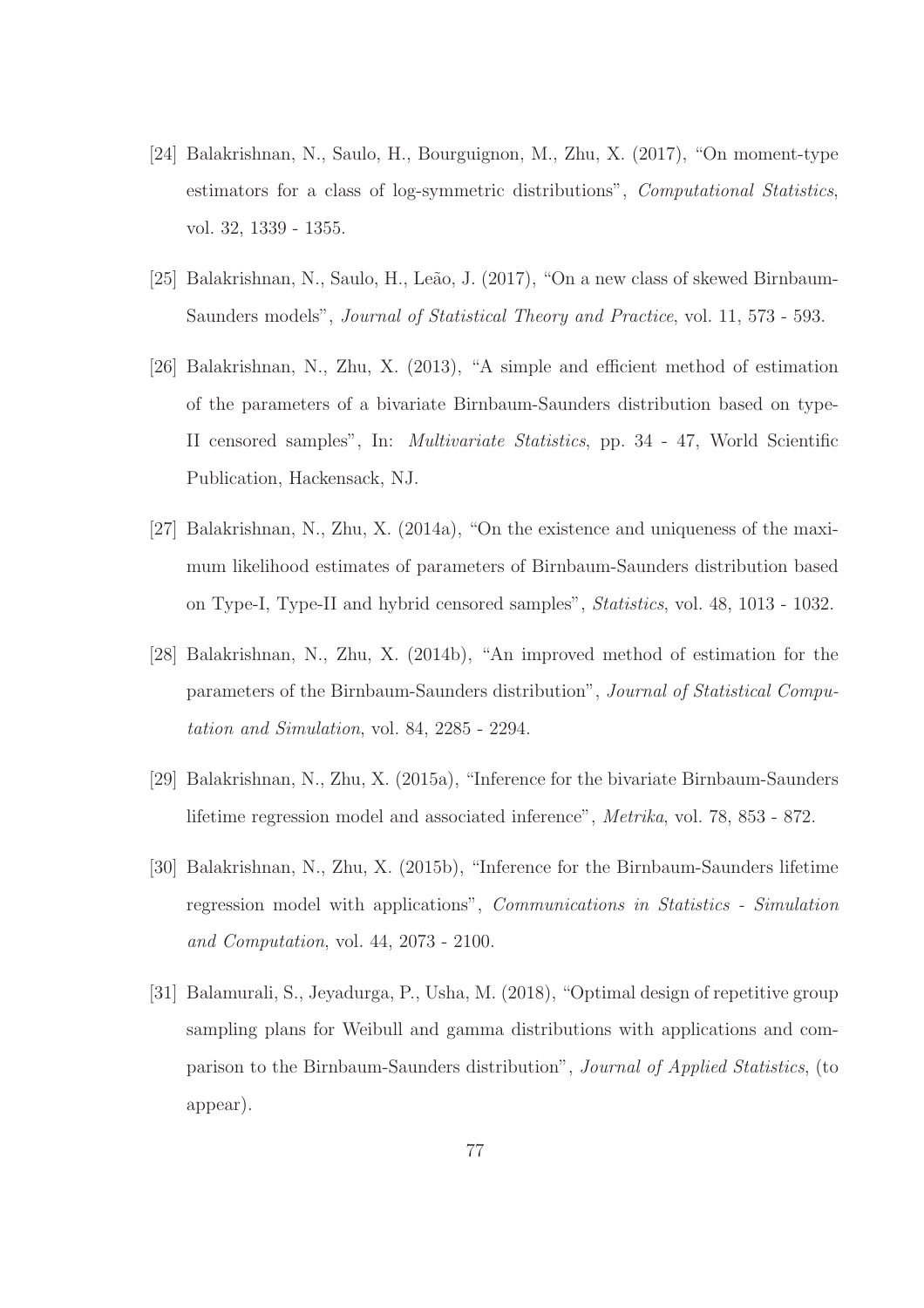- [24] Balakrishnan, N., Saulo, H., Bourguignon, M., Zhu, X. (2017), "On moment-type estimators for a class of log-symmetric distributions", *Computational Statistics*, vol. 32, 1339 - 1355.
- [25] Balakrishnan, N., Saulo, H., Leão, J. (2017), "On a new class of skewed Birnbaum-Saunders models", *Journal of Statistical Theory and Practice*, vol. 11, 573 - 593.
- [26] Balakrishnan, N., Zhu, X. (2013), "A simple and efficient method of estimation of the parameters of a bivariate Birnbaum-Saunders distribution based on type-II censored samples", In: *Multivariate Statistics*, pp. 34 - 47, World Scientific Publication, Hackensack, NJ.
- [27] Balakrishnan, N., Zhu, X. (2014a), "On the existence and uniqueness of the maximum likelihood estimates of parameters of Birnbaum-Saunders distribution based on Type-I, Type-II and hybrid censored samples", *Statistics*, vol. 48, 1013 - 1032.
- [28] Balakrishnan, N., Zhu, X. (2014b), "An improved method of estimation for the parameters of the Birnbaum-Saunders distribution", *Journal of Statistical Computation and Simulation*, vol. 84, 2285 - 2294.
- [29] Balakrishnan, N., Zhu, X. (2015a), "Inference for the bivariate Birnbaum-Saunders lifetime regression model and associated inference", *Metrika*, vol. 78, 853 - 872.
- [30] Balakrishnan, N., Zhu, X. (2015b), "Inference for the Birnbaum-Saunders lifetime regression model with applications", *Communications in Statistics - Simulation and Computation*, vol. 44, 2073 - 2100.
- [31] Balamurali, S., Jeyadurga, P., Usha, M. (2018), "Optimal design of repetitive group sampling plans for Weibull and gamma distributions with applications and comparison to the Birnbaum-Saunders distribution", *Journal of Applied Statistics*, (to appear).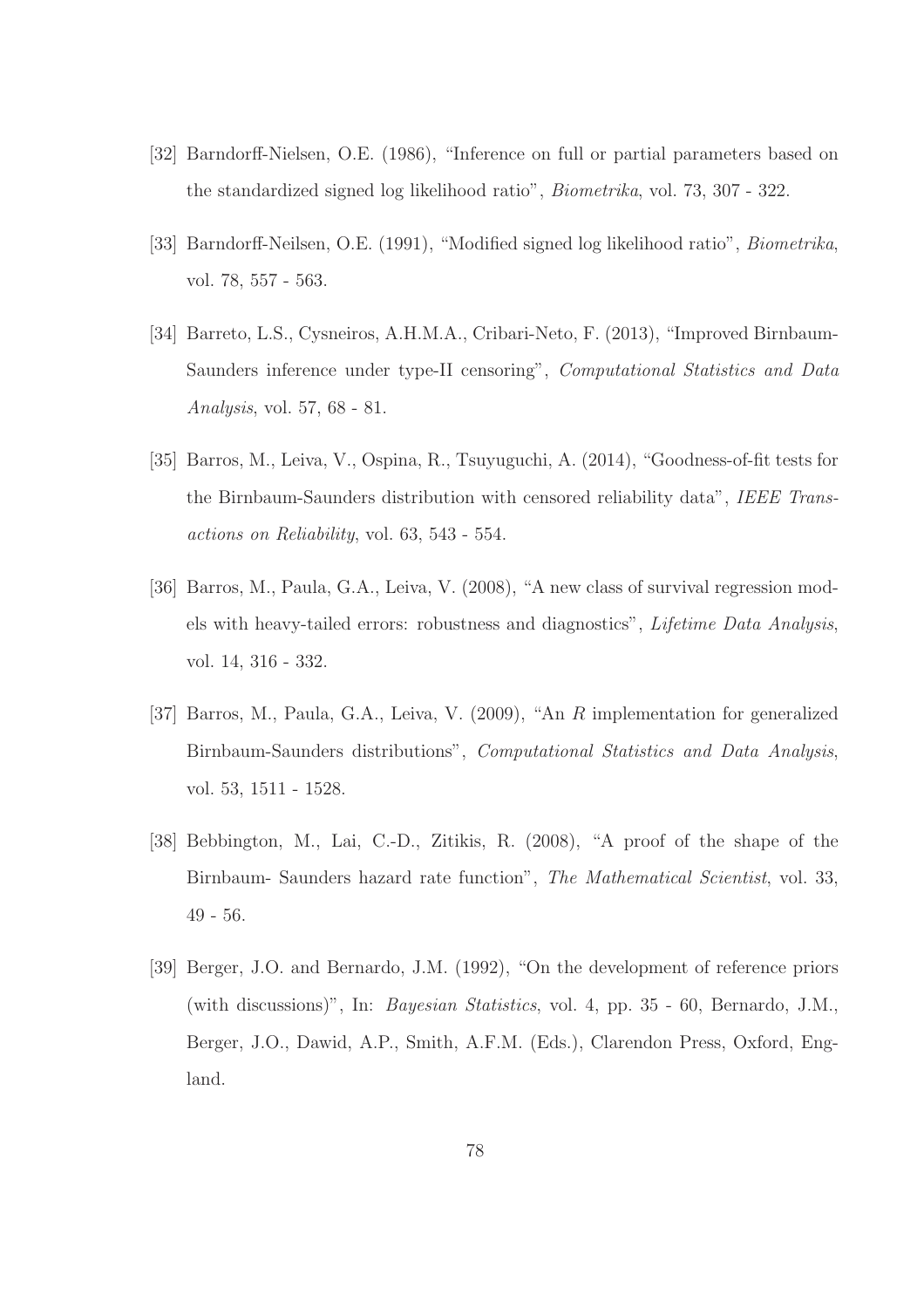- [32] Barndorff-Nielsen, O.E. (1986), "Inference on full or partial parameters based on the standardized signed log likelihood ratio", *Biometrika*, vol. 73, 307 - 322.
- [33] Barndorff-Neilsen, O.E. (1991), "Modified signed log likelihood ratio", *Biometrika*, vol. 78, 557 - 563.
- [34] Barreto, L.S., Cysneiros, A.H.M.A., Cribari-Neto, F. (2013), "Improved Birnbaum-Saunders inference under type-II censoring", *Computational Statistics and Data Analysis*, vol. 57, 68 - 81.
- [35] Barros, M., Leiva, V., Ospina, R., Tsuyuguchi, A. (2014), "Goodness-of-fit tests for the Birnbaum-Saunders distribution with censored reliability data", *IEEE Transactions on Reliability*, vol. 63, 543 - 554.
- [36] Barros, M., Paula, G.A., Leiva, V. (2008), "A new class of survival regression models with heavy-tailed errors: robustness and diagnostics", *Lifetime Data Analysis*, vol. 14, 316 - 332.
- [37] Barros, M., Paula, G.A., Leiva, V. (2009), "An R implementation for generalized Birnbaum-Saunders distributions", *Computational Statistics and Data Analysis*, vol. 53, 1511 - 1528.
- [38] Bebbington, M., Lai, C.-D., Zitikis, R. (2008), "A proof of the shape of the Birnbaum- Saunders hazard rate function", *The Mathematical Scientist*, vol. 33, 49 - 56.
- [39] Berger, J.O. and Bernardo, J.M. (1992), "On the development of reference priors (with discussions)", In: *Bayesian Statistics*, vol. 4, pp. 35 - 60, Bernardo, J.M., Berger, J.O., Dawid, A.P., Smith, A.F.M. (Eds.), Clarendon Press, Oxford, England.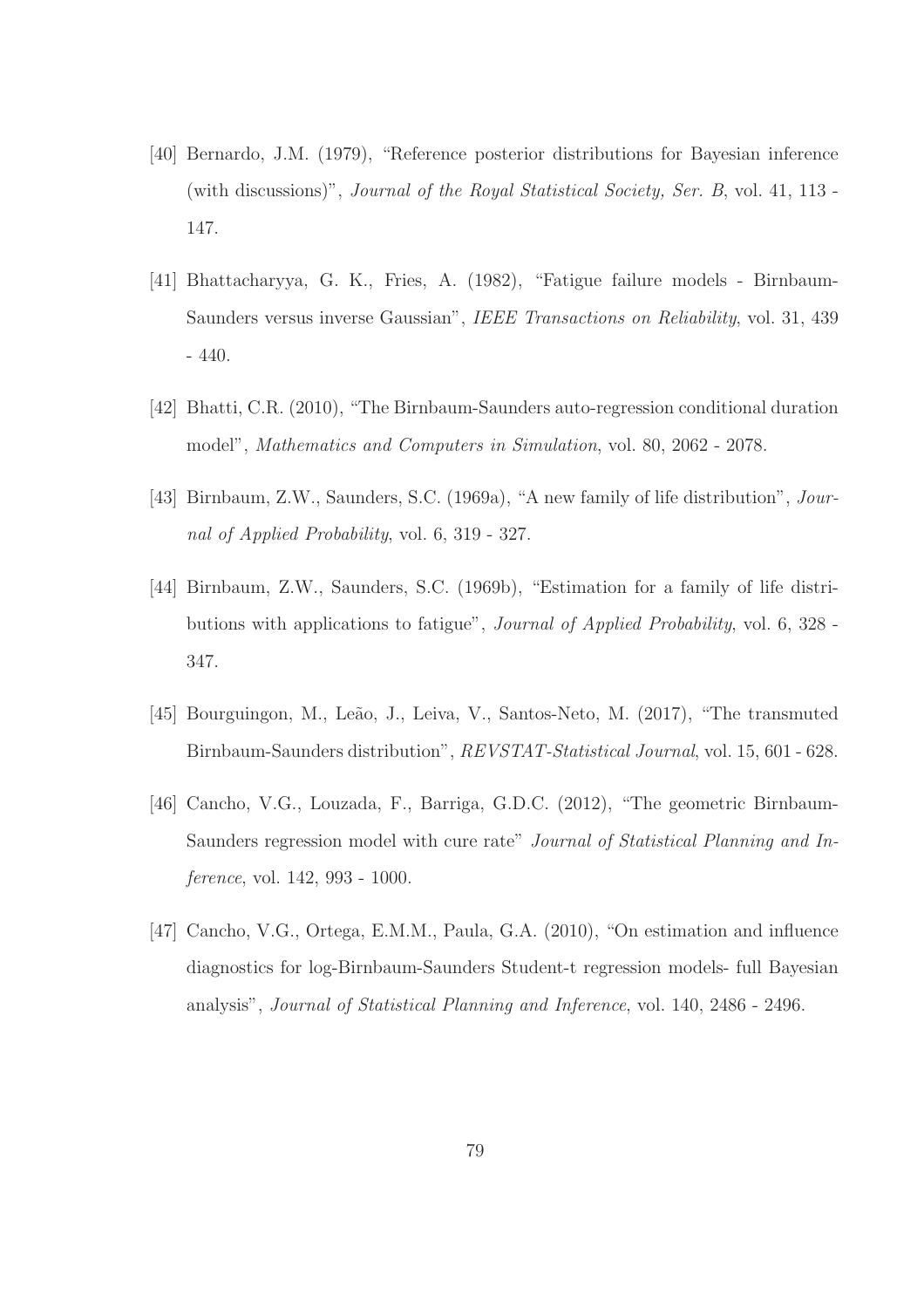- [40] Bernardo, J.M. (1979), "Reference posterior distributions for Bayesian inference (with discussions)", *Journal of the Royal Statistical Society, Ser. B*, vol. 41, 113 - 147.
- [41] Bhattacharyya, G. K., Fries, A. (1982), "Fatigue failure models Birnbaum-Saunders versus inverse Gaussian", *IEEE Transactions on Reliability*, vol. 31, 439 - 440.
- [42] Bhatti, C.R. (2010), "The Birnbaum-Saunders auto-regression conditional duration model", *Mathematics and Computers in Simulation*, vol. 80, 2062 - 2078.
- [43] Birnbaum, Z.W., Saunders, S.C. (1969a), "A new family of life distribution", *Journal of Applied Probability*, vol. 6, 319 - 327.
- [44] Birnbaum, Z.W., Saunders, S.C. (1969b), "Estimation for a family of life distributions with applications to fatigue", *Journal of Applied Probability*, vol. 6, 328 - 347.
- [45] Bourguingon, M., Leão, J., Leiva, V., Santos-Neto, M. (2017), "The transmuted Birnbaum-Saunders distribution", *REVSTAT-Statistical Journal*, vol. 15, 601 - 628.
- [46] Cancho, V.G., Louzada, F., Barriga, G.D.C. (2012), "The geometric Birnbaum-Saunders regression model with cure rate" *Journal of Statistical Planning and Inference*, vol. 142, 993 - 1000.
- [47] Cancho, V.G., Ortega, E.M.M., Paula, G.A. (2010), "On estimation and influence diagnostics for log-Birnbaum-Saunders Student-t regression models- full Bayesian analysis", *Journal of Statistical Planning and Inference*, vol. 140, 2486 - 2496.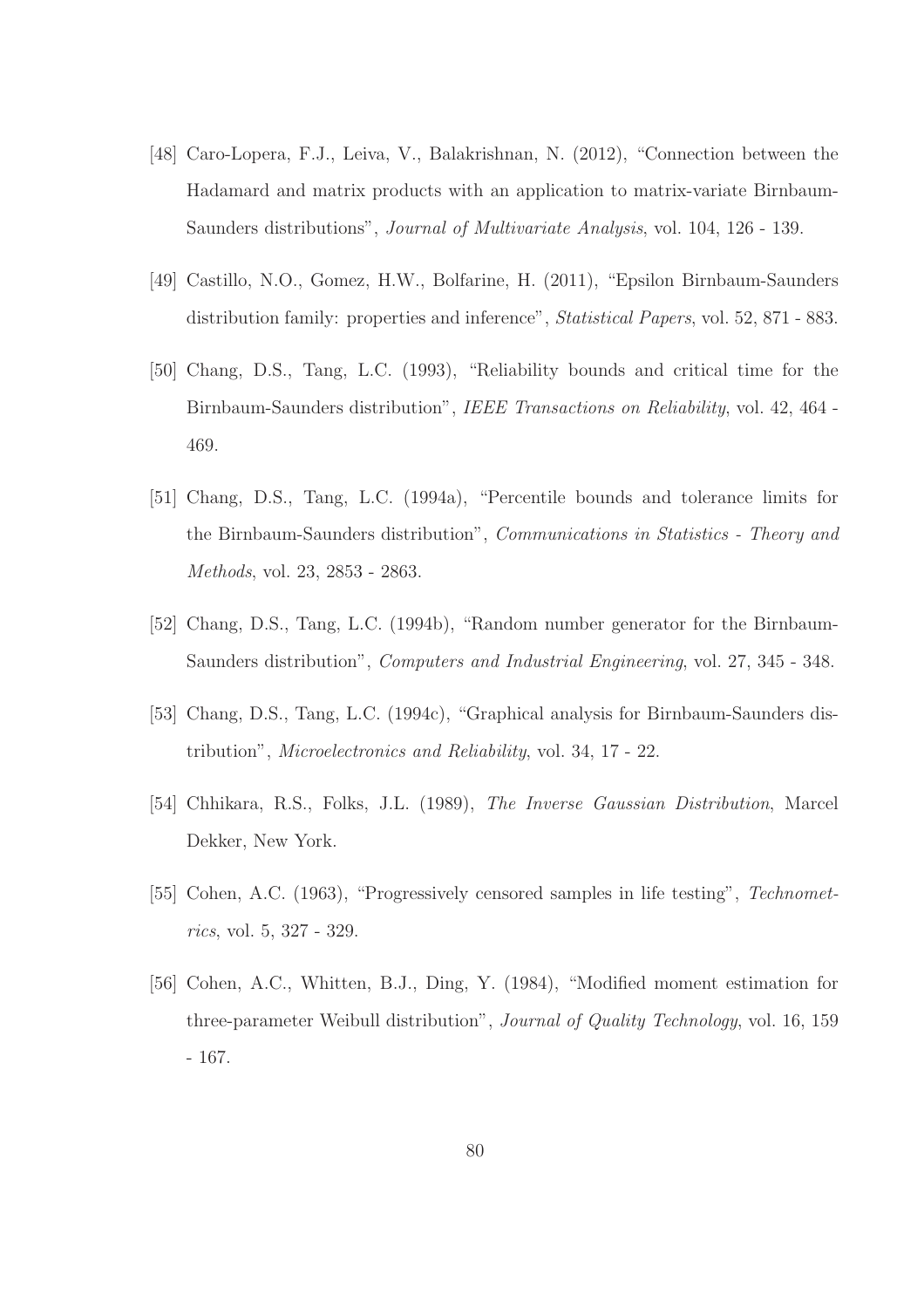- [48] Caro-Lopera, F.J., Leiva, V., Balakrishnan, N. (2012), "Connection between the Hadamard and matrix products with an application to matrix-variate Birnbaum-Saunders distributions", *Journal of Multivariate Analysis*, vol. 104, 126 - 139.
- [49] Castillo, N.O., Gomez, H.W., Bolfarine, H. (2011), "Epsilon Birnbaum-Saunders distribution family: properties and inference", *Statistical Papers*, vol. 52, 871 - 883.
- [50] Chang, D.S., Tang, L.C. (1993), "Reliability bounds and critical time for the Birnbaum-Saunders distribution", *IEEE Transactions on Reliability*, vol. 42, 464 - 469.
- [51] Chang, D.S., Tang, L.C. (1994a), "Percentile bounds and tolerance limits for the Birnbaum-Saunders distribution", *Communications in Statistics - Theory and Methods*, vol. 23, 2853 - 2863.
- [52] Chang, D.S., Tang, L.C. (1994b), "Random number generator for the Birnbaum-Saunders distribution", *Computers and Industrial Engineering*, vol. 27, 345 - 348.
- [53] Chang, D.S., Tang, L.C. (1994c), "Graphical analysis for Birnbaum-Saunders distribution", *Microelectronics and Reliability*, vol. 34, 17 - 22.
- [54] Chhikara, R.S., Folks, J.L. (1989), *The Inverse Gaussian Distribution*, Marcel Dekker, New York.
- [55] Cohen, A.C. (1963), "Progressively censored samples in life testing", *Technometrics*, vol. 5, 327 - 329.
- [56] Cohen, A.C., Whitten, B.J., Ding, Y. (1984), "Modified moment estimation for three-parameter Weibull distribution", *Journal of Quality Technology*, vol. 16, 159 - 167.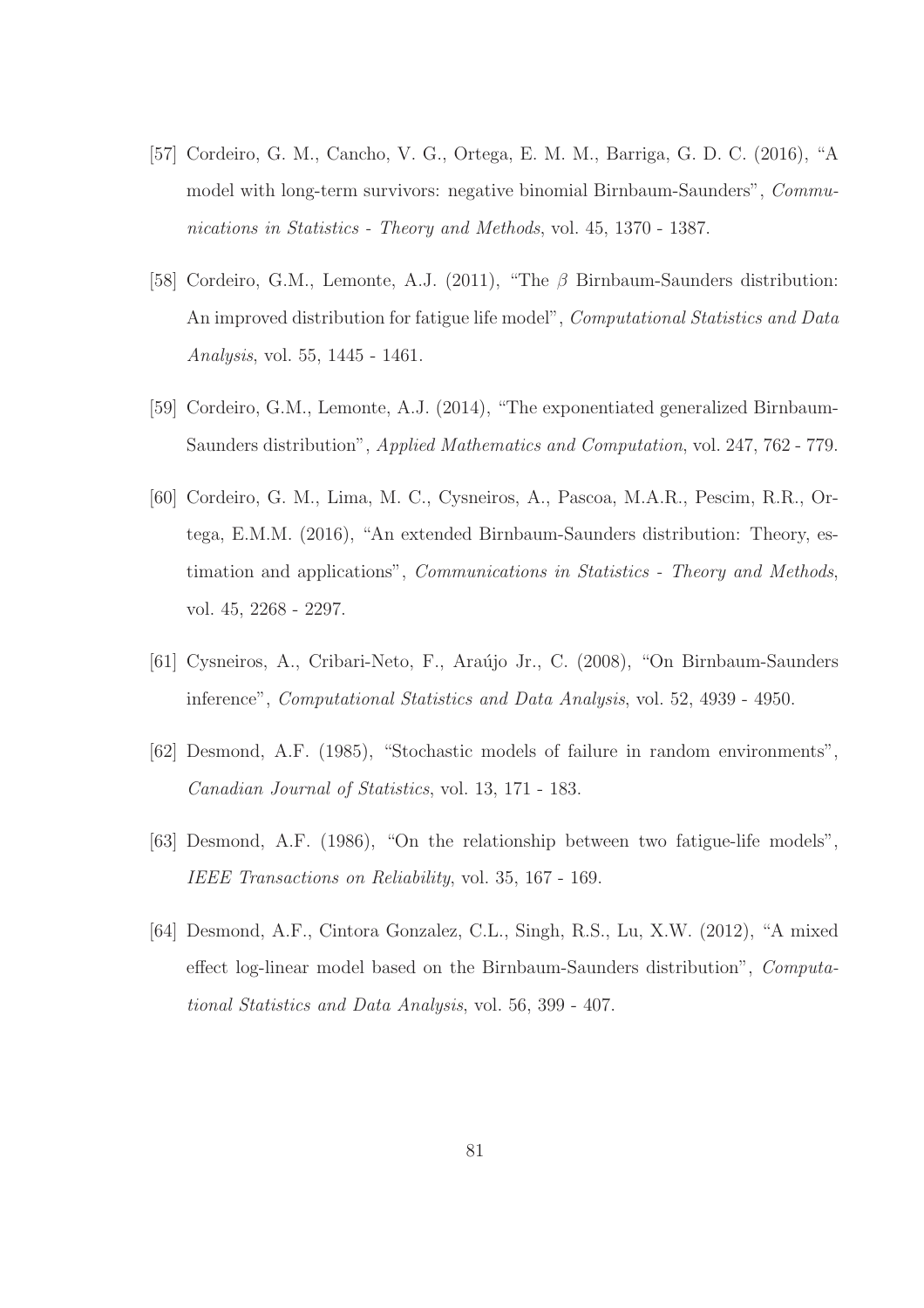- [57] Cordeiro, G. M., Cancho, V. G., Ortega, E. M. M., Barriga, G. D. C. (2016), "A model with long-term survivors: negative binomial Birnbaum-Saunders", *Communications in Statistics - Theory and Methods*, vol. 45, 1370 - 1387.
- [58] Cordeiro, G.M., Lemonte, A.J. (2011), "The β Birnbaum-Saunders distribution: An improved distribution for fatigue life model", *Computational Statistics and Data Analysis*, vol. 55, 1445 - 1461.
- [59] Cordeiro, G.M., Lemonte, A.J. (2014), "The exponentiated generalized Birnbaum-Saunders distribution", *Applied Mathematics and Computation*, vol. 247, 762 - 779.
- [60] Cordeiro, G. M., Lima, M. C., Cysneiros, A., Pascoa, M.A.R., Pescim, R.R., Ortega, E.M.M. (2016), "An extended Birnbaum-Saunders distribution: Theory, estimation and applications", *Communications in Statistics - Theory and Methods*, vol. 45, 2268 - 2297.
- [61] Cysneiros, A., Cribari-Neto, F., Araújo Jr., C. (2008), "On Birnbaum-Saunders inference", *Computational Statistics and Data Analysis*, vol. 52, 4939 - 4950.
- [62] Desmond, A.F. (1985), "Stochastic models of failure in random environments", *Canadian Journal of Statistics*, vol. 13, 171 - 183.
- [63] Desmond, A.F. (1986), "On the relationship between two fatigue-life models", *IEEE Transactions on Reliability*, vol. 35, 167 - 169.
- [64] Desmond, A.F., Cintora Gonzalez, C.L., Singh, R.S., Lu, X.W. (2012), "A mixed effect log-linear model based on the Birnbaum-Saunders distribution", *Computational Statistics and Data Analysis*, vol. 56, 399 - 407.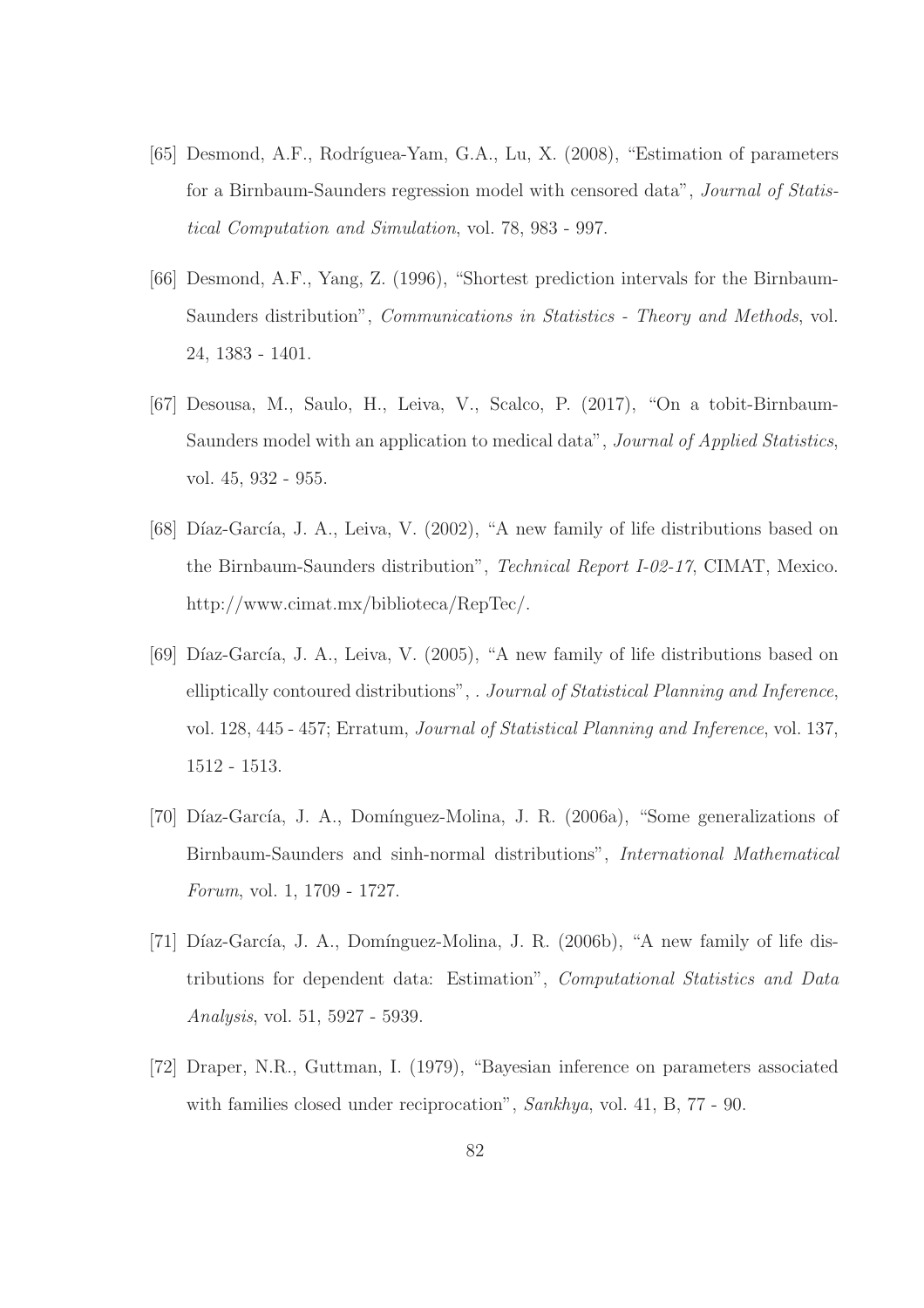- [65] Desmond, A.F., Rodríguea-Yam, G.A., Lu, X. (2008), "Estimation of parameters for a Birnbaum-Saunders regression model with censored data", *Journal of Statistical Computation and Simulation*, vol. 78, 983 - 997.
- [66] Desmond, A.F., Yang, Z. (1996), "Shortest prediction intervals for the Birnbaum-Saunders distribution", *Communications in Statistics - Theory and Methods*, vol. 24, 1383 - 1401.
- [67] Desousa, M., Saulo, H., Leiva, V., Scalco, P. (2017), "On a tobit-Birnbaum-Saunders model with an application to medical data", *Journal of Applied Statistics*, vol. 45, 932 - 955.
- [68] Díaz-García, J. A., Leiva, V. (2002), "A new family of life distributions based on the Birnbaum-Saunders distribution", *Technical Report I-02-17*, CIMAT, Mexico. http://www.cimat.mx/biblioteca/RepTec/.
- [69] Díaz-García, J. A., Leiva, V. (2005), "A new family of life distributions based on elliptically contoured distributions", *. Journal of Statistical Planning and Inference*, vol. 128, 445 - 457; Erratum, *Journal of Statistical Planning and Inference*, vol. 137, 1512 - 1513.
- [70] Díaz-García, J. A., Domínguez-Molina, J. R. (2006a), "Some generalizations of Birnbaum-Saunders and sinh-normal distributions", *International Mathematical Forum*, vol. 1, 1709 - 1727.
- [71] Díaz-García, J. A., Domínguez-Molina, J. R.  $(2006b)$ , "A new family of life distributions for dependent data: Estimation", *Computational Statistics and Data Analysis*, vol. 51, 5927 - 5939.
- [72] Draper, N.R., Guttman, I. (1979), "Bayesian inference on parameters associated with families closed under reciprocation", *Sankhya*, vol. 41, B, 77 - 90.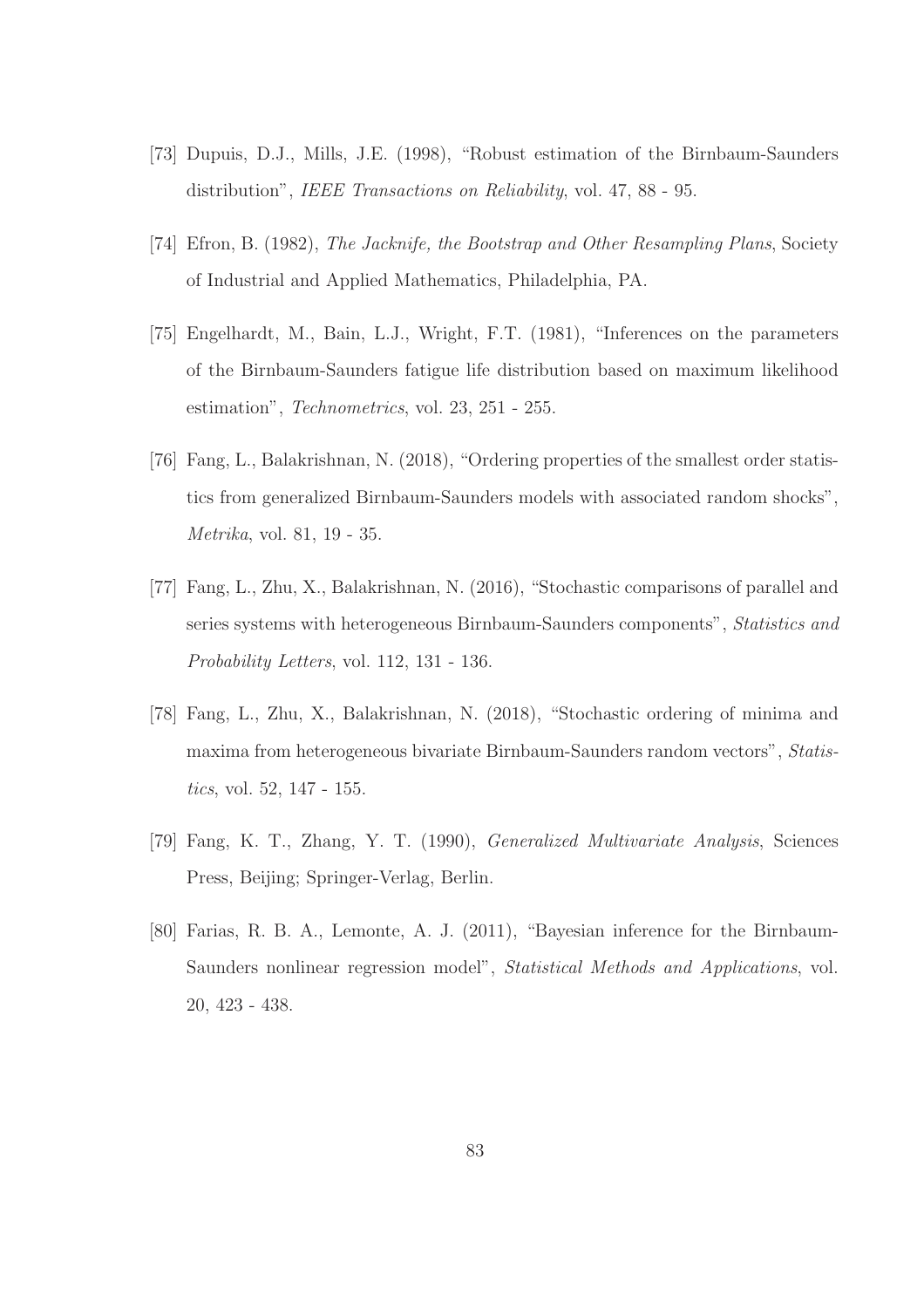- [73] Dupuis, D.J., Mills, J.E. (1998), "Robust estimation of the Birnbaum-Saunders distribution", *IEEE Transactions on Reliability*, vol. 47, 88 - 95.
- [74] Efron, B. (1982), *The Jacknife, the Bootstrap and Other Resampling Plans*, Society of Industrial and Applied Mathematics, Philadelphia, PA.
- [75] Engelhardt, M., Bain, L.J., Wright, F.T. (1981), "Inferences on the parameters of the Birnbaum-Saunders fatigue life distribution based on maximum likelihood estimation", *Technometrics*, vol. 23, 251 - 255.
- [76] Fang, L., Balakrishnan, N. (2018), "Ordering properties of the smallest order statistics from generalized Birnbaum-Saunders models with associated random shocks", *Metrika*, vol. 81, 19 - 35.
- [77] Fang, L., Zhu, X., Balakrishnan, N. (2016), "Stochastic comparisons of parallel and series systems with heterogeneous Birnbaum-Saunders components", *Statistics and Probability Letters*, vol. 112, 131 - 136.
- [78] Fang, L., Zhu, X., Balakrishnan, N. (2018), "Stochastic ordering of minima and maxima from heterogeneous bivariate Birnbaum-Saunders random vectors", *Statistics*, vol. 52, 147 - 155.
- [79] Fang, K. T., Zhang, Y. T. (1990), *Generalized Multivariate Analysis*, Sciences Press, Beijing; Springer-Verlag, Berlin.
- [80] Farias, R. B. A., Lemonte, A. J. (2011), "Bayesian inference for the Birnbaum-Saunders nonlinear regression model", *Statistical Methods and Applications*, vol. 20, 423 - 438.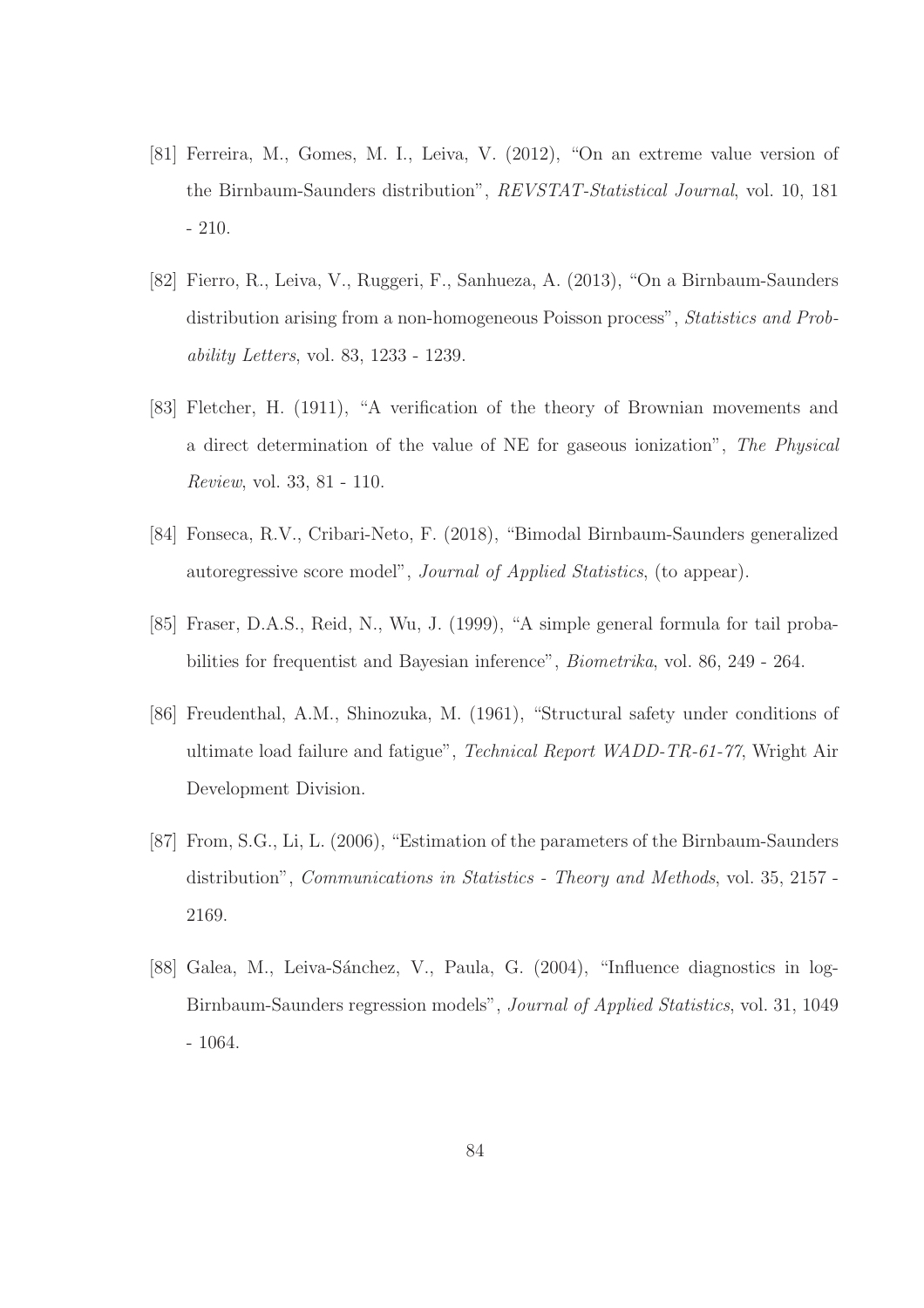- [81] Ferreira, M., Gomes, M. I., Leiva, V. (2012), "On an extreme value version of the Birnbaum-Saunders distribution", *REVSTAT-Statistical Journal*, vol. 10, 181 - 210.
- [82] Fierro, R., Leiva, V., Ruggeri, F., Sanhueza, A. (2013), "On a Birnbaum-Saunders distribution arising from a non-homogeneous Poisson process", *Statistics and Probability Letters*, vol. 83, 1233 - 1239.
- [83] Fletcher, H. (1911), "A verification of the theory of Brownian movements and a direct determination of the value of NE for gaseous ionization", *The Physical Review*, vol. 33, 81 - 110.
- [84] Fonseca, R.V., Cribari-Neto, F. (2018), "Bimodal Birnbaum-Saunders generalized autoregressive score model", *Journal of Applied Statistics*, (to appear).
- [85] Fraser, D.A.S., Reid, N., Wu, J. (1999), "A simple general formula for tail probabilities for frequentist and Bayesian inference", *Biometrika*, vol. 86, 249 - 264.
- [86] Freudenthal, A.M., Shinozuka, M. (1961), "Structural safety under conditions of ultimate load failure and fatigue", *Technical Report WADD-TR-61-77*, Wright Air Development Division.
- [87] From, S.G., Li, L. (2006), "Estimation of the parameters of the Birnbaum-Saunders distribution", *Communications in Statistics - Theory and Methods*, vol. 35, 2157 - 2169.
- [88] Galea, M., Leiva-Sánchez, V., Paula, G. (2004), "Influence diagnostics in log-Birnbaum-Saunders regression models", *Journal of Applied Statistics*, vol. 31, 1049 - 1064.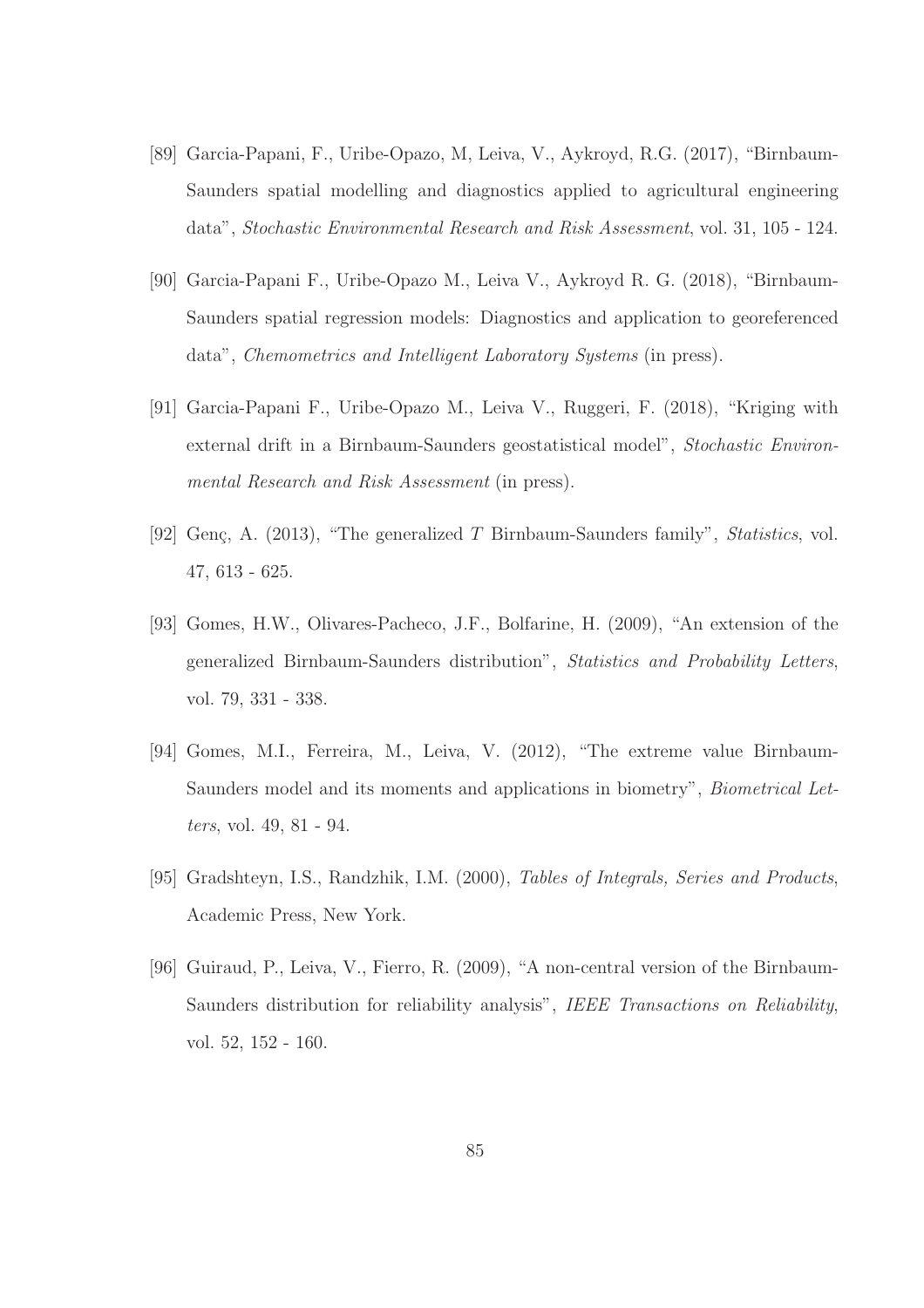- [89] Garcia-Papani, F., Uribe-Opazo, M, Leiva, V., Aykroyd, R.G. (2017), "Birnbaum-Saunders spatial modelling and diagnostics applied to agricultural engineering data", *Stochastic Environmental Research and Risk Assessment*, vol. 31, 105 - 124.
- [90] Garcia-Papani F., Uribe-Opazo M., Leiva V., Aykroyd R. G. (2018), "Birnbaum-Saunders spatial regression models: Diagnostics and application to georeferenced data", *Chemometrics and Intelligent Laboratory Systems* (in press).
- [91] Garcia-Papani F., Uribe-Opazo M., Leiva V., Ruggeri, F. (2018), "Kriging with external drift in a Birnbaum-Saunders geostatistical model", *Stochastic Environmental Research and Risk Assessment* (in press).
- [92] Genç, A. (2013), "The generalized T Birnbaum-Saunders family", *Statistics*, vol. 47, 613 - 625.
- [93] Gomes, H.W., Olivares-Pacheco, J.F., Bolfarine, H. (2009), "An extension of the generalized Birnbaum-Saunders distribution", *Statistics and Probability Letters*, vol. 79, 331 - 338.
- [94] Gomes, M.I., Ferreira, M., Leiva, V. (2012), "The extreme value Birnbaum-Saunders model and its moments and applications in biometry", *Biometrical Letters*, vol. 49, 81 - 94.
- [95] Gradshteyn, I.S., Randzhik, I.M. (2000), *Tables of Integrals, Series and Products*, Academic Press, New York.
- [96] Guiraud, P., Leiva, V., Fierro, R. (2009), "A non-central version of the Birnbaum-Saunders distribution for reliability analysis", *IEEE Transactions on Reliability*, vol. 52, 152 - 160.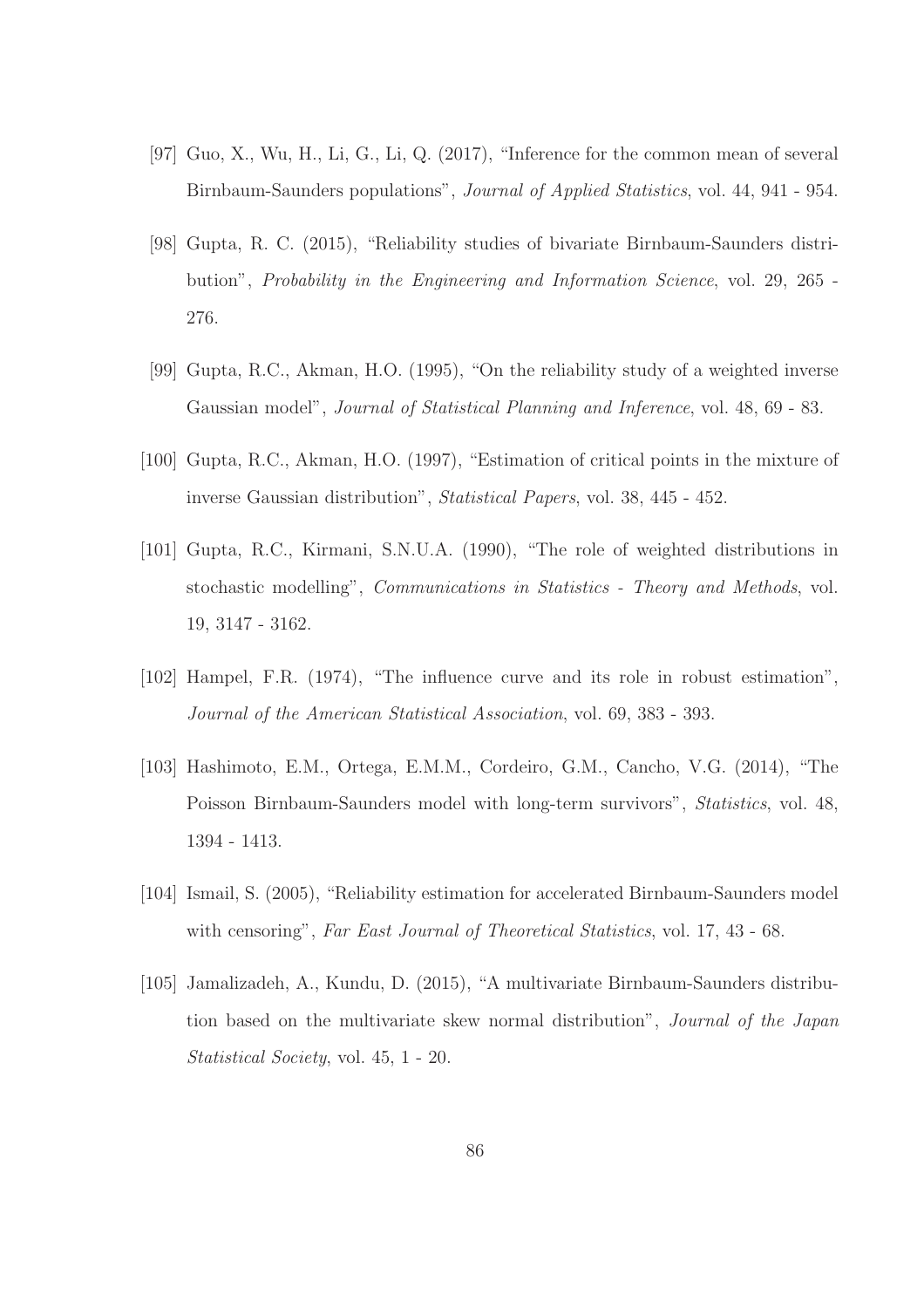- [97] Guo, X., Wu, H., Li, G., Li, Q. (2017), "Inference for the common mean of several Birnbaum-Saunders populations", *Journal of Applied Statistics*, vol. 44, 941 - 954.
- [98] Gupta, R. C. (2015), "Reliability studies of bivariate Birnbaum-Saunders distribution", *Probability in the Engineering and Information Science*, vol. 29, 265 - 276.
- [99] Gupta, R.C., Akman, H.O. (1995), "On the reliability study of a weighted inverse Gaussian model", *Journal of Statistical Planning and Inference*, vol. 48, 69 - 83.
- [100] Gupta, R.C., Akman, H.O. (1997), "Estimation of critical points in the mixture of inverse Gaussian distribution", *Statistical Papers*, vol. 38, 445 - 452.
- [101] Gupta, R.C., Kirmani, S.N.U.A. (1990), "The role of weighted distributions in stochastic modelling", *Communications in Statistics - Theory and Methods*, vol. 19, 3147 - 3162.
- [102] Hampel, F.R. (1974), "The influence curve and its role in robust estimation", *Journal of the American Statistical Association*, vol. 69, 383 - 393.
- [103] Hashimoto, E.M., Ortega, E.M.M., Cordeiro, G.M., Cancho, V.G. (2014), "The Poisson Birnbaum-Saunders model with long-term survivors", *Statistics*, vol. 48, 1394 - 1413.
- [104] Ismail, S. (2005), "Reliability estimation for accelerated Birnbaum-Saunders model with censoring", *Far East Journal of Theoretical Statistics*, vol. 17, 43 - 68.
- [105] Jamalizadeh, A., Kundu, D. (2015), "A multivariate Birnbaum-Saunders distribution based on the multivariate skew normal distribution", *Journal of the Japan Statistical Society*, vol. 45, 1 - 20.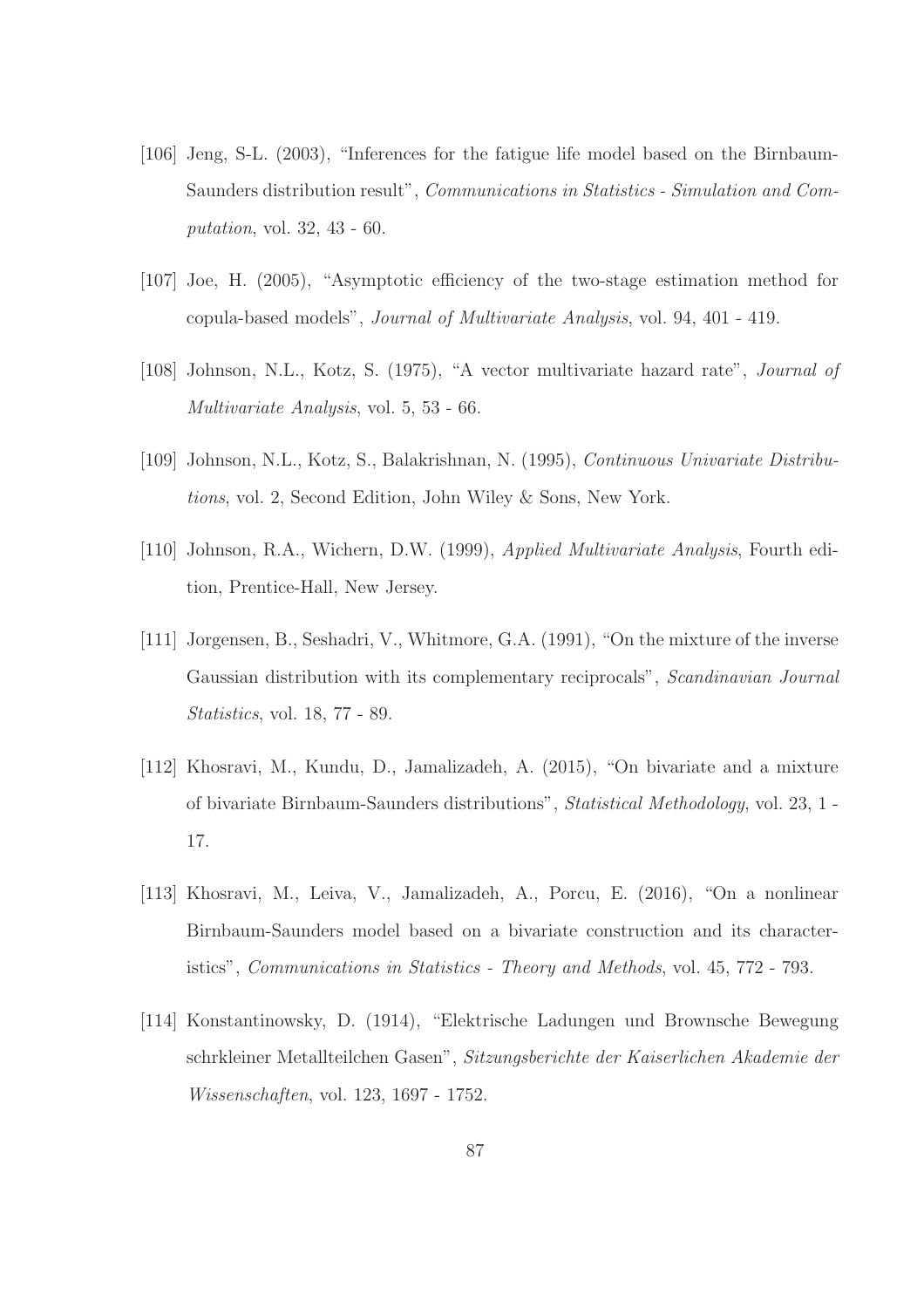- [106] Jeng, S-L. (2003), "Inferences for the fatigue life model based on the Birnbaum-Saunders distribution result", *Communications in Statistics - Simulation and Computation*, vol. 32, 43 - 60.
- [107] Joe, H. (2005), "Asymptotic efficiency of the two-stage estimation method for copula-based models", *Journal of Multivariate Analysis*, vol. 94, 401 - 419.
- [108] Johnson, N.L., Kotz, S. (1975), "A vector multivariate hazard rate", *Journal of Multivariate Analysis*, vol. 5, 53 - 66.
- [109] Johnson, N.L., Kotz, S., Balakrishnan, N. (1995), *Continuous Univariate Distributions*, vol. 2, Second Edition, John Wiley & Sons, New York.
- [110] Johnson, R.A., Wichern, D.W. (1999), *Applied Multivariate Analysis*, Fourth edition, Prentice-Hall, New Jersey.
- [111] Jorgensen, B., Seshadri, V., Whitmore, G.A. (1991), "On the mixture of the inverse Gaussian distribution with its complementary reciprocals", *Scandinavian Journal Statistics*, vol. 18, 77 - 89.
- [112] Khosravi, M., Kundu, D., Jamalizadeh, A. (2015), "On bivariate and a mixture of bivariate Birnbaum-Saunders distributions", *Statistical Methodology*, vol. 23, 1 - 17.
- [113] Khosravi, M., Leiva, V., Jamalizadeh, A., Porcu, E. (2016), "On a nonlinear Birnbaum-Saunders model based on a bivariate construction and its characteristics", *Communications in Statistics - Theory and Methods*, vol. 45, 772 - 793.
- [114] Konstantinowsky, D. (1914), "Elektrische Ladungen und Brownsche Bewegung schrkleiner Metallteilchen Gasen", *Sitzungsberichte der Kaiserlichen Akademie der Wissenschaften*, vol. 123, 1697 - 1752.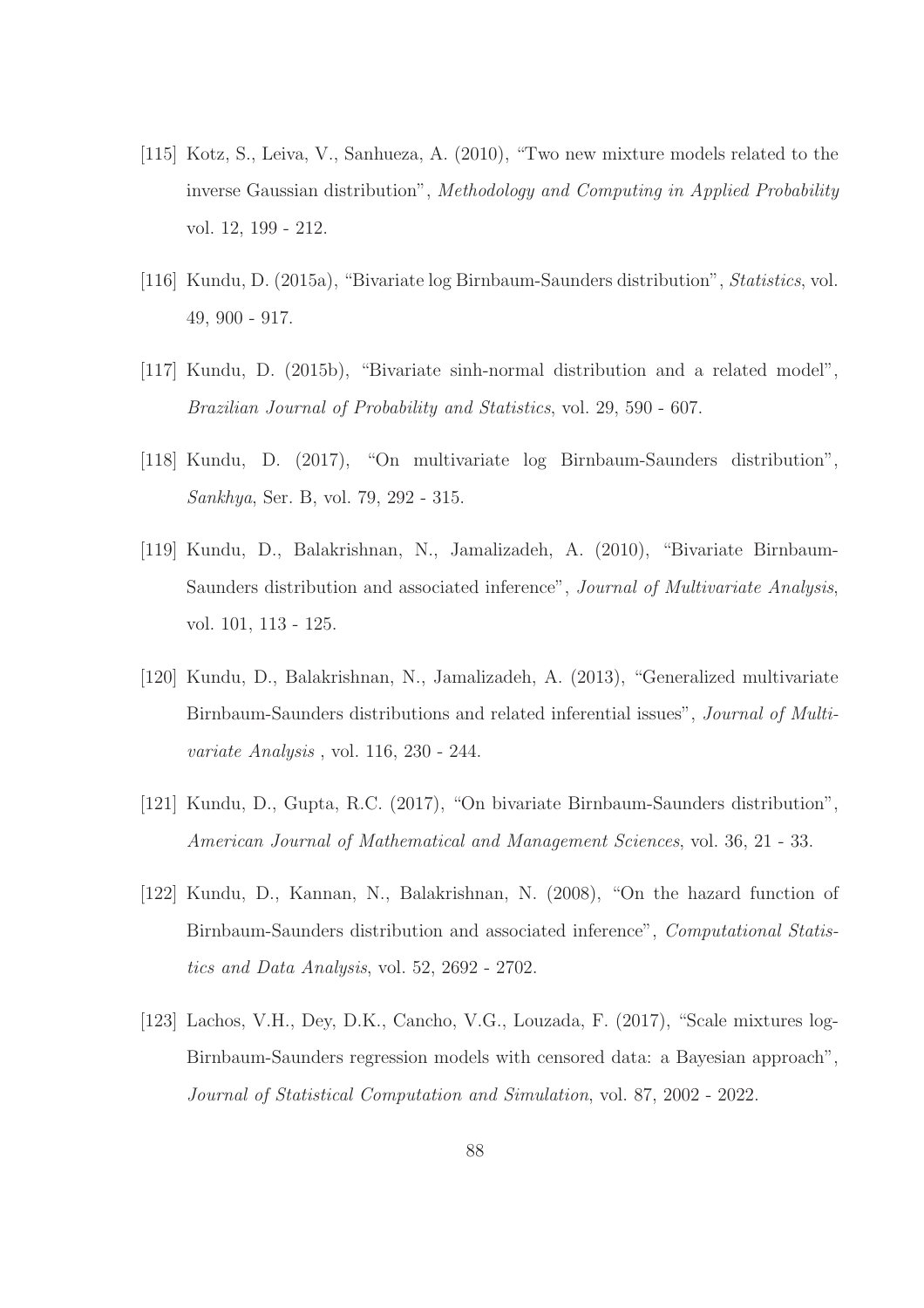- [115] Kotz, S., Leiva, V., Sanhueza, A. (2010), "Two new mixture models related to the inverse Gaussian distribution", *Methodology and Computing in Applied Probability* vol. 12, 199 - 212.
- [116] Kundu, D. (2015a), "Bivariate log Birnbaum-Saunders distribution", *Statistics*, vol. 49, 900 - 917.
- [117] Kundu, D. (2015b), "Bivariate sinh-normal distribution and a related model", *Brazilian Journal of Probability and Statistics*, vol. 29, 590 - 607.
- [118] Kundu, D. (2017), "On multivariate log Birnbaum-Saunders distribution", *Sankhya*, Ser. B, vol. 79, 292 - 315.
- [119] Kundu, D., Balakrishnan, N., Jamalizadeh, A. (2010), "Bivariate Birnbaum-Saunders distribution and associated inference", *Journal of Multivariate Analysis*, vol. 101, 113 - 125.
- [120] Kundu, D., Balakrishnan, N., Jamalizadeh, A. (2013), "Generalized multivariate Birnbaum-Saunders distributions and related inferential issues", *Journal of Multivariate Analysis* , vol. 116, 230 - 244.
- [121] Kundu, D., Gupta, R.C. (2017), "On bivariate Birnbaum-Saunders distribution", *American Journal of Mathematical and Management Sciences*, vol. 36, 21 - 33.
- [122] Kundu, D., Kannan, N., Balakrishnan, N. (2008), "On the hazard function of Birnbaum-Saunders distribution and associated inference", *Computational Statistics and Data Analysis*, vol. 52, 2692 - 2702.
- [123] Lachos, V.H., Dey, D.K., Cancho, V.G., Louzada, F. (2017), "Scale mixtures log-Birnbaum-Saunders regression models with censored data: a Bayesian approach", *Journal of Statistical Computation and Simulation*, vol. 87, 2002 - 2022.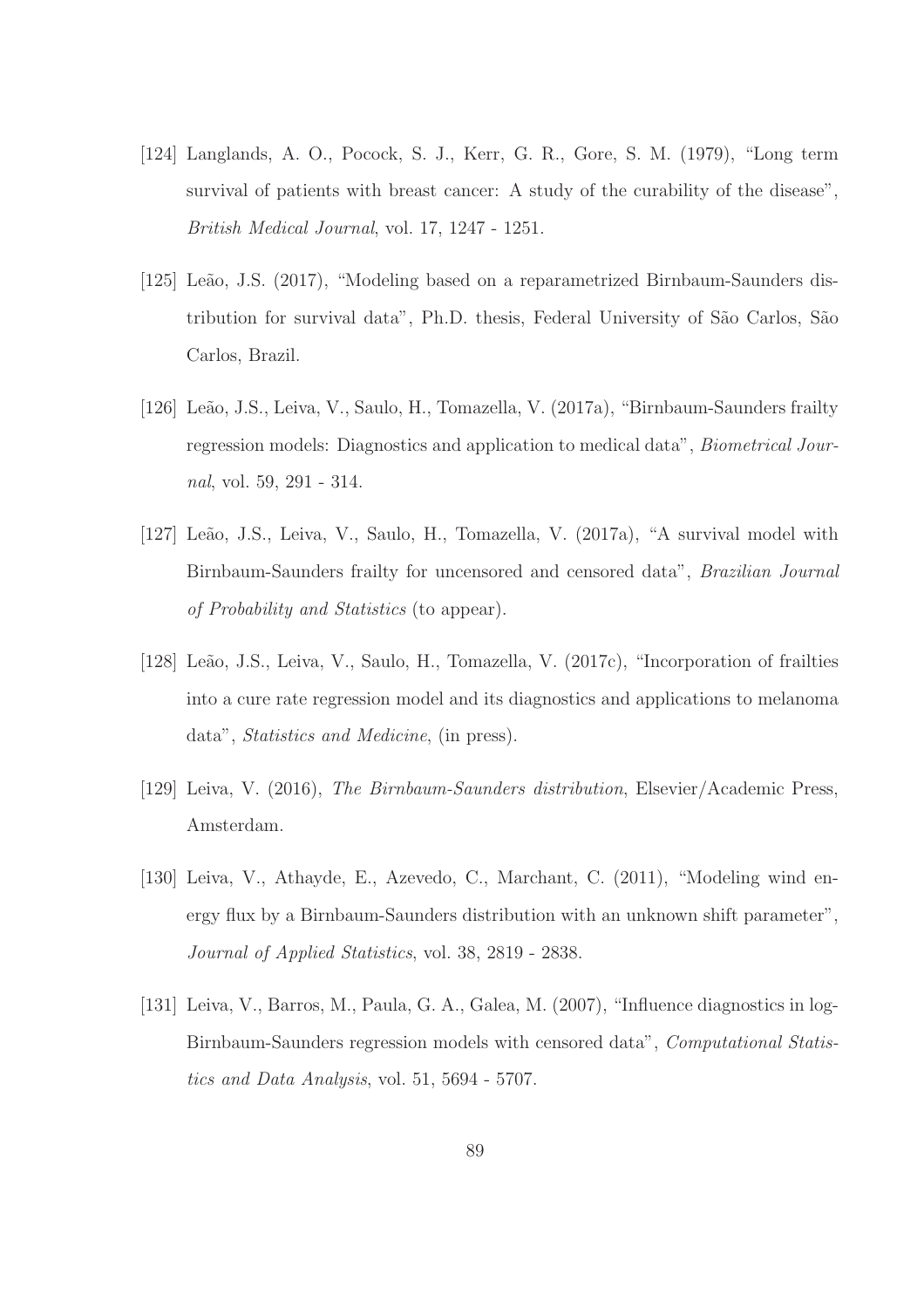- [124] Langlands, A. O., Pocock, S. J., Kerr, G. R., Gore, S. M. (1979), "Long term survival of patients with breast cancer: A study of the curability of the disease", *British Medical Journal*, vol. 17, 1247 - 1251.
- [125] Leão, J.S. (2017), "Modeling based on a reparametrized Birnbaum-Saunders distribution for survival data", Ph.D. thesis, Federal University of S˜ao Carlos, S˜ao Carlos, Brazil.
- [126] Leão, J.S., Leiva, V., Saulo, H., Tomazella, V. (2017a), "Birnbaum-Saunders frailty regression models: Diagnostics and application to medical data", *Biometrical Journal*, vol. 59, 291 - 314.
- [127] Leão, J.S., Leiva, V., Saulo, H., Tomazella, V. (2017a), "A survival model with Birnbaum-Saunders frailty for uncensored and censored data", *Brazilian Journal of Probability and Statistics* (to appear).
- [128] Leão, J.S., Leiva, V., Saulo, H., Tomazella, V. (2017c), "Incorporation of frailties into a cure rate regression model and its diagnostics and applications to melanoma data", *Statistics and Medicine*, (in press).
- [129] Leiva, V. (2016), *The Birnbaum-Saunders distribution*, Elsevier/Academic Press, Amsterdam.
- [130] Leiva, V., Athayde, E., Azevedo, C., Marchant, C. (2011), "Modeling wind energy flux by a Birnbaum-Saunders distribution with an unknown shift parameter", *Journal of Applied Statistics*, vol. 38, 2819 - 2838.
- [131] Leiva, V., Barros, M., Paula, G. A., Galea, M. (2007), "Influence diagnostics in log-Birnbaum-Saunders regression models with censored data", *Computational Statistics and Data Analysis*, vol. 51, 5694 - 5707.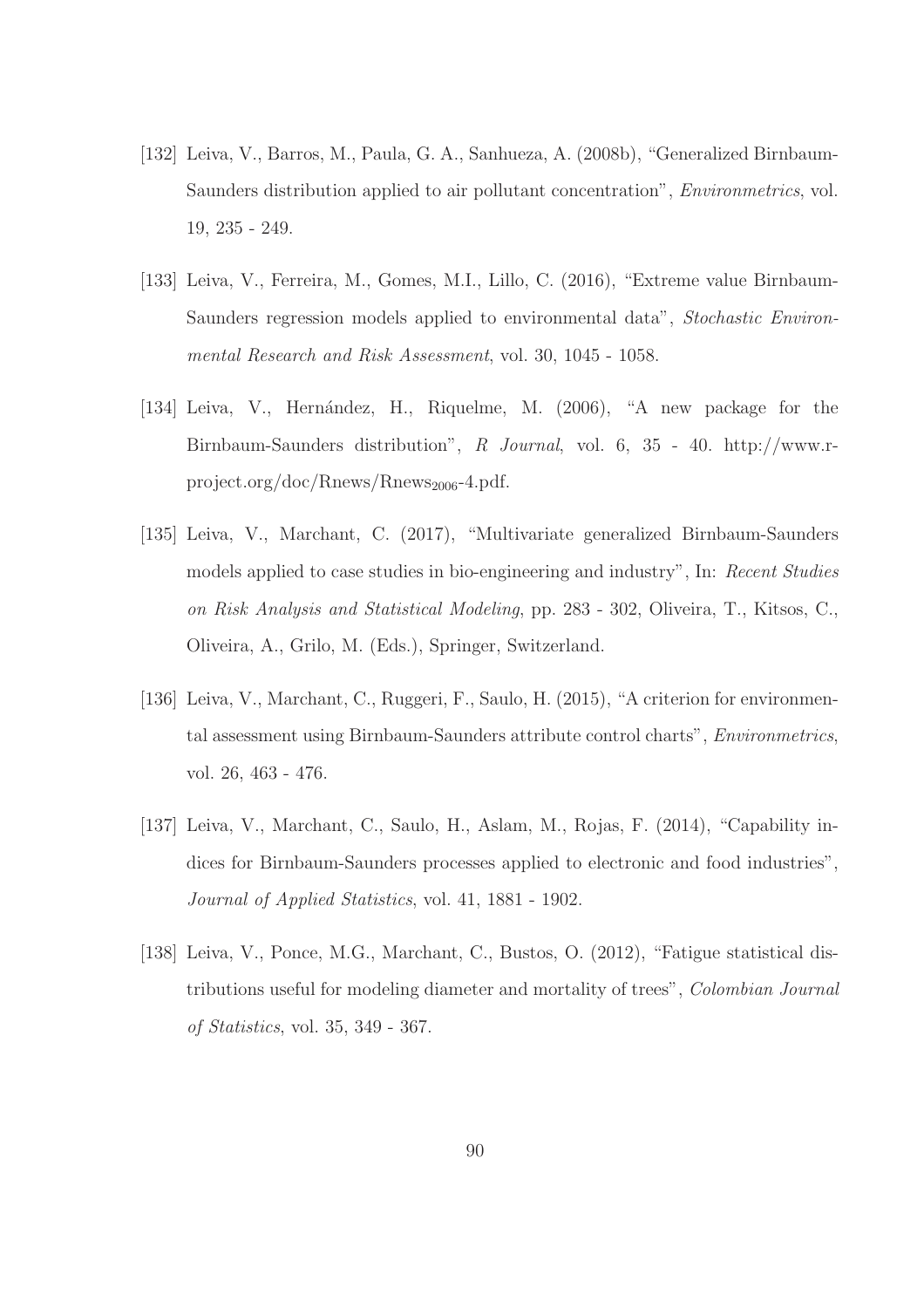- [132] Leiva, V., Barros, M., Paula, G. A., Sanhueza, A. (2008b), "Generalized Birnbaum-Saunders distribution applied to air pollutant concentration", *Environmetrics*, vol. 19, 235 - 249.
- [133] Leiva, V., Ferreira, M., Gomes, M.I., Lillo, C. (2016), "Extreme value Birnbaum-Saunders regression models applied to environmental data", *Stochastic Environmental Research and Risk Assessment*, vol. 30, 1045 - 1058.
- [134] Leiva, V., Hernández, H., Riquelme, M. (2006), "A new package for the Birnbaum-Saunders distribution", *R Journal*, vol. 6, 35 - 40. http://www.rproject.org/doc/Rnews/Rnews<sub>2006</sub>-4.pdf.
- [135] Leiva, V., Marchant, C. (2017), "Multivariate generalized Birnbaum-Saunders models applied to case studies in bio-engineering and industry", In: *Recent Studies on Risk Analysis and Statistical Modeling*, pp. 283 - 302, Oliveira, T., Kitsos, C., Oliveira, A., Grilo, M. (Eds.), Springer, Switzerland.
- [136] Leiva, V., Marchant, C., Ruggeri, F., Saulo, H. (2015), "A criterion for environmental assessment using Birnbaum-Saunders attribute control charts", *Environmetrics*, vol. 26, 463 - 476.
- [137] Leiva, V., Marchant, C., Saulo, H., Aslam, M., Rojas, F. (2014), "Capability indices for Birnbaum-Saunders processes applied to electronic and food industries", *Journal of Applied Statistics*, vol. 41, 1881 - 1902.
- [138] Leiva, V., Ponce, M.G., Marchant, C., Bustos, O. (2012), "Fatigue statistical distributions useful for modeling diameter and mortality of trees", *Colombian Journal of Statistics*, vol. 35, 349 - 367.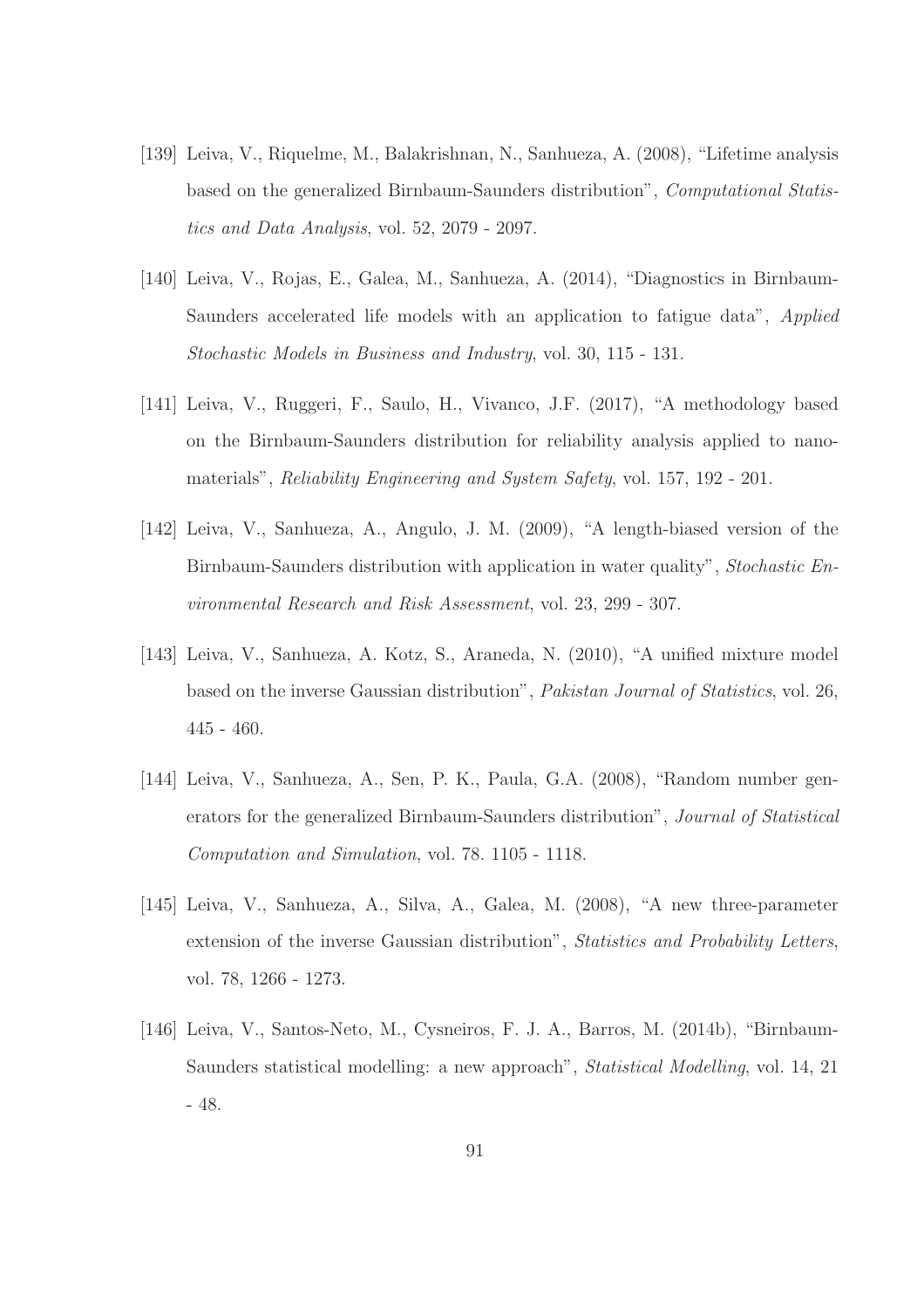- [139] Leiva, V., Riquelme, M., Balakrishnan, N., Sanhueza, A. (2008), "Lifetime analysis based on the generalized Birnbaum-Saunders distribution", *Computational Statistics and Data Analysis*, vol. 52, 2079 - 2097.
- [140] Leiva, V., Rojas, E., Galea, M., Sanhueza, A. (2014), "Diagnostics in Birnbaum-Saunders accelerated life models with an application to fatigue data", *Applied Stochastic Models in Business and Industry*, vol. 30, 115 - 131.
- [141] Leiva, V., Ruggeri, F., Saulo, H., Vivanco, J.F. (2017), "A methodology based on the Birnbaum-Saunders distribution for reliability analysis applied to nanomaterials", *Reliability Engineering and System Safety*, vol. 157, 192 - 201.
- [142] Leiva, V., Sanhueza, A., Angulo, J. M. (2009), "A length-biased version of the Birnbaum-Saunders distribution with application in water quality", *Stochastic Environmental Research and Risk Assessment*, vol. 23, 299 - 307.
- [143] Leiva, V., Sanhueza, A. Kotz, S., Araneda, N. (2010), "A unified mixture model based on the inverse Gaussian distribution", *Pakistan Journal of Statistics*, vol. 26, 445 - 460.
- [144] Leiva, V., Sanhueza, A., Sen, P. K., Paula, G.A. (2008), "Random number generators for the generalized Birnbaum-Saunders distribution", *Journal of Statistical Computation and Simulation*, vol. 78. 1105 - 1118.
- [145] Leiva, V., Sanhueza, A., Silva, A., Galea, M. (2008), "A new three-parameter extension of the inverse Gaussian distribution", *Statistics and Probability Letters*, vol. 78, 1266 - 1273.
- [146] Leiva, V., Santos-Neto, M., Cysneiros, F. J. A., Barros, M. (2014b), "Birnbaum-Saunders statistical modelling: a new approach", *Statistical Modelling*, vol. 14, 21 - 48.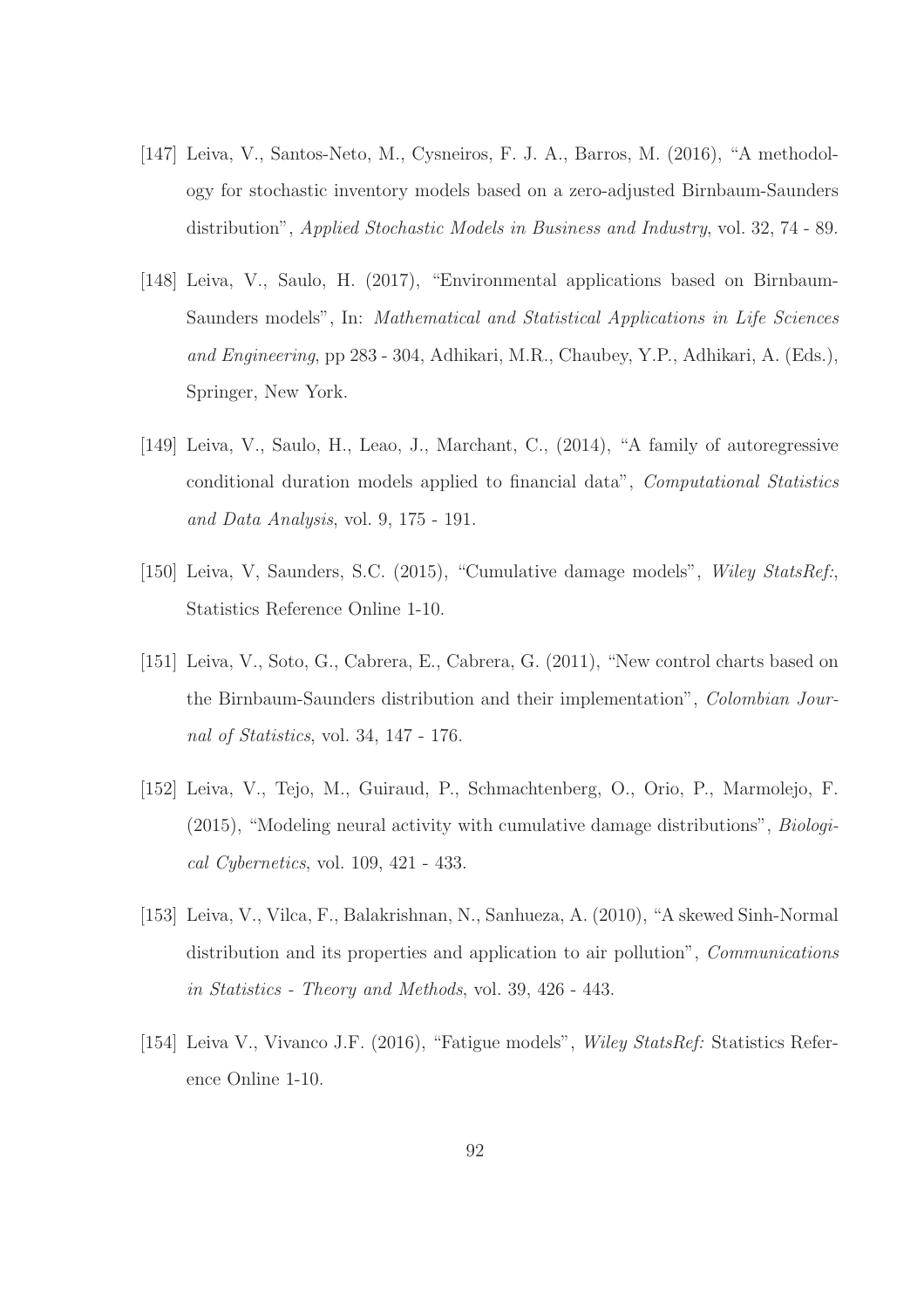- [147] Leiva, V., Santos-Neto, M., Cysneiros, F. J. A., Barros, M. (2016), "A methodology for stochastic inventory models based on a zero-adjusted Birnbaum-Saunders distribution", *Applied Stochastic Models in Business and Industry*, vol. 32, 74 - 89.
- [148] Leiva, V., Saulo, H. (2017), "Environmental applications based on Birnbaum-Saunders models", In: *Mathematical and Statistical Applications in Life Sciences and Engineering*, pp 283 - 304, Adhikari, M.R., Chaubey, Y.P., Adhikari, A. (Eds.), Springer, New York.
- [149] Leiva, V., Saulo, H., Leao, J., Marchant, C., (2014), "A family of autoregressive conditional duration models applied to financial data", *Computational Statistics and Data Analysis*, vol. 9, 175 - 191.
- [150] Leiva, V, Saunders, S.C. (2015), "Cumulative damage models", *Wiley StatsRef:*, Statistics Reference Online 1-10.
- [151] Leiva, V., Soto, G., Cabrera, E., Cabrera, G. (2011), "New control charts based on the Birnbaum-Saunders distribution and their implementation", *Colombian Journal of Statistics*, vol. 34, 147 - 176.
- [152] Leiva, V., Tejo, M., Guiraud, P., Schmachtenberg, O., Orio, P., Marmolejo, F. (2015), "Modeling neural activity with cumulative damage distributions", *Biological Cybernetics*, vol. 109, 421 - 433.
- [153] Leiva, V., Vilca, F., Balakrishnan, N., Sanhueza, A. (2010), "A skewed Sinh-Normal distribution and its properties and application to air pollution", *Communications in Statistics - Theory and Methods*, vol. 39, 426 - 443.
- [154] Leiva V., Vivanco J.F. (2016), "Fatigue models", *Wiley StatsRef:* Statistics Reference Online 1-10.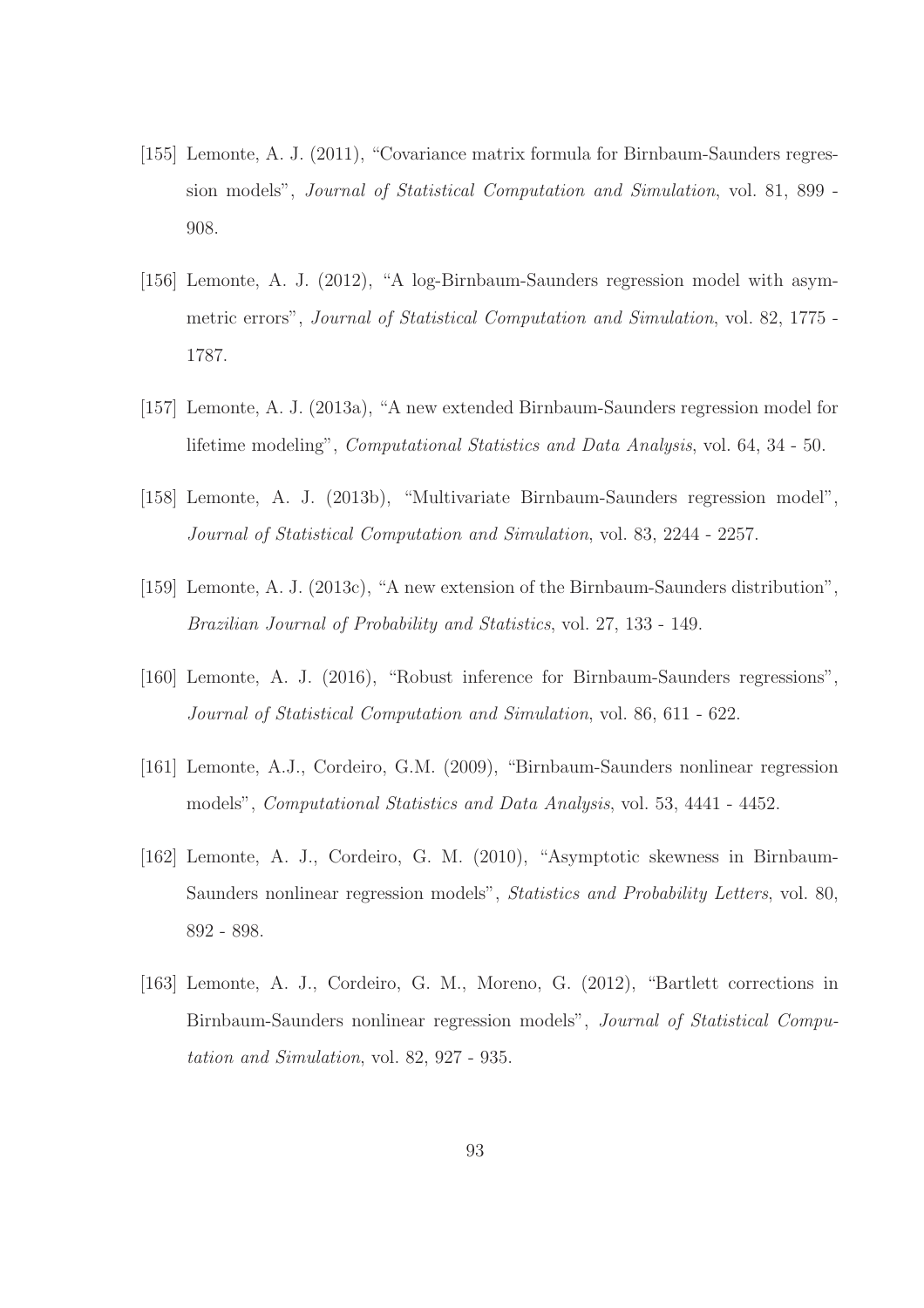- [155] Lemonte, A. J. (2011), "Covariance matrix formula for Birnbaum-Saunders regression models", *Journal of Statistical Computation and Simulation*, vol. 81, 899 - 908.
- [156] Lemonte, A. J. (2012), "A log-Birnbaum-Saunders regression model with asymmetric errors", *Journal of Statistical Computation and Simulation*, vol. 82, 1775 - 1787.
- [157] Lemonte, A. J. (2013a), "A new extended Birnbaum-Saunders regression model for lifetime modeling", *Computational Statistics and Data Analysis*, vol. 64, 34 - 50.
- [158] Lemonte, A. J. (2013b), "Multivariate Birnbaum-Saunders regression model", *Journal of Statistical Computation and Simulation*, vol. 83, 2244 - 2257.
- [159] Lemonte, A. J. (2013c), "A new extension of the Birnbaum-Saunders distribution", *Brazilian Journal of Probability and Statistics*, vol. 27, 133 - 149.
- [160] Lemonte, A. J. (2016), "Robust inference for Birnbaum-Saunders regressions", *Journal of Statistical Computation and Simulation*, vol. 86, 611 - 622.
- [161] Lemonte, A.J., Cordeiro, G.M. (2009), "Birnbaum-Saunders nonlinear regression models", *Computational Statistics and Data Analysis*, vol. 53, 4441 - 4452.
- [162] Lemonte, A. J., Cordeiro, G. M. (2010), "Asymptotic skewness in Birnbaum-Saunders nonlinear regression models", *Statistics and Probability Letters*, vol. 80, 892 - 898.
- [163] Lemonte, A. J., Cordeiro, G. M., Moreno, G. (2012), "Bartlett corrections in Birnbaum-Saunders nonlinear regression models", *Journal of Statistical Computation and Simulation*, vol. 82, 927 - 935.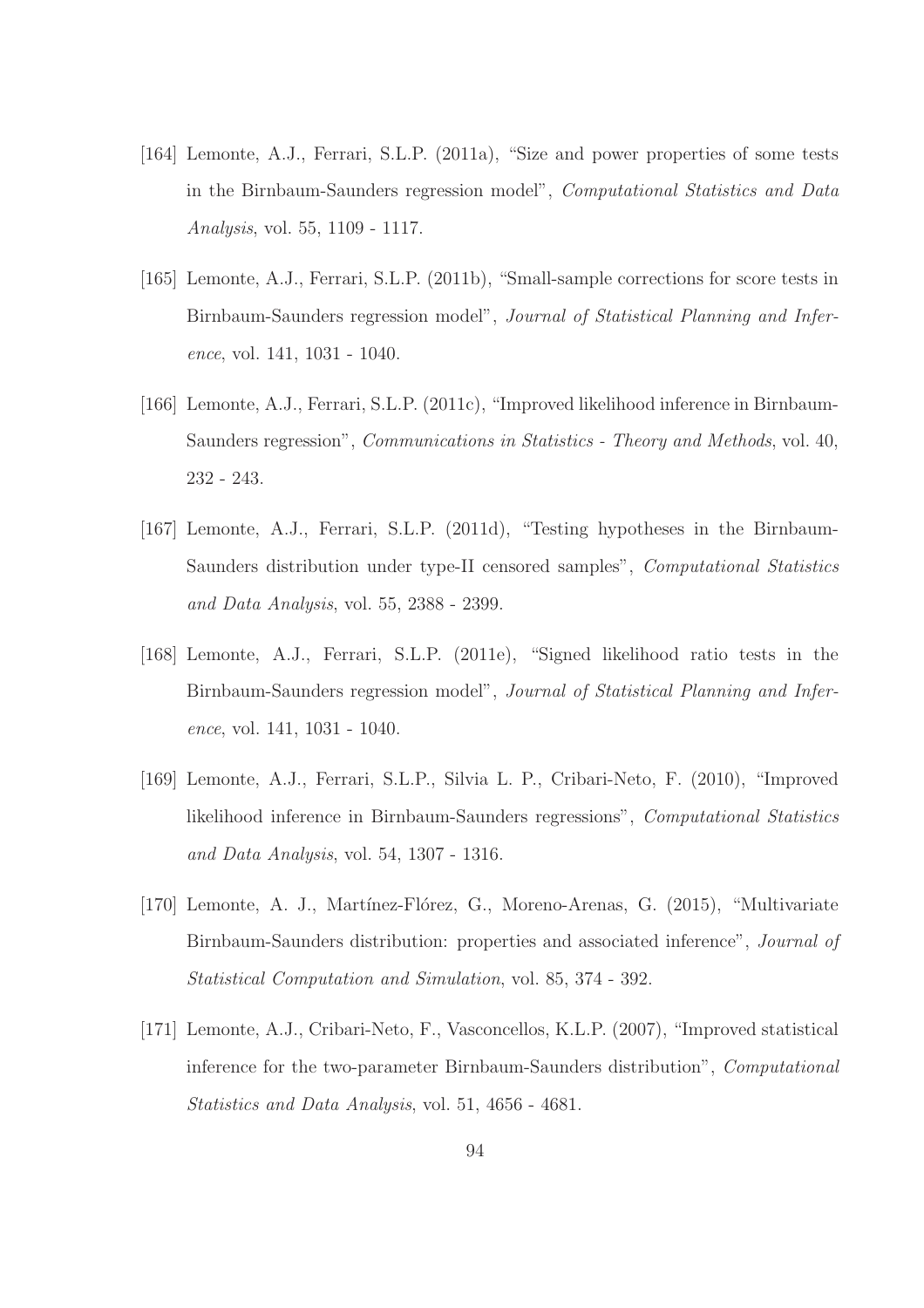- [164] Lemonte, A.J., Ferrari, S.L.P. (2011a), "Size and power properties of some tests in the Birnbaum-Saunders regression model", *Computational Statistics and Data Analysis*, vol. 55, 1109 - 1117.
- [165] Lemonte, A.J., Ferrari, S.L.P. (2011b), "Small-sample corrections for score tests in Birnbaum-Saunders regression model", *Journal of Statistical Planning and Inference*, vol. 141, 1031 - 1040.
- [166] Lemonte, A.J., Ferrari, S.L.P. (2011c), "Improved likelihood inference in Birnbaum-Saunders regression", *Communications in Statistics - Theory and Methods*, vol. 40, 232 - 243.
- [167] Lemonte, A.J., Ferrari, S.L.P. (2011d), "Testing hypotheses in the Birnbaum-Saunders distribution under type-II censored samples", *Computational Statistics and Data Analysis*, vol. 55, 2388 - 2399.
- [168] Lemonte, A.J., Ferrari, S.L.P. (2011e), "Signed likelihood ratio tests in the Birnbaum-Saunders regression model", *Journal of Statistical Planning and Inference*, vol. 141, 1031 - 1040.
- [169] Lemonte, A.J., Ferrari, S.L.P., Silvia L. P., Cribari-Neto, F. (2010), "Improved likelihood inference in Birnbaum-Saunders regressions", *Computational Statistics and Data Analysis*, vol. 54, 1307 - 1316.
- [170] Lemonte, A. J., Martínez-Flórez, G., Moreno-Arenas, G. (2015), "Multivariate Birnbaum-Saunders distribution: properties and associated inference", *Journal of Statistical Computation and Simulation*, vol. 85, 374 - 392.
- [171] Lemonte, A.J., Cribari-Neto, F., Vasconcellos, K.L.P. (2007), "Improved statistical inference for the two-parameter Birnbaum-Saunders distribution", *Computational Statistics and Data Analysis*, vol. 51, 4656 - 4681.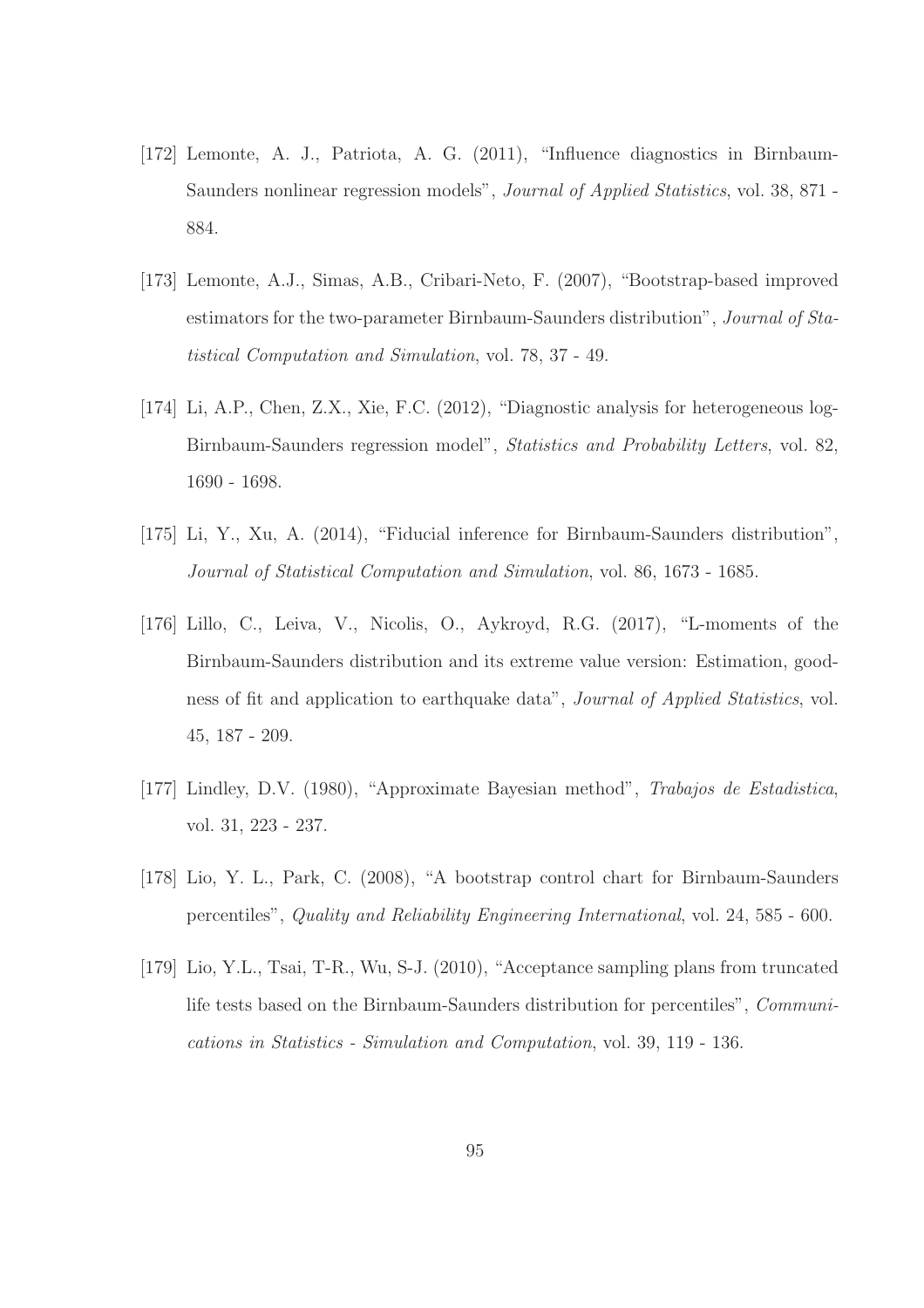- [172] Lemonte, A. J., Patriota, A. G. (2011), "Influence diagnostics in Birnbaum-Saunders nonlinear regression models", *Journal of Applied Statistics*, vol. 38, 871 - 884.
- [173] Lemonte, A.J., Simas, A.B., Cribari-Neto, F. (2007), "Bootstrap-based improved estimators for the two-parameter Birnbaum-Saunders distribution", *Journal of Statistical Computation and Simulation*, vol. 78, 37 - 49.
- [174] Li, A.P., Chen, Z.X., Xie, F.C. (2012), "Diagnostic analysis for heterogeneous log-Birnbaum-Saunders regression model", *Statistics and Probability Letters*, vol. 82, 1690 - 1698.
- [175] Li, Y., Xu, A. (2014), "Fiducial inference for Birnbaum-Saunders distribution", *Journal of Statistical Computation and Simulation*, vol. 86, 1673 - 1685.
- [176] Lillo, C., Leiva, V., Nicolis, O., Aykroyd, R.G. (2017), "L-moments of the Birnbaum-Saunders distribution and its extreme value version: Estimation, goodness of fit and application to earthquake data", *Journal of Applied Statistics*, vol. 45, 187 - 209.
- [177] Lindley, D.V. (1980), "Approximate Bayesian method", *Trabajos de Estadistica*, vol. 31, 223 - 237.
- [178] Lio, Y. L., Park, C. (2008), "A bootstrap control chart for Birnbaum-Saunders percentiles", *Quality and Reliability Engineering International*, vol. 24, 585 - 600.
- [179] Lio, Y.L., Tsai, T-R., Wu, S-J. (2010), "Acceptance sampling plans from truncated life tests based on the Birnbaum-Saunders distribution for percentiles", *Communications in Statistics - Simulation and Computation*, vol. 39, 119 - 136.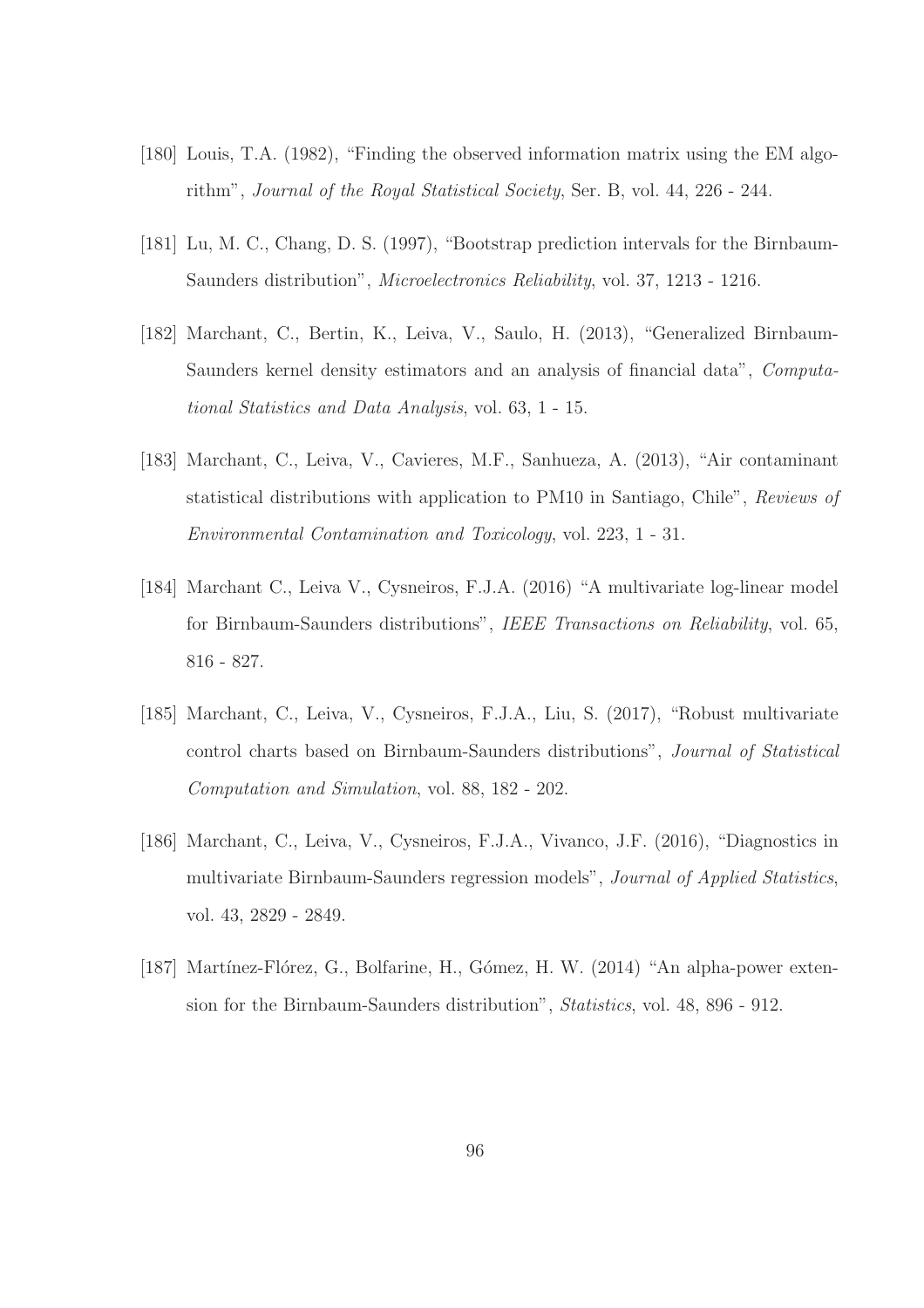- [180] Louis, T.A. (1982), "Finding the observed information matrix using the EM algorithm", *Journal of the Royal Statistical Society*, Ser. B, vol. 44, 226 - 244.
- [181] Lu, M. C., Chang, D. S. (1997), "Bootstrap prediction intervals for the Birnbaum-Saunders distribution", *Microelectronics Reliability*, vol. 37, 1213 - 1216.
- [182] Marchant, C., Bertin, K., Leiva, V., Saulo, H. (2013), "Generalized Birnbaum-Saunders kernel density estimators and an analysis of financial data", *Computational Statistics and Data Analysis*, vol. 63, 1 - 15.
- [183] Marchant, C., Leiva, V., Cavieres, M.F., Sanhueza, A. (2013), "Air contaminant statistical distributions with application to PM10 in Santiago, Chile", *Reviews of Environmental Contamination and Toxicology*, vol. 223, 1 - 31.
- [184] Marchant C., Leiva V., Cysneiros, F.J.A. (2016) "A multivariate log-linear model for Birnbaum-Saunders distributions", *IEEE Transactions on Reliability*, vol. 65, 816 - 827.
- [185] Marchant, C., Leiva, V., Cysneiros, F.J.A., Liu, S. (2017), "Robust multivariate control charts based on Birnbaum-Saunders distributions", *Journal of Statistical Computation and Simulation*, vol. 88, 182 - 202.
- [186] Marchant, C., Leiva, V., Cysneiros, F.J.A., Vivanco, J.F. (2016), "Diagnostics in multivariate Birnbaum-Saunders regression models", *Journal of Applied Statistics*, vol. 43, 2829 - 2849.
- [187] Martínez-Flórez, G., Bolfarine, H., Gómez, H. W. (2014) "An alpha-power extension for the Birnbaum-Saunders distribution", *Statistics*, vol. 48, 896 - 912.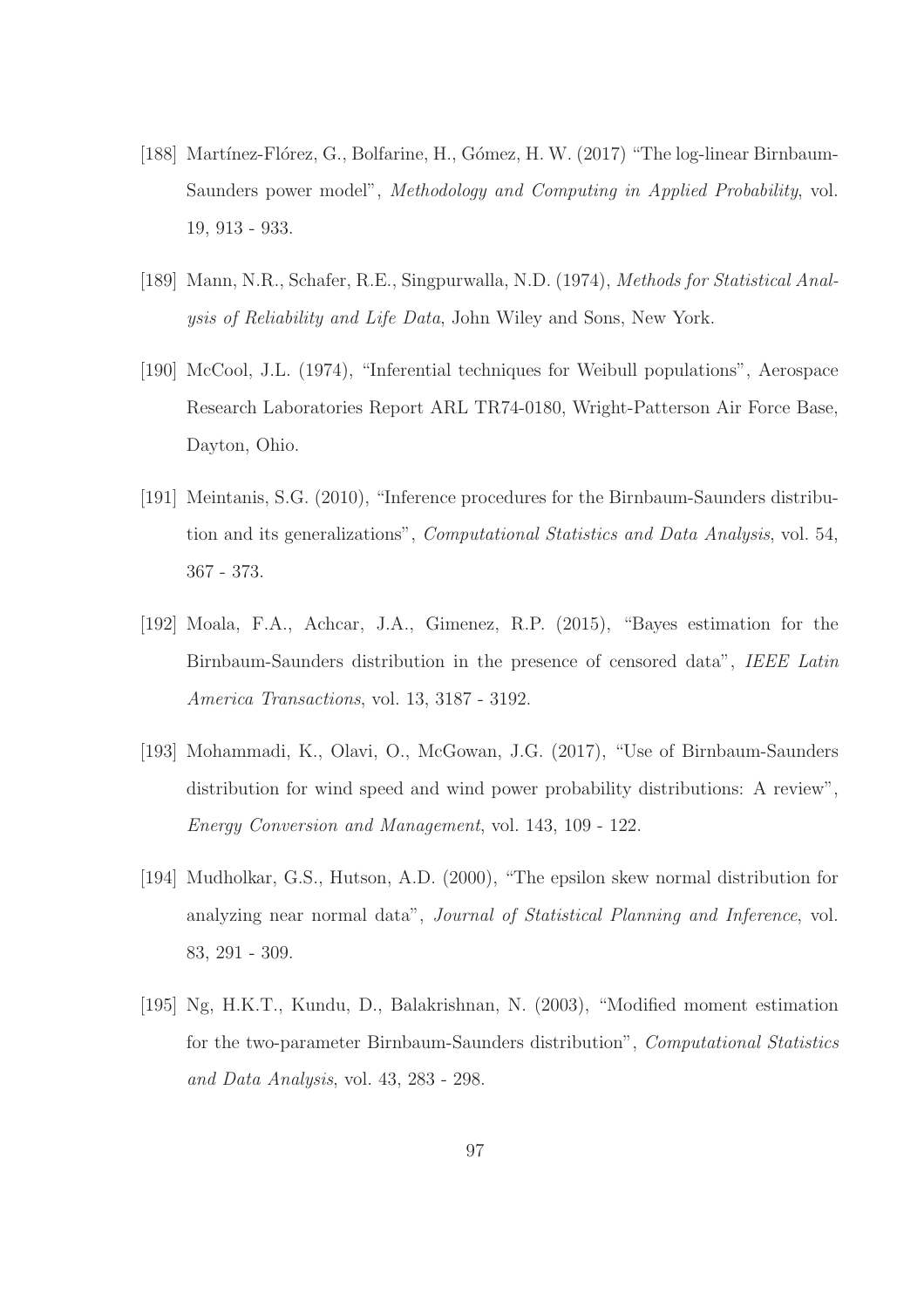- [188] Martínez-Flórez, G., Bolfarine, H., Gómez, H. W. (2017) "The log-linear Birnbaum-Saunders power model", *Methodology and Computing in Applied Probability*, vol. 19, 913 - 933.
- [189] Mann, N.R., Schafer, R.E., Singpurwalla, N.D. (1974), *Methods for Statistical Analysis of Reliability and Life Data*, John Wiley and Sons, New York.
- [190] McCool, J.L. (1974), "Inferential techniques for Weibull populations", Aerospace Research Laboratories Report ARL TR74-0180, Wright-Patterson Air Force Base, Dayton, Ohio.
- [191] Meintanis, S.G. (2010), "Inference procedures for the Birnbaum-Saunders distribution and its generalizations", *Computational Statistics and Data Analysis*, vol. 54, 367 - 373.
- [192] Moala, F.A., Achcar, J.A., Gimenez, R.P. (2015), "Bayes estimation for the Birnbaum-Saunders distribution in the presence of censored data", *IEEE Latin America Transactions*, vol. 13, 3187 - 3192.
- [193] Mohammadi, K., Olavi, O., McGowan, J.G. (2017), "Use of Birnbaum-Saunders distribution for wind speed and wind power probability distributions: A review", *Energy Conversion and Management*, vol. 143, 109 - 122.
- [194] Mudholkar, G.S., Hutson, A.D. (2000), "The epsilon skew normal distribution for analyzing near normal data", *Journal of Statistical Planning and Inference*, vol. 83, 291 - 309.
- [195] Ng, H.K.T., Kundu, D., Balakrishnan, N. (2003), "Modified moment estimation for the two-parameter Birnbaum-Saunders distribution", *Computational Statistics and Data Analysis*, vol. 43, 283 - 298.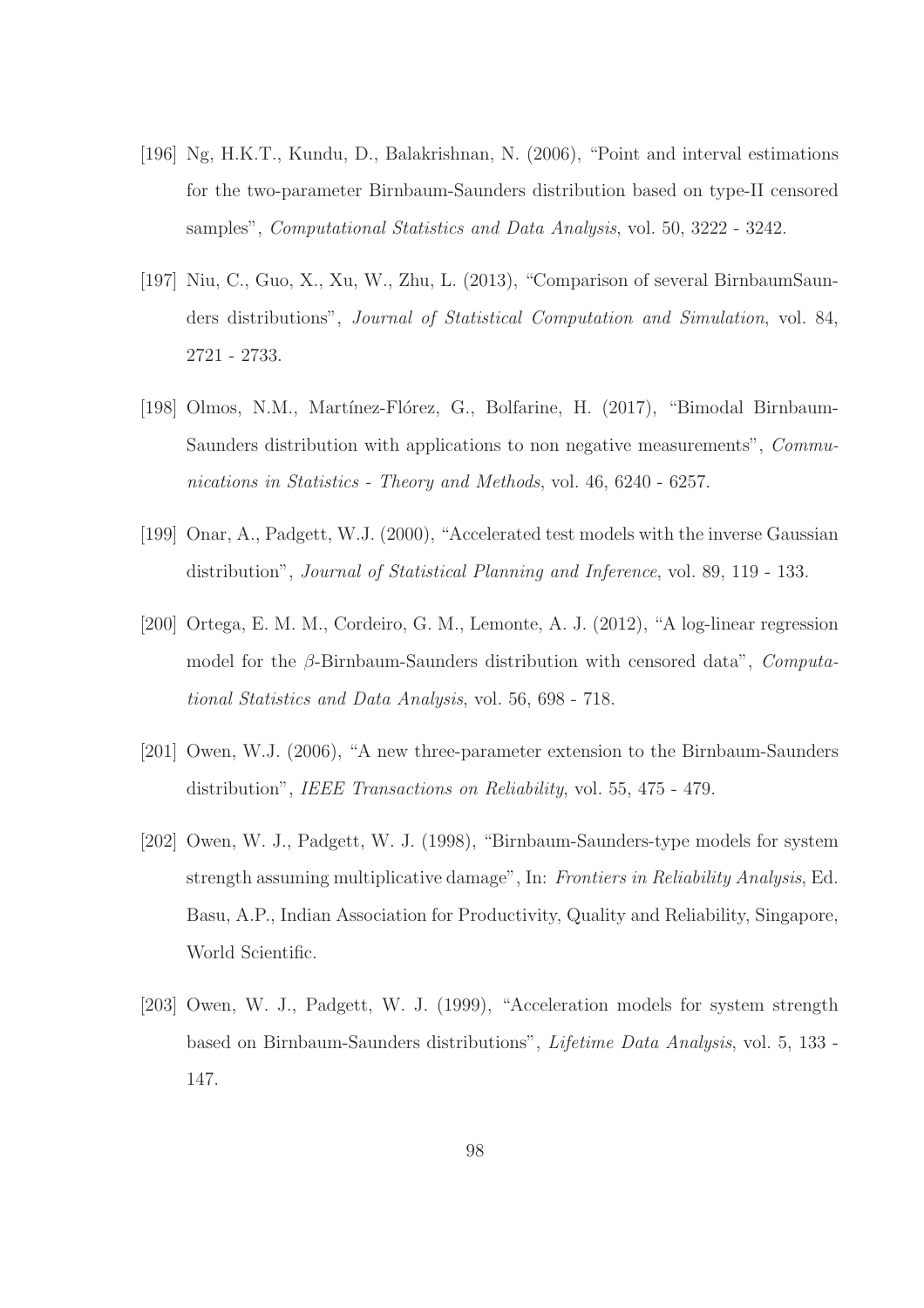- [196] Ng, H.K.T., Kundu, D., Balakrishnan, N. (2006), "Point and interval estimations for the two-parameter Birnbaum-Saunders distribution based on type-II censored samples", *Computational Statistics and Data Analysis*, vol. 50, 3222 - 3242.
- [197] Niu, C., Guo, X., Xu, W., Zhu, L. (2013), "Comparison of several BirnbaumSaunders distributions", *Journal of Statistical Computation and Simulation*, vol. 84, 2721 - 2733.
- [198] Olmos, N.M., Martínez-Flórez, G., Bolfarine, H. (2017), "Bimodal Birnbaum-Saunders distribution with applications to non negative measurements", *Communications in Statistics - Theory and Methods*, vol. 46, 6240 - 6257.
- [199] Onar, A., Padgett, W.J. (2000), "Accelerated test models with the inverse Gaussian distribution", *Journal of Statistical Planning and Inference*, vol. 89, 119 - 133.
- [200] Ortega, E. M. M., Cordeiro, G. M., Lemonte, A. J. (2012), "A log-linear regression model for the β-Birnbaum-Saunders distribution with censored data", *Computational Statistics and Data Analysis*, vol. 56, 698 - 718.
- [201] Owen, W.J. (2006), "A new three-parameter extension to the Birnbaum-Saunders distribution", *IEEE Transactions on Reliability*, vol. 55, 475 - 479.
- [202] Owen, W. J., Padgett, W. J. (1998), "Birnbaum-Saunders-type models for system strength assuming multiplicative damage", In: *Frontiers in Reliability Analysis*, Ed. Basu, A.P., Indian Association for Productivity, Quality and Reliability, Singapore, World Scientific.
- [203] Owen, W. J., Padgett, W. J. (1999), "Acceleration models for system strength based on Birnbaum-Saunders distributions", *Lifetime Data Analysis*, vol. 5, 133 - 147.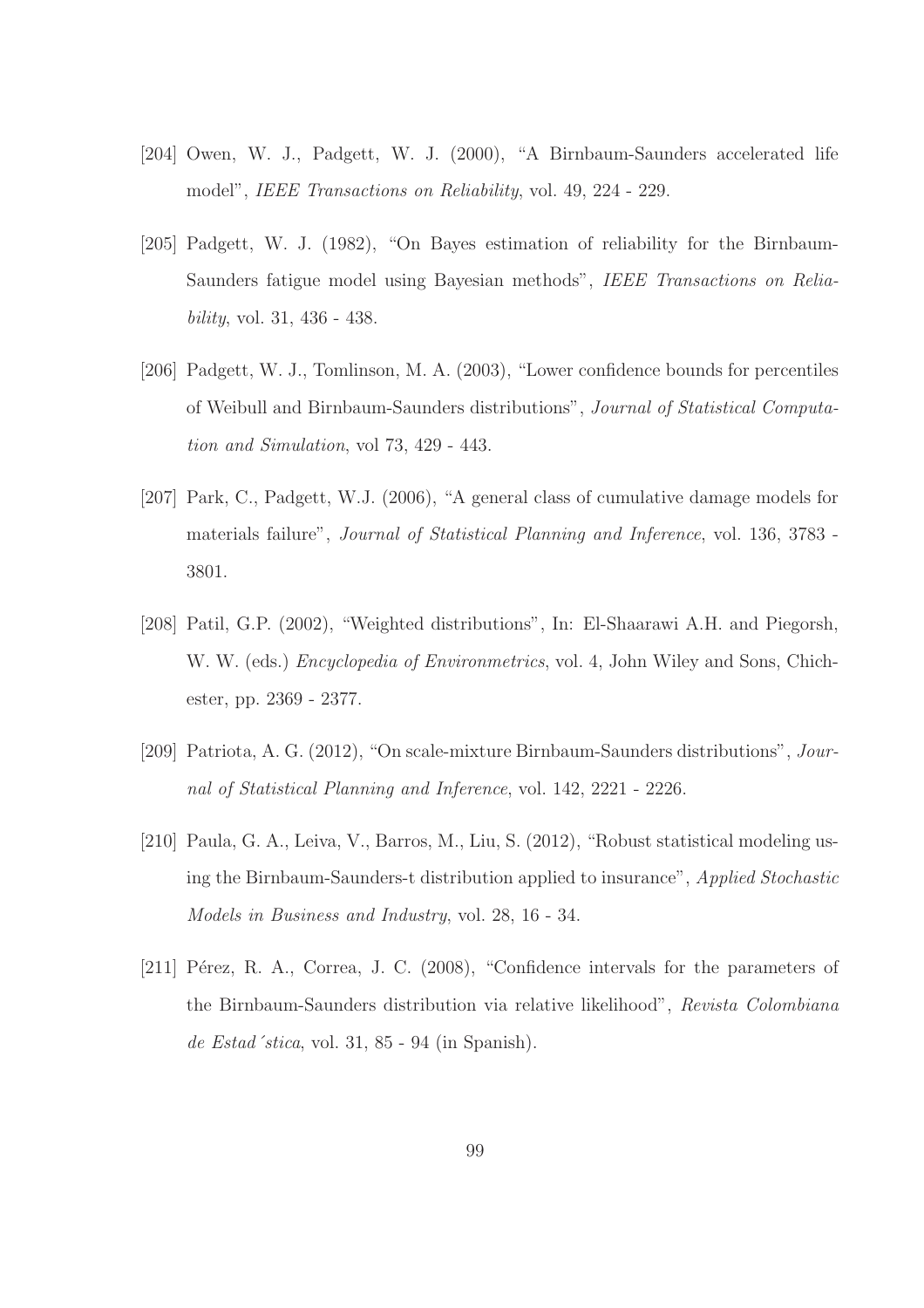- [204] Owen, W. J., Padgett, W. J. (2000), "A Birnbaum-Saunders accelerated life model", *IEEE Transactions on Reliability*, vol. 49, 224 - 229.
- [205] Padgett, W. J. (1982), "On Bayes estimation of reliability for the Birnbaum-Saunders fatigue model using Bayesian methods", *IEEE Transactions on Reliability*, vol. 31, 436 - 438.
- [206] Padgett, W. J., Tomlinson, M. A. (2003), "Lower confidence bounds for percentiles of Weibull and Birnbaum-Saunders distributions", *Journal of Statistical Computation and Simulation*, vol 73, 429 - 443.
- [207] Park, C., Padgett, W.J. (2006), "A general class of cumulative damage models for materials failure", *Journal of Statistical Planning and Inference*, vol. 136, 3783 - 3801.
- [208] Patil, G.P. (2002), "Weighted distributions", In: El-Shaarawi A.H. and Piegorsh, W. W. (eds.) *Encyclopedia of Environmetrics*, vol. 4, John Wiley and Sons, Chichester, pp. 2369 - 2377.
- [209] Patriota, A. G. (2012), "On scale-mixture Birnbaum-Saunders distributions", *Journal of Statistical Planning and Inference*, vol. 142, 2221 - 2226.
- [210] Paula, G. A., Leiva, V., Barros, M., Liu, S. (2012), "Robust statistical modeling using the Birnbaum-Saunders-t distribution applied to insurance", *Applied Stochastic Models in Business and Industry*, vol. 28, 16 - 34.
- [211] Pérez, R. A., Correa, J. C. (2008), "Confidence intervals for the parameters of the Birnbaum-Saunders distribution via relative likelihood", *Revista Colombiana de Estad´stica*, vol. 31, 85 - 94 (in Spanish).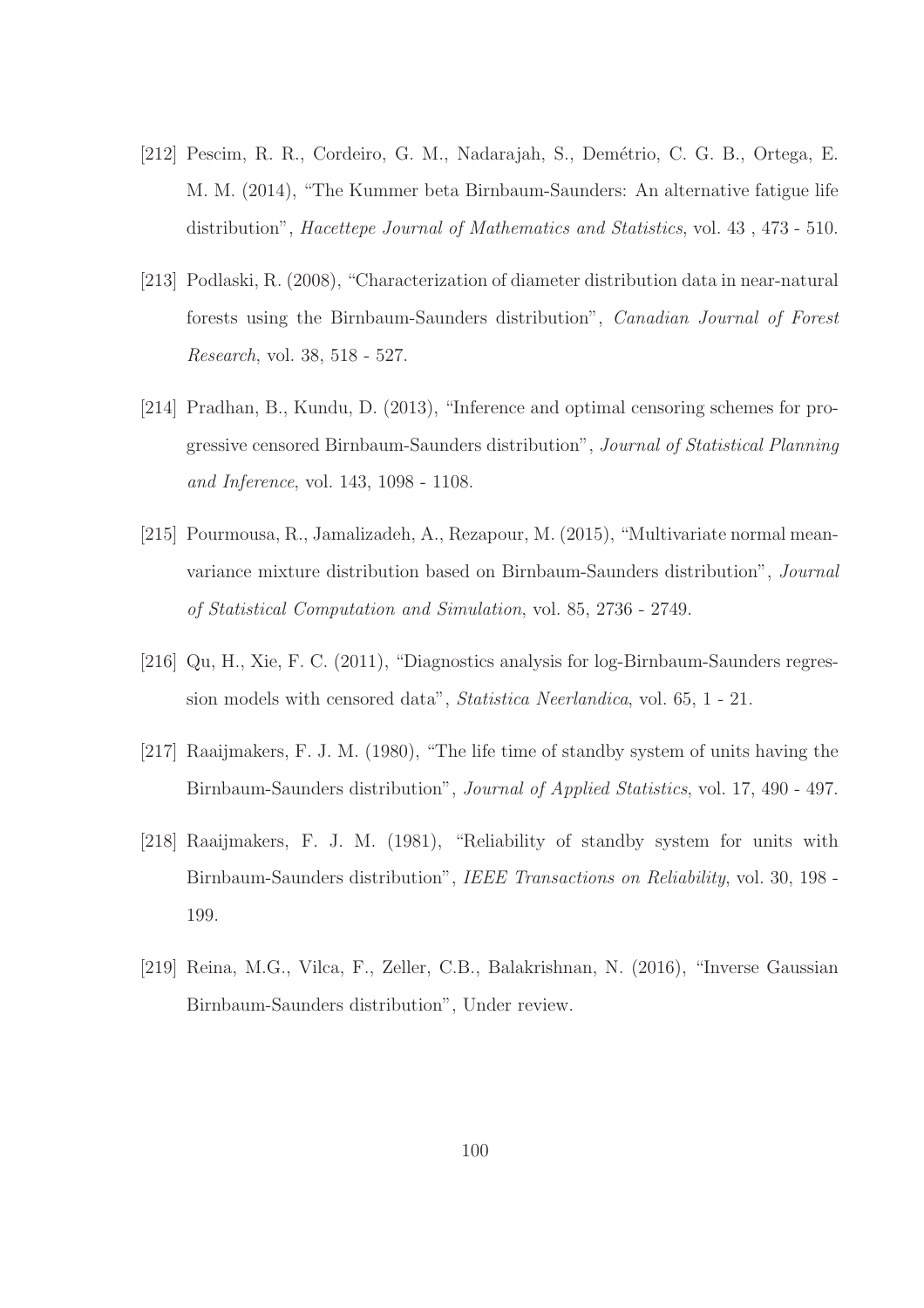- [212] Pescim, R. R., Cordeiro, G. M., Nadarajah, S., Dem´etrio, C. G. B., Ortega, E. M. M. (2014), "The Kummer beta Birnbaum-Saunders: An alternative fatigue life distribution", *Hacettepe Journal of Mathematics and Statistics*, vol. 43 , 473 - 510.
- [213] Podlaski, R. (2008), "Characterization of diameter distribution data in near-natural forests using the Birnbaum-Saunders distribution", *Canadian Journal of Forest Research*, vol. 38, 518 - 527.
- [214] Pradhan, B., Kundu, D. (2013), "Inference and optimal censoring schemes for progressive censored Birnbaum-Saunders distribution", *Journal of Statistical Planning and Inference*, vol. 143, 1098 - 1108.
- [215] Pourmousa, R., Jamalizadeh, A., Rezapour, M. (2015), "Multivariate normal meanvariance mixture distribution based on Birnbaum-Saunders distribution", *Journal of Statistical Computation and Simulation*, vol. 85, 2736 - 2749.
- [216] Qu, H., Xie, F. C. (2011), "Diagnostics analysis for log-Birnbaum-Saunders regression models with censored data", *Statistica Neerlandica*, vol. 65, 1 - 21.
- [217] Raaijmakers, F. J. M. (1980), "The life time of standby system of units having the Birnbaum-Saunders distribution", *Journal of Applied Statistics*, vol. 17, 490 - 497.
- [218] Raaijmakers, F. J. M. (1981), "Reliability of standby system for units with Birnbaum-Saunders distribution", *IEEE Transactions on Reliability*, vol. 30, 198 - 199.
- [219] Reina, M.G., Vilca, F., Zeller, C.B., Balakrishnan, N. (2016), "Inverse Gaussian Birnbaum-Saunders distribution", Under review.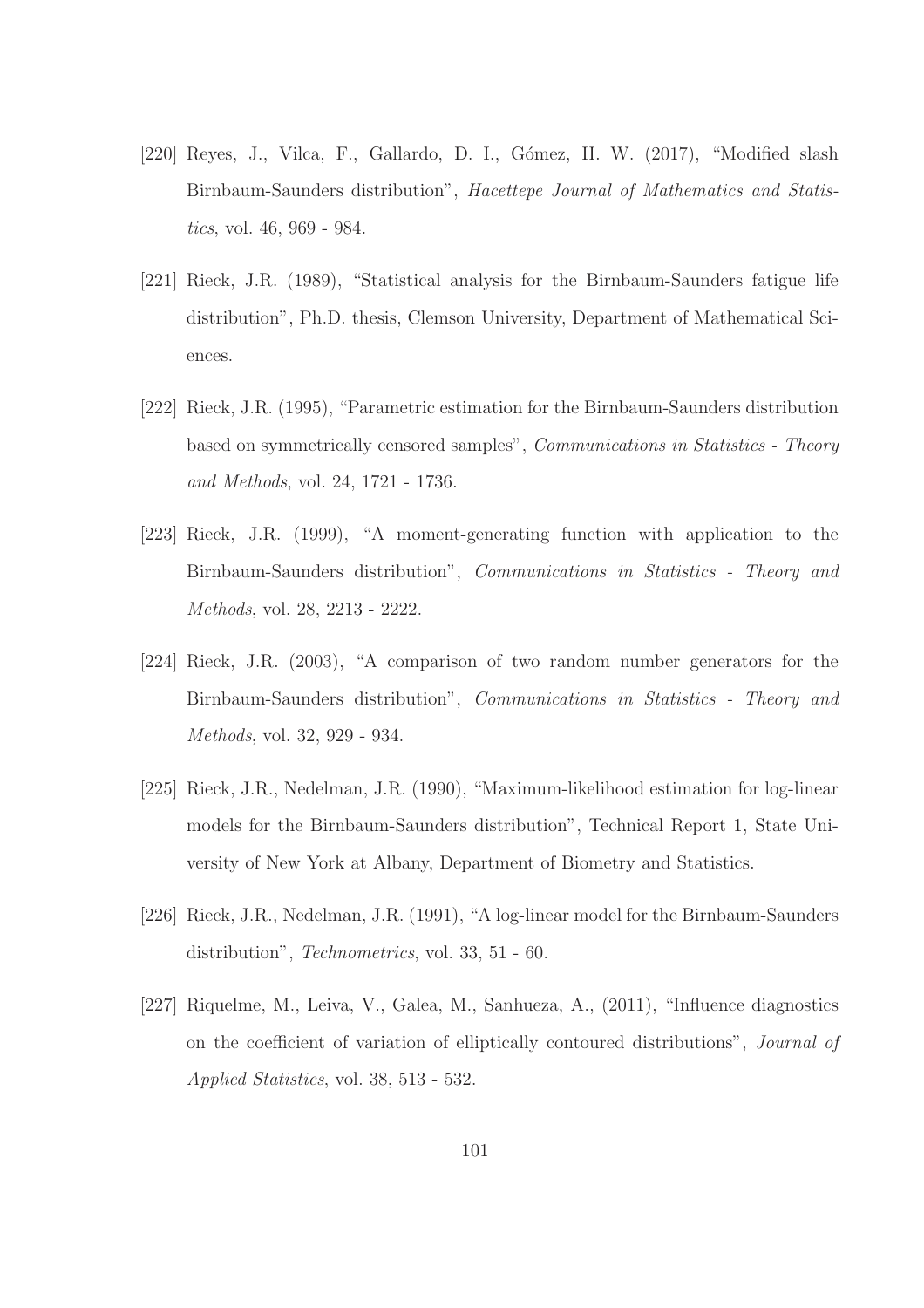- [220] Reyes, J., Vilca, F., Gallardo, D. I., Gómez, H. W. (2017), "Modified slash Birnbaum-Saunders distribution", *Hacettepe Journal of Mathematics and Statistics*, vol. 46, 969 - 984.
- [221] Rieck, J.R. (1989), "Statistical analysis for the Birnbaum-Saunders fatigue life distribution", Ph.D. thesis, Clemson University, Department of Mathematical Sciences.
- [222] Rieck, J.R. (1995), "Parametric estimation for the Birnbaum-Saunders distribution based on symmetrically censored samples", *Communications in Statistics - Theory and Methods*, vol. 24, 1721 - 1736.
- [223] Rieck, J.R. (1999), "A moment-generating function with application to the Birnbaum-Saunders distribution", *Communications in Statistics - Theory and Methods*, vol. 28, 2213 - 2222.
- [224] Rieck, J.R. (2003), "A comparison of two random number generators for the Birnbaum-Saunders distribution", *Communications in Statistics - Theory and Methods*, vol. 32, 929 - 934.
- [225] Rieck, J.R., Nedelman, J.R. (1990), "Maximum-likelihood estimation for log-linear models for the Birnbaum-Saunders distribution", Technical Report 1, State University of New York at Albany, Department of Biometry and Statistics.
- [226] Rieck, J.R., Nedelman, J.R. (1991), "A log-linear model for the Birnbaum-Saunders distribution", *Technometrics*, vol. 33, 51 - 60.
- [227] Riquelme, M., Leiva, V., Galea, M., Sanhueza, A., (2011), "Influence diagnostics on the coefficient of variation of elliptically contoured distributions", *Journal of Applied Statistics*, vol. 38, 513 - 532.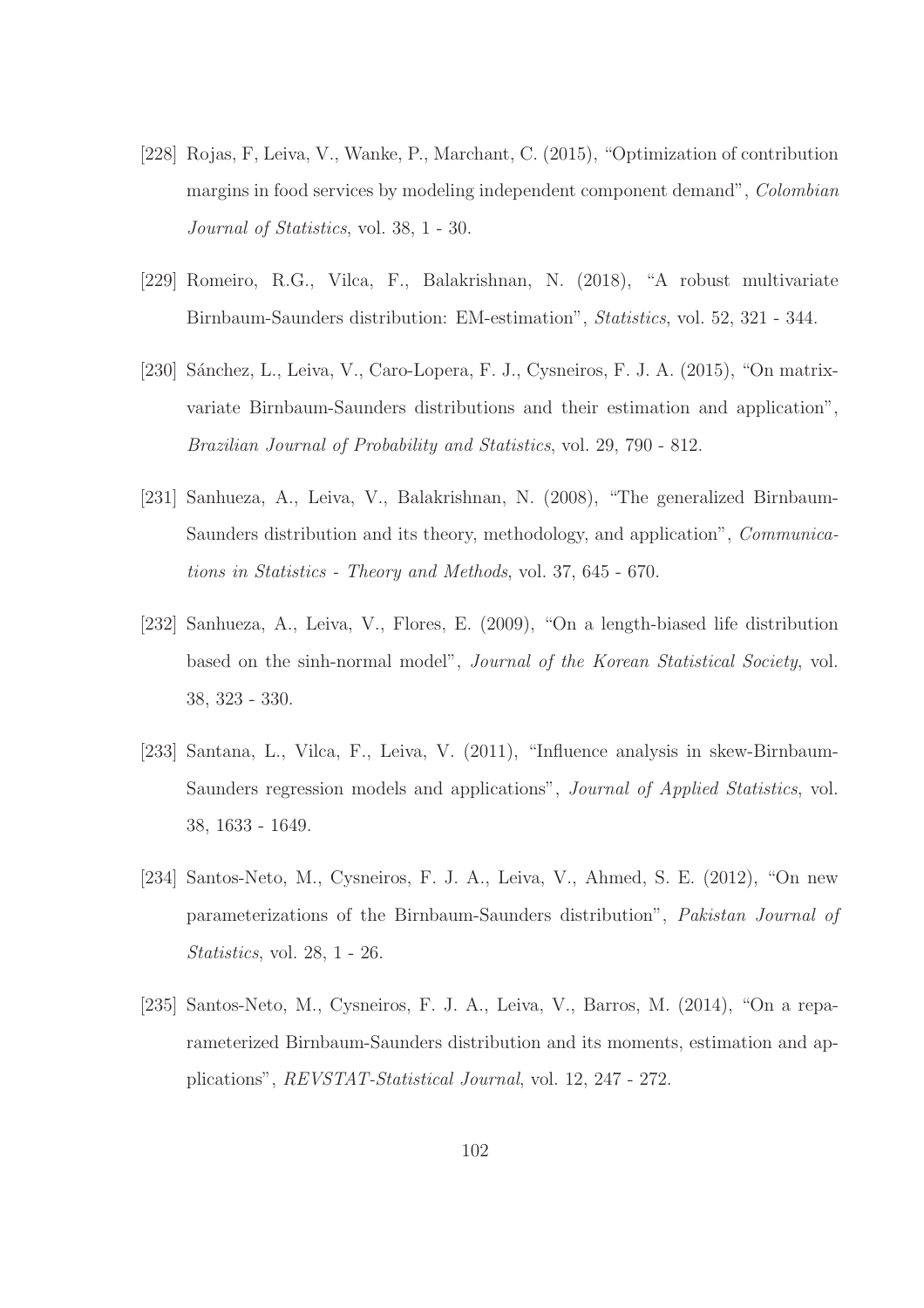- [228] Rojas, F, Leiva, V., Wanke, P., Marchant, C. (2015), "Optimization of contribution margins in food services by modeling independent component demand", *Colombian Journal of Statistics*, vol. 38, 1 - 30.
- [229] Romeiro, R.G., Vilca, F., Balakrishnan, N. (2018), "A robust multivariate Birnbaum-Saunders distribution: EM-estimation", *Statistics*, vol. 52, 321 - 344.
- [230] Sánchez, L., Leiva, V., Caro-Lopera, F. J., Cysneiros, F. J. A. (2015), "On matrixvariate Birnbaum-Saunders distributions and their estimation and application", *Brazilian Journal of Probability and Statistics*, vol. 29, 790 - 812.
- [231] Sanhueza, A., Leiva, V., Balakrishnan, N. (2008), "The generalized Birnbaum-Saunders distribution and its theory, methodology, and application", *Communications in Statistics - Theory and Methods*, vol. 37, 645 - 670.
- [232] Sanhueza, A., Leiva, V., Flores, E. (2009), "On a length-biased life distribution based on the sinh-normal model", *Journal of the Korean Statistical Society*, vol. 38, 323 - 330.
- [233] Santana, L., Vilca, F., Leiva, V. (2011), "Influence analysis in skew-Birnbaum-Saunders regression models and applications", *Journal of Applied Statistics*, vol. 38, 1633 - 1649.
- [234] Santos-Neto, M., Cysneiros, F. J. A., Leiva, V., Ahmed, S. E. (2012), "On new parameterizations of the Birnbaum-Saunders distribution", *Pakistan Journal of Statistics*, vol. 28, 1 - 26.
- [235] Santos-Neto, M., Cysneiros, F. J. A., Leiva, V., Barros, M. (2014), "On a reparameterized Birnbaum-Saunders distribution and its moments, estimation and applications", *REVSTAT-Statistical Journal*, vol. 12, 247 - 272.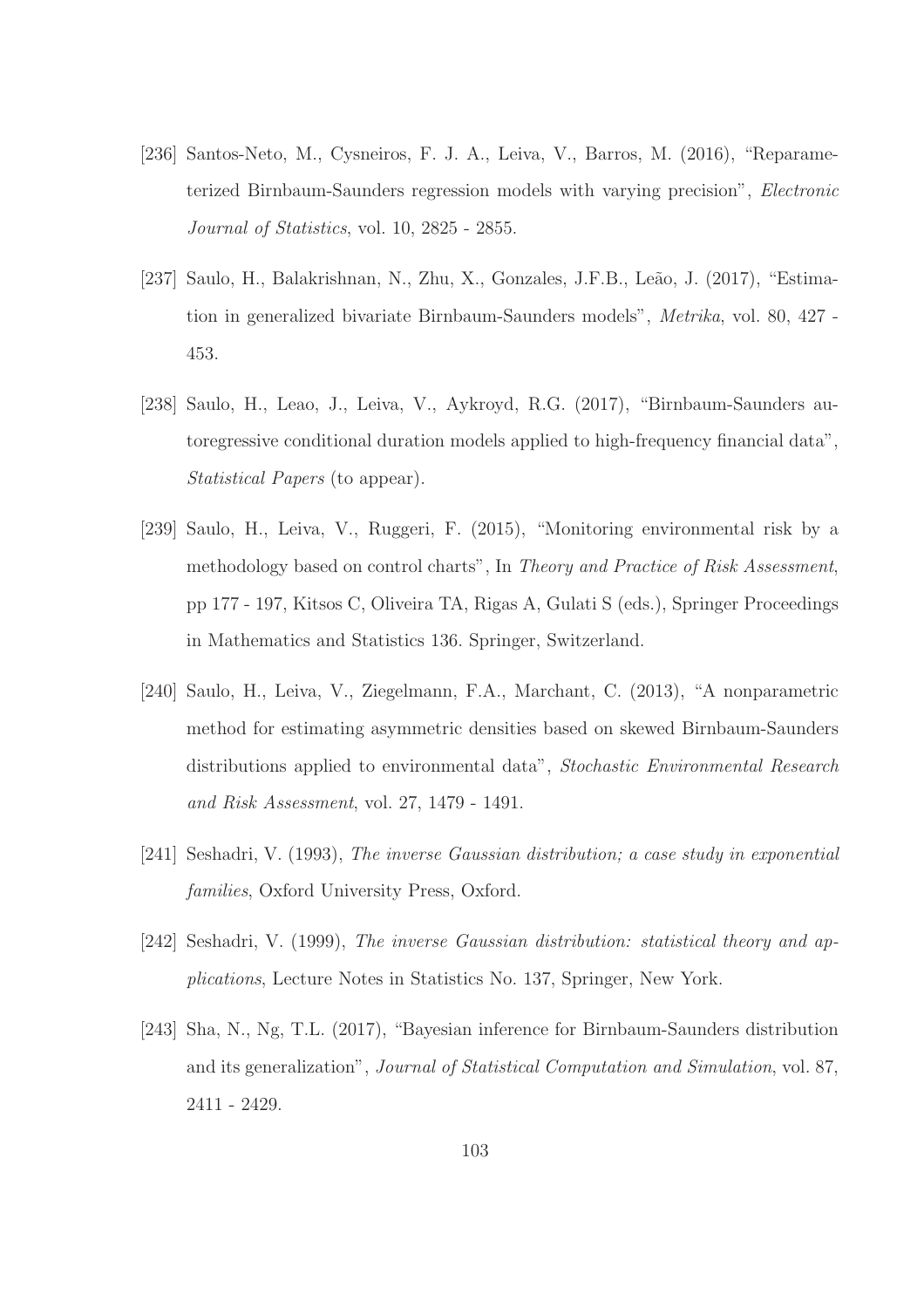- [236] Santos-Neto, M., Cysneiros, F. J. A., Leiva, V., Barros, M. (2016), "Reparameterized Birnbaum-Saunders regression models with varying precision", *Electronic Journal of Statistics*, vol. 10, 2825 - 2855.
- [237] Saulo, H., Balakrishnan, N., Zhu, X., Gonzales, J.F.B., Leão, J. (2017), "Estimation in generalized bivariate Birnbaum-Saunders models", *Metrika*, vol. 80, 427 - 453.
- [238] Saulo, H., Leao, J., Leiva, V., Aykroyd, R.G. (2017), "Birnbaum-Saunders autoregressive conditional duration models applied to high-frequency financial data", *Statistical Papers* (to appear).
- [239] Saulo, H., Leiva, V., Ruggeri, F. (2015), "Monitoring environmental risk by a methodology based on control charts", In *Theory and Practice of Risk Assessment*, pp 177 - 197, Kitsos C, Oliveira TA, Rigas A, Gulati S (eds.), Springer Proceedings in Mathematics and Statistics 136. Springer, Switzerland.
- [240] Saulo, H., Leiva, V., Ziegelmann, F.A., Marchant, C. (2013), "A nonparametric method for estimating asymmetric densities based on skewed Birnbaum-Saunders distributions applied to environmental data", *Stochastic Environmental Research and Risk Assessment*, vol. 27, 1479 - 1491.
- [241] Seshadri, V. (1993), *The inverse Gaussian distribution; a case study in exponential families*, Oxford University Press, Oxford.
- [242] Seshadri, V. (1999), *The inverse Gaussian distribution: statistical theory and applications*, Lecture Notes in Statistics No. 137, Springer, New York.
- [243] Sha, N., Ng, T.L. (2017), "Bayesian inference for Birnbaum-Saunders distribution and its generalization", *Journal of Statistical Computation and Simulation*, vol. 87, 2411 - 2429.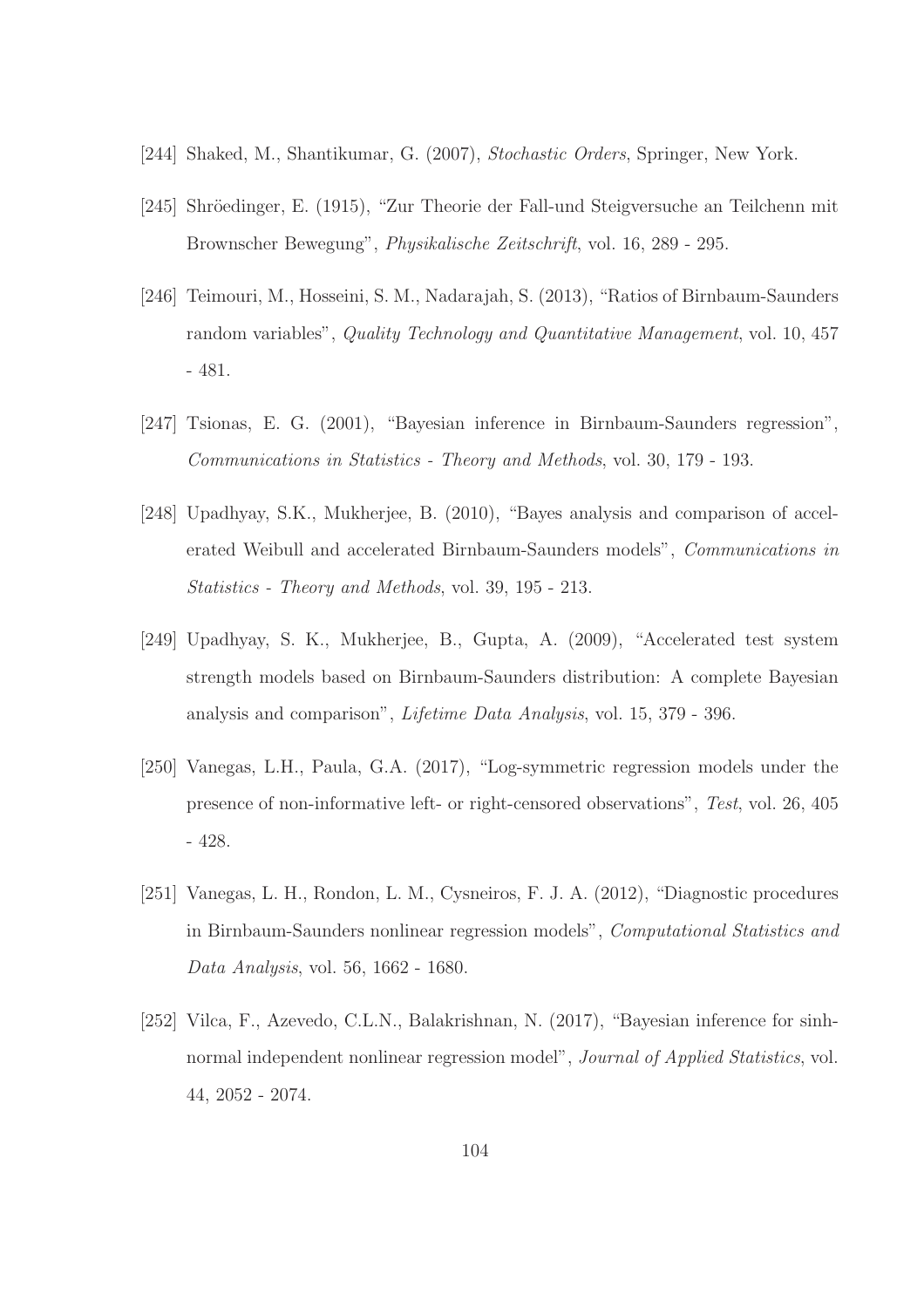- [244] Shaked, M., Shantikumar, G. (2007), *Stochastic Orders*, Springer, New York.
- [245] Shröedinger, E. (1915), "Zur Theorie der Fall-und Steigversuche an Teilchenn mit Brownscher Bewegung", *Physikalische Zeitschrift*, vol. 16, 289 - 295.
- [246] Teimouri, M., Hosseini, S. M., Nadarajah, S. (2013), "Ratios of Birnbaum-Saunders random variables", *Quality Technology and Quantitative Management*, vol. 10, 457 - 481.
- [247] Tsionas, E. G. (2001), "Bayesian inference in Birnbaum-Saunders regression", *Communications in Statistics - Theory and Methods*, vol. 30, 179 - 193.
- [248] Upadhyay, S.K., Mukherjee, B. (2010), "Bayes analysis and comparison of accelerated Weibull and accelerated Birnbaum-Saunders models", *Communications in Statistics - Theory and Methods*, vol. 39, 195 - 213.
- [249] Upadhyay, S. K., Mukherjee, B., Gupta, A. (2009), "Accelerated test system strength models based on Birnbaum-Saunders distribution: A complete Bayesian analysis and comparison", *Lifetime Data Analysis*, vol. 15, 379 - 396.
- [250] Vanegas, L.H., Paula, G.A. (2017), "Log-symmetric regression models under the presence of non-informative left- or right-censored observations", *Test*, vol. 26, 405 - 428.
- [251] Vanegas, L. H., Rondon, L. M., Cysneiros, F. J. A. (2012), "Diagnostic procedures in Birnbaum-Saunders nonlinear regression models", *Computational Statistics and Data Analysis*, vol. 56, 1662 - 1680.
- [252] Vilca, F., Azevedo, C.L.N., Balakrishnan, N. (2017), "Bayesian inference for sinhnormal independent nonlinear regression model", *Journal of Applied Statistics*, vol. 44, 2052 - 2074.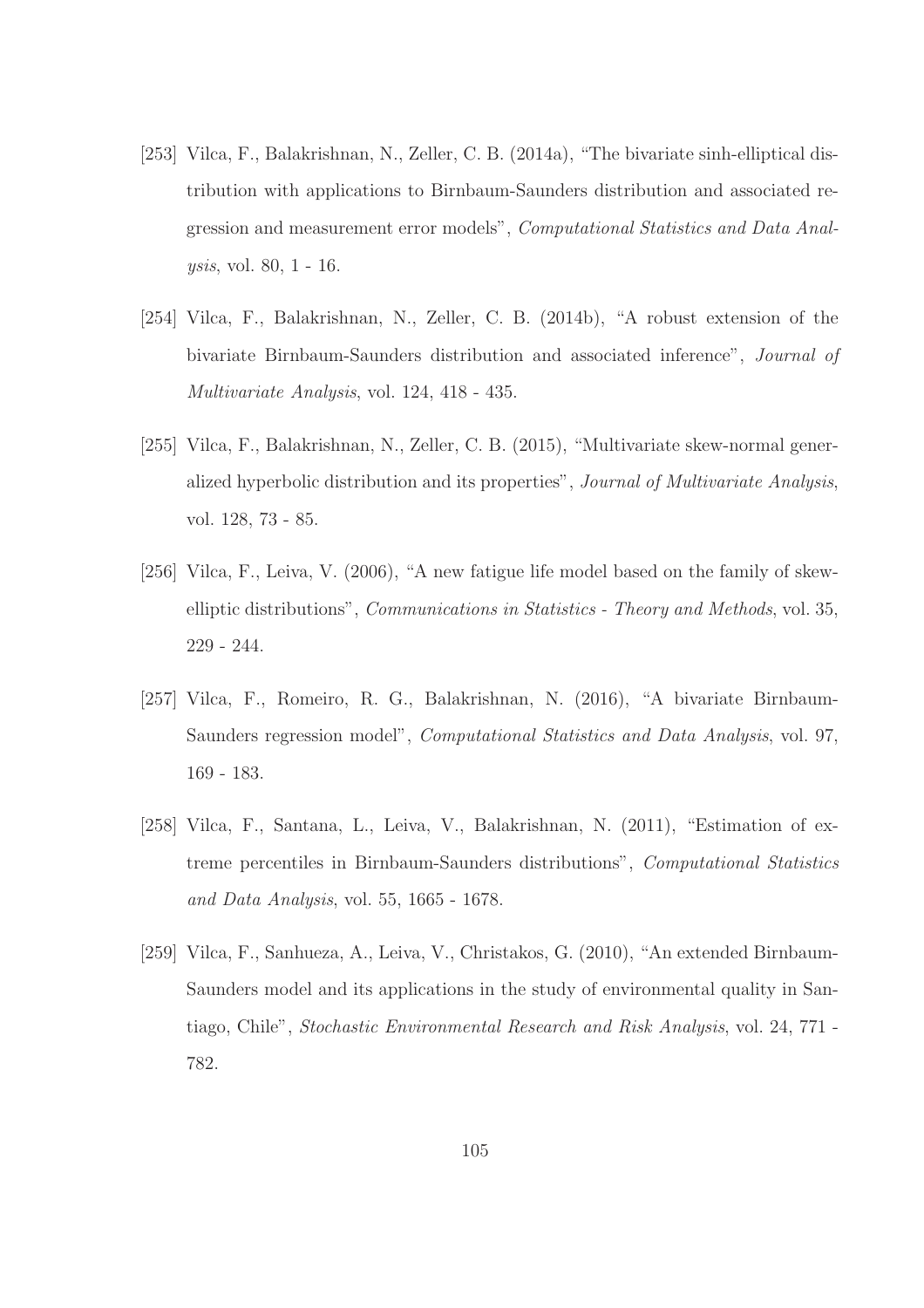- [253] Vilca, F., Balakrishnan, N., Zeller, C. B. (2014a), "The bivariate sinh-elliptical distribution with applications to Birnbaum-Saunders distribution and associated regression and measurement error models", *Computational Statistics and Data Analysis*, vol. 80, 1 - 16.
- [254] Vilca, F., Balakrishnan, N., Zeller, C. B. (2014b), "A robust extension of the bivariate Birnbaum-Saunders distribution and associated inference", *Journal of Multivariate Analysis*, vol. 124, 418 - 435.
- [255] Vilca, F., Balakrishnan, N., Zeller, C. B. (2015), "Multivariate skew-normal generalized hyperbolic distribution and its properties", *Journal of Multivariate Analysis*, vol. 128, 73 - 85.
- [256] Vilca, F., Leiva, V. (2006), "A new fatigue life model based on the family of skewelliptic distributions", *Communications in Statistics - Theory and Methods*, vol. 35, 229 - 244.
- [257] Vilca, F., Romeiro, R. G., Balakrishnan, N. (2016), "A bivariate Birnbaum-Saunders regression model", *Computational Statistics and Data Analysis*, vol. 97, 169 - 183.
- [258] Vilca, F., Santana, L., Leiva, V., Balakrishnan, N. (2011), "Estimation of extreme percentiles in Birnbaum-Saunders distributions", *Computational Statistics and Data Analysis*, vol. 55, 1665 - 1678.
- [259] Vilca, F., Sanhueza, A., Leiva, V., Christakos, G. (2010), "An extended Birnbaum-Saunders model and its applications in the study of environmental quality in Santiago, Chile", *Stochastic Environmental Research and Risk Analysis*, vol. 24, 771 - 782.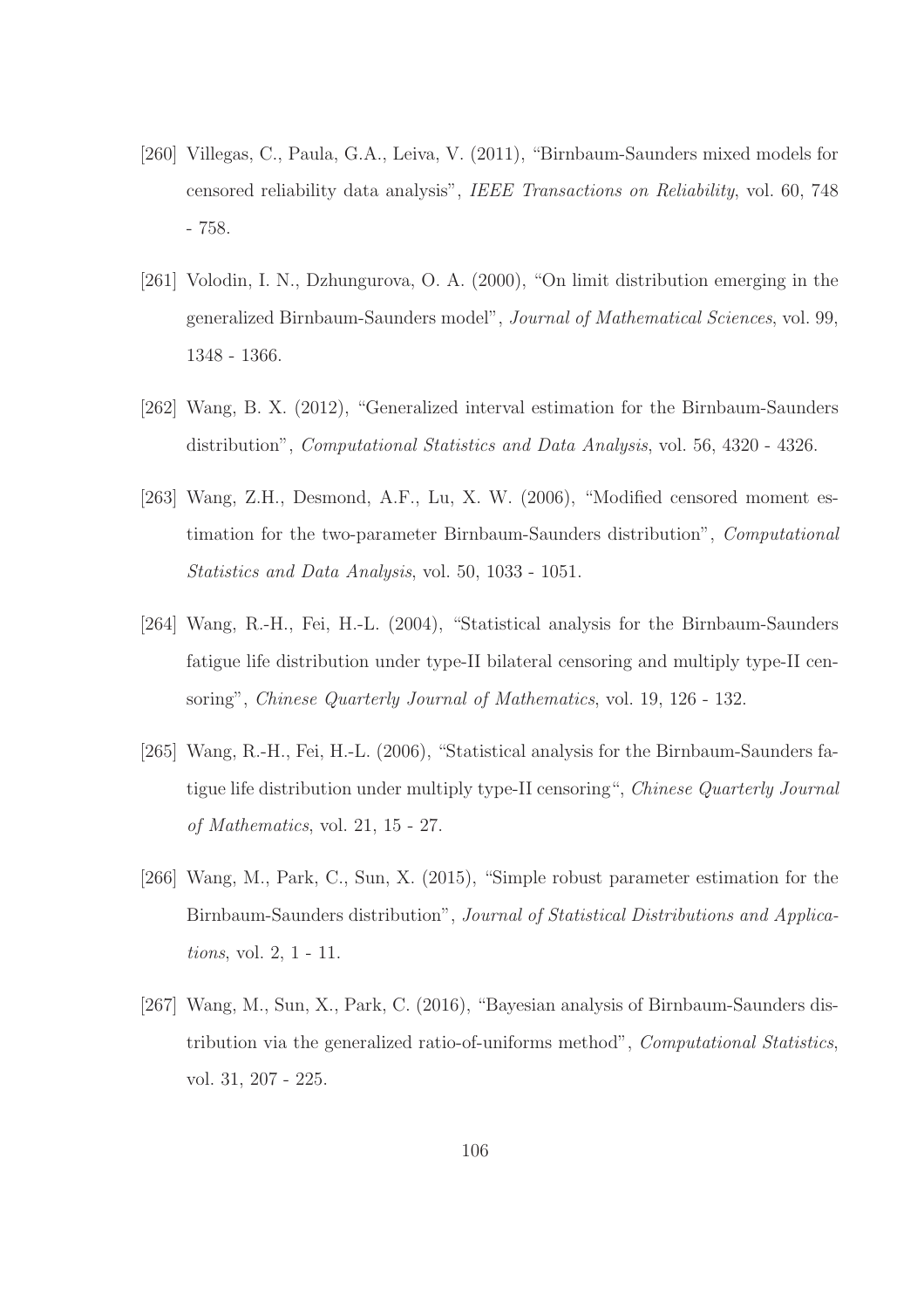- [260] Villegas, C., Paula, G.A., Leiva, V. (2011), "Birnbaum-Saunders mixed models for censored reliability data analysis", *IEEE Transactions on Reliability*, vol. 60, 748 - 758.
- [261] Volodin, I. N., Dzhungurova, O. A. (2000), "On limit distribution emerging in the generalized Birnbaum-Saunders model", *Journal of Mathematical Sciences*, vol. 99, 1348 - 1366.
- [262] Wang, B. X. (2012), "Generalized interval estimation for the Birnbaum-Saunders distribution", *Computational Statistics and Data Analysis*, vol. 56, 4320 - 4326.
- [263] Wang, Z.H., Desmond, A.F., Lu, X. W. (2006), "Modified censored moment estimation for the two-parameter Birnbaum-Saunders distribution", *Computational Statistics and Data Analysis*, vol. 50, 1033 - 1051.
- [264] Wang, R.-H., Fei, H.-L. (2004), "Statistical analysis for the Birnbaum-Saunders fatigue life distribution under type-II bilateral censoring and multiply type-II censoring", *Chinese Quarterly Journal of Mathematics*, vol. 19, 126 - 132.
- [265] Wang, R.-H., Fei, H.-L. (2006), "Statistical analysis for the Birnbaum-Saunders fatigue life distribution under multiply type-II censoring", *Chinese Quarterly Journal of Mathematics*, vol. 21, 15 - 27.
- [266] Wang, M., Park, C., Sun, X. (2015), "Simple robust parameter estimation for the Birnbaum-Saunders distribution", *Journal of Statistical Distributions and Applications*, vol. 2, 1 - 11.
- [267] Wang, M., Sun, X., Park, C. (2016), "Bayesian analysis of Birnbaum-Saunders distribution via the generalized ratio-of-uniforms method", *Computational Statistics*, vol. 31, 207 - 225.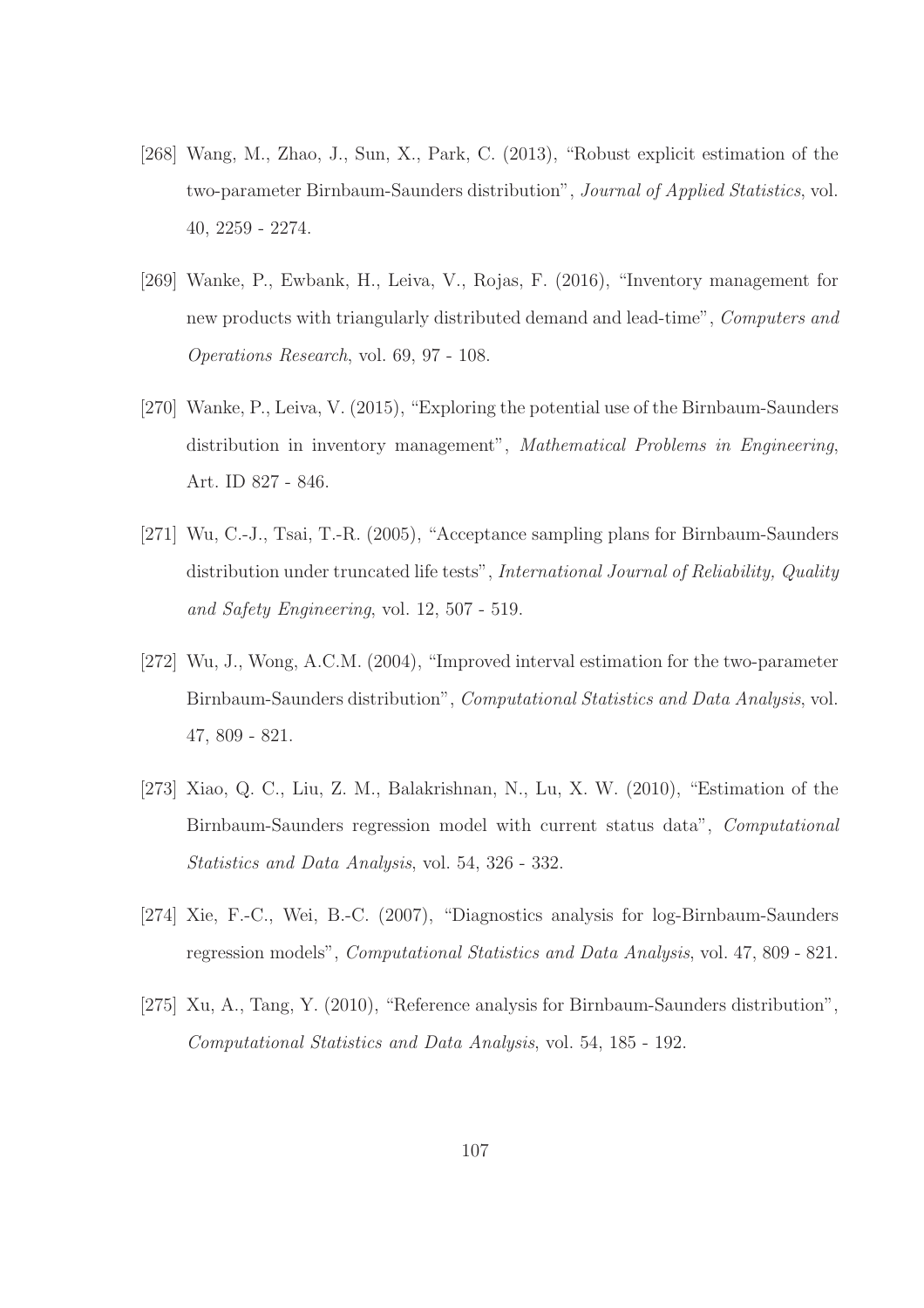- [268] Wang, M., Zhao, J., Sun, X., Park, C. (2013), "Robust explicit estimation of the two-parameter Birnbaum-Saunders distribution", *Journal of Applied Statistics*, vol. 40, 2259 - 2274.
- [269] Wanke, P., Ewbank, H., Leiva, V., Rojas, F. (2016), "Inventory management for new products with triangularly distributed demand and lead-time", *Computers and Operations Research*, vol. 69, 97 - 108.
- [270] Wanke, P., Leiva, V. (2015), "Exploring the potential use of the Birnbaum-Saunders distribution in inventory management", *Mathematical Problems in Engineering*, Art. ID 827 - 846.
- [271] Wu, C.-J., Tsai, T.-R. (2005), "Acceptance sampling plans for Birnbaum-Saunders distribution under truncated life tests", *International Journal of Reliability, Quality and Safety Engineering*, vol. 12, 507 - 519.
- [272] Wu, J., Wong, A.C.M. (2004), "Improved interval estimation for the two-parameter Birnbaum-Saunders distribution", *Computational Statistics and Data Analysis*, vol. 47, 809 - 821.
- [273] Xiao, Q. C., Liu, Z. M., Balakrishnan, N., Lu, X. W. (2010), "Estimation of the Birnbaum-Saunders regression model with current status data", *Computational Statistics and Data Analysis*, vol. 54, 326 - 332.
- [274] Xie, F.-C., Wei, B.-C. (2007), "Diagnostics analysis for log-Birnbaum-Saunders regression models", *Computational Statistics and Data Analysis*, vol. 47, 809 - 821.
- [275] Xu, A., Tang, Y. (2010), "Reference analysis for Birnbaum-Saunders distribution", *Computational Statistics and Data Analysis*, vol. 54, 185 - 192.